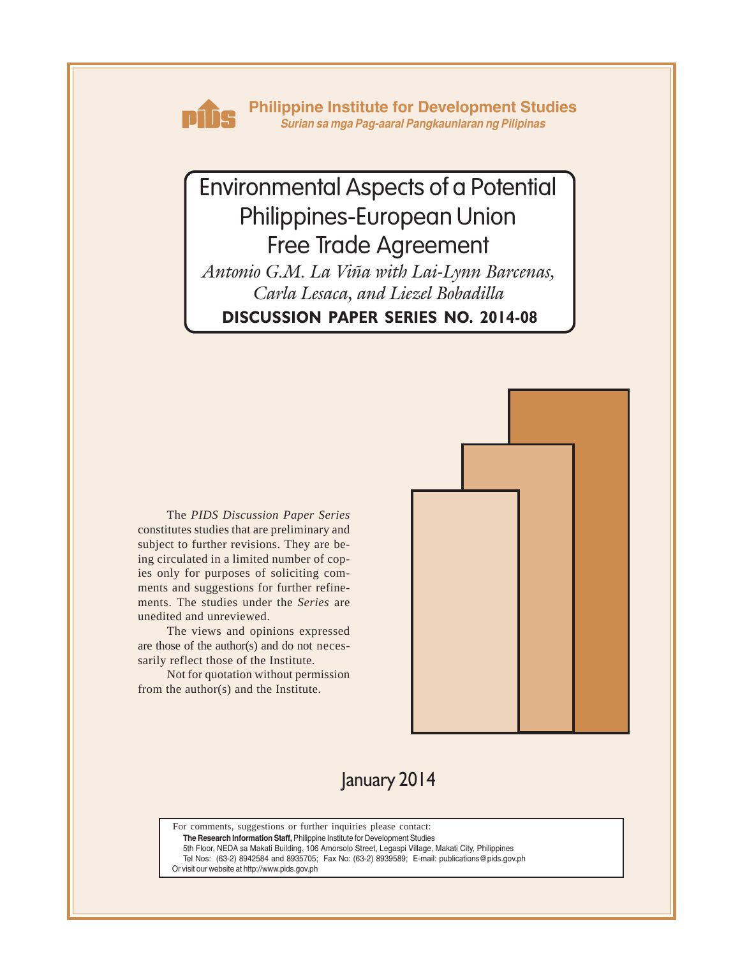

**Philippine Institute for Development Studies** *Surian sa mga Pag-aaral Pangkaunlaran ng Pilipinas*

# *Antonio G.M. La Viña with Lai-Lynn Barcenas, Carla Lesaca, and Liezel Bobadilla* Environmental Aspects of a Potential Philippines-European Union Free Trade Agreement

**DISCUSSION PAPER SERIES NO. 2014-08**

The *PIDS Discussion Paper Series* constitutes studies that are preliminary and subject to further revisions. They are being circulated in a limited number of copies only for purposes of soliciting comments and suggestions for further refinements. The studies under the *Series* are unedited and unreviewed.

The views and opinions expressed are those of the author(s) and do not necessarily reflect those of the Institute.

Not for quotation without permission from the author(s) and the Institute.



January 2014

For comments, suggestions or further inquiries please contact:

**The Research Information Staff,** Philippine Institute for Development Studies

5th Floor, NEDA sa Makati Building, 106 Amorsolo Street, Legaspi Village, Makati City, Philippines

Tel Nos: (63-2) 8942584 and 8935705; Fax No: (63-2) 8939589; E-mail: publications@pids.gov.ph

Or visit our website at http://www.pids.gov.ph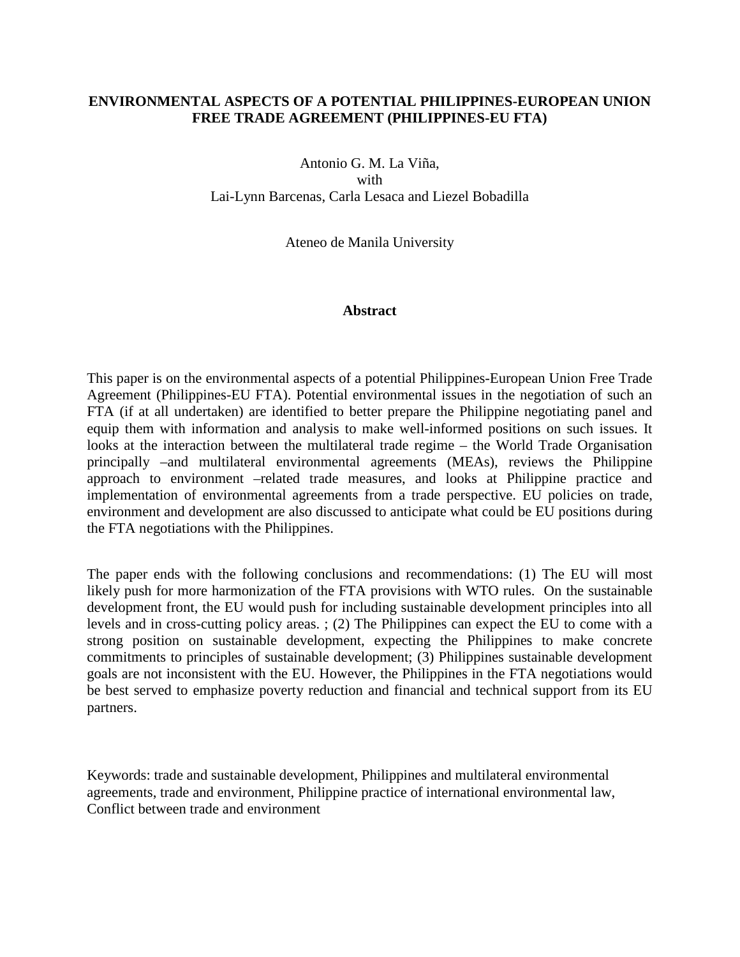# **ENVIRONMENTAL ASPECTS OF A POTENTIAL PHILIPPINES-EUROPEAN UNION FREE TRADE AGREEMENT (PHILIPPINES-EU FTA)**

Antonio G. M. La Viña, with Lai-Lynn Barcenas, Carla Lesaca and Liezel Bobadilla

Ateneo de Manila University

## **Abstract**

This paper is on the environmental aspects of a potential Philippines-European Union Free Trade Agreement (Philippines-EU FTA). Potential environmental issues in the negotiation of such an FTA (if at all undertaken) are identified to better prepare the Philippine negotiating panel and equip them with information and analysis to make well-informed positions on such issues. It looks at the interaction between the multilateral trade regime – the World Trade Organisation principally –and multilateral environmental agreements (MEAs), reviews the Philippine approach to environment –related trade measures, and looks at Philippine practice and implementation of environmental agreements from a trade perspective. EU policies on trade, environment and development are also discussed to anticipate what could be EU positions during the FTA negotiations with the Philippines.

The paper ends with the following conclusions and recommendations: (1) The EU will most likely push for more harmonization of the FTA provisions with WTO rules. On the sustainable development front, the EU would push for including sustainable development principles into all levels and in cross-cutting policy areas. ; (2) The Philippines can expect the EU to come with a strong position on sustainable development, expecting the Philippines to make concrete commitments to principles of sustainable development; (3) Philippines sustainable development goals are not inconsistent with the EU. However, the Philippines in the FTA negotiations would be best served to emphasize poverty reduction and financial and technical support from its EU partners.

Keywords: trade and sustainable development, Philippines and multilateral environmental agreements, trade and environment, Philippine practice of international environmental law, Conflict between trade and environment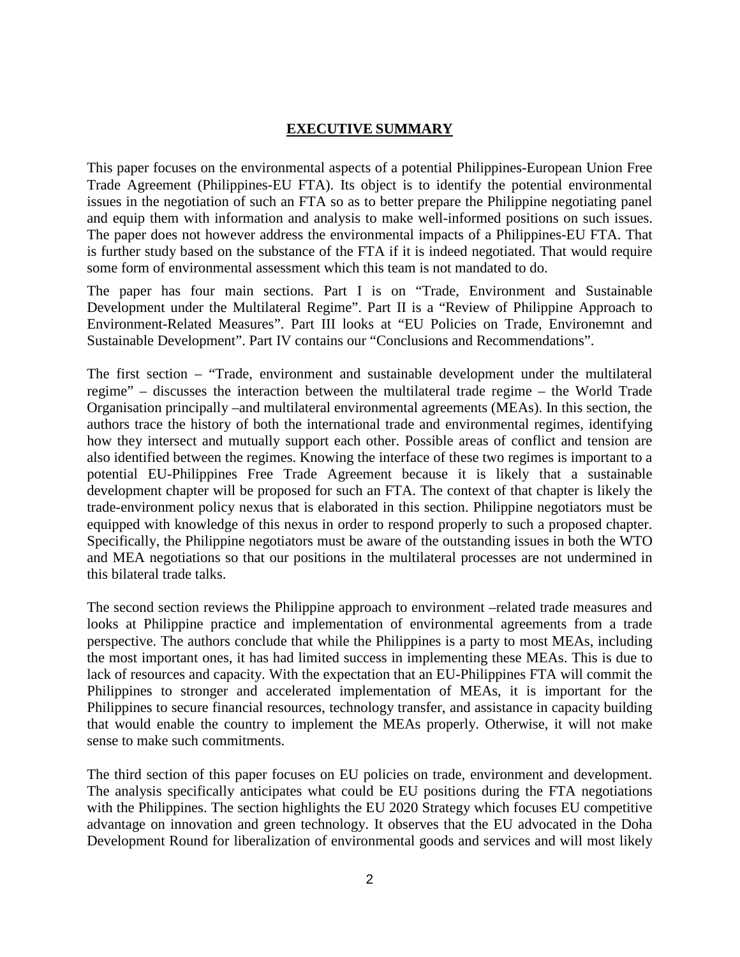# **EXECUTIVE SUMMARY**

This paper focuses on the environmental aspects of a potential Philippines-European Union Free Trade Agreement (Philippines-EU FTA). Its object is to identify the potential environmental issues in the negotiation of such an FTA so as to better prepare the Philippine negotiating panel and equip them with information and analysis to make well-informed positions on such issues. The paper does not however address the environmental impacts of a Philippines-EU FTA. That is further study based on the substance of the FTA if it is indeed negotiated. That would require some form of environmental assessment which this team is not mandated to do.

The paper has four main sections. Part I is on "Trade, Environment and Sustainable Development under the Multilateral Regime". Part II is a "Review of Philippine Approach to Environment-Related Measures". Part III looks at "EU Policies on Trade, Environemnt and Sustainable Development". Part IV contains our "Conclusions and Recommendations".

The first section – "Trade, environment and sustainable development under the multilateral regime" – discusses the interaction between the multilateral trade regime – the World Trade Organisation principally –and multilateral environmental agreements (MEAs). In this section, the authors trace the history of both the international trade and environmental regimes, identifying how they intersect and mutually support each other. Possible areas of conflict and tension are also identified between the regimes. Knowing the interface of these two regimes is important to a potential EU-Philippines Free Trade Agreement because it is likely that a sustainable development chapter will be proposed for such an FTA. The context of that chapter is likely the trade-environment policy nexus that is elaborated in this section. Philippine negotiators must be equipped with knowledge of this nexus in order to respond properly to such a proposed chapter. Specifically, the Philippine negotiators must be aware of the outstanding issues in both the WTO and MEA negotiations so that our positions in the multilateral processes are not undermined in this bilateral trade talks.

The second section reviews the Philippine approach to environment –related trade measures and looks at Philippine practice and implementation of environmental agreements from a trade perspective. The authors conclude that while the Philippines is a party to most MEAs, including the most important ones, it has had limited success in implementing these MEAs. This is due to lack of resources and capacity. With the expectation that an EU-Philippines FTA will commit the Philippines to stronger and accelerated implementation of MEAs, it is important for the Philippines to secure financial resources, technology transfer, and assistance in capacity building that would enable the country to implement the MEAs properly. Otherwise, it will not make sense to make such commitments.

The third section of this paper focuses on EU policies on trade, environment and development. The analysis specifically anticipates what could be EU positions during the FTA negotiations with the Philippines. The section highlights the EU 2020 Strategy which focuses EU competitive advantage on innovation and green technology. It observes that the EU advocated in the Doha Development Round for liberalization of environmental goods and services and will most likely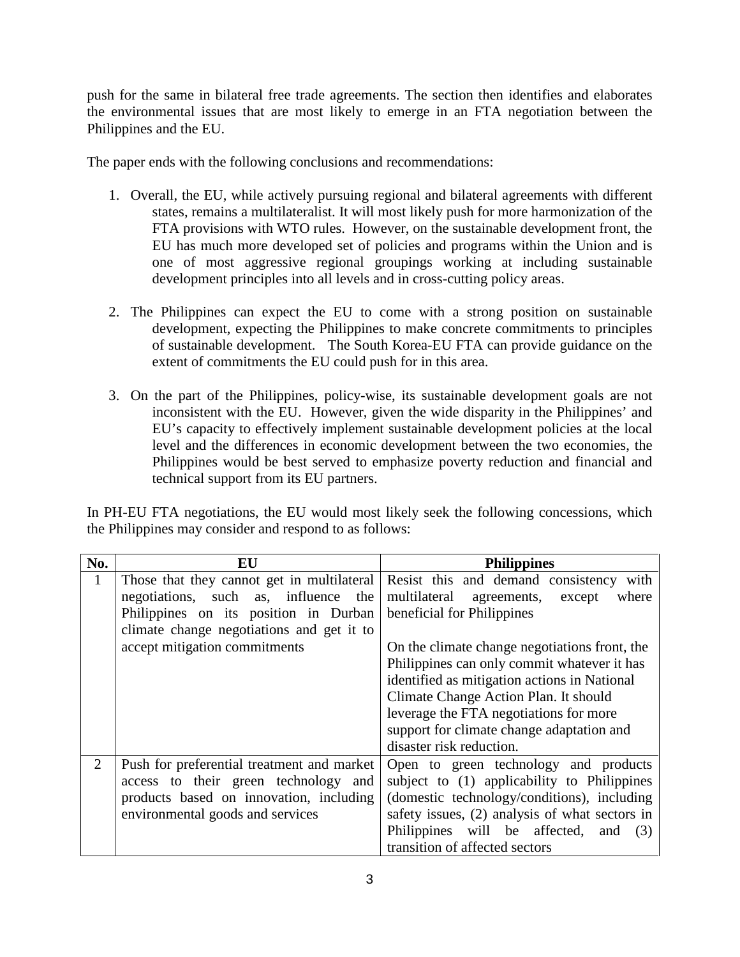push for the same in bilateral free trade agreements. The section then identifies and elaborates the environmental issues that are most likely to emerge in an FTA negotiation between the Philippines and the EU.

The paper ends with the following conclusions and recommendations:

- 1. Overall, the EU, while actively pursuing regional and bilateral agreements with different states, remains a multilateralist. It will most likely push for more harmonization of the FTA provisions with WTO rules. However, on the sustainable development front, the EU has much more developed set of policies and programs within the Union and is one of most aggressive regional groupings working at including sustainable development principles into all levels and in cross-cutting policy areas.
- 2. The Philippines can expect the EU to come with a strong position on sustainable development, expecting the Philippines to make concrete commitments to principles of sustainable development. The South Korea-EU FTA can provide guidance on the extent of commitments the EU could push for in this area.
- 3. On the part of the Philippines, policy-wise, its sustainable development goals are not inconsistent with the EU. However, given the wide disparity in the Philippines' and EU's capacity to effectively implement sustainable development policies at the local level and the differences in economic development between the two economies, the Philippines would be best served to emphasize poverty reduction and financial and technical support from its EU partners.

In PH-EU FTA negotiations, the EU would most likely seek the following concessions, which the Philippines may consider and respond to as follows:

| No.          | EU                                         | <b>Philippines</b>                             |
|--------------|--------------------------------------------|------------------------------------------------|
| $\mathbf{1}$ | Those that they cannot get in multilateral | Resist this and demand consistency with        |
|              | negotiations, such as, influence the       | multilateral<br>where<br>agreements, except    |
|              | Philippines on its position in Durban      | beneficial for Philippines                     |
|              | climate change negotiations and get it to  |                                                |
|              | accept mitigation commitments              | On the climate change negotiations front, the  |
|              |                                            | Philippines can only commit whatever it has    |
|              |                                            | identified as mitigation actions in National   |
|              |                                            | Climate Change Action Plan. It should          |
|              |                                            | leverage the FTA negotiations for more         |
|              |                                            | support for climate change adaptation and      |
|              |                                            | disaster risk reduction.                       |
| 2            | Push for preferential treatment and market | Open to green technology and products          |
|              | access to their green technology and       | subject to (1) applicability to Philippines    |
|              | products based on innovation, including    | (domestic technology/conditions), including    |
|              | environmental goods and services           | safety issues, (2) analysis of what sectors in |
|              |                                            | will be affected, and<br>Philippines<br>(3)    |
|              |                                            | transition of affected sectors                 |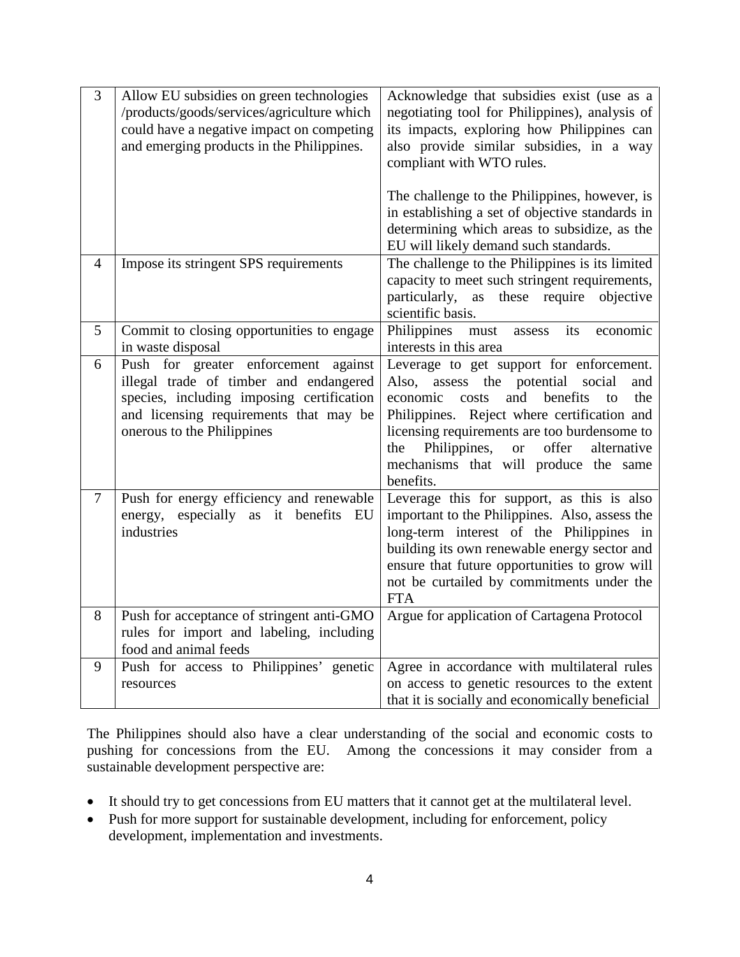| 3              | Allow EU subsidies on green technologies<br>/products/goods/services/agriculture which<br>could have a negative impact on competing<br>and emerging products in the Philippines.                    | Acknowledge that subsidies exist (use as a<br>negotiating tool for Philippines), analysis of<br>its impacts, exploring how Philippines can<br>also provide similar subsidies, in a way<br>compliant with WTO rules.                                                                                                                                              |
|----------------|-----------------------------------------------------------------------------------------------------------------------------------------------------------------------------------------------------|------------------------------------------------------------------------------------------------------------------------------------------------------------------------------------------------------------------------------------------------------------------------------------------------------------------------------------------------------------------|
|                |                                                                                                                                                                                                     | The challenge to the Philippines, however, is<br>in establishing a set of objective standards in<br>determining which areas to subsidize, as the<br>EU will likely demand such standards.                                                                                                                                                                        |
| $\overline{4}$ | Impose its stringent SPS requirements                                                                                                                                                               | The challenge to the Philippines is its limited<br>capacity to meet such stringent requirements,<br>as these require<br>particularly,<br>objective<br>scientific basis.                                                                                                                                                                                          |
| 5              | Commit to closing opportunities to engage<br>in waste disposal                                                                                                                                      | Philippines must<br>its<br>assess<br>economic<br>interests in this area                                                                                                                                                                                                                                                                                          |
| 6              | Push for greater enforcement against<br>illegal trade of timber and endangered<br>species, including imposing certification<br>and licensing requirements that may be<br>onerous to the Philippines | Leverage to get support for enforcement.<br>assess the potential<br>social<br>Also,<br>and<br>and<br>economic<br>benefits<br>the<br>costs<br>to<br>Philippines. Reject where certification and<br>licensing requirements are too burdensome to<br>Philippines,<br>the<br><b>or</b><br>offer<br>alternative<br>mechanisms that will produce the same<br>benefits. |
| $\overline{7}$ | Push for energy efficiency and renewable<br>energy, especially as it benefits EU<br>industries                                                                                                      | Leverage this for support, as this is also<br>important to the Philippines. Also, assess the<br>long-term interest of the Philippines in<br>building its own renewable energy sector and<br>ensure that future opportunities to grow will<br>not be curtailed by commitments under the<br><b>FTA</b>                                                             |
| 8              | Push for acceptance of stringent anti-GMO<br>rules for import and labeling, including<br>food and animal feeds                                                                                      | Argue for application of Cartagena Protocol                                                                                                                                                                                                                                                                                                                      |
| 9              | Push for access to Philippines' genetic<br>resources                                                                                                                                                | Agree in accordance with multilateral rules<br>on access to genetic resources to the extent<br>that it is socially and economically beneficial                                                                                                                                                                                                                   |

The Philippines should also have a clear understanding of the social and economic costs to pushing for concessions from the EU. Among the concessions it may consider from a sustainable development perspective are:

- It should try to get concessions from EU matters that it cannot get at the multilateral level.
- Push for more support for sustainable development, including for enforcement, policy development, implementation and investments.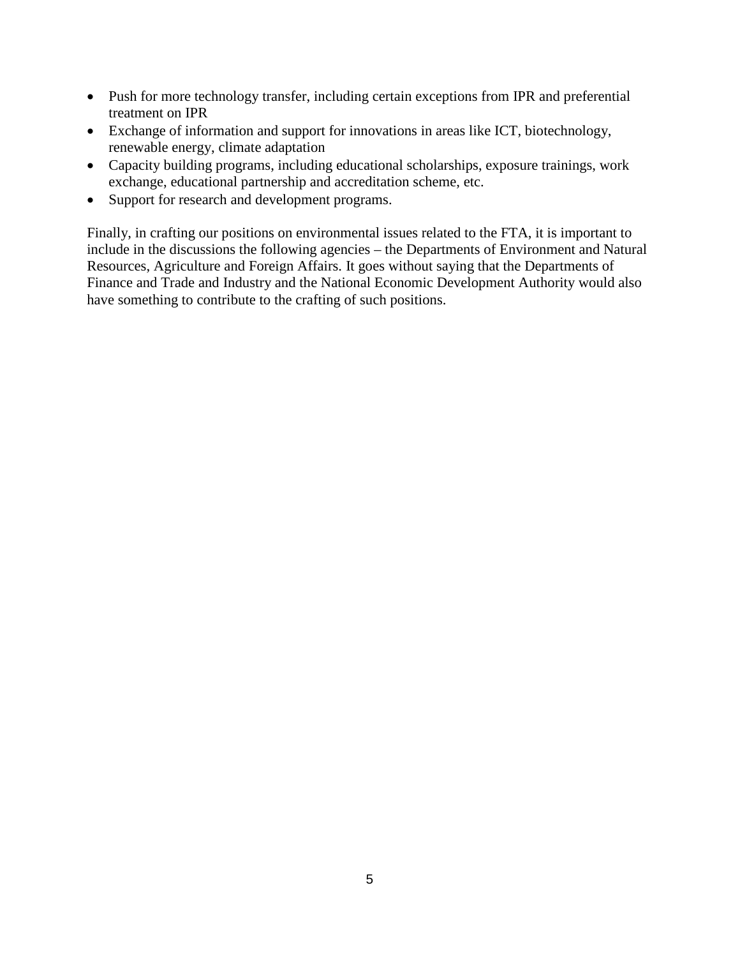- Push for more technology transfer, including certain exceptions from IPR and preferential treatment on IPR
- Exchange of information and support for innovations in areas like ICT, biotechnology, renewable energy, climate adaptation
- Capacity building programs, including educational scholarships, exposure trainings, work exchange, educational partnership and accreditation scheme, etc.
- Support for research and development programs.

Finally, in crafting our positions on environmental issues related to the FTA, it is important to include in the discussions the following agencies – the Departments of Environment and Natural Resources, Agriculture and Foreign Affairs. It goes without saying that the Departments of Finance and Trade and Industry and the National Economic Development Authority would also have something to contribute to the crafting of such positions.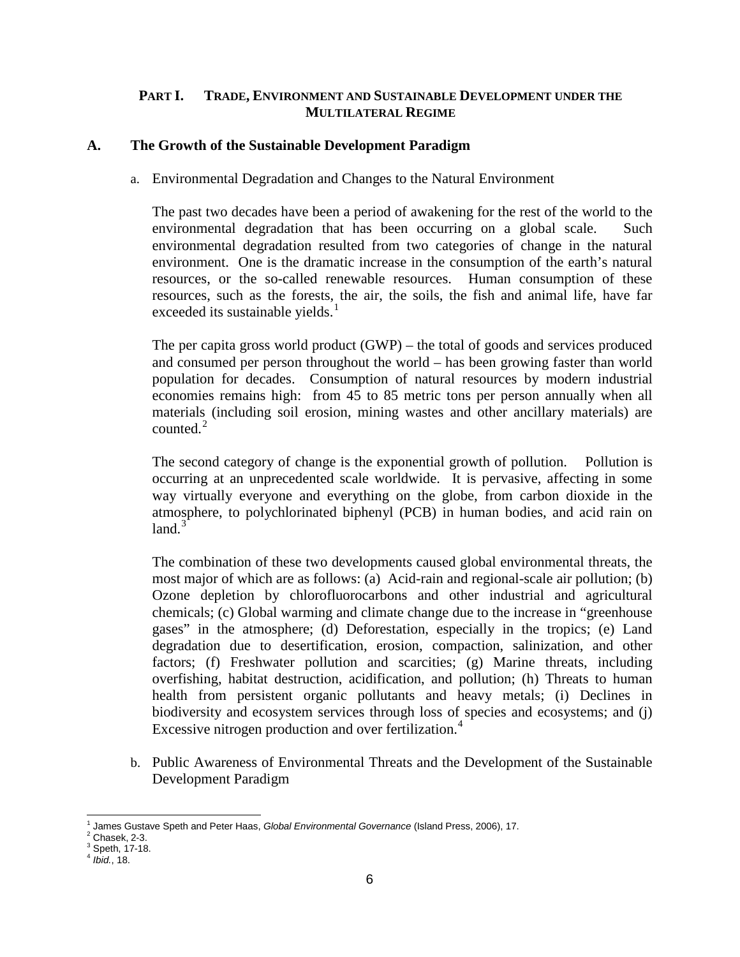## **PART I. TRADE, ENVIRONMENT AND SUSTAINABLE DEVELOPMENT UNDER THE MULTILATERAL REGIME**

# **A. The Growth of the Sustainable Development Paradigm**

## a. Environmental Degradation and Changes to the Natural Environment

The past two decades have been a period of awakening for the rest of the world to the environmental degradation that has been occurring on a global scale. Such environmental degradation resulted from two categories of change in the natural environment. One is the dramatic increase in the consumption of the earth's natural resources, or the so-called renewable resources. Human consumption of these resources, such as the forests, the air, the soils, the fish and animal life, have far exceeded its sustainable yields.<sup>[1](#page-6-0)</sup>

The per capita gross world product (GWP) – the total of goods and services produced and consumed per person throughout the world – has been growing faster than world population for decades. Consumption of natural resources by modern industrial economies remains high: from 45 to 85 metric tons per person annually when all materials (including soil erosion, mining wastes and other ancillary materials) are counted $^2$  $^2$ 

The second category of change is the exponential growth of pollution. Pollution is occurring at an unprecedented scale worldwide. It is pervasive, affecting in some way virtually everyone and everything on the globe, from carbon dioxide in the atmosphere, to polychlorinated biphenyl (PCB) in human bodies, and acid rain on  $land<sup>3</sup>$  $land<sup>3</sup>$  $land<sup>3</sup>$ 

The combination of these two developments caused global environmental threats, the most major of which are as follows: (a) Acid-rain and regional-scale air pollution; (b) Ozone depletion by chlorofluorocarbons and other industrial and agricultural chemicals; (c) Global warming and climate change due to the increase in "greenhouse gases" in the atmosphere; (d) Deforestation, especially in the tropics; (e) Land degradation due to desertification, erosion, compaction, salinization, and other factors; (f) Freshwater pollution and scarcities; (g) Marine threats, including overfishing, habitat destruction, acidification, and pollution; (h) Threats to human health from persistent organic pollutants and heavy metals; (i) Declines in biodiversity and ecosystem services through loss of species and ecosystems; and (j) Excessive nitrogen production and over fertilization.<sup>[4](#page-6-3)</sup>

b. Public Awareness of Environmental Threats and the Development of the Sustainable Development Paradigm

<span id="page-6-1"></span><span id="page-6-0"></span><sup>&</sup>lt;sup>1</sup> James Gustave Speth and Peter Haas, *Global Environmental Governance* (Island Press, 2006), 17.<br><sup>2</sup> Chasek, 2-3.<br><sup>3</sup> Speth, 17-18.<br><sup>4</sup> *Ibid.*, 18.

<span id="page-6-3"></span><span id="page-6-2"></span>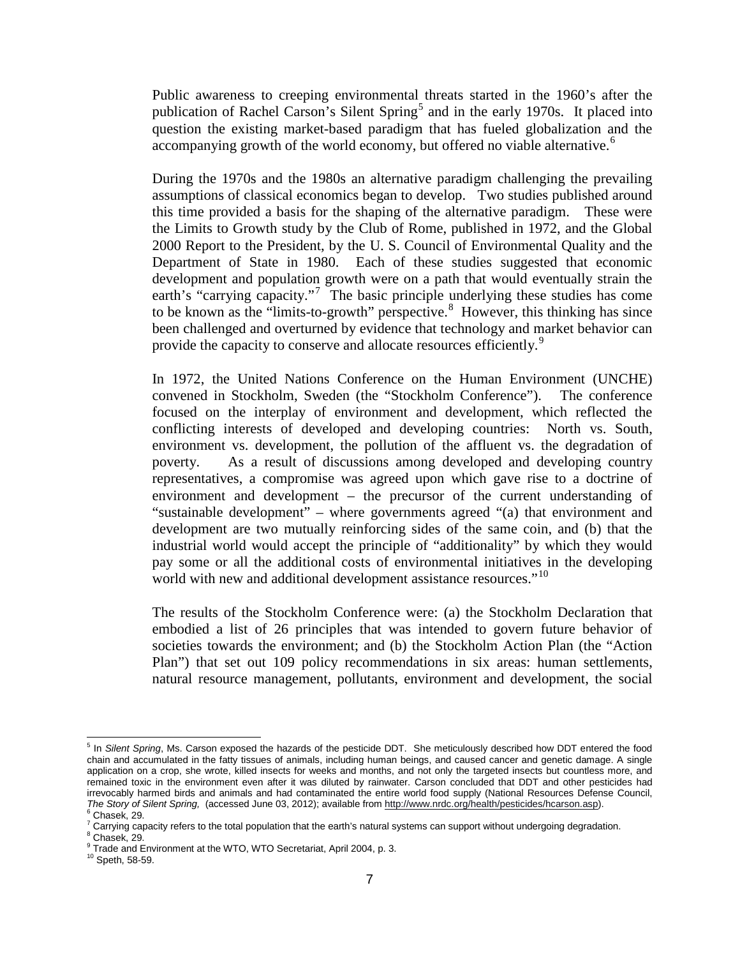Public awareness to creeping environmental threats started in the 1960's after the publication of Rachel Carson's Silent Spring<sup>[5](#page-7-0)</sup> and in the early 1970s. It placed into question the existing market-based paradigm that has fueled globalization and the accompanying growth of the world economy, but offered no viable alternative.<sup>[6](#page-7-0)</sup>

During the 1970s and the 1980s an alternative paradigm challenging the prevailing assumptions of classical economics began to develop. Two studies published around this time provided a basis for the shaping of the alternative paradigm. These were the Limits to Growth study by the Club of Rome, published in 1972, and the Global 2000 Report to the President, by the U. S. Council of Environmental Quality and the Department of State in 1980. Each of these studies suggested that economic development and population growth were on a path that would eventually strain the earth's "carrying capacity."<sup>[7](#page-7-0)</sup> The basic principle underlying these studies has come to be known as the "limits-to-growth" perspective. $8$  However, this thinking has since been challenged and overturned by evidence that technology and market behavior can provide the capacity to conserve and allocate resources efficiently.<sup>[9](#page-7-0)</sup>

In 1972, the United Nations Conference on the Human Environment (UNCHE) convened in Stockholm, Sweden (the "Stockholm Conference"). The conference focused on the interplay of environment and development, which reflected the conflicting interests of developed and developing countries: North vs. South, environment vs. development, the pollution of the affluent vs. the degradation of poverty. As a result of discussions among developed and developing country representatives, a compromise was agreed upon which gave rise to a doctrine of environment and development – the precursor of the current understanding of "sustainable development" – where governments agreed "(a) that environment and development are two mutually reinforcing sides of the same coin, and (b) that the industrial world would accept the principle of "additionality" by which they would pay some or all the additional costs of environmental initiatives in the developing world with new and additional development assistance resources."<sup>10</sup>

The results of the Stockholm Conference were: (a) the Stockholm Declaration that embodied a list of 26 principles that was intended to govern future behavior of societies towards the environment; and (b) the Stockholm Action Plan (the "Action Plan") that set out 109 policy recommendations in six areas: human settlements, natural resource management, pollutants, environment and development, the social

<span id="page-7-0"></span> <sup>5</sup> In *Silent Spring*, Ms. Carson exposed the hazards of the pesticide DDT. She meticulously described how DDT entered the food chain and accumulated in the fatty tissues of animals, including human beings, and caused cancer and genetic damage. A single application on a crop, she wrote, killed insects for weeks and months, and not only the targeted insects but countless more, and remained toxic in the environment even after it was diluted by rainwater. Carson concluded that DDT and other pesticides had irrevocably harmed birds and animals and had contaminated the entire world food supply (National Resources Defense Council, *The Story of Silent Spring,* (accessed June 03, 2012); available fro[m http://www.nrdc.org/health/pesticides/hcarson.asp\)](http://www.nrdc.org/health/pesticides/hcarson.asp).<br><sup>6</sup> Chasek, 29.

<sup>7</sup> Carrying capacity refers to the total population that the earth's natural systems can support without undergoing degradation.  $8$  Chasek, 29.

 $^9$  Trade and Environment at the WTO, WTO Secretariat, April 2004, p. 3.  $^{10}$  Speth, 58-59.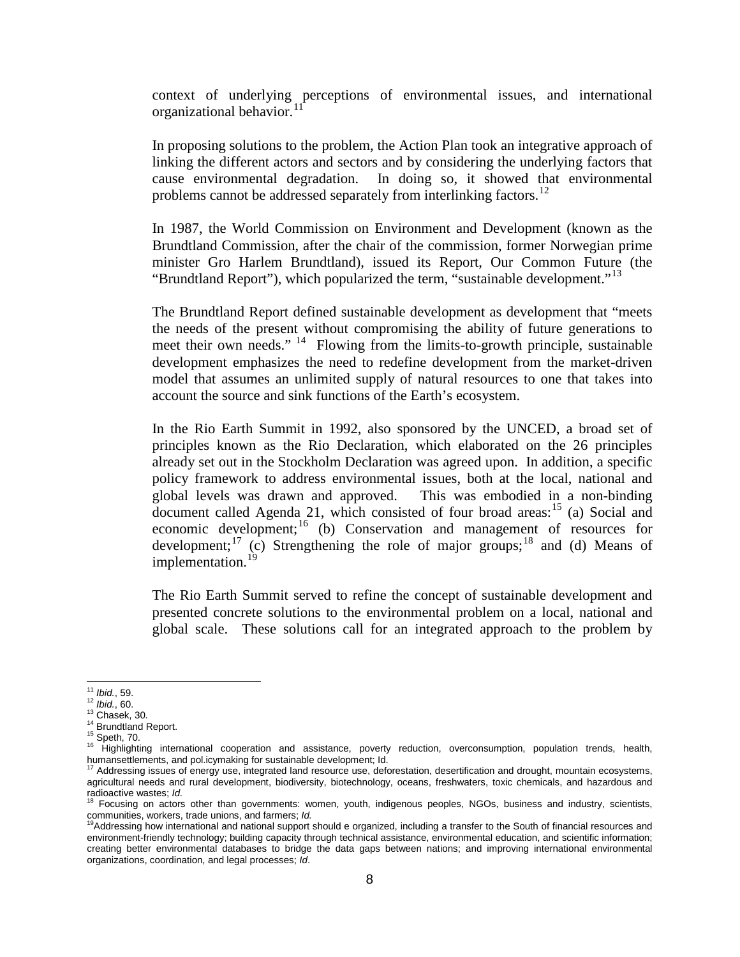context of underlying perceptions of environmental issues, and international organizational behavior.<sup>[11](#page-8-0)</sup>

In proposing solutions to the problem, the Action Plan took an integrative approach of linking the different actors and sectors and by considering the underlying factors that cause environmental degradation. In doing so, it showed that environmental problems cannot be addressed separately from interlinking factors.<sup>[12](#page-8-0)</sup>

In 1987, the World Commission on Environment and Development (known as the Brundtland Commission, after the chair of the commission, former Norwegian prime minister Gro Harlem Brundtland), issued its Report, Our Common Future (the "Brundtland Report"), which popularized the term, "sustainable development."<sup>13</sup>

The Brundtland Report defined sustainable development as development that "meets the needs of the present without compromising the ability of future generations to meet their own needs." <sup>[14](#page-8-0)</sup> Flowing from the limits-to-growth principle, sustainable development emphasizes the need to redefine development from the market-driven model that assumes an unlimited supply of natural resources to one that takes into account the source and sink functions of the Earth's ecosystem.

In the Rio Earth Summit in 1992, also sponsored by the UNCED, a broad set of principles known as the Rio Declaration, which elaborated on the 26 principles already set out in the Stockholm Declaration was agreed upon. In addition, a specific policy framework to address environmental issues, both at the local, national and global levels was drawn and approved. This was embodied in a non-binding document called Agenda 21, which consisted of four broad areas:<sup>[15](#page-8-0)</sup> (a) Social and economic development;<sup>[16](#page-8-0)</sup> (b) Conservation and management of resources for development;<sup>[17](#page-8-0)</sup> (c) Strengthening the role of major groups;<sup>[18](#page-8-0)</sup> and (d) Means of implementation. $1$ <sup>1</sup>

The Rio Earth Summit served to refine the concept of sustainable development and presented concrete solutions to the environmental problem on a local, national and global scale. These solutions call for an integrated approach to the problem by

<span id="page-8-0"></span><sup>11</sup> *Ibid.*, 59.<br><sup>12</sup> *Ibid.*, 60.<br><sup>13</sup> Chasek, 30.<br><sup>14</sup> Brundtland Report.<br><sup>15</sup> Speth, 70.<br><sup>16</sup> Highlighting international cooperation and assistance, poverty reduction, overconsumption, population trends, health, humansettlements, and pol.icymaking for sustainable development; Id.<br><sup>17</sup> Addressing issues of energy use, integrated land resource use, deforestation, desertification and drought, mountain ecosystems,

agricultural needs and rural development, biodiversity, biotechnology, oceans, freshwaters, toxic chemicals, and hazardous and radioactive wastes; *Id.*<br><sup>18</sup> Focusing on actors other than governments: women, youth, indigenous peoples, NGOs, business and industry, scientists,

communities, workers, trade unions, and farmers; *Id.* 19 Addressing provides to the South of financial resources and national support should e organized, including a transfer to the South of financial resources and

environment-friendly technology; building capacity through technical assistance, environmental education, and scientific information; creating better environmental databases to bridge the data gaps between nations; and improving international environmental organizations, coordination, and legal processes; *Id*.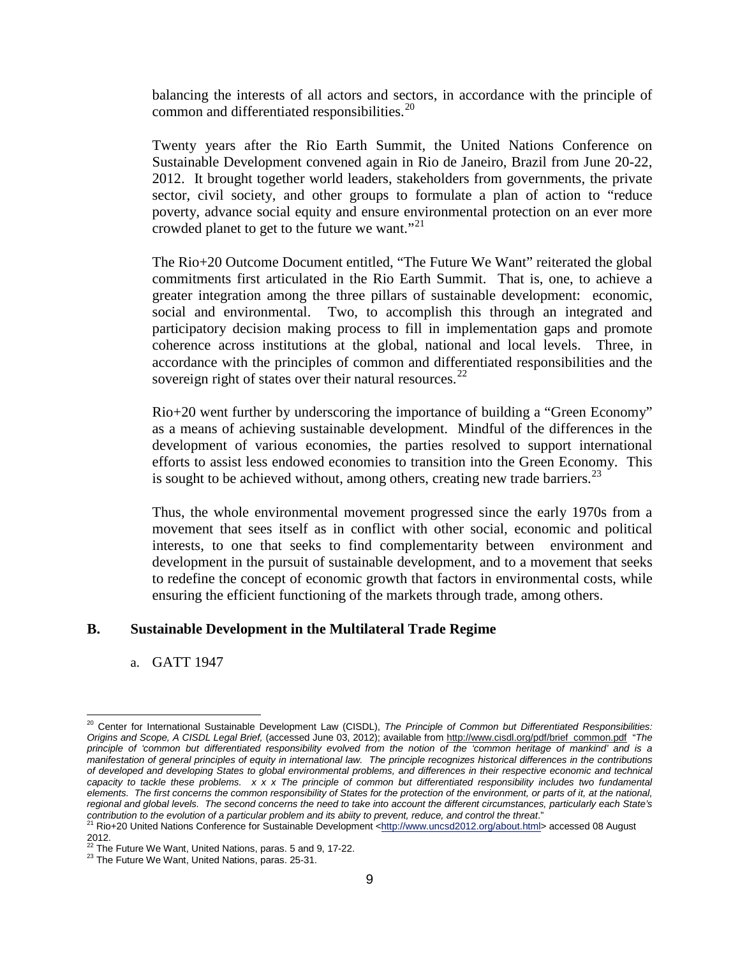balancing the interests of all actors and sectors, in accordance with the principle of common and differentiated responsibilities.<sup>[20](#page-9-0)</sup>

Twenty years after the Rio Earth Summit, the United Nations Conference on Sustainable Development convened again in Rio de Janeiro, Brazil from June 20-22, 2012. It brought together world leaders, stakeholders from governments, the private sector, civil society, and other groups to formulate a plan of action to "reduce poverty, advance social equity and ensure environmental protection on an ever more crowded planet to get to the future we want."<sup>21</sup>

The Rio+20 Outcome Document entitled, "The Future We Want" reiterated the global commitments first articulated in the Rio Earth Summit. That is, one, to achieve a greater integration among the three pillars of sustainable development: economic, social and environmental. Two, to accomplish this through an integrated and participatory decision making process to fill in implementation gaps and promote coherence across institutions at the global, national and local levels. Three, in accordance with the principles of common and differentiated responsibilities and the sovereign right of states over their natural resources. $^{22}$ 

Rio+20 went further by underscoring the importance of building a "Green Economy" as a means of achieving sustainable development. Mindful of the differences in the development of various economies, the parties resolved to support international efforts to assist less endowed economies to transition into the Green Economy. This is sought to be achieved without, among others, creating new trade barriers.<sup>[23](#page-9-0)</sup>

Thus, the whole environmental movement progressed since the early 1970s from a movement that sees itself as in conflict with other social, economic and political interests, to one that seeks to find complementarity between environment and development in the pursuit of sustainable development, and to a movement that seeks to redefine the concept of economic growth that factors in environmental costs, while ensuring the efficient functioning of the markets through trade, among others.

## **B. Sustainable Development in the Multilateral Trade Regime**

a. GATT 1947

<span id="page-9-0"></span> <sup>20</sup> Center for International Sustainable Development Law (CISDL), *The Principle of Common but Differentiated Responsibilities: Origins and Scope, A CISDL Legal Brief,* (accessed June 03, 2012); available fro[m http://www.cisdl.org/pdf/brief\\_common.pdf](http://www.cisdl.org/pdf/brief_common.pdf) "*The principle of 'common but differentiated responsibility evolved from the notion of the 'common heritage of mankind' and is a manifestation of general principles of equity in international law. The principle recognizes historical differences in the contributions of developed and developing States to global environmental problems, and differences in their respective economic and technical capacity to tackle these problems. x x x The principle of common but differentiated responsibility includes two fundamental elements. The first concerns the common responsibility of States for the protection of the environment, or parts of it, at the national, regional and global levels. The second concerns the need to take into account the different circumstances, particularly each State's*  contribution to the evolution of a particular problem and its abiity to prevent, reduce, and control the threat."<br><sup>21</sup> Rio+20 United Nations Conference for Sustainable Development [<http://www.uncsd2012.org/about.html>](http://www.uncsd2012.org/about.html) acce

<sup>2012.&</sup>lt;br><sup>22</sup> The Future We Want, United Nations, paras. 5 and 9, 17-22.

<sup>&</sup>lt;sup>23</sup> The Future We Want, United Nations, paras. 25-31.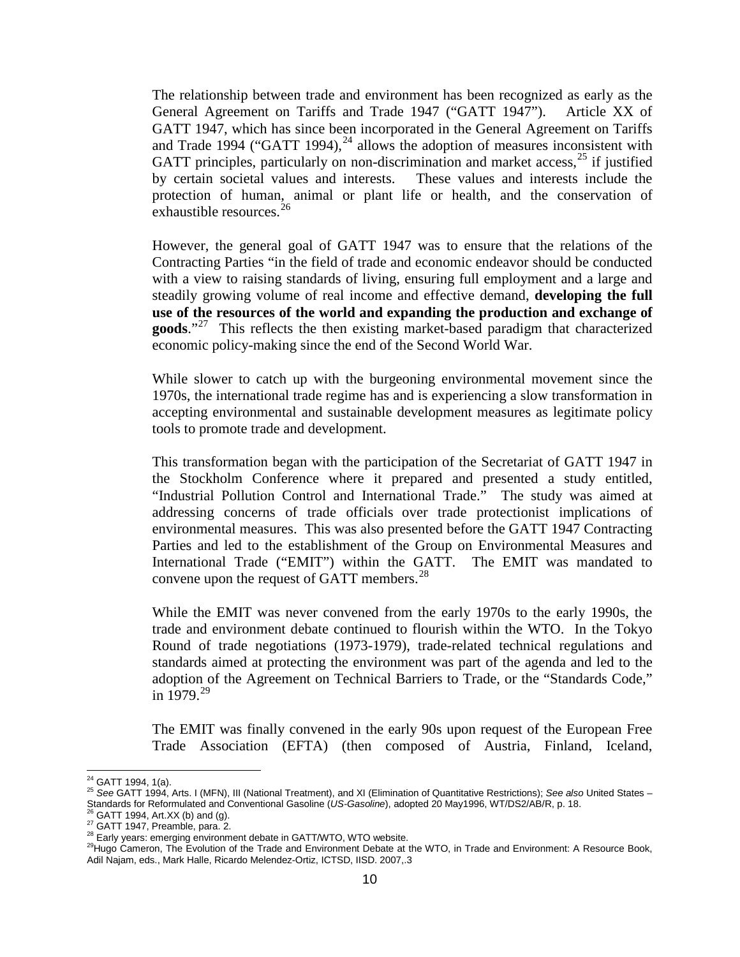The relationship between trade and environment has been recognized as early as the General Agreement on Tariffs and Trade 1947 ("GATT 1947"). Article XX of GATT 1947, which has since been incorporated in the General Agreement on Tariffs and Trade 1994 ("GATT 1994),<sup>[24](#page-10-0)</sup> allows the adoption of measures inconsistent with GATT principles, particularly on non-discrimination and market access,  $^{25}$  $^{25}$  $^{25}$  if justified by certain societal values and interests. These values and interests include the protection of human, animal or plant life or health, and the conservation of exhaustible resources.<sup>26</sup>

However, the general goal of GATT 1947 was to ensure that the relations of the Contracting Parties "in the field of trade and economic endeavor should be conducted with a view to raising standards of living, ensuring full employment and a large and steadily growing volume of real income and effective demand, **developing the full use of the resources of the world and expanding the production and exchange of goods.**"<sup>[27](#page-10-0)</sup> This reflects the then existing market-based paradigm that characterized economic policy-making since the end of the Second World War.

While slower to catch up with the burgeoning environmental movement since the 1970s, the international trade regime has and is experiencing a slow transformation in accepting environmental and sustainable development measures as legitimate policy tools to promote trade and development.

This transformation began with the participation of the Secretariat of GATT 1947 in the Stockholm Conference where it prepared and presented a study entitled, "Industrial Pollution Control and International Trade." The study was aimed at addressing concerns of trade officials over trade protectionist implications of environmental measures. This was also presented before the GATT 1947 Contracting Parties and led to the establishment of the Group on Environmental Measures and International Trade ("EMIT") within the GATT. The EMIT was mandated to convene upon the request of GATT members. $^{28}$ 

While the EMIT was never convened from the early 1970s to the early 1990s, the trade and environment debate continued to flourish within the WTO. In the Tokyo Round of trade negotiations (1973-1979), trade-related technical regulations and standards aimed at protecting the environment was part of the agenda and led to the adoption of the Agreement on Technical Barriers to Trade, or the "Standards Code," in  $1979^{29}$  $1979^{29}$  $1979^{29}$ 

The EMIT was finally convened in the early 90s upon request of the European Free Trade Association (EFTA) (then composed of Austria, Finland, Iceland,

<span id="page-10-0"></span><sup>&</sup>lt;sup>24</sup> GATT 1994, 1(a).<br><sup>25</sup> See GATT 1994, Arts. I (MFN), III (National Treatment), and XI (Elimination of Quantitative Restrictions); *See also* United States – Standards for Reformation and Conventional Gasoline (US-Gasoline), adopted 20 May1996, WT/DS2/AB/R, p. 18.<br><sup>26</sup> GATT 1994, Art.XX (b) and (g).<br><sup>26</sup> GATT 1994, Art.XX (b) and (g).<br><sup>27</sup> GATT 1947, Preamble, para. 2.<br><sup>28</sup> Ea

Adil Najam, eds., Mark Halle, Ricardo Melendez-Ortiz, ICTSD, IISD. 2007,.3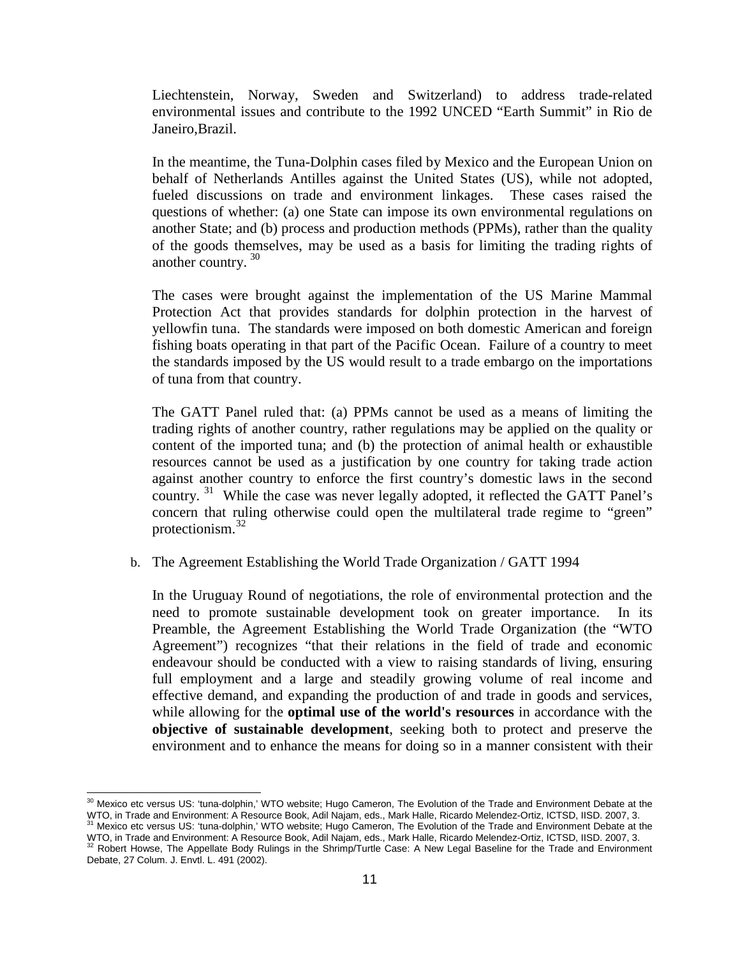Liechtenstein, Norway, Sweden and Switzerland) to address trade-related environmental issues and contribute to the 1992 UNCED "Earth Summit" in Rio de Janeiro,Brazil.

In the meantime, the Tuna-Dolphin cases filed by Mexico and the European Union on behalf of Netherlands Antilles against the United States (US), while not adopted, fueled discussions on trade and environment linkages. These cases raised the questions of whether: (a) one State can impose its own environmental regulations on another State; and (b) process and production methods (PPMs), rather than the quality of the goods themselves, may be used as a basis for limiting the trading rights of another country. [30](#page-11-0)

The cases were brought against the implementation of the US Marine Mammal Protection Act that provides standards for dolphin protection in the harvest of yellowfin tuna. The standards were imposed on both domestic American and foreign fishing boats operating in that part of the Pacific Ocean. Failure of a country to meet the standards imposed by the US would result to a trade embargo on the importations of tuna from that country.

The GATT Panel ruled that: (a) PPMs cannot be used as a means of limiting the trading rights of another country, rather regulations may be applied on the quality or content of the imported tuna; and (b) the protection of animal health or exhaustible resources cannot be used as a justification by one country for taking trade action against another country to enforce the first country's domestic laws in the second country.  $31$  While the case was never legally adopted, it reflected the GATT Panel's concern that ruling otherwise could open the multilateral trade regime to "green" protectionism.<sup>[32](#page-11-0)</sup>

b. The Agreement Establishing the World Trade Organization / GATT 1994

In the Uruguay Round of negotiations, the role of environmental protection and the need to promote sustainable development took on greater importance. In its Preamble, the Agreement Establishing the World Trade Organization (the "WTO Agreement") recognizes "that their relations in the field of trade and economic endeavour should be conducted with a view to raising standards of living, ensuring full employment and a large and steadily growing volume of real income and effective demand, and expanding the production of and trade in goods and services, while allowing for the **optimal use of the world's resources** in accordance with the **objective of sustainable development**, seeking both to protect and preserve the environment and to enhance the means for doing so in a manner consistent with their

<span id="page-11-0"></span><sup>&</sup>lt;sup>30</sup> Mexico etc versus US: 'tuna-dolphin,' WTO website; Hugo Cameron, The Evolution of the Trade and Environment Debate at the WTO, in Trade and Environment: A Resource Book, Adil Najam, eds., Mark Halle, Ricardo Melendez-Ortiz, ICTSD, IISD. 2007, 3.<br><sup>31</sup> Mexico etc versus US: 'tuna-dolphin,' WTO website; Hugo Cameron, The Evolution of the Trade a

WTO, in Trade and Environment: A Resource Book, Adil Najam, eds., Mark Halle, Ricardo Melendez-Ortiz, ICTSD, IISD. 2007, 3.<br><sup>32</sup> Robert Howse, The Appellate Body Rulings in the Shrimp/Turtle Case: A New Legal Baseline for Debate, 27 Colum. J. Envtl. L. 491 (2002).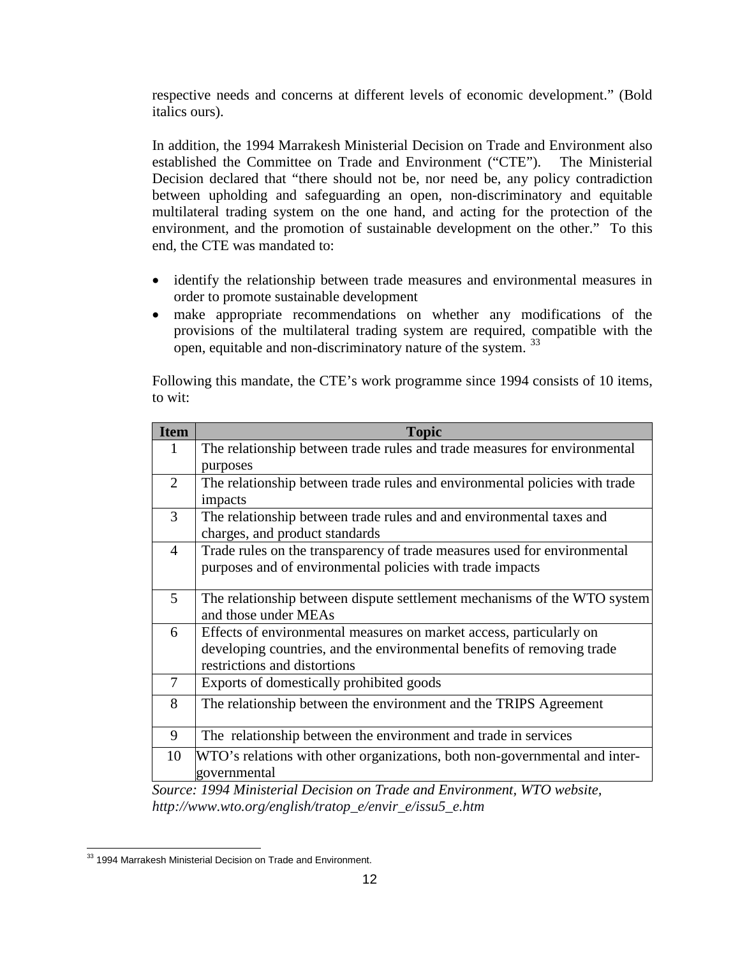respective needs and concerns at different levels of economic development." (Bold italics ours).

In addition, the 1994 Marrakesh Ministerial Decision on Trade and Environment also established the Committee on Trade and Environment ("CTE"). The Ministerial Decision declared that "there should not be, nor need be, any policy contradiction between upholding and safeguarding an open, non-discriminatory and equitable multilateral trading system on the one hand, and acting for the protection of the environment, and the promotion of sustainable development on the other." To this end, the CTE was mandated to:

- identify the relationship between trade measures and environmental measures in order to promote sustainable development
- make appropriate recommendations on whether any modifications of the provisions of the multilateral trading system are required, compatible with the open, equitable and non-discriminatory nature of the system. [33](#page-12-0)

Following this mandate, the CTE's work programme since 1994 consists of 10 items, to wit:

| <b>Item</b>    | <b>Topic</b>                                                               |  |
|----------------|----------------------------------------------------------------------------|--|
| 1              | The relationship between trade rules and trade measures for environmental  |  |
|                | purposes                                                                   |  |
| $\overline{2}$ | The relationship between trade rules and environmental policies with trade |  |
|                | impacts                                                                    |  |
| 3              | The relationship between trade rules and and environmental taxes and       |  |
|                | charges, and product standards                                             |  |
| $\overline{4}$ | Trade rules on the transparency of trade measures used for environmental   |  |
|                | purposes and of environmental policies with trade impacts                  |  |
|                |                                                                            |  |
| 5              | The relationship between dispute settlement mechanisms of the WTO system   |  |
|                | and those under MEAs                                                       |  |
| 6              | Effects of environmental measures on market access, particularly on        |  |
|                | developing countries, and the environmental benefits of removing trade     |  |
|                | restrictions and distortions                                               |  |
| $\overline{7}$ | Exports of domestically prohibited goods                                   |  |
| 8              | The relationship between the environment and the TRIPS Agreement           |  |
|                |                                                                            |  |
| 9              | The relationship between the environment and trade in services             |  |
| 10             | WTO's relations with other organizations, both non-governmental and inter- |  |
|                | governmental                                                               |  |
|                | Counce 1004 Ministerial Decision on Tugde and Environment WTO urbaits      |  |

*Source: 1994 Ministerial Decision on Trade and Environment, WTO website, [http://www.wto.org/english/tratop\\_e/envir\\_e/issu5\\_e.htm](http://www.wto.org/english/tratop_e/envir_e/issu5_e.htm)*

<span id="page-12-0"></span><sup>&</sup>lt;sup>33</sup> 1994 Marrakesh Ministerial Decision on Trade and Environment.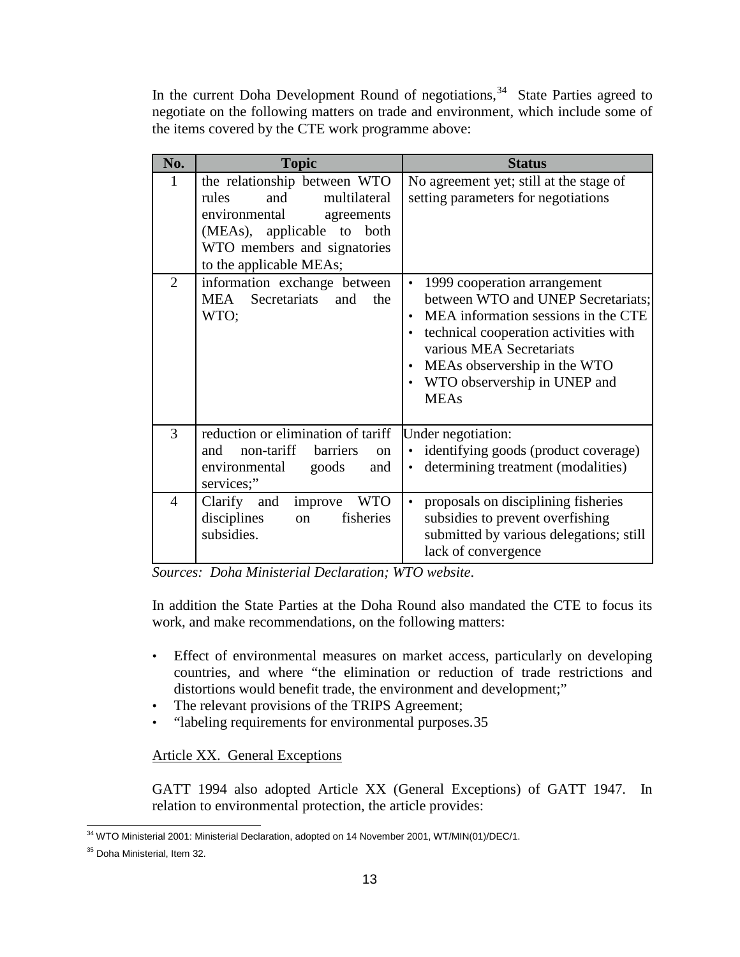In the current Doha Development Round of negotiations,  $34$  State Parties agreed to negotiate on the following matters on trade and environment, which include some of the items covered by the CTE work programme above:

| No.                 | <b>Topic</b>                                                                                                                                                                                                                                                     | <b>Status</b>                                                                                                                                                                                                                                                                                                                                                             |
|---------------------|------------------------------------------------------------------------------------------------------------------------------------------------------------------------------------------------------------------------------------------------------------------|---------------------------------------------------------------------------------------------------------------------------------------------------------------------------------------------------------------------------------------------------------------------------------------------------------------------------------------------------------------------------|
| 1<br>$\overline{2}$ | the relationship between WTO<br>multilateral<br>and<br>rules<br>environmental<br>agreements<br>(MEAs), applicable to<br>both<br>WTO members and signatories<br>to the applicable MEAs;<br>information exchange between<br>MEA Secretariats<br>and<br>the<br>WTO: | No agreement yet; still at the stage of<br>setting parameters for negotiations<br>1999 cooperation arrangement<br>$\bullet$<br>between WTO and UNEP Secretariats;<br>MEA information sessions in the CTE<br>technical cooperation activities with<br>$\bullet$<br>various MEA Secretariats<br>MEAs observership in the WTO<br>WTO observership in UNEP and<br><b>MEAs</b> |
| 3                   | reduction or elimination of tariff<br>non-tariff<br>barriers<br>and<br><sub>on</sub><br>goods<br>environmental<br>and<br>services;"                                                                                                                              | Under negotiation:<br>identifying goods (product coverage)<br>$\bullet$<br>determining treatment (modalities)<br>$\bullet$                                                                                                                                                                                                                                                |
| $\overline{4}$      | Clarify<br><b>WTO</b><br>improve<br>and<br>disciplines<br>fisheries<br>on<br>subsidies.                                                                                                                                                                          | proposals on disciplining fisheries<br>$\bullet$<br>subsidies to prevent overfishing<br>submitted by various delegations; still<br>lack of convergence                                                                                                                                                                                                                    |

*Sources: Doha Ministerial Declaration; WTO website*.

In addition the State Parties at the Doha Round also mandated the CTE to focus its work, and make recommendations, on the following matters:

- Effect of environmental measures on market access, particularly on developing countries, and where "the elimination or reduction of trade restrictions and distortions would benefit trade, the environment and development;"
- The relevant provisions of the TRIPS Agreement;
- "labeling requirements for environmental purposes. [35](#page-13-1)

# Article XX. General Exceptions

GATT 1994 also adopted Article XX (General Exceptions) of GATT 1947. In relation to environmental protection, the article provides:

<span id="page-13-1"></span><span id="page-13-0"></span><sup>&</sup>lt;sup>34</sup> WTO Ministerial 2001: Ministerial Declaration, adopted on 14 November 2001, WT/MIN(01)/DEC/1.

<sup>&</sup>lt;sup>35</sup> Doha Ministerial, Item 32.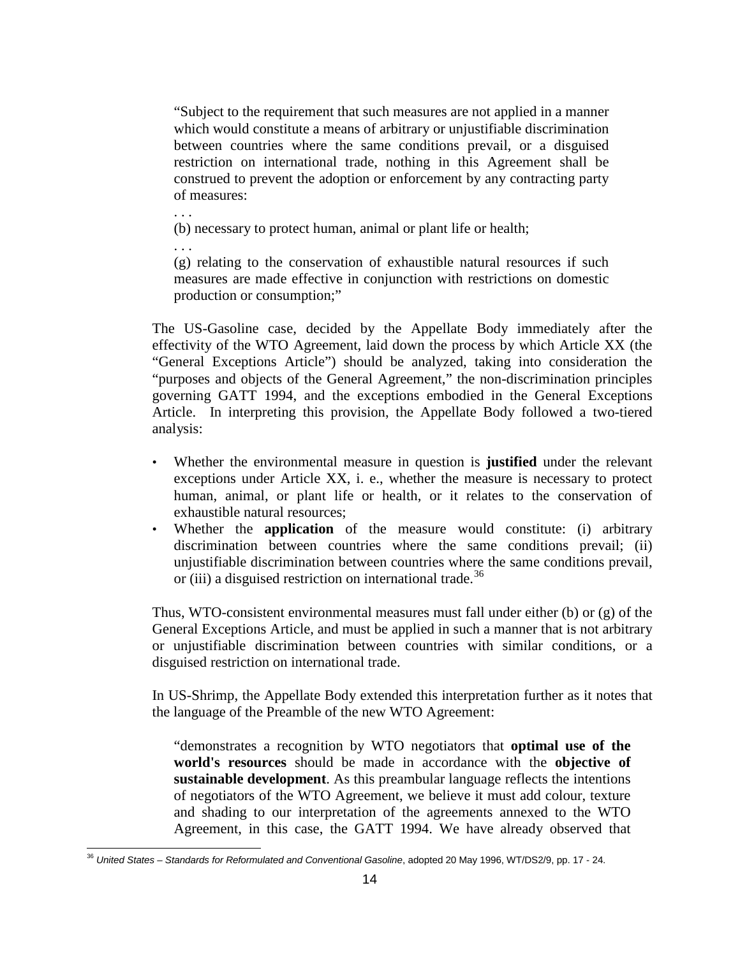"Subject to the requirement that such measures are not applied in a manner which would constitute a means of arbitrary or unjustifiable discrimination between countries where the same conditions prevail, or a disguised restriction on international trade, nothing in this Agreement shall be construed to prevent the adoption or enforcement by any contracting party of measures:

(b) necessary to protect human, animal or plant life or health;

. . .

. . . (g) relating to the conservation of exhaustible natural resources if such measures are made effective in conjunction with restrictions on domestic production or consumption;"

The US-Gasoline case, decided by the Appellate Body immediately after the effectivity of the WTO Agreement, laid down the process by which Article XX (the "General Exceptions Article") should be analyzed, taking into consideration the "purposes and objects of the General Agreement," the non-discrimination principles governing GATT 1994, and the exceptions embodied in the General Exceptions Article. In interpreting this provision, the Appellate Body followed a two-tiered analysis:

- Whether the environmental measure in question is **justified** under the relevant exceptions under Article XX, i. e., whether the measure is necessary to protect human, animal, or plant life or health, or it relates to the conservation of exhaustible natural resources;
- Whether the **application** of the measure would constitute: (i) arbitrary discrimination between countries where the same conditions prevail; (ii) unjustifiable discrimination between countries where the same conditions prevail, or (iii) a disguised restriction on international trade.<sup>[36](#page-14-0)</sup>

Thus, WTO-consistent environmental measures must fall under either  $(b)$  or  $(g)$  of the General Exceptions Article, and must be applied in such a manner that is not arbitrary or unjustifiable discrimination between countries with similar conditions, or a disguised restriction on international trade.

In US-Shrimp, the Appellate Body extended this interpretation further as it notes that the language of the Preamble of the new WTO Agreement:

"demonstrates a recognition by WTO negotiators that **optimal use of the world's resources** should be made in accordance with the **objective of sustainable development**. As this preambular language reflects the intentions of negotiators of the WTO Agreement, we believe it must add colour, texture and shading to our interpretation of the agreements annexed to the WTO Agreement, in this case, the GATT 1994. We have already observed that

<span id="page-14-0"></span> <sup>36</sup> *United States – Standards for Reformulated and Conventional Gasoline*, adopted 20 May 1996, WT/DS2/9, pp. 17 - 24.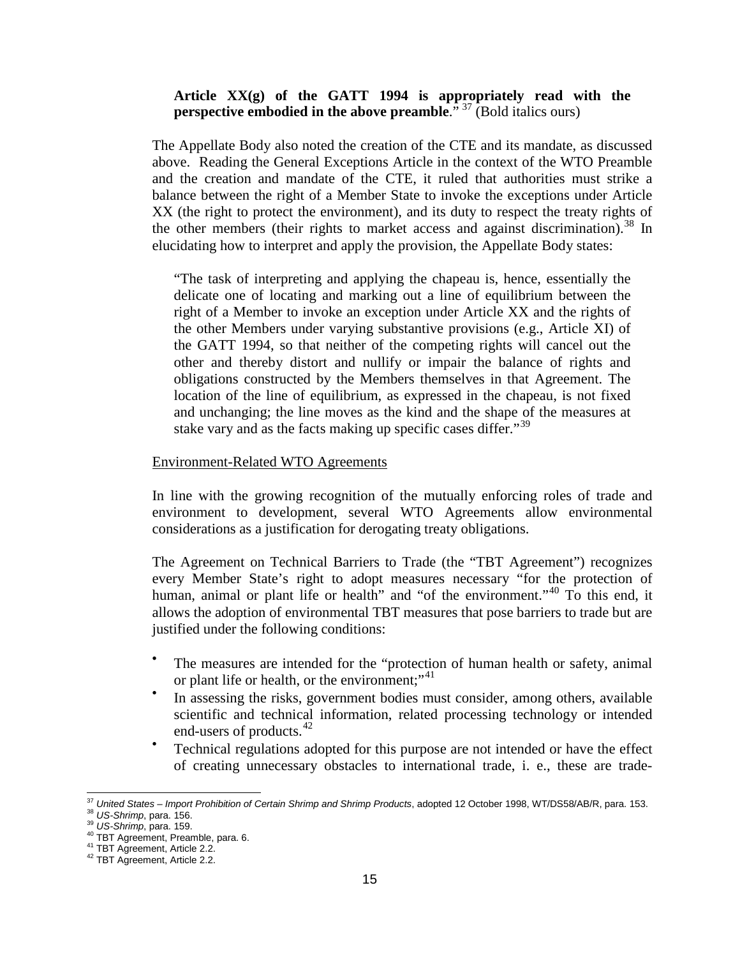# **Article XX(g) of the GATT 1994 is appropriately read with the perspective embodied in the above preamble.**" <sup>[37](#page-15-0)</sup> (Bold italics ours)

The Appellate Body also noted the creation of the CTE and its mandate, as discussed above. Reading the General Exceptions Article in the context of the WTO Preamble and the creation and mandate of the CTE, it ruled that authorities must strike a balance between the right of a Member State to invoke the exceptions under Article XX (the right to protect the environment), and its duty to respect the treaty rights of the other members (their rights to market access and against discrimination).<sup>[38](#page-15-0)</sup> In elucidating how to interpret and apply the provision, the Appellate Body states:

"The task of interpreting and applying the chapeau is, hence, essentially the delicate one of locating and marking out a line of equilibrium between the right of a Member to invoke an exception under Article XX and the rights of the other Members under varying substantive provisions (e.g., Article XI) of the GATT 1994, so that neither of the competing rights will cancel out the other and thereby distort and nullify or impair the balance of rights and obligations constructed by the Members themselves in that Agreement. The location of the line of equilibrium, as expressed in the chapeau, is not fixed and unchanging; the line moves as the kind and the shape of the measures at stake vary and as the facts making up specific cases differ."<sup>[39](#page-15-0)</sup>

### Environment-Related WTO Agreements

In line with the growing recognition of the mutually enforcing roles of trade and environment to development, several WTO Agreements allow environmental considerations as a justification for derogating treaty obligations.

The Agreement on Technical Barriers to Trade (the "TBT Agreement") recognizes every Member State's right to adopt measures necessary "for the protection of human, animal or plant life or health" and "of the environment."<sup>[40](#page-15-0)</sup> To this end, it allows the adoption of environmental TBT measures that pose barriers to trade but are justified under the following conditions:

- The measures are intended for the "protection of human health or safety, animal or plant life or health, or the environment;"<sup>[41](#page-15-0)</sup>
- In assessing the risks, government bodies must consider, among others, available scientific and technical information, related processing technology or intended end-users of products.<sup>[42](#page-15-0)</sup>
- Technical regulations adopted for this purpose are not intended or have the effect of creating unnecessary obstacles to international trade, i. e., these are trade-

<span id="page-15-0"></span><sup>&</sup>lt;sup>37</sup> United States – Import Prohibition of Certain Shrimp and Shrimp Products, adopted 12 October 1998, WT/DS58/AB/R, para. 153.<br><sup>38</sup> US-Shrimp, para. 156.<br><sup>39</sup> US-Shrimp, para. 159.<br><sup>40</sup> TBT Agreement, Preamble, para. 6.<br>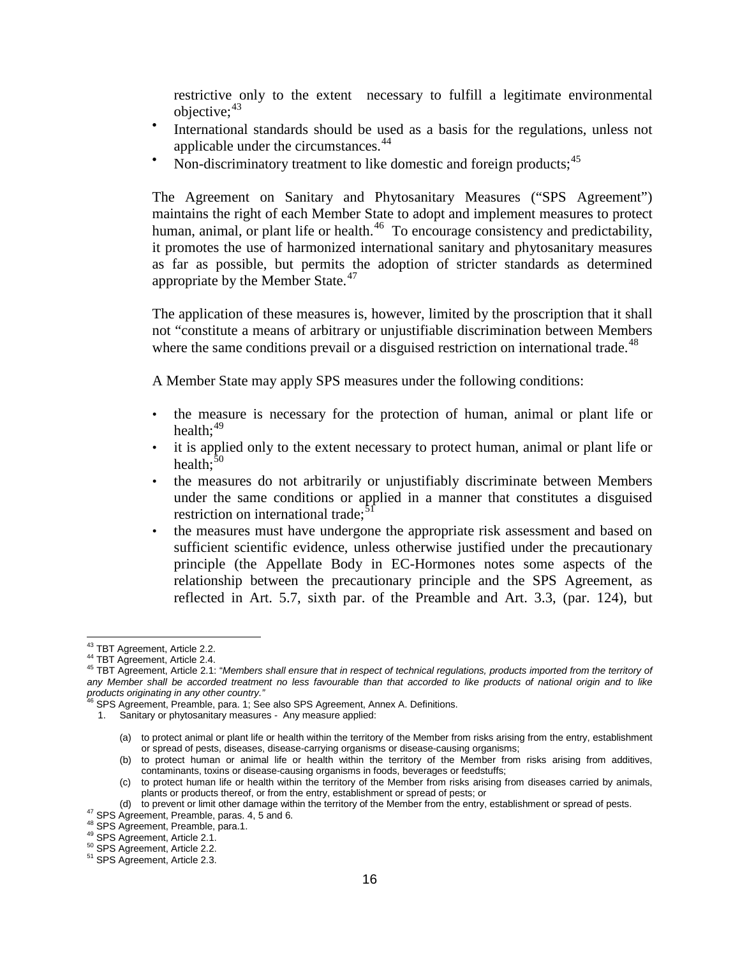restrictive only to the extent necessary to fulfill a legitimate environmental objective:<sup>43</sup>

- International standards should be used as a basis for the regulations, unless not applicable under the circumstances.<sup>[44](#page-16-0)</sup>
- Non-discriminatory treatment to like domestic and foreign products: <sup>[45](#page-16-0)</sup>

The Agreement on Sanitary and Phytosanitary Measures ("SPS Agreement") maintains the right of each Member State to adopt and implement measures to protect human, animal, or plant life or health.<sup>46</sup> To encourage consistency and predictability, it promotes the use of harmonized international sanitary and phytosanitary measures as far as possible, but permits the adoption of stricter standards as determined appropriate by the Member State.<sup>[47](#page-16-0)</sup>

The application of these measures is, however, limited by the proscription that it shall not "constitute a means of arbitrary or unjustifiable discrimination between Members where the same conditions prevail or a disguised restriction on international trade.<sup>[48](#page-16-0)</sup>

A Member State may apply SPS measures under the following conditions:

- the measure is necessary for the protection of human, animal or plant life or health: $49$
- it is applied only to the extent necessary to protect human, animal or plant life or health: $50$
- the measures do not arbitrarily or unjustifiably discriminate between Members under the same conditions or applied in a manner that constitutes a disguised restriction on international trade;<sup>5</sup>
- the measures must have undergone the appropriate risk assessment and based on sufficient scientific evidence, unless otherwise justified under the precautionary principle (the Appellate Body in EC-Hormones notes some aspects of the relationship between the precautionary principle and the SPS Agreement, as reflected in Art. 5.7, sixth par. of the Preamble and Art. 3.3, (par. 124), but

<span id="page-16-0"></span><sup>&</sup>lt;sup>43</sup> TBT Agreement, Article 2.2.<br><sup>44</sup> TBT Agreement, Article 2.4.<br><sup>45</sup> TBT Agreement, Article 2.1: "*Members shall ensure that in respect of technical regulations, products imported from the territory of* any Member shall be accorded treatment no less favourable than that accorded to like products of national origin and to like products originating in any other country."<br><sup>46</sup> SDS Agreement Directive Direction of the *state* 

*SPS Agreement, Preamble, para. 1; See also SPS Agreement, Annex A. Definitions.* 

<sup>1.</sup> Sanitary or phytosanitary measures - Any measure applied:

<sup>(</sup>a) to protect animal or plant life or health within the territory of the Member from risks arising from the entry, establishment or spread of pests, diseases, disease-carrying organisms or disease-causing organisms;

<sup>(</sup>b) to protect human or animal life or health within the territory of the Member from risks arising from additives, contaminants, toxins or disease-causing organisms in foods, beverages or feedstuffs;

<sup>(</sup>c) to protect human life or health within the territory of the Member from risks arising from diseases carried by animals, plants or products thereof, or from the entry, establishment or spread of pests; or

<sup>(</sup>d) to prevent or limit other damage within the territory of the Member from the entry, establishment or spread of pests.<br><sup>47</sup> SPS Agreement, Preamble, paras. 4, 5 and 6.<br><sup>48</sup> SPS Agreement, Preamble, para.1.<br><sup>49</sup> SPS Agr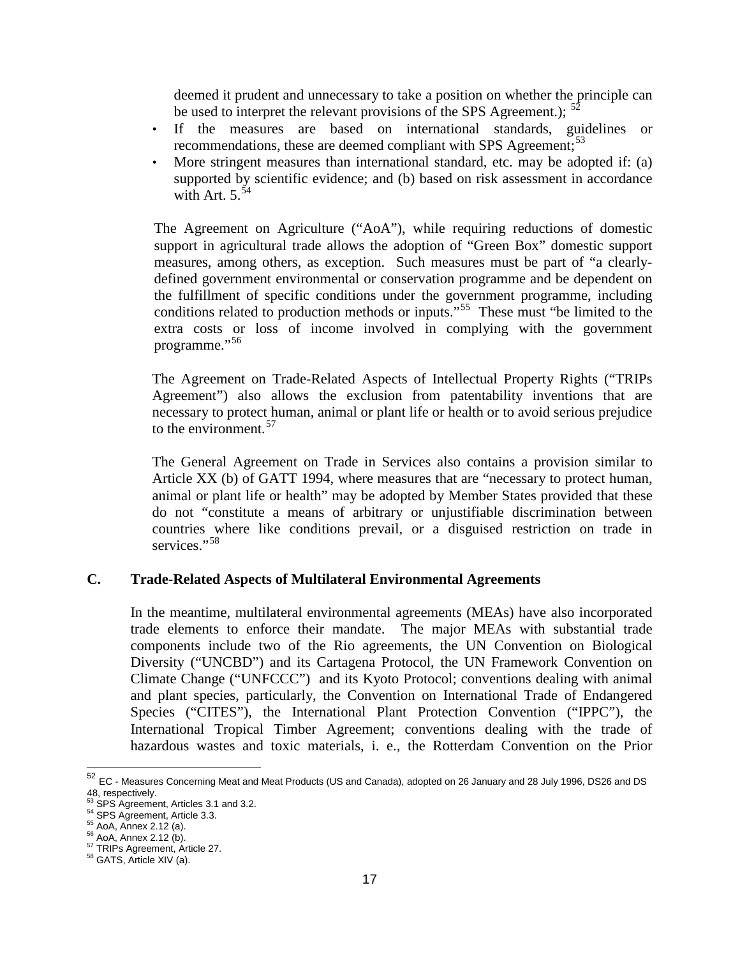deemed it prudent and unnecessary to take a position on whether the principle can be used to interpret the relevant provisions of the SPS Agreement.);  $<sup>5</sup>$ </sup>

- If the measures are based on international standards, guidelines or recommendations, these are deemed compliant with SPS Agreement;<sup>[53](#page-17-0)</sup>
- More stringent measures than international standard, etc. may be adopted if: (a) supported by scientific evidence; and (b) based on risk assessment in accordance with Art.  $5^{54}$  $5^{54}$  $5^{54}$

The Agreement on Agriculture ("AoA"), while requiring reductions of domestic support in agricultural trade allows the adoption of "Green Box" domestic support measures, among others, as exception. Such measures must be part of "a clearlydefined government environmental or conservation programme and be dependent on the fulfillment of specific conditions under the government programme, including conditions related to production methods or inputs."<sup>[55](#page-17-0)</sup> These must "be limited to the extra costs or loss of income involved in complying with the government programme."[56](#page-17-0)

The Agreement on Trade-Related Aspects of Intellectual Property Rights ("TRIPs Agreement") also allows the exclusion from patentability inventions that are necessary to protect human, animal or plant life or health or to avoid serious prejudice to the environment.  $57$ 

The General Agreement on Trade in Services also contains a provision similar to Article XX (b) of GATT 1994, where measures that are "necessary to protect human, animal or plant life or health" may be adopted by Member States provided that these do not "constitute a means of arbitrary or unjustifiable discrimination between countries where like conditions prevail, or a disguised restriction on trade in services."<sup>[58](#page-17-0)</sup>

# **C. Trade-Related Aspects of Multilateral Environmental Agreements**

In the meantime, multilateral environmental agreements (MEAs) have also incorporated trade elements to enforce their mandate. The major MEAs with substantial trade components include two of the Rio agreements, the UN Convention on Biological Diversity ("UNCBD") and its Cartagena Protocol, the UN Framework Convention on Climate Change ("UNFCCC") and its Kyoto Protocol; conventions dealing with animal and plant species, particularly, the Convention on International Trade of Endangered Species ("CITES"), the International Plant Protection Convention ("IPPC"), the International Tropical Timber Agreement; conventions dealing with the trade of hazardous wastes and toxic materials, i. e., the Rotterdam Convention on the Prior

<span id="page-17-0"></span> <sup>52</sup> EC - Measures Concerning Meat and Meat Products (US and Canada), adopted on 26 January and 28 July 1996, DS26 and DS 48, respectively.<br><sup>53</sup> SPS Agreement, Articles 3.1 and 3.2.

 $54$  SPS Agreement, Article 3.3.<br>  $55$  AoA, Annex 2.12 (a).<br>  $57$  TRIPs Agreement, Article 27.<br>  $58$  GATS, Article XIV (a).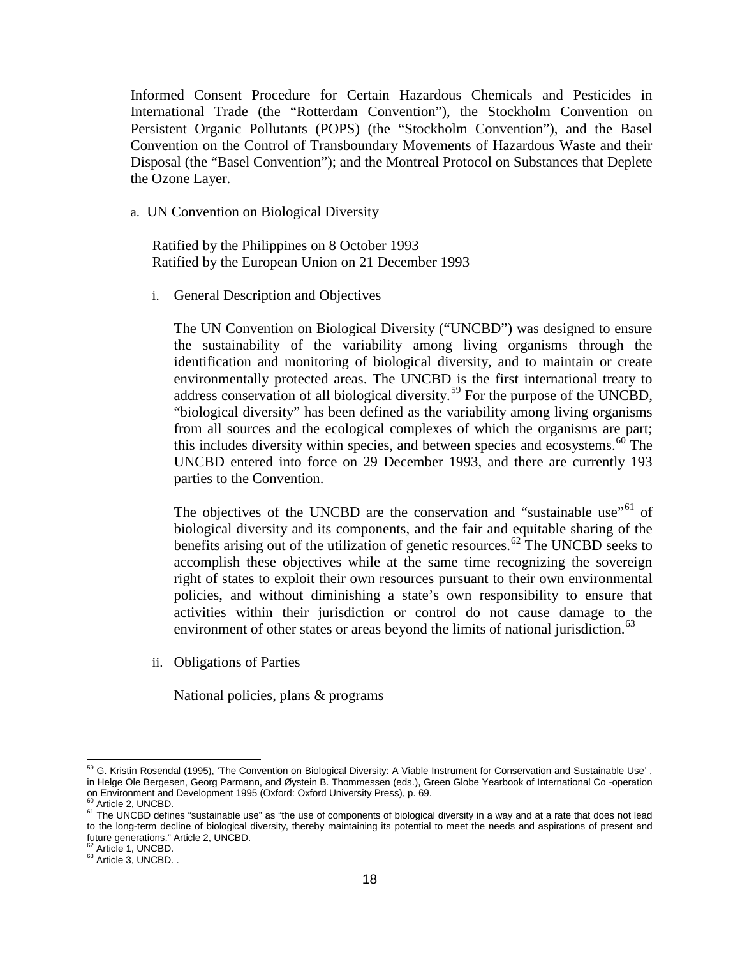Informed Consent Procedure for Certain Hazardous Chemicals and Pesticides in International Trade (the "Rotterdam Convention"), the Stockholm Convention on Persistent Organic Pollutants (POPS) (the "Stockholm Convention"), and the Basel Convention on the Control of Transboundary Movements of Hazardous Waste and their Disposal (the "Basel Convention"); and the Montreal Protocol on Substances that Deplete the Ozone Layer.

a. UN Convention on Biological Diversity

Ratified by the Philippines on 8 October 1993 Ratified by the European Union on 21 December 1993

i. General Description and Objectives

The UN Convention on Biological Diversity ("UNCBD") was designed to ensure the sustainability of the variability among living organisms through the identification and monitoring of biological diversity, and to maintain or create environmentally protected areas. The UNCBD is the first international treaty to address conservation of all biological diversity.<sup>[59](#page-18-0)</sup> For the purpose of the UNCBD, "biological diversity" has been defined as the variability among living organisms from all sources and the ecological complexes of which the organisms are part; this includes diversity within species, and between species and ecosystems.<sup>[60](#page-18-0)</sup> The UNCBD entered into force on 29 December 1993, and there are currently 193 parties to the Convention.

The objectives of the UNCBD are the conservation and "sustainable use"<sup>[61](#page-18-0)</sup> of biological diversity and its components, and the fair and equitable sharing of the benefits arising out of the utilization of genetic resources.<sup>[62](#page-18-0)</sup> The UNCBD seeks to accomplish these objectives while at the same time recognizing the sovereign right of states to exploit their own resources pursuant to their own environmental policies, and without diminishing a state's own responsibility to ensure that activities within their jurisdiction or control do not cause damage to the environment of other states or areas beyond the limits of national jurisdiction.<sup>[63](#page-18-0)</sup>

ii. Obligations of Parties

National policies, plans & programs

<span id="page-18-0"></span><sup>&</sup>lt;sup>59</sup> G. Kristin Rosendal (1995), 'The Convention on Biological Diversity: A Viable Instrument for Conservation and Sustainable Use', in Helge Ole Bergesen, Georg Parmann, and Øystein B. Thommessen (eds.), Green Globe Yearbook of International Co -operation on Environment and Development 1995 (Oxford: Oxford University Press), p. 69.

<sup>&</sup>lt;sup>61</sup> The UNCBD defines "sustainable use" as "the use of components of biological diversity in a way and at a rate that does not lead to the long-term decline of biological diversity, thereby maintaining its potential to meet the needs and aspirations of present and future generations." Article 2, UNCBD.<br>
<sup>62</sup> Article 1, UNCBD.

<sup>63</sup> Article 3, UNCBD. .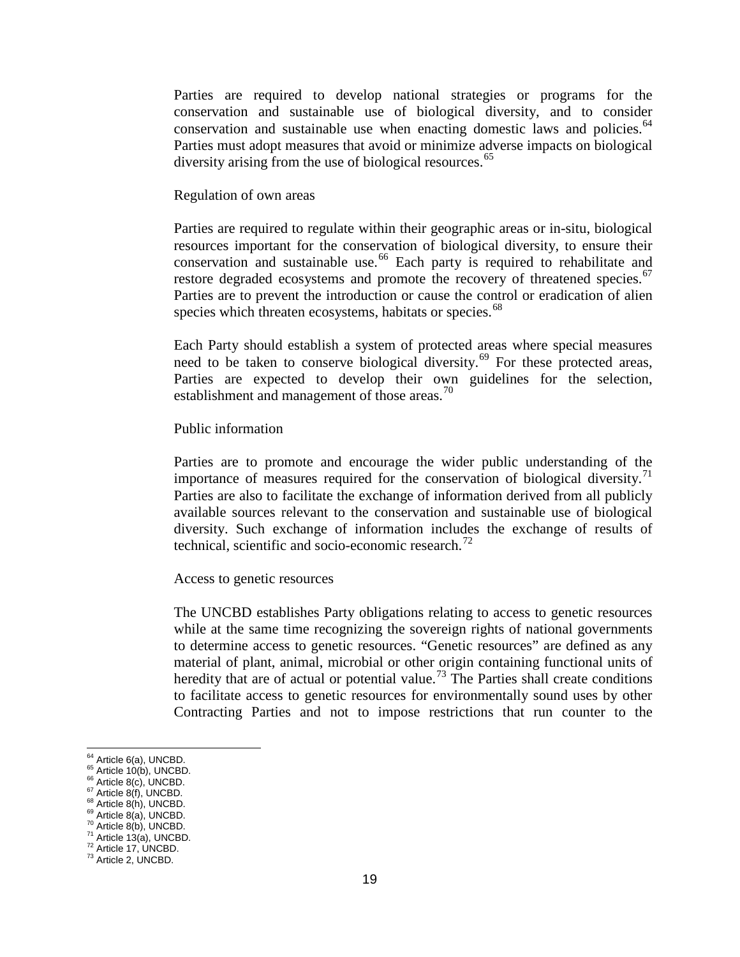Parties are required to develop national strategies or programs for the conservation and sustainable use of biological diversity, and to consider conservation and sustainable use when enacting domestic laws and policies.<sup>[64](#page-19-0)</sup> Parties must adopt measures that avoid or minimize adverse impacts on biological diversity arising from the use of biological resources.<sup>[65](#page-19-0)</sup>

#### Regulation of own areas

Parties are required to regulate within their geographic areas or in-situ, biological resources important for the conservation of biological diversity, to ensure their conservation and sustainable use.<sup>[66](#page-19-0)</sup> Each party is required to rehabilitate and restore degraded ecosystems and promote the recovery of threatened species.<sup>[67](#page-19-0)</sup> Parties are to prevent the introduction or cause the control or eradication of alien species which threaten ecosystems, habitats or species.<sup>[68](#page-19-0)</sup>

Each Party should establish a system of protected areas where special measures need to be taken to conserve biological diversity.<sup>[69](#page-19-0)</sup> For these protected areas, Parties are expected to develop their own guidelines for the selection, establishment and management of those areas. $\frac{70}{2}$  $\frac{70}{2}$  $\frac{70}{2}$ 

## Public information

Parties are to promote and encourage the wider public understanding of the importance of measures required for the conservation of biological diversity.<sup>[71](#page-19-0)</sup> Parties are also to facilitate the exchange of information derived from all publicly available sources relevant to the conservation and sustainable use of biological diversity. Such exchange of information includes the exchange of results of technical, scientific and socio-economic research.<sup>[72](#page-19-0)</sup>

### Access to genetic resources

The UNCBD establishes Party obligations relating to access to genetic resources while at the same time recognizing the sovereign rights of national governments to determine access to genetic resources. "Genetic resources" are defined as any material of plant, animal, microbial or other origin containing functional units of heredity that are of actual or potential value.<sup>[73](#page-19-0)</sup> The Parties shall create conditions to facilitate access to genetic resources for environmentally sound uses by other Contracting Parties and not to impose restrictions that run counter to the

- 
- 
- 

<span id="page-19-0"></span> $^{64}$  Article 6(a), UNCBD.<br>  $^{65}$  Article 10(b), UNCBD.<br>  $^{66}$  Article 8(c), UNCBD.<br>  $^{67}$  Article 8(f), UNCBD.<br>  $^{68}$  Article 8(f), UNCBD.<br>  $^{68}$  Article 8(a), UNCBD.<br>  $^{70}$  Article 8(b), UNCBD.<br>  $^{71}$  Article 13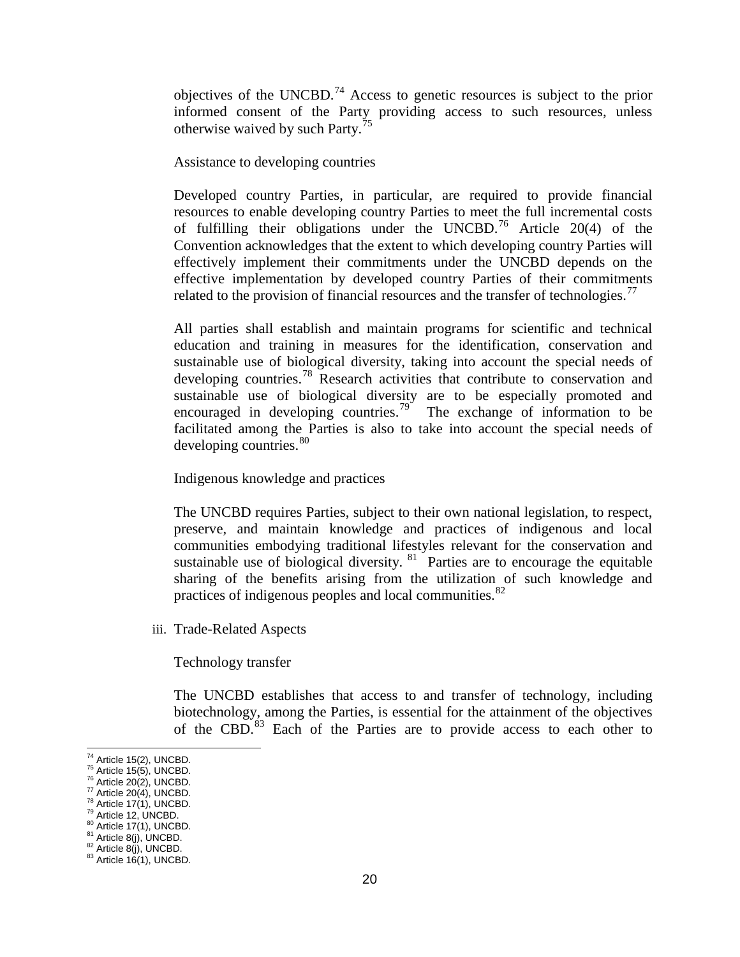objectives of the UNCBD.<sup>[74](#page-20-0)</sup> Access to genetic resources is subject to the prior informed consent of the Party providing access to such resources, unless otherwise waived by such Party.<sup>[75](#page-20-0)</sup>

Assistance to developing countries

Developed country Parties, in particular, are required to provide financial resources to enable developing country Parties to meet the full incremental costs of fulfilling their obligations under the UNCBD.<sup>[76](#page-20-0)</sup> Article 20(4) of the Convention acknowledges that the extent to which developing country Parties will effectively implement their commitments under the UNCBD depends on the effective implementation by developed country Parties of their commitments related to the provision of financial resources and the transfer of technologies.<sup>[77](#page-20-0)</sup>

All parties shall establish and maintain programs for scientific and technical education and training in measures for the identification, conservation and sustainable use of biological diversity, taking into account the special needs of developing countries.<sup>[78](#page-20-0)</sup> Research activities that contribute to conservation and sustainable use of biological diversity are to be especially promoted and encouraged in developing countries.<sup>[79](#page-20-0)</sup> The exchange of information to be facilitated among the Parties is also to take into account the special needs of developing countries.<sup>[80](#page-20-0)</sup>

Indigenous knowledge and practices

The UNCBD requires Parties, subject to their own national legislation, to respect, preserve, and maintain knowledge and practices of indigenous and local communities embodying traditional lifestyles relevant for the conservation and sustainable use of biological diversity.  $81$  Parties are to encourage the equitable sharing of the benefits arising from the utilization of such knowledge and practices of indigenous peoples and local communities. $82$ 

iii. Trade-Related Aspects

Technology transfer

The UNCBD establishes that access to and transfer of technology, including biotechnology, among the Parties, is essential for the attainment of the objectives of the CBD.[83](#page-20-0) Each of the Parties are to provide access to each other to

- 
- <span id="page-20-0"></span><sup>74</sup> Article 15(2), UNCBD.<br>
<sup>75</sup> Article 15(5), UNCBD.<br>
<sup>76</sup> Article 20(2), UNCBD.<br>
<sup>77</sup> Article 20(4), UNCBD.<br>
<sup>77</sup> Article 20(4), UNCBD.<br>
<sup>79</sup> Article 17(1), UNCBD.<br>
<sup>80</sup> Article 17(1), UNCBD.<br>
<sup>81</sup> Article 8(j), UNCBD.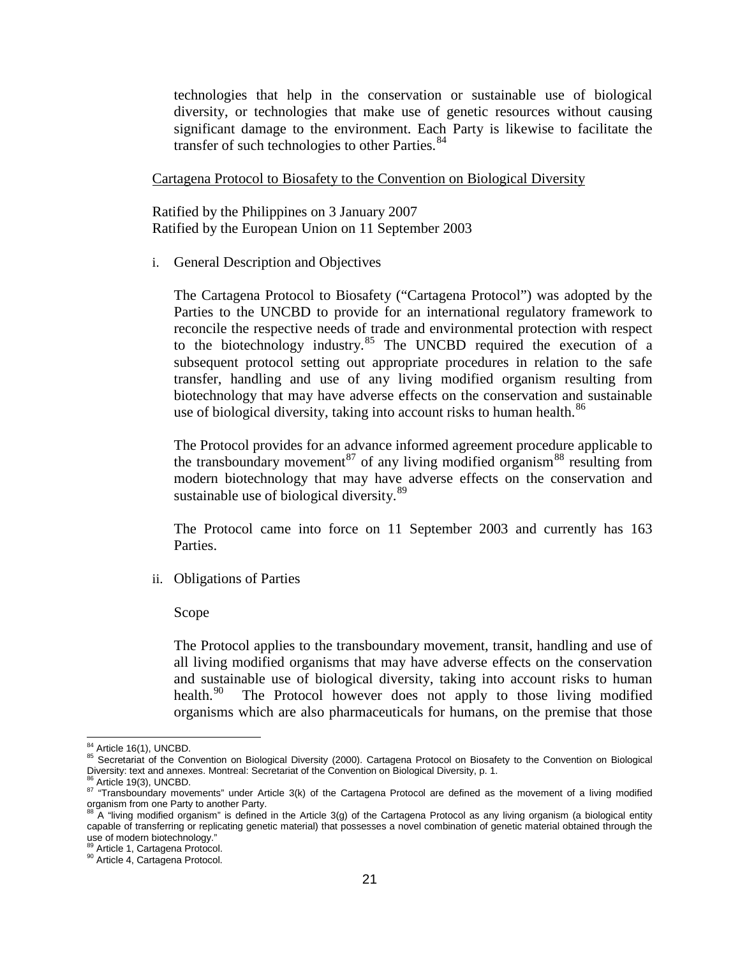technologies that help in the conservation or sustainable use of biological diversity, or technologies that make use of genetic resources without causing significant damage to the environment. Each Party is likewise to facilitate the transfer of such technologies to other Parties.<sup>[84](#page-21-0)</sup>

Cartagena Protocol to Biosafety to the Convention on Biological Diversity

Ratified by the Philippines on 3 January 2007 Ratified by the European Union on 11 September 2003

i.General Description and Objectives

The Cartagena Protocol to Biosafety ("Cartagena Protocol") was adopted by the Parties to the UNCBD to provide for an international regulatory framework to reconcile the respective needs of trade and environmental protection with respect to the biotechnology industry.<sup>[85](#page-21-0)</sup> The UNCBD required the execution of a subsequent protocol setting out appropriate procedures in relation to the safe transfer, handling and use of any living modified organism resulting from biotechnology that may have adverse effects on the conservation and sustainable use of biological diversity, taking into account risks to human health.<sup>[86](#page-21-0)</sup>

The Protocol provides for an advance informed agreement procedure applicable to the transboundary movement<sup>[87](#page-21-0)</sup> of any living modified organism<sup>[88](#page-21-0)</sup> resulting from modern biotechnology that may have adverse effects on the conservation and sustainable use of biological diversity. $89$ 

The Protocol came into force on 11 September 2003 and currently has 163 Parties.

ii.Obligations of Parties

Scope

The Protocol applies to the transboundary movement, transit, handling and use of all living modified organisms that may have adverse effects on the conservation and sustainable use of biological diversity, taking into account risks to human health.<sup>90</sup> The Protocol however does not apply to those living modified The Protocol however does not apply to those living modified organisms which are also pharmaceuticals for humans, on the premise that those

<span id="page-21-0"></span><sup>&</sup>lt;sup>84</sup> Article 16(1), UNCBD.<br><sup>85</sup> Secretariat of the Convention on Biological Diversity (2000). Cartagena Protocol on Biosafety to the Convention on Biological Diversity: text and annexes. Montreal: Secretariat of the Convention on Biological Diversity, p. 1.<br><sup>86</sup> Article 19(3), UNCBD.

<sup>87 &</sup>quot;Transboundary movements" under Article 3(k) of the Cartagena Protocol are defined as the movement of a living modified organism from one Party to another Party.

<sup>88</sup> A "living modified organism" is defined in the Article 3(g) of the Cartagena Protocol as any living organism (a biological entity capable of transferring or replicating genetic material) that possesses a novel combination of genetic material obtained through the  $use of modern biotechnology."$ <br> $89 \text{ A} + 4 \text{ A}$ 

<sup>89</sup> Article 1, Cartagena Protocol.<br><sup>90</sup> Article 4, Cartagena Protocol.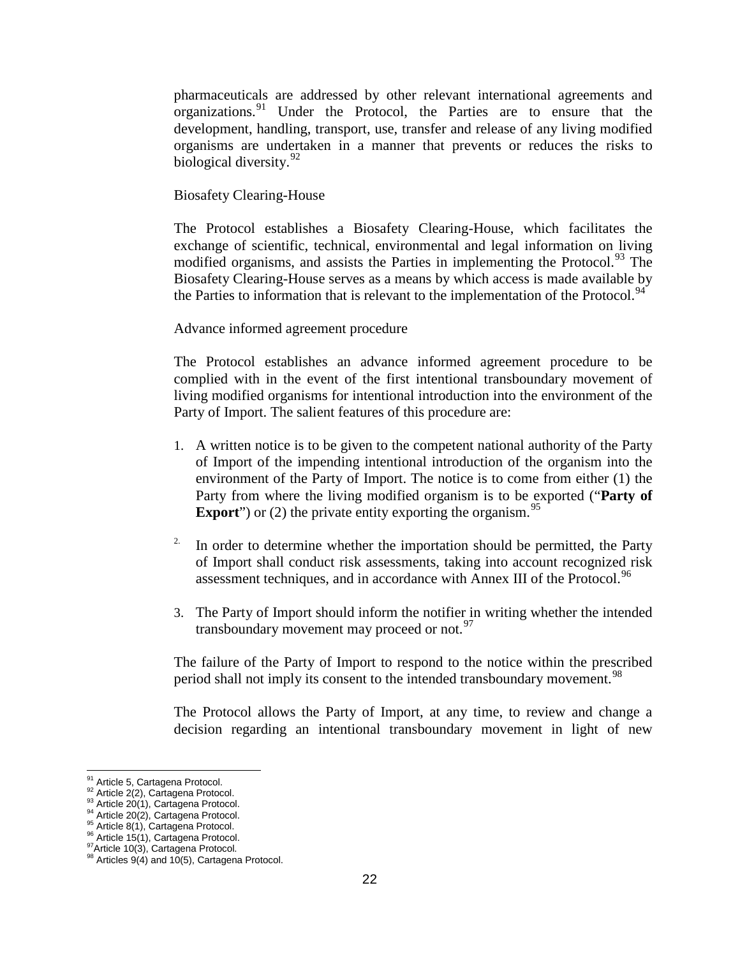pharmaceuticals are addressed by other relevant international agreements and organizations.<sup>[91](#page-22-0)</sup> Under the Protocol, the Parties are to ensure that the development, handling, transport, use, transfer and release of any living modified organisms are undertaken in a manner that prevents or reduces the risks to biological diversity.  $92$ 

## Biosafety Clearing-House

The Protocol establishes a Biosafety Clearing-House, which facilitates the exchange of scientific, technical, environmental and legal information on living modified organisms, and assists the Parties in implementing the Protocol.<sup>[93](#page-22-0)</sup> The Biosafety Clearing-House serves as a means by which access is made available by the Parties to information that is relevant to the implementation of the Protocol.<sup>[94](#page-22-0)</sup>

## Advance informed agreement procedure

The Protocol establishes an advance informed agreement procedure to be complied with in the event of the first intentional transboundary movement of living modified organisms for intentional introduction into the environment of the Party of Import. The salient features of this procedure are:

- 1. A written notice is to be given to the competent national authority of the Party of Import of the impending intentional introduction of the organism into the environment of the Party of Import. The notice is to come from either (1) the Party from where the living modified organism is to be exported ("**Party of Export**") or (2) the private entity exporting the organism.<sup>[95](#page-22-0)</sup>
- <sup>2.</sup> In order to determine whether the importation should be permitted, the Party of Import shall conduct risk assessments, taking into account recognized risk assessment techniques, and in accordance with Annex III of the Protocol.<sup>[96](#page-22-0)</sup>
- 3. The Party of Import should inform the notifier in writing whether the intended transboundary movement may proceed or not.<sup>[97](#page-22-0)</sup>

The failure of the Party of Import to respond to the notice within the prescribed period shall not imply its consent to the intended transboundary movement.<sup>[98](#page-22-0)</sup>

The Protocol allows the Party of Import, at any time, to review and change a decision regarding an intentional transboundary movement in light of new

<span id="page-22-0"></span><sup>&</sup>lt;sup>91</sup> Article 5, Cartagena Protocol.<br><sup>92</sup> Article 2(2), Cartagena Protocol.<br><sup>93</sup> Article 20(1), Cartagena Protocol.<br><sup>94</sup> Article 20(2), Cartagena Protocol.<br><sup>95</sup> Article 8(1), Cartagena Protocol.<br><sup>96</sup> Article 15(1), Cartage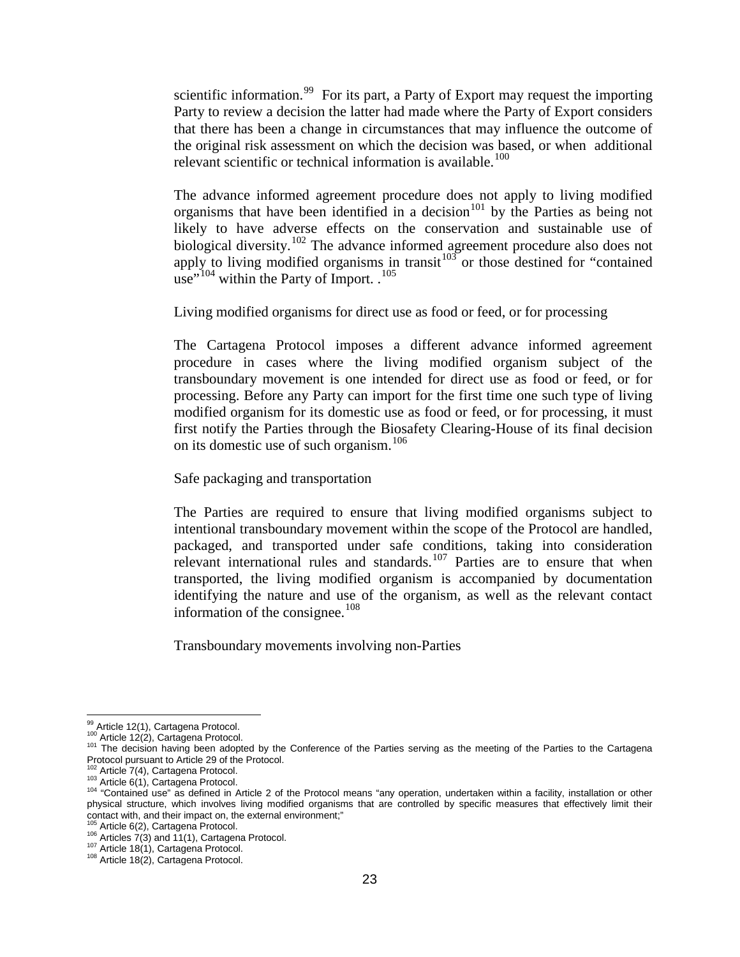scientific information.<sup>99</sup> For its part, a Party of Export may request the importing Party to review a decision the latter had made where the Party of Export considers that there has been a change in circumstances that may influence the outcome of the original risk assessment on which the decision was based, or when additional relevant scientific or technical information is available.<sup>[100](#page-23-0)</sup>

The advance informed agreement procedure does not apply to living modified organisms that have been identified in a decision<sup>[101](#page-23-0)</sup> by the Parties as being not likely to have adverse effects on the conservation and sustainable use of biological diversity.<sup>[102](#page-23-0)</sup> The advance informed agreement procedure also does not apply to living modified organisms in transit<sup>[103](#page-23-0)</sup> or those destined for "contained" use"<sup>[104](#page-23-0)</sup> within the Party of Import.  $^{105}$  $^{105}$  $^{105}$ 

Living modified organisms for direct use as food or feed, or for processing

The Cartagena Protocol imposes a different advance informed agreement procedure in cases where the living modified organism subject of the transboundary movement is one intended for direct use as food or feed, or for processing. Before any Party can import for the first time one such type of living modified organism for its domestic use as food or feed, or for processing, it must first notify the Parties through the Biosafety Clearing-House of its final decision on its domestic use of such organism.<sup>[106](#page-23-0)</sup>

Safe packaging and transportation

The Parties are required to ensure that living modified organisms subject to intentional transboundary movement within the scope of the Protocol are handled, packaged, and transported under safe conditions, taking into consideration relevant international rules and standards.<sup>[107](#page-23-0)</sup> Parties are to ensure that when transported, the living modified organism is accompanied by documentation identifying the nature and use of the organism, as well as the relevant contact information of the consignee. $108$ 

Transboundary movements involving non-Parties

<span id="page-23-0"></span><sup>&</sup>lt;sup>99</sup> Article 12(1), Cartagena Protocol.<br><sup>100</sup> Article 12(2), Cartagena Protocol.<br><sup>101</sup> The decision having been adopted by the Conference of the Parties serving as the meeting of the Parties to the Cartagena Protocol pursuant to Article 29 of the Protocol.<br><sup>102</sup> Article 7(4), Cartagena Protocol.

<sup>103</sup> Article 6(1), Cartagena Protocol.<br><sup>103</sup> Article 6(1), Cartagena Protocol.<br><sup>104</sup> "Contained use" as defined in Article 2 of the Protocol means "any operation, undertaken within a facility, installation or other physical structure, which involves living modified organisms that are controlled by specific measures that effectively limit their contact with, and their impact on, the external environment;"<br><sup>105</sup> Article 6(2). Cartagena Protocol.

<sup>106</sup> Articles  $7(3)$  and 11(1), Cartagena Protocol.<br><sup>107</sup> Article 18(1), Cartagena Protocol.<br><sup>108</sup> Article 18(2), Cartagena Protocol.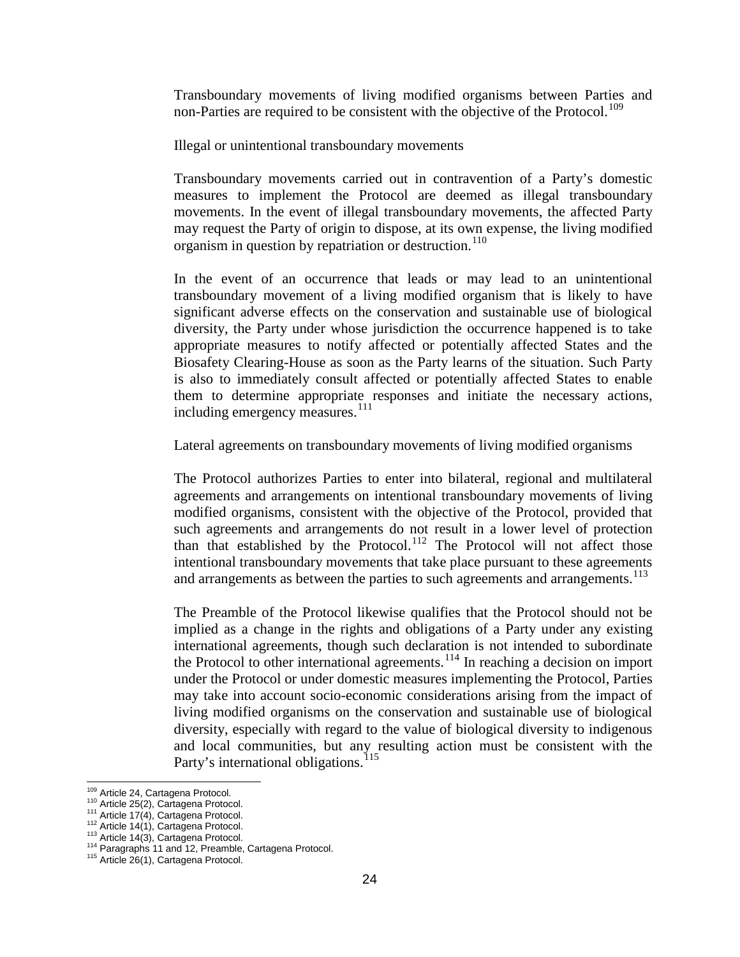Transboundary movements of living modified organisms between Parties and non-Parties are required to be consistent with the objective of the Protocol.<sup>[109](#page-24-0)</sup>

Illegal or unintentional transboundary movements

Transboundary movements carried out in contravention of a Party's domestic measures to implement the Protocol are deemed as illegal transboundary movements. In the event of illegal transboundary movements, the affected Party may request the Party of origin to dispose, at its own expense, the living modified organism in question by repatriation or destruction.<sup>110</sup>

In the event of an occurrence that leads or may lead to an unintentional transboundary movement of a living modified organism that is likely to have significant adverse effects on the conservation and sustainable use of biological diversity, the Party under whose jurisdiction the occurrence happened is to take appropriate measures to notify affected or potentially affected States and the Biosafety Clearing-House as soon as the Party learns of the situation. Such Party is also to immediately consult affected or potentially affected States to enable them to determine appropriate responses and initiate the necessary actions, including emergency measures.<sup>[111](#page-24-0)</sup>

Lateral agreements on transboundary movements of living modified organisms

The Protocol authorizes Parties to enter into bilateral, regional and multilateral agreements and arrangements on intentional transboundary movements of living modified organisms, consistent with the objective of the Protocol, provided that such agreements and arrangements do not result in a lower level of protection than that established by the Protocol.<sup>[112](#page-24-0)</sup> The Protocol will not affect those intentional transboundary movements that take place pursuant to these agreements and arrangements as between the parties to such agreements and arrangements.<sup>[113](#page-24-0)</sup>

The Preamble of the Protocol likewise qualifies that the Protocol should not be implied as a change in the rights and obligations of a Party under any existing international agreements, though such declaration is not intended to subordinate the Protocol to other international agreements.<sup>[114](#page-24-0)</sup> In reaching a decision on import under the Protocol or under domestic measures implementing the Protocol, Parties may take into account socio-economic considerations arising from the impact of living modified organisms on the conservation and sustainable use of biological diversity, especially with regard to the value of biological diversity to indigenous and local communities, but any resulting action must be consistent with the Party's international obligations.<sup>[115](#page-24-0)</sup>

<span id="page-24-0"></span><sup>&</sup>lt;sup>109</sup> Article 24, Cartagena Protocol.<br><sup>110</sup> Article 25(2), Cartagena Protocol.<br><sup>111</sup> Article 17(4), Cartagena Protocol.<br><sup>112</sup> Article 14(1), Cartagena Protocol.<br><sup>113</sup> Article 14(3), Cartagena Protocol.<br><sup>114</sup> Paragraphs 11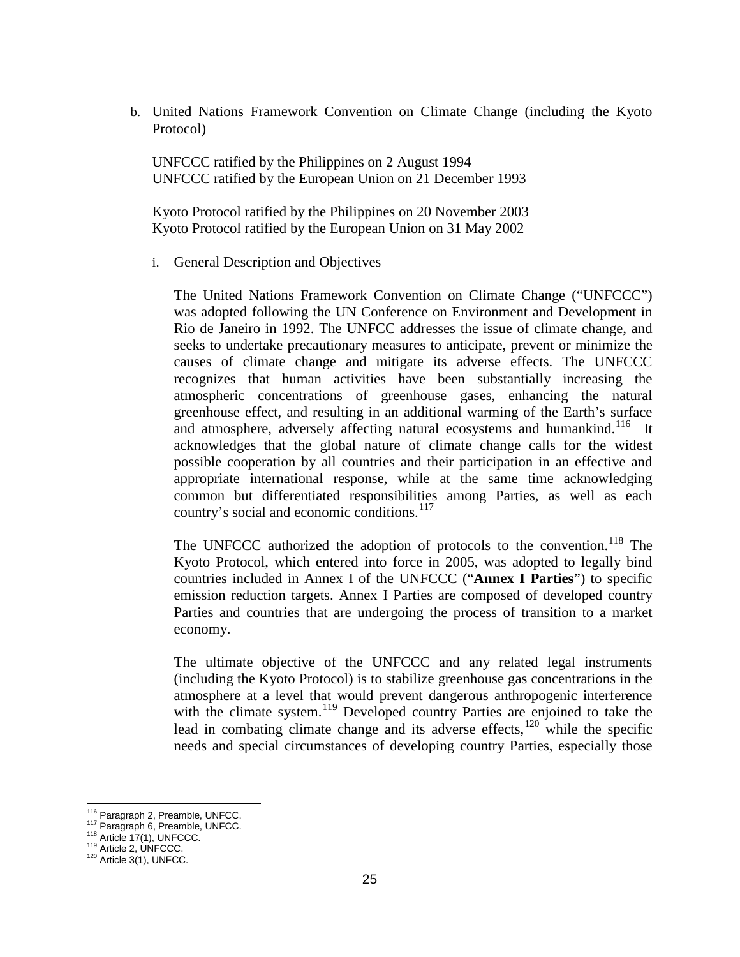b. United Nations Framework Convention on Climate Change (including the Kyoto Protocol)

UNFCCC ratified by the Philippines on 2 August 1994 UNFCCC ratified by the European Union on 21 December 1993

Kyoto Protocol ratified by the Philippines on 20 November 2003 Kyoto Protocol ratified by the European Union on 31 May 2002

i. General Description and Objectives

The United Nations Framework Convention on Climate Change ("UNFCCC") was adopted following the UN Conference on Environment and Development in Rio de Janeiro in 1992. The UNFCC addresses the issue of climate change, and seeks to undertake precautionary measures to anticipate, prevent or minimize the causes of climate change and mitigate its adverse effects. The UNFCCC recognizes that human activities have been substantially increasing the atmospheric concentrations of greenhouse gases, enhancing the natural greenhouse effect, and resulting in an additional warming of the Earth's surface and atmosphere, adversely affecting natural ecosystems and humankind.<sup>116</sup> It acknowledges that the global nature of climate change calls for the widest possible cooperation by all countries and their participation in an effective and appropriate international response, while at the same time acknowledging common but differentiated responsibilities among Parties, as well as each country's social and economic conditions.<sup>[117](#page-25-0)</sup>

The UNFCCC authorized the adoption of protocols to the convention.<sup>[118](#page-25-0)</sup> The Kyoto Protocol, which entered into force in 2005, was adopted to legally bind countries included in Annex I of the UNFCCC ("**Annex I Parties**") to specific emission reduction targets. Annex I Parties are composed of developed country Parties and countries that are undergoing the process of transition to a market economy.

The ultimate objective of the UNFCCC and any related legal instruments (including the Kyoto Protocol) is to stabilize greenhouse gas concentrations in the atmosphere at a level that would prevent dangerous anthropogenic interference with the climate system.<sup>[119](#page-25-0)</sup> Developed country Parties are enjoined to take the lead in combating climate change and its adverse effects, $120$  while the specific needs and special circumstances of developing country Parties, especially those

<span id="page-25-0"></span><sup>&</sup>lt;sup>116</sup> Paragraph 2, Preamble, UNFCC.<br><sup>117</sup> Paragraph 6, Preamble, UNFCC.<br><sup>118</sup> Article 17(1), UNFCCC.<br><sup>119</sup> Article 2, UNFCCC.<br><sup>120</sup> Article 3(1), UNFCC.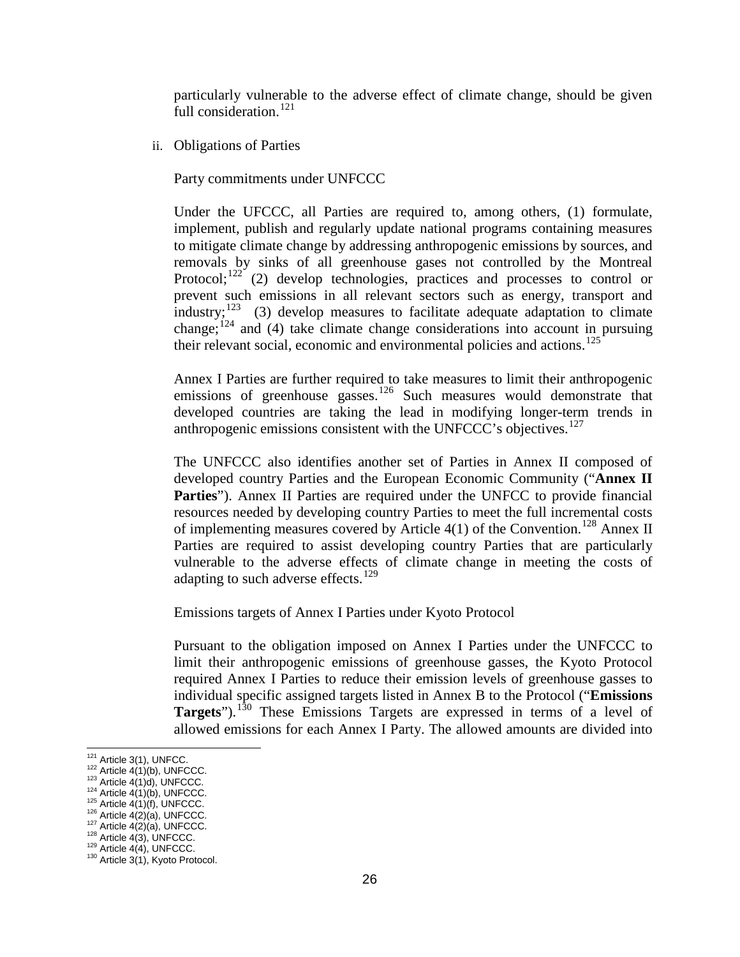particularly vulnerable to the adverse effect of climate change, should be given full consideration.<sup>[121](#page-26-0)</sup>

ii. Obligations of Parties

Party commitments under UNFCCC

Under the UFCCC, all Parties are required to, among others, (1) formulate, implement, publish and regularly update national programs containing measures to mitigate climate change by addressing anthropogenic emissions by sources, and removals by sinks of all greenhouse gases not controlled by the Montreal Protocol; $122$ <sup>'</sup> (2) develop technologies, practices and processes to control or prevent such emissions in all relevant sectors such as energy, transport and industry;<sup>[123](#page-26-0)</sup> (3) develop measures to facilitate adequate adaptation to climate change;<sup>[124](#page-26-0)</sup> and (4) take climate change considerations into account in pursuing their relevant social, economic and environmental policies and actions.<sup>[125](#page-26-0)</sup>

Annex I Parties are further required to take measures to limit their anthropogenic emissions of greenhouse gasses.<sup>[126](#page-26-0)</sup> Such measures would demonstrate that developed countries are taking the lead in modifying longer-term trends in anthropogenic emissions consistent with the UNFCCC's objectives.<sup>[127](#page-26-0)</sup>

The UNFCCC also identifies another set of Parties in Annex II composed of developed country Parties and the European Economic Community ("**Annex II Parties**"). Annex II Parties are required under the UNFCC to provide financial resources needed by developing country Parties to meet the full incremental costs of implementing measures covered by Article  $4(1)$  of the Convention.<sup>[128](#page-26-0)</sup> Annex II Parties are required to assist developing country Parties that are particularly vulnerable to the adverse effects of climate change in meeting the costs of adapting to such adverse effects.<sup>[129](#page-26-0)</sup>

Emissions targets of Annex I Parties under Kyoto Protocol

Pursuant to the obligation imposed on Annex I Parties under the UNFCCC to limit their anthropogenic emissions of greenhouse gasses, the Kyoto Protocol required Annex I Parties to reduce their emission levels of greenhouse gasses to individual specific assigned targets listed in Annex B to the Protocol ("**Emissions**  Targets").<sup>[130](#page-26-0)</sup> These Emissions Targets are expressed in terms of a level of allowed emissions for each Annex I Party. The allowed amounts are divided into

<span id="page-26-0"></span><sup>&</sup>lt;sup>121</sup> Article 3(1), UNFCC.<br><sup>122</sup> Article 4(1)(b), UNFCCC.<br><sup>123</sup> Article 4(1)(b), UNFCCC.<br><sup>124</sup> Article 4(1)(b), UNFCCC.<br><sup>125</sup> Article 4(1)(f), UNFCCC.<br><sup>126</sup> Article 4(2)(a), UNFCCC.<br><sup>127</sup> Article 4(2)(a), UNFCCC.<br><sup>128</sup> Ar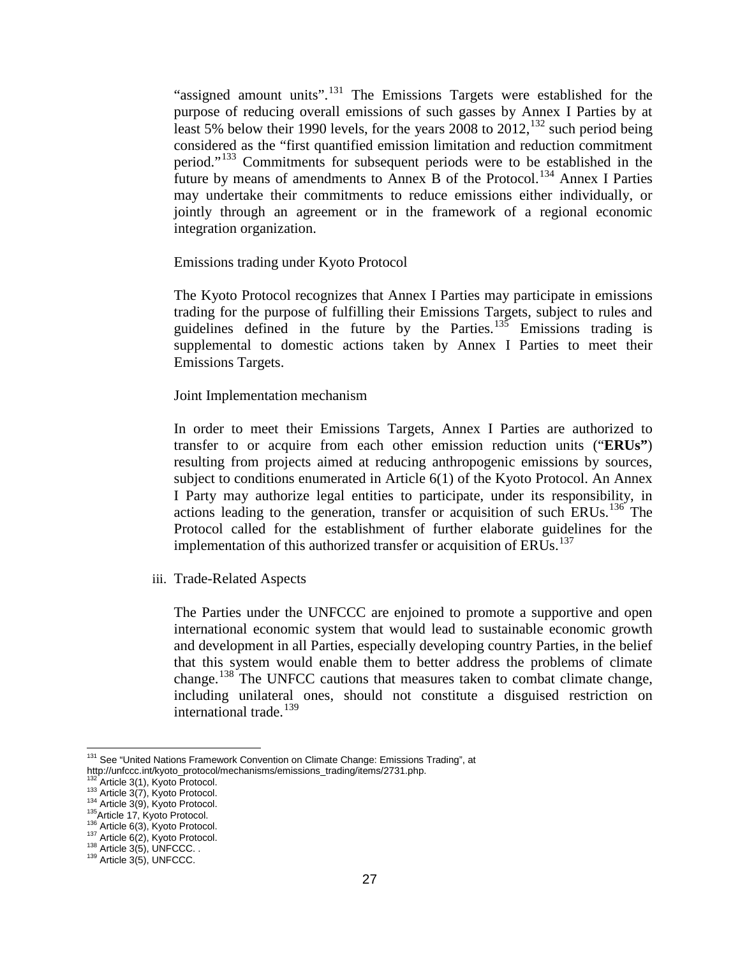"assigned amount units".<sup>[131](#page-27-0)</sup> The Emissions Targets were established for the purpose of reducing overall emissions of such gasses by Annex I Parties by at least 5% below their 1990 levels, for the years  $2008$  to  $2012$ , <sup>[132](#page-27-0)</sup> such period being considered as the "first quantified emission limitation and reduction commitment period."<sup>[133](#page-27-0)</sup> Commitments for subsequent periods were to be established in the future by means of amendments to Annex B of the Protocol.<sup>[134](#page-27-0)</sup> Annex I Parties may undertake their commitments to reduce emissions either individually, or jointly through an agreement or in the framework of a regional economic integration organization.

Emissions trading under Kyoto Protocol

The Kyoto Protocol recognizes that Annex I Parties may participate in emissions trading for the purpose of fulfilling their Emissions Targets, subject to rules and guidelines defined in the future by the Parties.<sup>[135](#page-27-0)</sup> Emissions trading is supplemental to domestic actions taken by Annex I Parties to meet their Emissions Targets.

Joint Implementation mechanism

In order to meet their Emissions Targets, Annex I Parties are authorized to transfer to or acquire from each other emission reduction units ("**ERUs"**) resulting from projects aimed at reducing anthropogenic emissions by sources, subject to conditions enumerated in Article 6(1) of the Kyoto Protocol. An Annex I Party may authorize legal entities to participate, under its responsibility, in actions leading to the generation, transfer or acquisition of such ERUs.<sup>[136](#page-27-0)</sup> The Protocol called for the establishment of further elaborate guidelines for the implementation of this authorized transfer or acquisition of  $ERUs.<sup>137</sup>$  $ERUs.<sup>137</sup>$  $ERUs.<sup>137</sup>$ 

iii. Trade-Related Aspects

The Parties under the UNFCCC are enjoined to promote a supportive and open international economic system that would lead to sustainable economic growth and development in all Parties, especially developing country Parties, in the belief that this system would enable them to better address the problems of climate change.<sup>[138](#page-27-0)</sup> The UNFCC cautions that measures taken to combat climate change, including unilateral ones, should not constitute a disguised restriction on international trade. $139$ 

<sup>&</sup>lt;sup>131</sup> See "United Nations Framework Convention on Climate Change: Emissions Trading", at

<span id="page-27-0"></span>http://unfccc.int/kyoto\_protocol/mechanisms/emissions\_trading/items/2731.php.<br><sup>132</sup> Article 3(1), Kyoto Protocol.<br><sup>133</sup> Article 3(7), Kyoto Protocol.

<sup>&</sup>lt;sup>134</sup> Article 3(9), Kyoto Protocol.<br><sup>135</sup> Article 17, Kyoto Protocol.<br><sup>136</sup> Article 6(3), Kyoto Protocol.<br><sup>137</sup> Article 6(2), Kyoto Protocol.<br><sup>138</sup> Article 3(5), UNFCCC. .<br><sup>139</sup> Article 3(5), UNFCCC.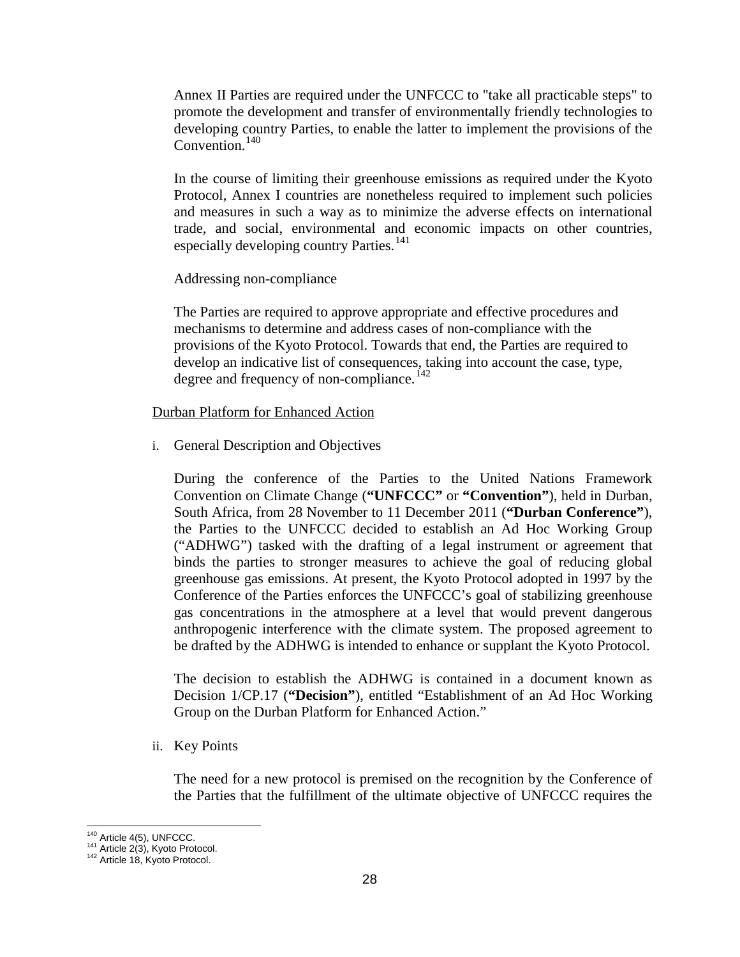Annex II Parties are required under the UNFCCC to "take all practicable steps" to promote the development and transfer of environmentally friendly technologies to developing country Parties, to enable the latter to implement the provisions of the Convention.<sup>[140](#page-28-0)</sup>

In the course of limiting their greenhouse emissions as required under the Kyoto Protocol, Annex I countries are nonetheless required to implement such policies and measures in such a way as to minimize the adverse effects on international trade, and social, environmental and economic impacts on other countries, especially developing country Parties.<sup>[141](#page-28-0)</sup>

Addressing non-compliance

The Parties are required to approve appropriate and effective procedures and mechanisms to determine and address cases of non-compliance with the provisions of the Kyoto Protocol. Towards that end, the Parties are required to develop an indicative list of consequences, taking into account the case, type, degree and frequency of non-compliance.<sup>[142](#page-28-0)</sup>

## Durban Platform for Enhanced Action

i.General Description and Objectives

During the conference of the Parties to the United Nations Framework Convention on Climate Change (**"UNFCCC"** or **"Convention"**), held in Durban, South Africa, from 28 November to 11 December 2011 (**"Durban Conference"**), the Parties to the UNFCCC decided to establish an Ad Hoc Working Group ("ADHWG") tasked with the drafting of a legal instrument or agreement that binds the parties to stronger measures to achieve the goal of reducing global greenhouse gas emissions. At present, the Kyoto Protocol adopted in 1997 by the Conference of the Parties enforces the UNFCCC's goal of stabilizing greenhouse gas concentrations in the atmosphere at a level that would prevent dangerous anthropogenic interference with the climate system. The proposed agreement to be drafted by the ADHWG is intended to enhance or supplant the Kyoto Protocol.

The decision to establish the ADHWG is contained in a document known as Decision 1/CP.17 (**"Decision"**), entitled "Establishment of an Ad Hoc Working Group on the Durban Platform for Enhanced Action."

ii.Key Points

The need for a new protocol is premised on the recognition by the Conference of the Parties that the fulfillment of the ultimate objective of UNFCCC requires the

<span id="page-28-0"></span><sup>&</sup>lt;sup>140</sup> Article 4(5), UNFCCC.<br><sup>141</sup> Article 2(3), Kyoto Protocol.<br><sup>142</sup> Article 18, Kyoto Protocol.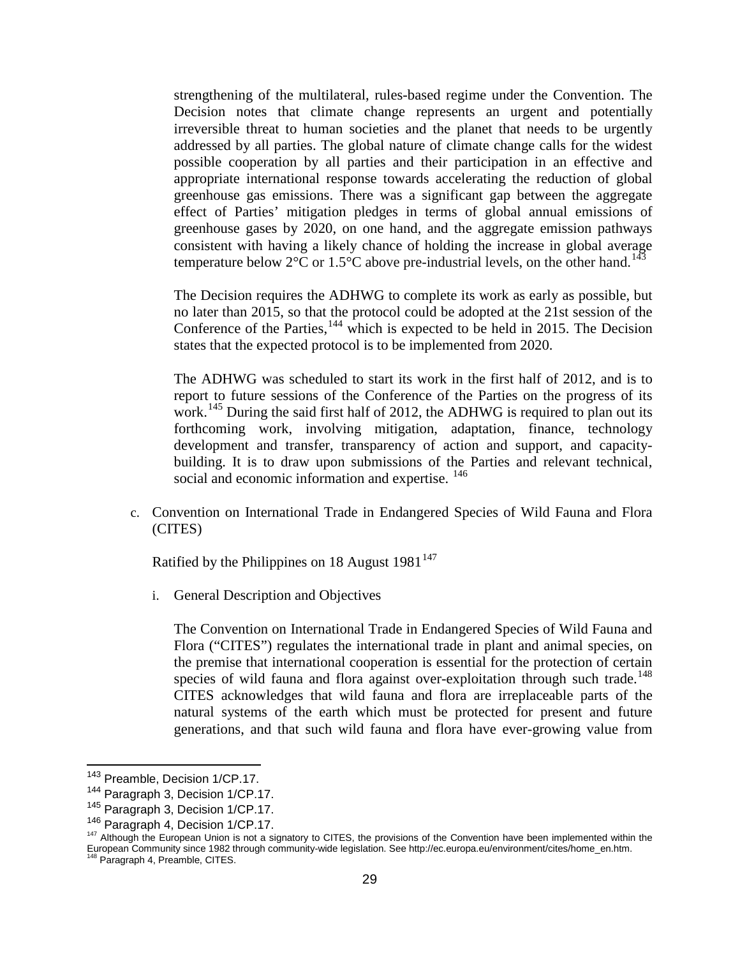strengthening of the multilateral, rules-based regime under the Convention. The Decision notes that climate change represents an urgent and potentially irreversible threat to human societies and the planet that needs to be urgently addressed by all parties. The global nature of climate change calls for the widest possible cooperation by all parties and their participation in an effective and appropriate international response towards accelerating the reduction of global greenhouse gas emissions. There was a significant gap between the aggregate effect of Parties' mitigation pledges in terms of global annual emissions of greenhouse gases by 2020, on one hand, and the aggregate emission pathways consistent with having a likely chance of holding the increase in global average temperature below 2°C or 1.5°C above pre-industrial levels, on the other hand.<sup>[143](#page-29-0)</sup>

The Decision requires the ADHWG to complete its work as early as possible, but no later than 2015, so that the protocol could be adopted at the 21st session of the Conference of the Parties,  $144$  which is expected to be held in 2015. The Decision states that the expected protocol is to be implemented from 2020.

The ADHWG was scheduled to start its work in the first half of 2012, and is to report to future sessions of the Conference of the Parties on the progress of its work.<sup>[145](#page-29-0)</sup> During the said first half of 2012, the ADHWG is required to plan out its forthcoming work, involving mitigation, adaptation, finance, technology development and transfer, transparency of action and support, and capacitybuilding. It is to draw upon submissions of the Parties and relevant technical, social and economic information and expertise.  $146$ 

c. Convention on International Trade in Endangered Species of Wild Fauna and Flora (CITES)

Ratified by the Philippines on 18 August  $1981^{147}$  $1981^{147}$  $1981^{147}$ 

i. General Description and Objectives

The Convention on International Trade in Endangered Species of Wild Fauna and Flora ("CITES") regulates the international trade in plant and animal species, on the premise that international cooperation is essential for the protection of certain species of wild fauna and flora against over-exploitation through such trade.<sup>[148](#page-29-0)</sup> CITES acknowledges that wild fauna and flora are irreplaceable parts of the natural systems of the earth which must be protected for present and future generations, and that such wild fauna and flora have ever-growing value from

<span id="page-29-0"></span><sup>&</sup>lt;sup>143</sup> Preamble, Decision 1/CP.17.

<sup>&</sup>lt;sup>144</sup> Paragraph 3, Decision 1/CP.17.

<sup>&</sup>lt;sup>145</sup> Paragraph 3, Decision 1/CP.17.<br><sup>146</sup> Paragraph 4, Decision 1/CP.17.

<sup>&</sup>lt;sup>147</sup> Although the European Union is not a signatory to CITES, the provisions of the Convention have been implemented within the European Community since 1982 through community-wide legislation. See http://ec.europa.eu/environment/cites/home\_en.htm. <sup>148</sup> Paragraph 4, Preamble, CITES.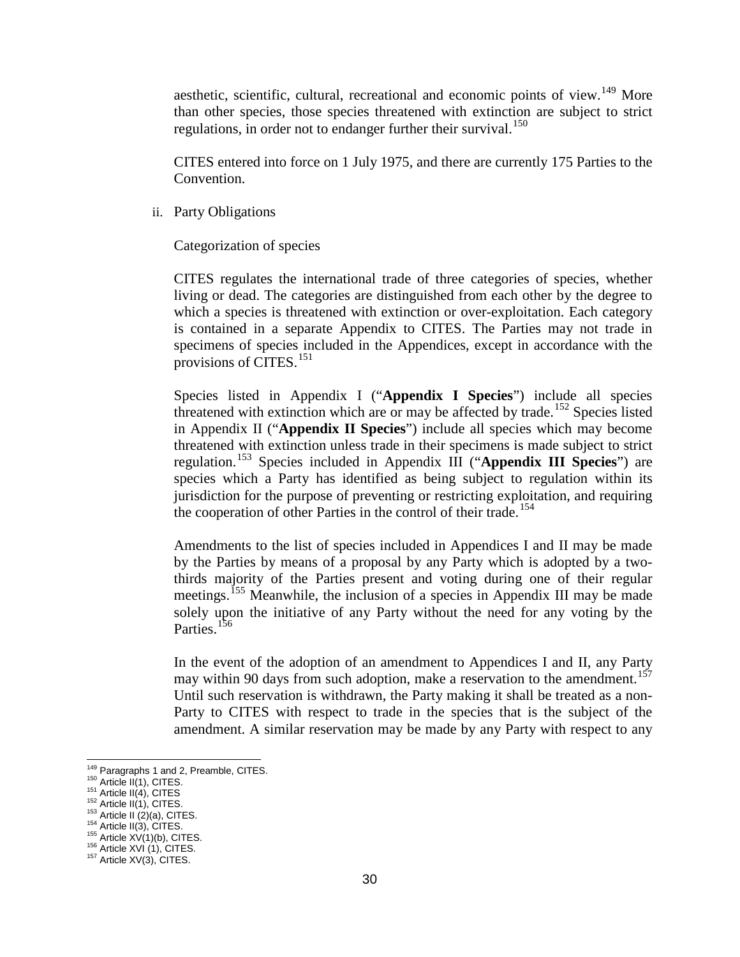aesthetic, scientific, cultural, recreational and economic points of view.<sup>[149](#page-30-0)</sup> More than other species, those species threatened with extinction are subject to strict regulations, in order not to endanger further their survival.<sup>[150](#page-30-0)</sup>

CITES entered into force on 1 July 1975, and there are currently 175 Parties to the Convention.

ii. Party Obligations

Categorization of species

CITES regulates the international trade of three categories of species, whether living or dead. The categories are distinguished from each other by the degree to which a species is threatened with extinction or over-exploitation. Each category is contained in a separate Appendix to CITES. The Parties may not trade in specimens of species included in the Appendices, except in accordance with the provisions of CITES. $^{151}$  $^{151}$  $^{151}$ 

Species listed in Appendix I ("**Appendix I Species**") include all species threatened with extinction which are or may be affected by trade.<sup>[152](#page-30-0)</sup> Species listed in Appendix II ("**Appendix II Species**") include all species which may become threatened with extinction unless trade in their specimens is made subject to strict regulation.[153](#page-30-0) Species included in Appendix III ("**Appendix III Species**") are species which a Party has identified as being subject to regulation within its jurisdiction for the purpose of preventing or restricting exploitation, and requiring the cooperation of other Parties in the control of their trade.<sup>[154](#page-30-0)</sup>

Amendments to the list of species included in Appendices I and II may be made by the Parties by means of a proposal by any Party which is adopted by a twothirds majority of the Parties present and voting during one of their regular meetings.<sup>[155](#page-30-0)</sup> Meanwhile, the inclusion of a species in Appendix III may be made solely upon the initiative of any Party without the need for any voting by the Parties.<sup>[156](#page-30-0)</sup>

In the event of the adoption of an amendment to Appendices I and II, any Party may within 90 days from such adoption, make a reservation to the amendment.<sup>[157](#page-30-0)</sup> Until such reservation is withdrawn, the Party making it shall be treated as a non-Party to CITES with respect to trade in the species that is the subject of the amendment. A similar reservation may be made by any Party with respect to any

<span id="page-30-0"></span><sup>&</sup>lt;sup>149</sup> Paragraphs 1 and 2, Preamble, CITES.<br><sup>150</sup> Article II(1), CITES.<br><sup>151</sup> Article II(4), CITES<br><sup>152</sup> Article II(4), CITES.<br><sup>152</sup> Article II(1), CITES.<br><sup>153</sup> Article II(2)(a), CITES.<br><sup>154</sup> Article II(3), CITES.<br><sup>155</sup> Ar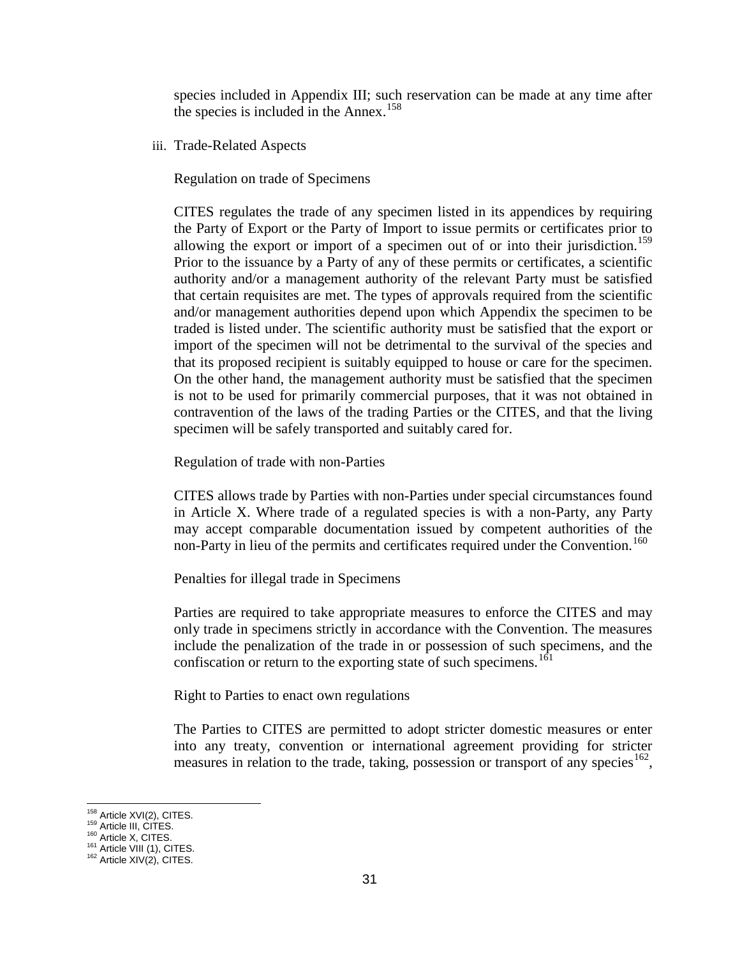species included in Appendix III; such reservation can be made at any time after the species is included in the Annex.<sup>[158](#page-31-0)</sup>

iii. Trade-Related Aspects

Regulation on trade of Specimens

CITES regulates the trade of any specimen listed in its appendices by requiring the Party of Export or the Party of Import to issue permits or certificates prior to allowing the export or import of a specimen out of or into their jurisdiction.<sup>[159](#page-31-0)</sup> Prior to the issuance by a Party of any of these permits or certificates, a scientific authority and/or a management authority of the relevant Party must be satisfied that certain requisites are met. The types of approvals required from the scientific and/or management authorities depend upon which Appendix the specimen to be traded is listed under. The scientific authority must be satisfied that the export or import of the specimen will not be detrimental to the survival of the species and that its proposed recipient is suitably equipped to house or care for the specimen. On the other hand, the management authority must be satisfied that the specimen is not to be used for primarily commercial purposes, that it was not obtained in contravention of the laws of the trading Parties or the CITES, and that the living specimen will be safely transported and suitably cared for.

Regulation of trade with non-Parties

CITES allows trade by Parties with non-Parties under special circumstances found in Article X. Where trade of a regulated species is with a non-Party, any Party may accept comparable documentation issued by competent authorities of the non-Party in lieu of the permits and certificates required under the Convention.<sup>[160](#page-31-0)</sup>

Penalties for illegal trade in Specimens

Parties are required to take appropriate measures to enforce the CITES and may only trade in specimens strictly in accordance with the Convention. The measures include the penalization of the trade in or possession of such specimens, and the confiscation or return to the exporting state of such specimens.<sup>[161](#page-31-0)</sup>

Right to Parties to enact own regulations

The Parties to CITES are permitted to adopt stricter domestic measures or enter into any treaty, convention or international agreement providing for stricter measures in relation to the trade, taking, possession or transport of any species<sup>[162](#page-31-0)</sup>,

<span id="page-31-0"></span><sup>&</sup>lt;sup>158</sup> Article XVI(2), CITES.<br><sup>159</sup> Article III, CITES.<br><sup>160</sup> Article X, CITES.<br><sup>161</sup> Article VIII (1), CITES.<br><sup>162</sup> Article XIV(2), CITES.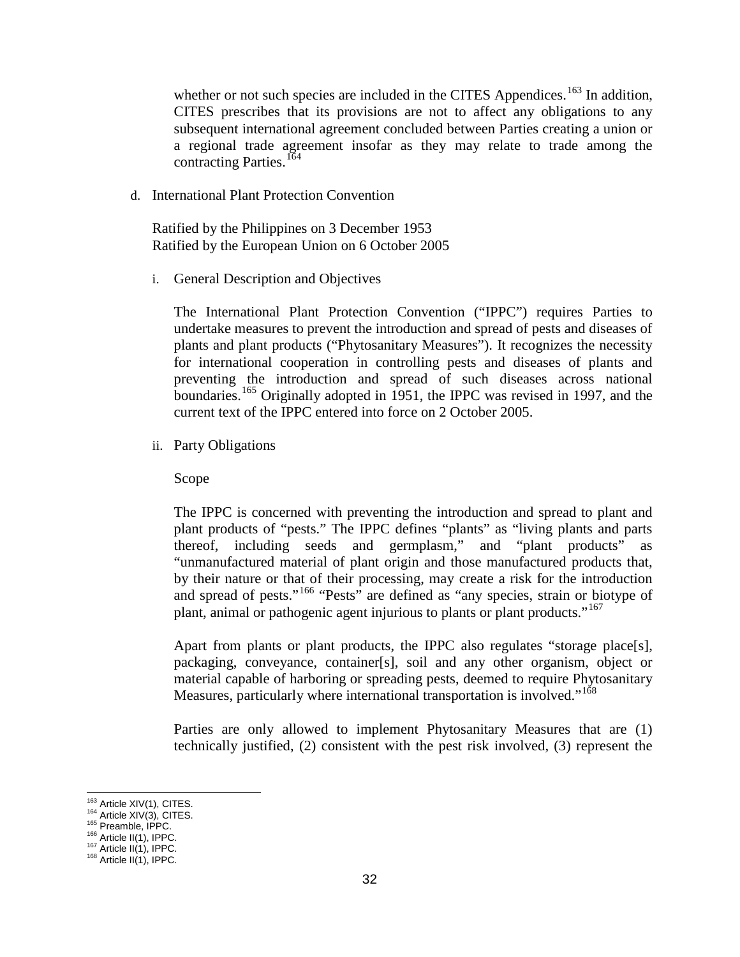whether or not such species are included in the CITES Appendices.<sup>[163](#page-32-0)</sup> In addition, CITES prescribes that its provisions are not to affect any obligations to any subsequent international agreement concluded between Parties creating a union or a regional trade agreement insofar as they may relate to trade among the contracting Parties.<sup>[164](#page-32-0)</sup>

d. International Plant Protection Convention

Ratified by the Philippines on 3 December 1953 Ratified by the European Union on 6 October 2005

i. General Description and Objectives

The International Plant Protection Convention ("IPPC") requires Parties to undertake measures to prevent the introduction and spread of pests and diseases of plants and plant products ("Phytosanitary Measures"). It recognizes the necessity for international cooperation in controlling pests and diseases of plants and preventing the introduction and spread of such diseases across national boundaries.[165](#page-32-0) Originally adopted in 1951, the IPPC was revised in 1997, and the current text of the IPPC entered into force on 2 October 2005.

ii. Party Obligations

Scope

The IPPC is concerned with preventing the introduction and spread to plant and plant products of "pests." The IPPC defines "plants" as "living plants and parts thereof, including seeds and germplasm," and "plant products" as "unmanufactured material of plant origin and those manufactured products that, by their nature or that of their processing, may create a risk for the introduction and spread of pests."[166](#page-32-0) "Pests" are defined as "any species, strain or biotype of plant, animal or pathogenic agent injurious to plants or plant products."<sup>[167](#page-32-0)</sup>

Apart from plants or plant products, the IPPC also regulates "storage place[s], packaging, conveyance, container[s], soil and any other organism, object or material capable of harboring or spreading pests, deemed to require Phytosanitary Measures, particularly where international transportation is involved."<sup>[168](#page-32-0)</sup>

Parties are only allowed to implement Phytosanitary Measures that are (1) technically justified, (2) consistent with the pest risk involved, (3) represent the

<span id="page-32-0"></span><sup>&</sup>lt;sup>163</sup> Article XIV(1), CITES.<br><sup>164</sup> Article XIV(3), CITES.<br><sup>165</sup> Preamble, IPPC.<br><sup>166</sup> Article II(1), IPPC.<br><sup>167</sup> Article II(1), IPPC.<br><sup>168</sup> Article II(1), IPPC.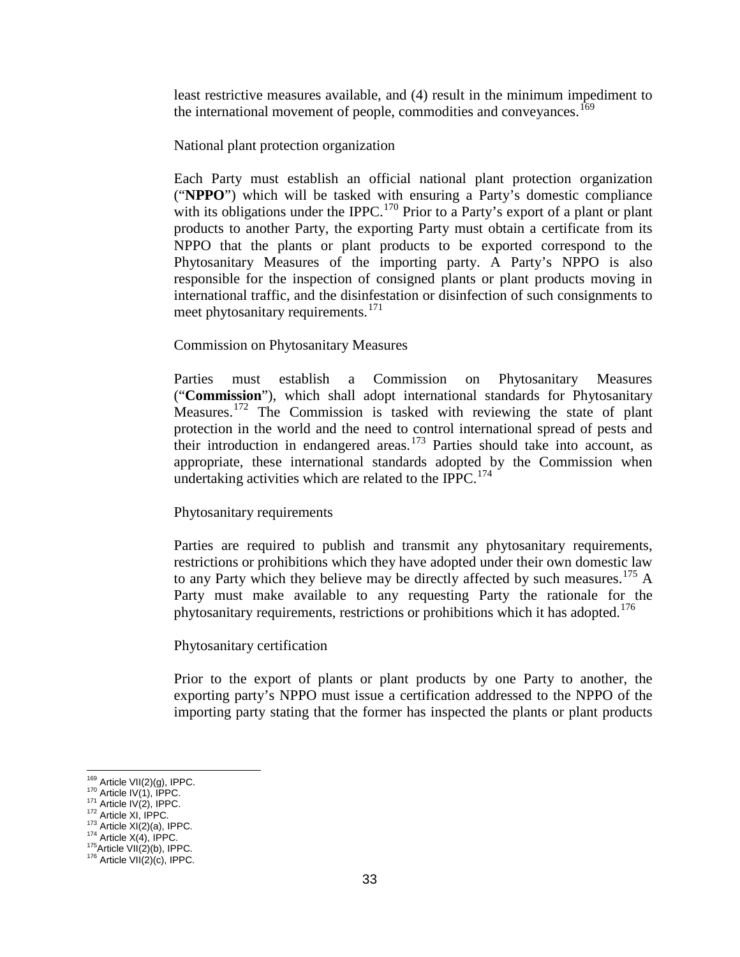least restrictive measures available, and (4) result in the minimum impediment to the international movement of people, commodities and conveyances.<sup>[169](#page-33-0)</sup>

National plant protection organization

Each Party must establish an official national plant protection organization ("**NPPO**") which will be tasked with ensuring a Party's domestic compliance with its obligations under the IPPC.<sup>[170](#page-33-0)</sup> Prior to a Party's export of a plant or plant products to another Party, the exporting Party must obtain a certificate from its NPPO that the plants or plant products to be exported correspond to the Phytosanitary Measures of the importing party. A Party's NPPO is also responsible for the inspection of consigned plants or plant products moving in international traffic, and the disinfestation or disinfection of such consignments to meet phytosanitary requirements.<sup>[171](#page-33-0)</sup>

## Commission on Phytosanitary Measures

Parties must establish a Commission on Phytosanitary Measures ("**Commission**"), which shall adopt international standards for Phytosanitary Measures.<sup>[172](#page-33-0)</sup> The Commission is tasked with reviewing the state of plant protection in the world and the need to control international spread of pests and their introduction in endangered areas.<sup>[173](#page-33-0)</sup> Parties should take into account, as appropriate, these international standards adopted by the Commission when undertaking activities which are related to the IPPC.<sup>[174](#page-33-0)</sup>

## Phytosanitary requirements

Parties are required to publish and transmit any phytosanitary requirements, restrictions or prohibitions which they have adopted under their own domestic law to any Party which they believe may be directly affected by such measures.<sup>[175](#page-33-0)</sup> A Party must make available to any requesting Party the rationale for the phytosanitary requirements, restrictions or prohibitions which it has adopted.<sup>[176](#page-33-0)</sup>

## Phytosanitary certification

Prior to the export of plants or plant products by one Party to another, the exporting party's NPPO must issue a certification addressed to the NPPO of the importing party stating that the former has inspected the plants or plant products

<span id="page-33-0"></span><sup>&</sup>lt;sup>169</sup> Article IV(1), IPPC.<br><sup>170</sup> Article IV(1), IPPC.<br><sup>171</sup> Article XI, IPPC.<br><sup>172</sup> Article XI(2)(a), IPPC.<br><sup>173</sup> Article X(4), IPPC.<br><sup>175</sup> Article VII(2)(b), IPPC.<br><sup>176</sup> Article VII(2)(c), IPPC.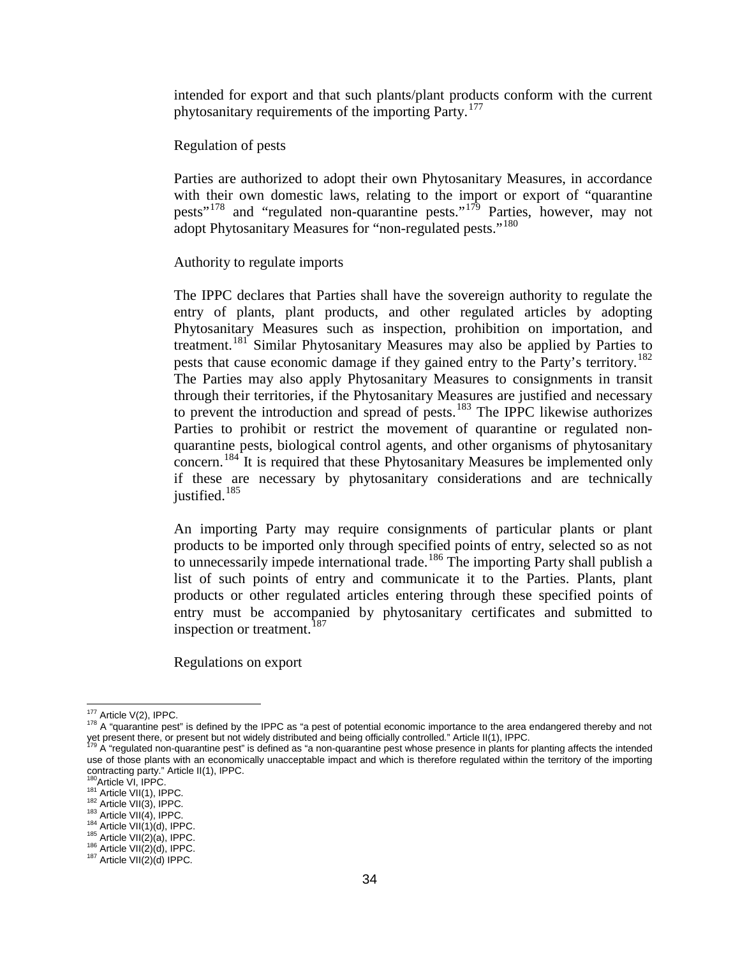intended for export and that such plants/plant products conform with the current phytosanitary requirements of the importing Party.[177](#page-34-0)

Regulation of pests

Parties are authorized to adopt their own Phytosanitary Measures, in accordance with their own domestic laws, relating to the import or export of "quarantine pests"[178](#page-34-0) and "regulated non-quarantine pests."[179](#page-34-0) Parties, however, may not adopt Phytosanitary Measures for "non-regulated pests."[180](#page-34-0)

Authority to regulate imports

The IPPC declares that Parties shall have the sovereign authority to regulate the entry of plants, plant products, and other regulated articles by adopting Phytosanitary Measures such as inspection, prohibition on importation, and treatment.[181](#page-34-0) Similar Phytosanitary Measures may also be applied by Parties to pests that cause economic damage if they gained entry to the Party's territory.[182](#page-34-0) The Parties may also apply Phytosanitary Measures to consignments in transit through their territories, if the Phytosanitary Measures are justified and necessary to prevent the introduction and spread of pests.<sup>[183](#page-34-0)</sup> The IPPC likewise authorizes Parties to prohibit or restrict the movement of quarantine or regulated nonquarantine pests, biological control agents, and other organisms of phytosanitary concern.<sup>[184](#page-34-0)</sup> It is required that these Phytosanitary Measures be implemented only if these are necessary by phytosanitary considerations and are technically justified. $185$ 

An importing Party may require consignments of particular plants or plant products to be imported only through specified points of entry, selected so as not to unnecessarily impede international trade.<sup>[186](#page-34-0)</sup> The importing Party shall publish a list of such points of entry and communicate it to the Parties. Plants, plant products or other regulated articles entering through these specified points of entry must be accompanied by phytosanitary certificates and submitted to inspection or treatment.<sup>[187](#page-34-0)</sup>

Regulations on export

<span id="page-34-0"></span><sup>&</sup>lt;sup>177</sup> Article V(2), IPPC.<br><sup>178</sup> A "quarantine pest" is defined by the IPPC as "a pest of potential economic importance to the area endangered thereby and not

yet present there, or present but not widely distributed and being officially controlled." Article II(1), IPPC.<br><sup>179</sup> A "regulated non-quarantine pest" is defined as "a non-quarantine pest whose presence in plants for plan use of those plants with an economically unacceptable impact and which is therefore regulated within the territory of the importing contracting party." Article II(1), IPPC.<br><sup>180</sup> Article VI, IPPC.

<sup>&</sup>lt;sup>181</sup> Article VII(1), IPPC.<br><sup>182</sup> Article VII(3), IPPC.<br><sup>183</sup> Article VII(4), IPPC.<br><sup>184</sup> Article VII(2)(a), IPPC.<br><sup>186</sup> Article VII(2)(d), IPPC.<br><sup>187</sup> Article VII(2)(d) IPPC.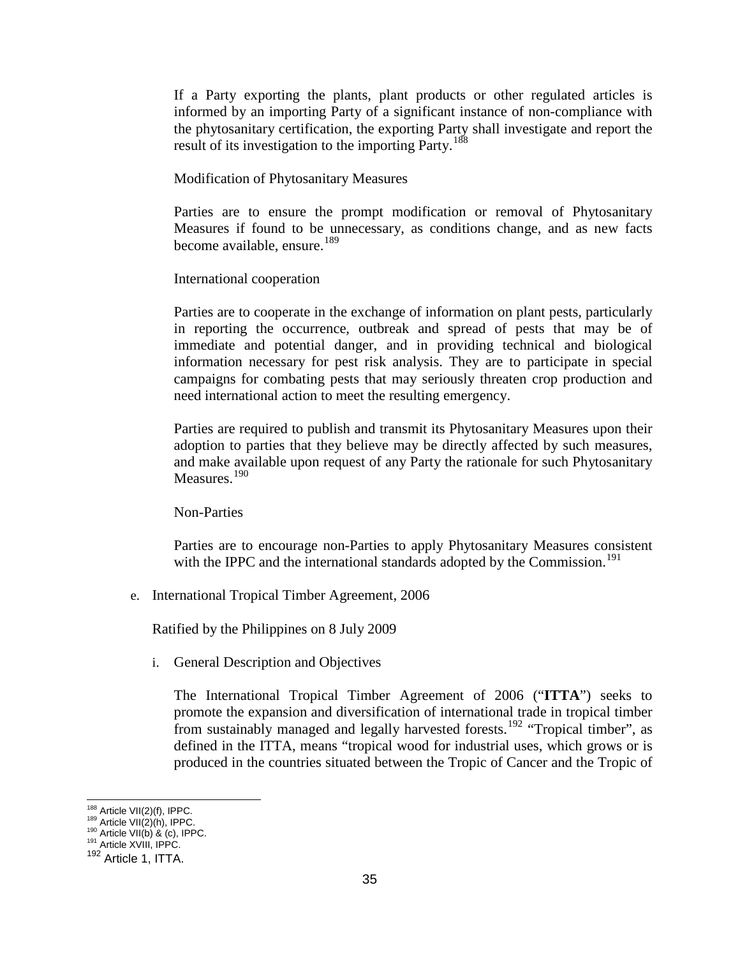If a Party exporting the plants, plant products or other regulated articles is informed by an importing Party of a significant instance of non-compliance with the phytosanitary certification, the exporting Party shall investigate and report the result of its investigation to the importing Party.<sup>[188](#page-35-0)</sup>

Modification of Phytosanitary Measures

Parties are to ensure the prompt modification or removal of Phytosanitary Measures if found to be unnecessary, as conditions change, and as new facts become available, ensure. $189$ 

International cooperation

Parties are to cooperate in the exchange of information on plant pests, particularly in reporting the occurrence, outbreak and spread of pests that may be of immediate and potential danger, and in providing technical and biological information necessary for pest risk analysis. They are to participate in special campaigns for combating pests that may seriously threaten crop production and need international action to meet the resulting emergency.

Parties are required to publish and transmit its Phytosanitary Measures upon their adoption to parties that they believe may be directly affected by such measures, and make available upon request of any Party the rationale for such Phytosanitary Measures.<sup>[190](#page-35-0)</sup>

Non-Parties

Parties are to encourage non-Parties to apply Phytosanitary Measures consistent with the IPPC and the international standards adopted by the Commission.<sup>[191](#page-35-0)</sup>

e. International Tropical Timber Agreement, 2006

Ratified by the Philippines on 8 July 2009

i. General Description and Objectives

The International Tropical Timber Agreement of 2006 ("**ITTA**") seeks to promote the expansion and diversification of international trade in tropical timber from sustainably managed and legally harvested forests.<sup>[192](#page-35-0)</sup> "Tropical timber", as defined in the ITTA, means "tropical wood for industrial uses, which grows or is produced in the countries situated between the Tropic of Cancer and the Tropic of

<span id="page-35-0"></span><sup>&</sup>lt;sup>188</sup> Article VII(2)(f), IPPC.<br><sup>189</sup> Article VII(2)(h), IPPC.<br><sup>190</sup> Article VII(b) & (c), IPPC.<br><sup>191</sup> Article XVIII, IPPC.

<sup>192</sup> Article 1, ITTA.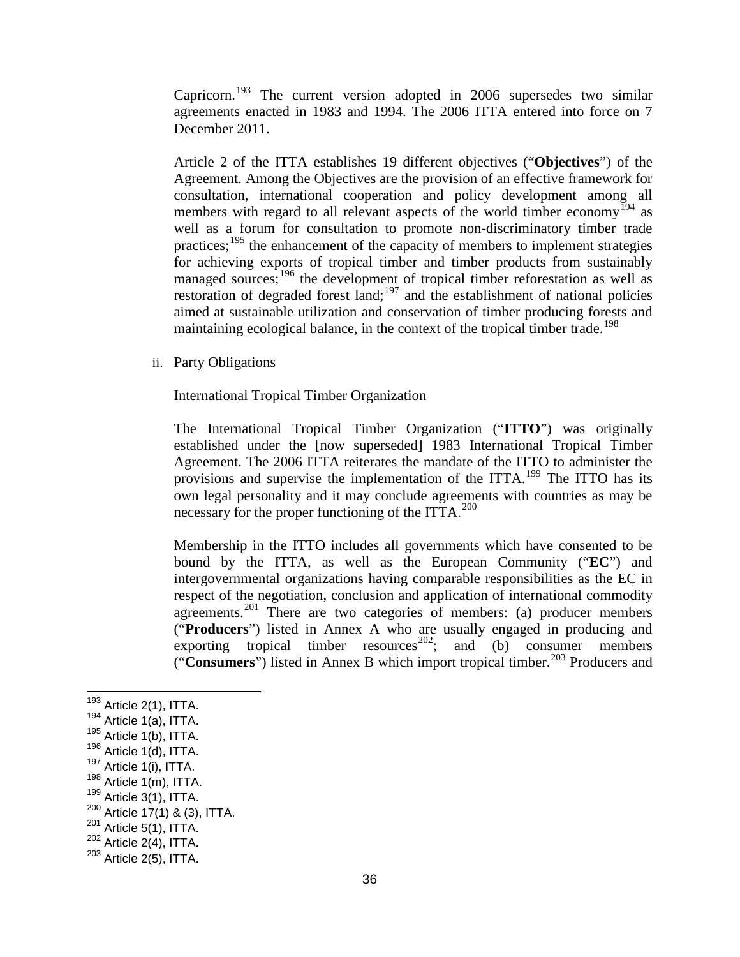Capricorn.[193](#page-36-0) The current version adopted in 2006 supersedes two similar agreements enacted in 1983 and 1994. The 2006 ITTA entered into force on 7 December 2011.

Article 2 of the ITTA establishes 19 different objectives ("**Objectives**") of the Agreement. Among the Objectives are the provision of an effective framework for consultation, international cooperation and policy development among all members with regard to all relevant aspects of the world timber economy<sup>[194](#page-36-0)</sup> as well as a forum for consultation to promote non-discriminatory timber trade practices;[195](#page-36-0) the enhancement of the capacity of members to implement strategies for achieving exports of tropical timber and timber products from sustainably managed sources;<sup>[196](#page-36-0)</sup> the development of tropical timber reforestation as well as restoration of degraded forest land;<sup>[197](#page-36-0)</sup> and the establishment of national policies aimed at sustainable utilization and conservation of timber producing forests and maintaining ecological balance, in the context of the tropical timber trade.<sup>[198](#page-36-0)</sup>

ii. Party Obligations

International Tropical Timber Organization

The International Tropical Timber Organization ("**ITTO**") was originally established under the [now superseded] 1983 International Tropical Timber Agreement. The 2006 ITTA reiterates the mandate of the ITTO to administer the provisions and supervise the implementation of the ITTA.<sup>[199](#page-36-0)</sup> The ITTO has its own legal personality and it may conclude agreements with countries as may be necessary for the proper functioning of the ITTA.<sup>[200](#page-36-0)</sup>

Membership in the ITTO includes all governments which have consented to be bound by the ITTA, as well as the European Community ("**EC**") and intergovernmental organizations having comparable responsibilities as the EC in respect of the negotiation, conclusion and application of international commodity agreements.[201](#page-36-0) There are two categories of members: (a) producer members ("**Producers**") listed in Annex A who are usually engaged in producing and exporting tropical timber resources<sup>[202](#page-36-0)</sup>; and (b) consumer members ("**Consumers**") listed in Annex B which import tropical timber.<sup>[203](#page-36-0)</sup> Producers and

<span id="page-36-0"></span> <sup>193</sup> Article 2(1), ITTA.

 $194$  Article 1(a), ITTA.

<sup>195</sup> Article 1(b), ITTA.

 $196$  Article 1(d), ITTA.

<sup>197</sup> Article 1(i), ITTA.

<sup>198</sup> Article 1(m), ITTA.

 $199$  Article 3(1), ITTA.

 $200$  Article 17(1) & (3), ITTA.

 $201$  Article 5(1), ITTA.

<sup>202</sup> Article 2(4), ITTA.

 $203$  Article 2(5), ITTA.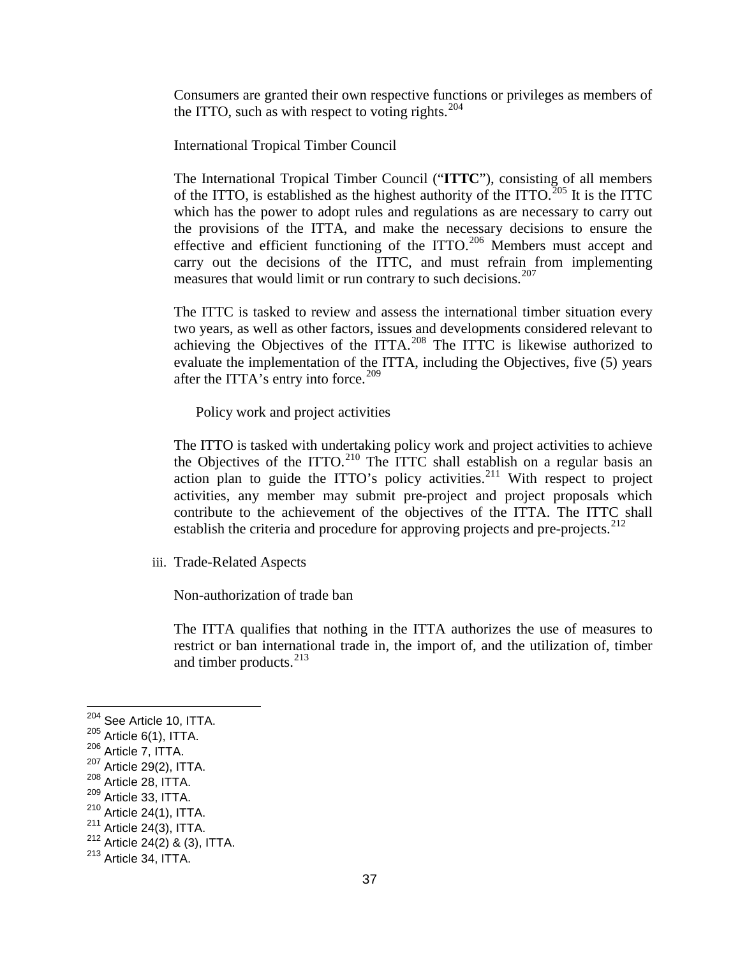Consumers are granted their own respective functions or privileges as members of the ITTO, such as with respect to voting rights. $204$ 

International Tropical Timber Council

The International Tropical Timber Council ("**ITTC**"), consisting of all members of the ITTO, is established as the highest authority of the ITTO.<sup>[205](#page-37-0)</sup> It is the ITTC which has the power to adopt rules and regulations as are necessary to carry out the provisions of the ITTA, and make the necessary decisions to ensure the effective and efficient functioning of the ITTO. $^{206}$  $^{206}$  $^{206}$  Members must accept and carry out the decisions of the ITTC, and must refrain from implementing measures that would limit or run contrary to such decisions.<sup>[207](#page-37-0)</sup>

The ITTC is tasked to review and assess the international timber situation every two years, as well as other factors, issues and developments considered relevant to achieving the Objectives of the ITTA.[208](#page-37-0) The ITTC is likewise authorized to evaluate the implementation of the ITTA, including the Objectives, five (5) years after the ITTA's entry into force.<sup>[209](#page-37-0)</sup>

Policy work and project activities

The ITTO is tasked with undertaking policy work and project activities to achieve the Objectives of the ITTO.<sup>[210](#page-37-0)</sup> The ITTC shall establish on a regular basis an action plan to guide the ITTO's policy activities.<sup>[211](#page-37-0)</sup> With respect to project activities, any member may submit pre-project and project proposals which contribute to the achievement of the objectives of the ITTA. The ITTC shall establish the criteria and procedure for approving projects and pre-projects.<sup>[212](#page-37-0)</sup>

iii. Trade-Related Aspects

Non-authorization of trade ban

The ITTA qualifies that nothing in the ITTA authorizes the use of measures to restrict or ban international trade in, the import of, and the utilization of, timber and timber products. $^{213}$  $^{213}$  $^{213}$ 

<span id="page-37-0"></span> <sup>204</sup> See Article 10, ITTA.

 $205$  Article 6(1), ITTA.

<sup>206</sup> Article 7, ITTA.

<sup>207</sup> Article 29(2), ITTA.

<sup>208</sup> Article 28, ITTA.

<sup>209</sup> Article 33, ITTA.

 $210$  Article 24(1), ITTA.

 $211$  Article 24(3), ITTA.

<sup>212</sup> Article 24(2) & (3), ITTA.

<sup>213</sup> Article 34, ITTA.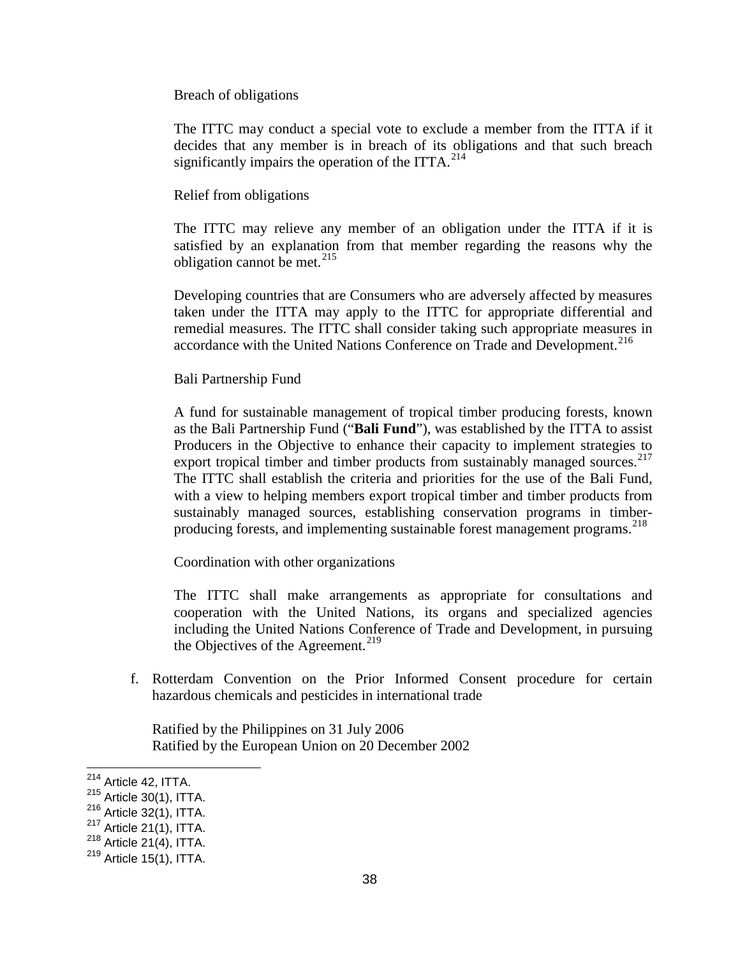Breach of obligations

The ITTC may conduct a special vote to exclude a member from the ITTA if it decides that any member is in breach of its obligations and that such breach significantly impairs the operation of the ITTA. $^{214}$  $^{214}$  $^{214}$ 

Relief from obligations

The ITTC may relieve any member of an obligation under the ITTA if it is satisfied by an explanation from that member regarding the reasons why the obligation cannot be met. $^{215}$  $^{215}$  $^{215}$ 

Developing countries that are Consumers who are adversely affected by measures taken under the ITTA may apply to the ITTC for appropriate differential and remedial measures. The ITTC shall consider taking such appropriate measures in accordance with the United Nations Conference on Trade and Development.<sup>[216](#page-38-0)</sup>

Bali Partnership Fund

A fund for sustainable management of tropical timber producing forests, known as the Bali Partnership Fund ("**Bali Fund**"), was established by the ITTA to assist Producers in the Objective to enhance their capacity to implement strategies to export tropical timber and timber products from sustainably managed sources.<sup>[217](#page-38-0)</sup> The ITTC shall establish the criteria and priorities for the use of the Bali Fund, with a view to helping members export tropical timber and timber products from sustainably managed sources, establishing conservation programs in timber-producing forests, and implementing sustainable forest management programs.<sup>[218](#page-38-0)</sup>

Coordination with other organizations

The ITTC shall make arrangements as appropriate for consultations and cooperation with the United Nations, its organs and specialized agencies including the United Nations Conference of Trade and Development, in pursuing the Objectives of the Agreement.<sup>[219](#page-38-0)</sup>

f. Rotterdam Convention on the Prior Informed Consent procedure for certain hazardous chemicals and pesticides in international trade

Ratified by the Philippines on 31 July 2006 Ratified by the European Union on 20 December 2002

<span id="page-38-0"></span> <sup>214</sup> Article 42, ITTA.

 $215$  Article 30(1), ITTA.

 $216$  Article 32(1), ITTA.

 $217$  Article 21(1), ITTA.

 $218$  Article 21(4), ITTA.

 $219$  Article 15(1), ITTA.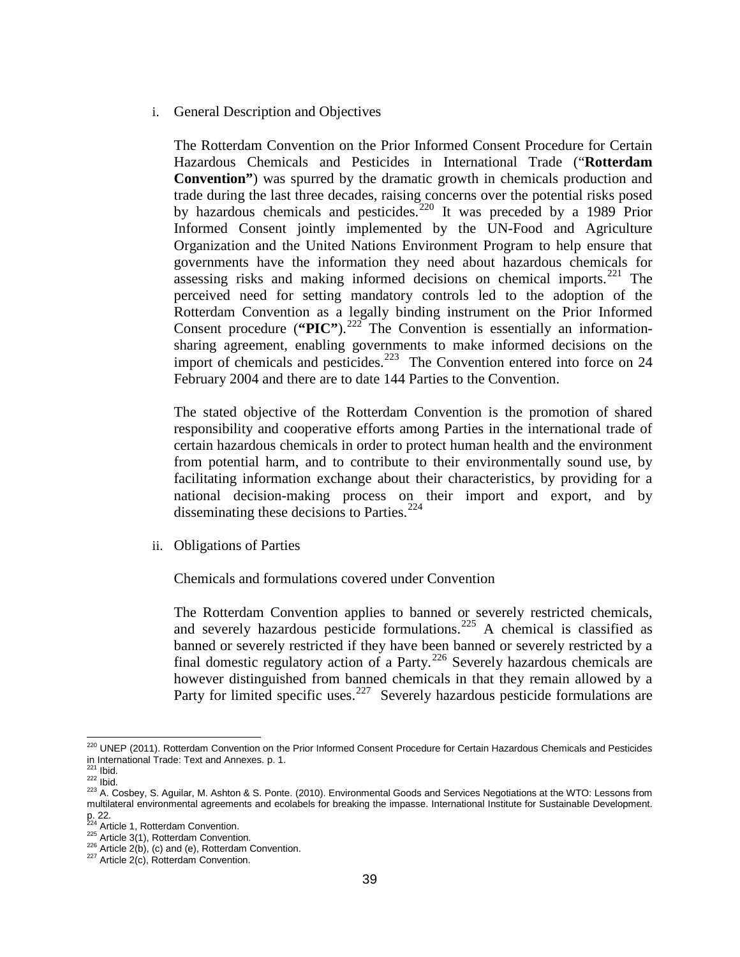i. General Description and Objectives

The Rotterdam Convention on the Prior Informed Consent Procedure for Certain Hazardous Chemicals and Pesticides in International Trade ("**Rotterdam Convention"**) was spurred by the dramatic growth in chemicals production and trade during the last three decades, raising concerns over the potential risks posed by hazardous chemicals and pesticides.<sup>[220](#page-39-0)</sup> It was preceded by a 1989 Prior Informed Consent jointly implemented by the UN-Food and Agriculture Organization and the United Nations Environment Program to help ensure that governments have the information they need about hazardous chemicals for assessing risks and making informed decisions on chemical imports.<sup>[221](#page-39-0)</sup> The perceived need for setting mandatory controls led to the adoption of the Rotterdam Convention as a legally binding instrument on the Prior Informed Consent procedure ("PIC").<sup>[222](#page-39-0)</sup> The Convention is essentially an informationsharing agreement, enabling governments to make informed decisions on the import of chemicals and pesticides.<sup>[223](#page-39-0)</sup> The Convention entered into force on 24 February 2004 and there are to date 144 Parties to the Convention.

The stated objective of the Rotterdam Convention is the promotion of shared responsibility and cooperative efforts among Parties in the international trade of certain hazardous chemicals in order to protect human health and the environment from potential harm, and to contribute to their environmentally sound use, by facilitating information exchange about their characteristics, by providing for a national decision-making process on their import and export, and by disseminating these decisions to Parties.<sup>[224](#page-39-0)</sup>

ii. Obligations of Parties

Chemicals and formulations covered under Convention

The Rotterdam Convention applies to banned or severely restricted chemicals, and severely hazardous pesticide formulations.[225](#page-39-0) A chemical is classified as banned or severely restricted if they have been banned or severely restricted by a final domestic regulatory action of a Party.<sup>[226](#page-39-0)</sup> Severely hazardous chemicals are however distinguished from banned chemicals in that they remain allowed by a Party for limited specific uses.<sup>[227](#page-39-0)</sup> Severely hazardous pesticide formulations are

<span id="page-39-0"></span><sup>&</sup>lt;sup>220</sup> UNEP (2011). Rotterdam Convention on the Prior Informed Consent Procedure for Certain Hazardous Chemicals and Pesticides<br>in International Trade: Text and Annexes. p. 1.

in International Trade: Text and Annexes.<br>
222 Ibid.<br>
223 Ibid. 223 Ibid. 223 A. Cosbey, S. Aguilar, M. Ashton & S. Ponte. (2010). Environmental Goods and Services Negotiations at the WTO: Lessons from multilateral environmental agreements and ecolabels for breaking the impasse. International Institute for Sustainable Development. p. 22.<br><sup>224</sup> Article 1. Rotterdam Convention.

<sup>225</sup> Article 1, Rotterdam Convention.<br>
<sup>226</sup> Article 3(1), Rotterdam Convention. <sup>227</sup> Article 2(b), (c) and (e), Rotterdam Convention.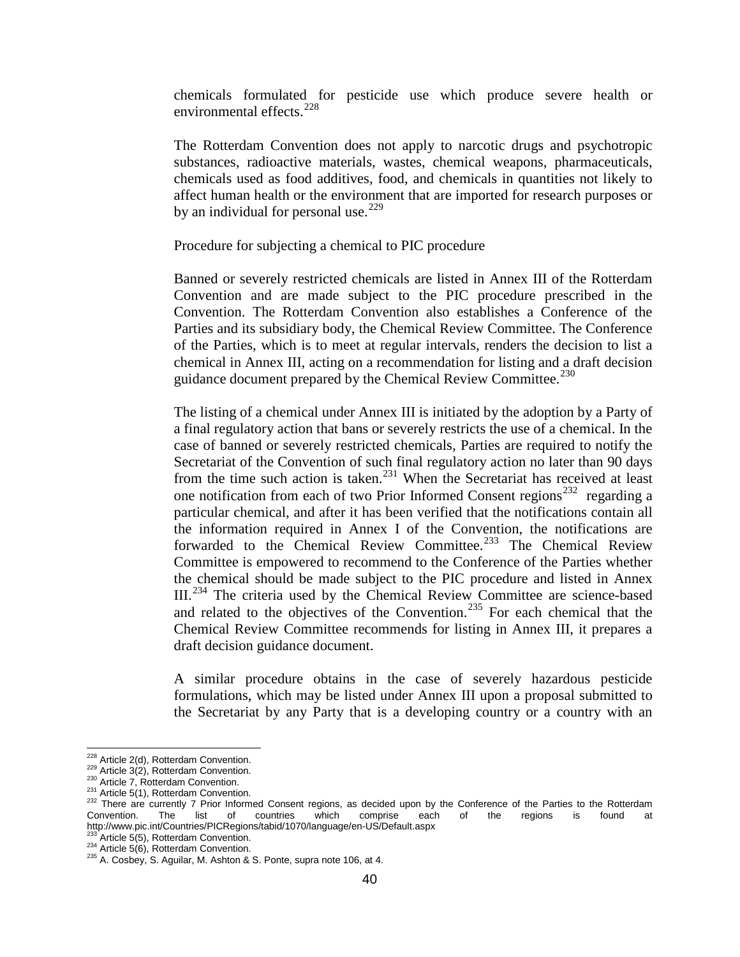chemicals formulated for pesticide use which produce severe health or environmental effects. $^{228}$  $^{228}$  $^{228}$ 

The Rotterdam Convention does not apply to narcotic drugs and psychotropic substances, radioactive materials, wastes, chemical weapons, pharmaceuticals, chemicals used as food additives, food, and chemicals in quantities not likely to affect human health or the environment that are imported for research purposes or by an individual for personal use. $^{229}$  $^{229}$  $^{229}$ 

Procedure for subjecting a chemical to PIC procedure

Banned or severely restricted chemicals are listed in Annex III of the Rotterdam Convention and are made subject to the PIC procedure prescribed in the Convention. The Rotterdam Convention also establishes a Conference of the Parties and its subsidiary body, the Chemical Review Committee. The Conference of the Parties, which is to meet at regular intervals, renders the decision to list a chemical in Annex III, acting on a recommendation for listing and a draft decision guidance document prepared by the Chemical Review Committee.<sup>[230](#page-40-0)</sup>

The listing of a chemical under Annex III is initiated by the adoption by a Party of a final regulatory action that bans or severely restricts the use of a chemical. In the case of banned or severely restricted chemicals, Parties are required to notify the Secretariat of the Convention of such final regulatory action no later than 90 days from the time such action is taken.<sup>[231](#page-40-0)</sup> When the Secretariat has received at least one notification from each of two Prior Informed Consent regions<sup>[232](#page-40-0)</sup> regarding a particular chemical, and after it has been verified that the notifications contain all the information required in Annex I of the Convention, the notifications are forwarded to the Chemical Review Committee.<sup>[233](#page-40-0)</sup> The Chemical Review Committee is empowered to recommend to the Conference of the Parties whether the chemical should be made subject to the PIC procedure and listed in Annex III.[234](#page-40-0) The criteria used by the Chemical Review Committee are science-based and related to the objectives of the Convention.<sup>[235](#page-40-0)</sup> For each chemical that the Chemical Review Committee recommends for listing in Annex III, it prepares a draft decision guidance document.

A similar procedure obtains in the case of severely hazardous pesticide formulations, which may be listed under Annex III upon a proposal submitted to the Secretariat by any Party that is a developing country or a country with an

<span id="page-40-0"></span><sup>&</sup>lt;sup>228</sup> Article 2(d), Rotterdam Convention.<br><sup>229</sup> Article 3(2), Rotterdam Convention.<br><sup>230</sup> Article 7, Rotterdam Convention.<br><sup>231</sup> Article 5(1), Rotterdam Convention.<br><sup>232</sup> There are currently 7 Prior Informed Consent region Convention. The list of countries which comprise each of the regions is found at http://www.pic.int/Countries/PICRegions/tabid/1070/language/en-US/Default.aspx<br><sup>233</sup> Article 5(5), Rotterdam Convention.<br><sup>234</sup> Article 5(6), Rotterdam Convention.<br><sup>235</sup> A. Cosbey, S. Aguilar, M. Ashton & S. Ponte, supra no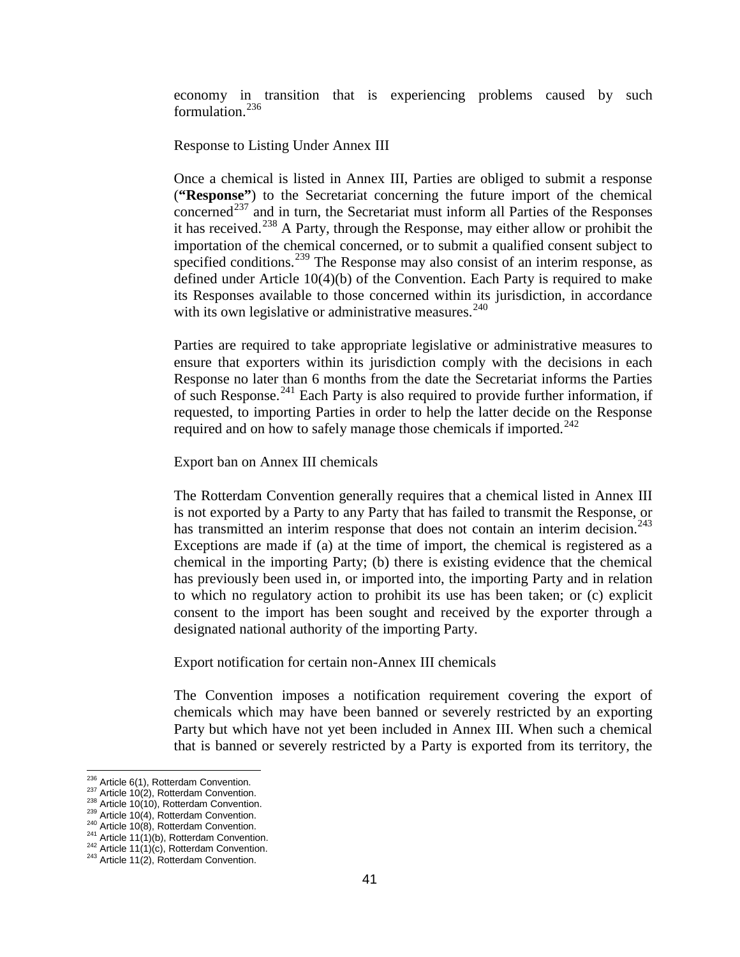economy in transition that is experiencing problems caused by such formulation.[236](#page-41-0)

Response to Listing Under Annex III

Once a chemical is listed in Annex III, Parties are obliged to submit a response (**"Response"**) to the Secretariat concerning the future import of the chemical concerned<sup>[237](#page-41-0)</sup> and in turn, the Secretariat must inform all Parties of the Responses it has received.<sup>[238](#page-41-0)</sup> A Party, through the Response, may either allow or prohibit the importation of the chemical concerned, or to submit a qualified consent subject to specified conditions.<sup>[239](#page-41-0)</sup> The Response may also consist of an interim response, as defined under Article 10(4)(b) of the Convention. Each Party is required to make its Responses available to those concerned within its jurisdiction, in accordance with its own legislative or administrative measures.<sup>[240](#page-41-0)</sup>

Parties are required to take appropriate legislative or administrative measures to ensure that exporters within its jurisdiction comply with the decisions in each Response no later than 6 months from the date the Secretariat informs the Parties of such Response.[241](#page-41-0) Each Party is also required to provide further information, if requested, to importing Parties in order to help the latter decide on the Response required and on how to safely manage those chemicals if imported.<sup>[242](#page-41-0)</sup>

Export ban on Annex III chemicals

The Rotterdam Convention generally requires that a chemical listed in Annex III is not exported by a Party to any Party that has failed to transmit the Response, or has transmitted an interim response that does not contain an interim decision.<sup>[243](#page-41-0)</sup> Exceptions are made if (a) at the time of import, the chemical is registered as a chemical in the importing Party; (b) there is existing evidence that the chemical has previously been used in, or imported into, the importing Party and in relation to which no regulatory action to prohibit its use has been taken; or (c) explicit consent to the import has been sought and received by the exporter through a designated national authority of the importing Party.

Export notification for certain non-Annex III chemicals

The Convention imposes a notification requirement covering the export of chemicals which may have been banned or severely restricted by an exporting Party but which have not yet been included in Annex III. When such a chemical that is banned or severely restricted by a Party is exported from its territory, the

<span id="page-41-0"></span><sup>&</sup>lt;sup>236</sup> Article 6(1), Rotterdam Convention.<br><sup>237</sup> Article 10(2), Rotterdam Convention.<br><sup>238</sup> Article 10(10), Rotterdam Convention.<br><sup>239</sup> Article 10(4), Rotterdam Convention.<br><sup>240</sup> Article 10(8), Rotterdam Convention.<br><sup>241</sup>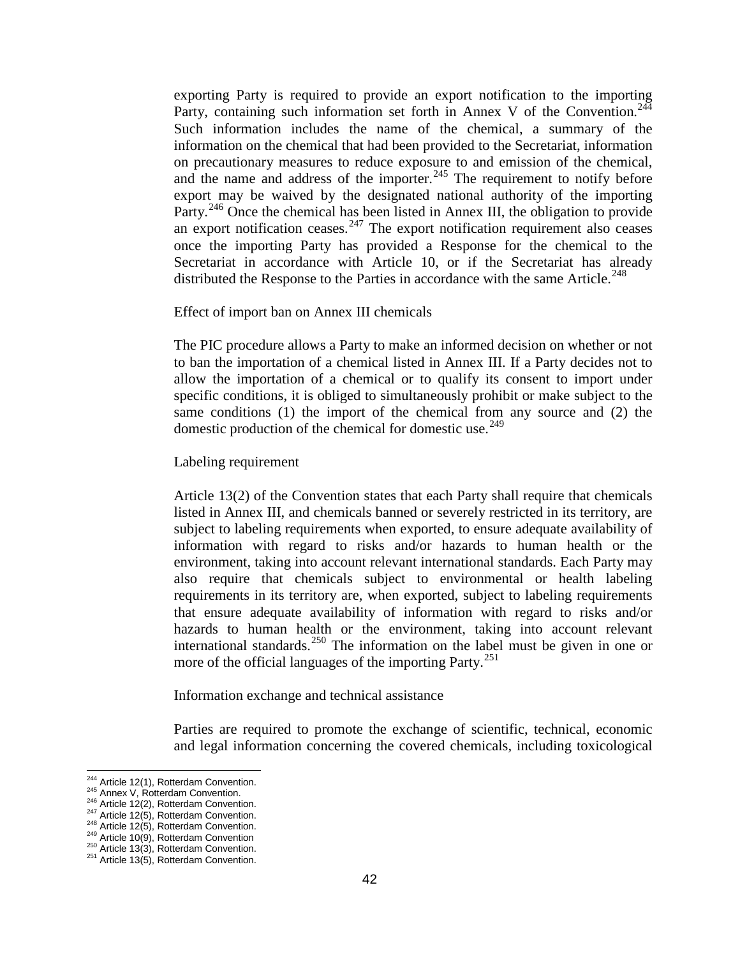exporting Party is required to provide an export notification to the importing Party, containing such information set forth in Annex V of the Convention.<sup>[244](#page-42-0)</sup> Such information includes the name of the chemical, a summary of the information on the chemical that had been provided to the Secretariat, information on precautionary measures to reduce exposure to and emission of the chemical, and the name and address of the importer.<sup>[245](#page-42-0)</sup> The requirement to notify before export may be waived by the designated national authority of the importing Party.<sup>[246](#page-42-0)</sup> Once the chemical has been listed in Annex III, the obligation to provide an export notification ceases.<sup>[247](#page-42-0)</sup> The export notification requirement also ceases once the importing Party has provided a Response for the chemical to the Secretariat in accordance with Article 10, or if the Secretariat has already distributed the Response to the Parties in accordance with the same Article.<sup>[248](#page-42-0)</sup>

Effect of import ban on Annex III chemicals

The PIC procedure allows a Party to make an informed decision on whether or not to ban the importation of a chemical listed in Annex III. If a Party decides not to allow the importation of a chemical or to qualify its consent to import under specific conditions, it is obliged to simultaneously prohibit or make subject to the same conditions (1) the import of the chemical from any source and (2) the domestic production of the chemical for domestic use.<sup>[249](#page-42-0)</sup>

Labeling requirement

Article 13(2) of the Convention states that each Party shall require that chemicals listed in Annex III, and chemicals banned or severely restricted in its territory, are subject to labeling requirements when exported, to ensure adequate availability of information with regard to risks and/or hazards to human health or the environment, taking into account relevant international standards. Each Party may also require that chemicals subject to environmental or health labeling requirements in its territory are, when exported, subject to labeling requirements that ensure adequate availability of information with regard to risks and/or hazards to human health or the environment, taking into account relevant international standards.<sup>[250](#page-42-0)</sup> The information on the label must be given in one or more of the official languages of the importing Party.<sup>[251](#page-42-0)</sup>

Information exchange and technical assistance

Parties are required to promote the exchange of scientific, technical, economic and legal information concerning the covered chemicals, including toxicological

<span id="page-42-0"></span><sup>&</sup>lt;sup>244</sup> Article 12(1), Rotterdam Convention.<br><sup>245</sup> Annex V, Rotterdam Convention.<br><sup>246</sup> Article 12(2), Rotterdam Convention.<br><sup>247</sup> Article 12(5), Rotterdam Convention.<br><sup>248</sup> Article 12(5), Rotterdam Convention.<br><sup>249</sup> Articl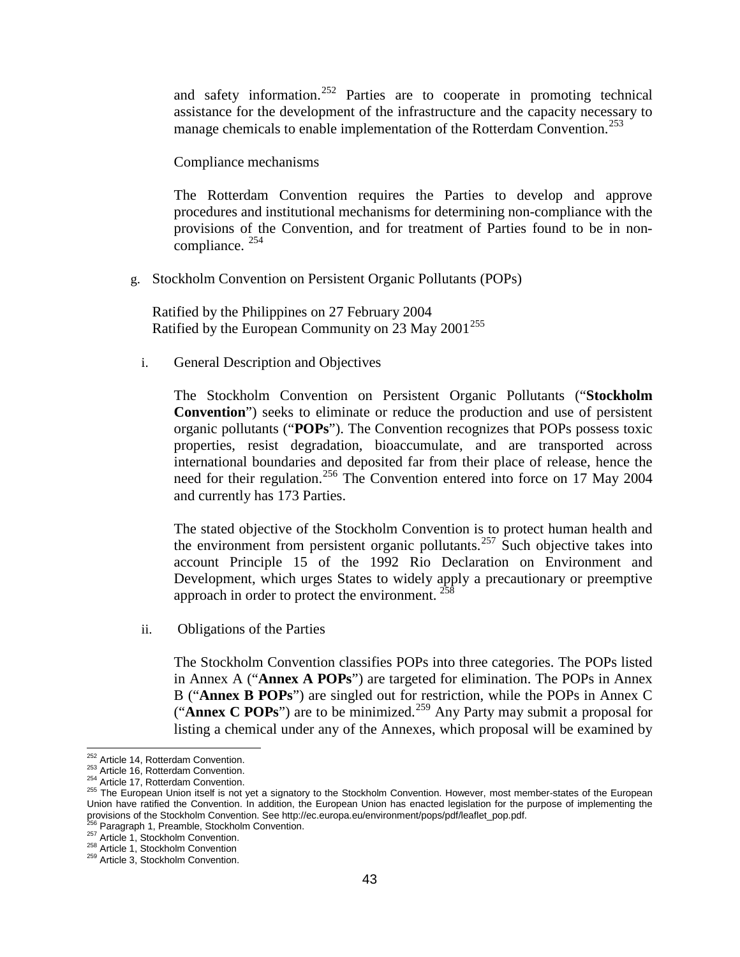and safety information.<sup>[252](#page-43-0)</sup> Parties are to cooperate in promoting technical assistance for the development of the infrastructure and the capacity necessary to manage chemicals to enable implementation of the Rotterdam Convention.<sup>[253](#page-43-0)</sup>

### Compliance mechanisms

The Rotterdam Convention requires the Parties to develop and approve procedures and institutional mechanisms for determining non-compliance with the provisions of the Convention, and for treatment of Parties found to be in noncompliance. [254](#page-43-0)

g. Stockholm Convention on Persistent Organic Pollutants (POPs)

Ratified by the Philippines on 27 February 2004 Ratified by the European Community on 23 May 2001<sup>[255](#page-43-0)</sup>

i. General Description and Objectives

The Stockholm Convention on Persistent Organic Pollutants ("**Stockholm Convention**") seeks to eliminate or reduce the production and use of persistent organic pollutants ("**POPs**"). The Convention recognizes that POPs possess toxic properties, resist degradation, bioaccumulate, and are transported across international boundaries and deposited far from their place of release, hence the need for their regulation.<sup>[256](#page-43-0)</sup> The Convention entered into force on 17 May 2004 and currently has 173 Parties.

The stated objective of the Stockholm Convention is to protect human health and the environment from persistent organic pollutants.<sup>[257](#page-43-0)</sup> Such objective takes into account Principle 15 of the 1992 Rio Declaration on Environment and Development, which urges States to widely apply a precautionary or preemptive approach in order to protect the environment.  $25^{\circ}$ 

ii. Obligations of the Parties

The Stockholm Convention classifies POPs into three categories. The POPs listed in Annex A ("**Annex A POPs**") are targeted for elimination. The POPs in Annex B ("**Annex B POPs**") are singled out for restriction, while the POPs in Annex C ("**Annex C POPs**") are to be minimized.<sup>[259](#page-43-0)</sup> Any Party may submit a proposal for listing a chemical under any of the Annexes, which proposal will be examined by

<span id="page-43-0"></span><sup>&</sup>lt;sup>252</sup> Article 14, Rotterdam Convention.<br><sup>253</sup> Article 16, Rotterdam Convention.<br><sup>254</sup> Article 17, Rotterdam Convention.<br><sup>254</sup> The European Union itself is not yet a signatory to the Stockholm Convention. However, most memb Union have ratified the Convention. In addition, the European Union has enacted legislation for the purpose of implementing the provisions of the Stockholm Convention. See http://ec.europa.eu/environment/pops/pdf/leaflet\_pop.pdf.<br>
<sup>256</sup> Paragraph 1. Preamble. Stockholm Convention.

<sup>&</sup>lt;sup>256</sup> Article 1, Stockholm Convention.<br><sup>258</sup> Article 1, Stockholm Convention.<br><sup>259</sup> Article 3, Stockholm Convention.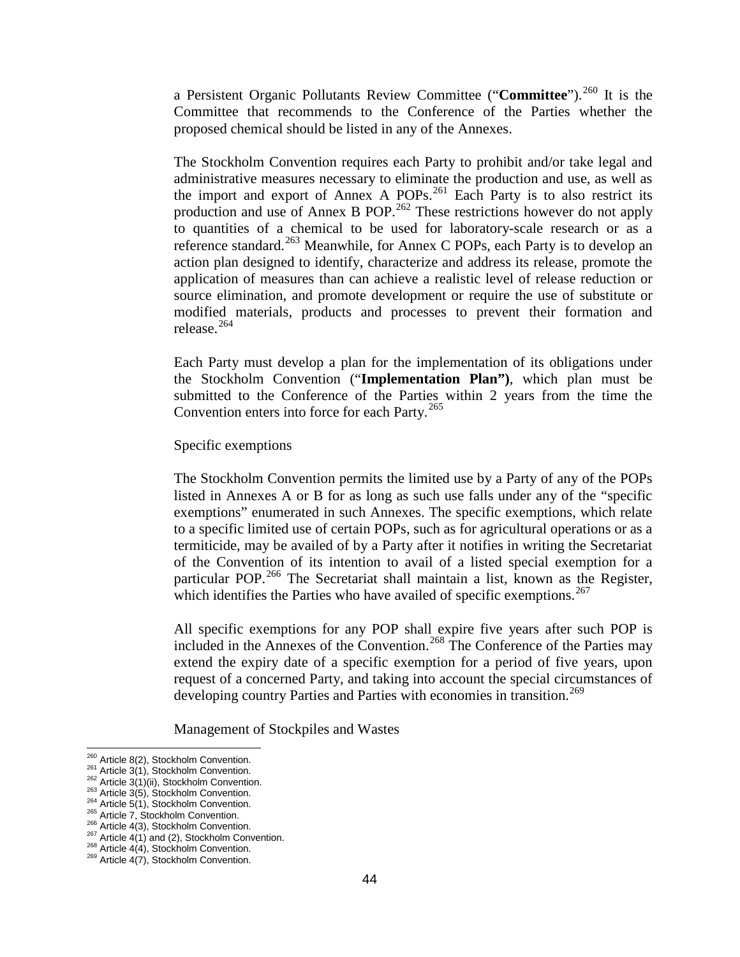a Persistent Organic Pollutants Review Committee ("**Committee**").<sup>[260](#page-44-0)</sup> It is the Committee that recommends to the Conference of the Parties whether the proposed chemical should be listed in any of the Annexes.

The Stockholm Convention requires each Party to prohibit and/or take legal and administrative measures necessary to eliminate the production and use, as well as the import and export of Annex A POPs.<sup>[261](#page-44-0)</sup> Each Party is to also restrict its production and use of Annex B POP.<sup>[262](#page-44-0)</sup> These restrictions however do not apply to quantities of a chemical to be used for laboratory-scale research or as a reference standard.<sup>[263](#page-44-0)</sup> Meanwhile, for Annex C POPs, each Party is to develop an action plan designed to identify, characterize and address its release, promote the application of measures than can achieve a realistic level of release reduction or source elimination, and promote development or require the use of substitute or modified materials, products and processes to prevent their formation and release.[264](#page-44-0)

Each Party must develop a plan for the implementation of its obligations under the Stockholm Convention ("**Implementation Plan")**, which plan must be submitted to the Conference of the Parties within 2 years from the time the Convention enters into force for each Party.<sup>[265](#page-44-0)</sup>

Specific exemptions

The Stockholm Convention permits the limited use by a Party of any of the POPs listed in Annexes A or B for as long as such use falls under any of the "specific exemptions" enumerated in such Annexes. The specific exemptions, which relate to a specific limited use of certain POPs, such as for agricultural operations or as a termiticide, may be availed of by a Party after it notifies in writing the Secretariat of the Convention of its intention to avail of a listed special exemption for a particular POP.<sup>[266](#page-44-0)</sup> The Secretariat shall maintain a list, known as the Register, which identifies the Parties who have availed of specific exemptions.  $267$ 

All specific exemptions for any POP shall expire five years after such POP is included in the Annexes of the Convention.<sup>[268](#page-44-0)</sup> The Conference of the Parties may extend the expiry date of a specific exemption for a period of five years, upon request of a concerned Party, and taking into account the special circumstances of developing country Parties and Parties with economies in transition.<sup>[269](#page-44-0)</sup>

Management of Stockpiles and Wastes

<span id="page-44-0"></span><sup>&</sup>lt;sup>260</sup> Article 8(2), Stockholm Convention.<br><sup>261</sup> Article 3(1), Stockholm Convention.<br><sup>262</sup> Article 3(1)(ii), Stockholm Convention.<br><sup>262</sup> Article 3(5), Stockholm Convention.<br><sup>263</sup> Article 5(1), Stockholm Convention.<br><sup>265</sup> A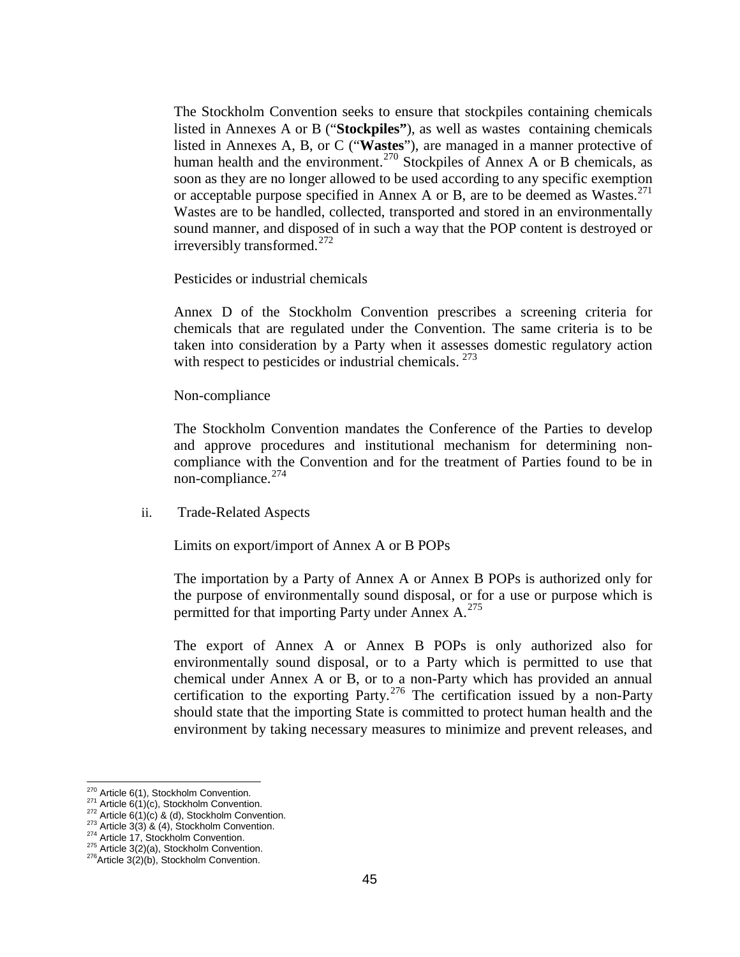The Stockholm Convention seeks to ensure that stockpiles containing chemicals listed in Annexes A or B ("**Stockpiles"**), as well as wastes containing chemicals listed in Annexes A, B, or C ("**Wastes**"), are managed in a manner protective of human health and the environment.<sup>[270](#page-45-0)</sup> Stockpiles of Annex A or B chemicals, as soon as they are no longer allowed to be used according to any specific exemption or acceptable purpose specified in Annex A or B, are to be deemed as Wastes.<sup>[271](#page-45-0)</sup> Wastes are to be handled, collected, transported and stored in an environmentally sound manner, and disposed of in such a way that the POP content is destroyed or irreversibly transformed.<sup>[272](#page-45-0)</sup>

Pesticides or industrial chemicals

Annex D of the Stockholm Convention prescribes a screening criteria for chemicals that are regulated under the Convention. The same criteria is to be taken into consideration by a Party when it assesses domestic regulatory action with respect to pesticides or industrial chemicals. <sup>[273](#page-45-0)</sup>

Non-compliance

The Stockholm Convention mandates the Conference of the Parties to develop and approve procedures and institutional mechanism for determining noncompliance with the Convention and for the treatment of Parties found to be in non-compliance.<sup>[274](#page-45-0)</sup>

ii. Trade-Related Aspects

Limits on export/import of Annex A or B POPs

The importation by a Party of Annex A or Annex B POPs is authorized only for the purpose of environmentally sound disposal, or for a use or purpose which is permitted for that importing Party under Annex A.<sup>[275](#page-45-0)</sup>

The export of Annex A or Annex B POPs is only authorized also for environmentally sound disposal, or to a Party which is permitted to use that chemical under Annex A or B, or to a non-Party which has provided an annual certification to the exporting  $Party$ <sup>[276](#page-45-0)</sup>. The certification issued by a non-Party should state that the importing State is committed to protect human health and the environment by taking necessary measures to minimize and prevent releases, and

<span id="page-45-0"></span><sup>&</sup>lt;sup>270</sup> Article 6(1), Stockholm Convention.<br>
<sup>271</sup> Article 6(1)(c), Stockholm Convention.<br>
<sup>272</sup> Article 6(1)(c) & (d), Stockholm Convention.<br>
<sup>273</sup> Article 3(3) & (4), Stockholm Convention.<br>
<sup>274</sup> Article 17, Stockholm Con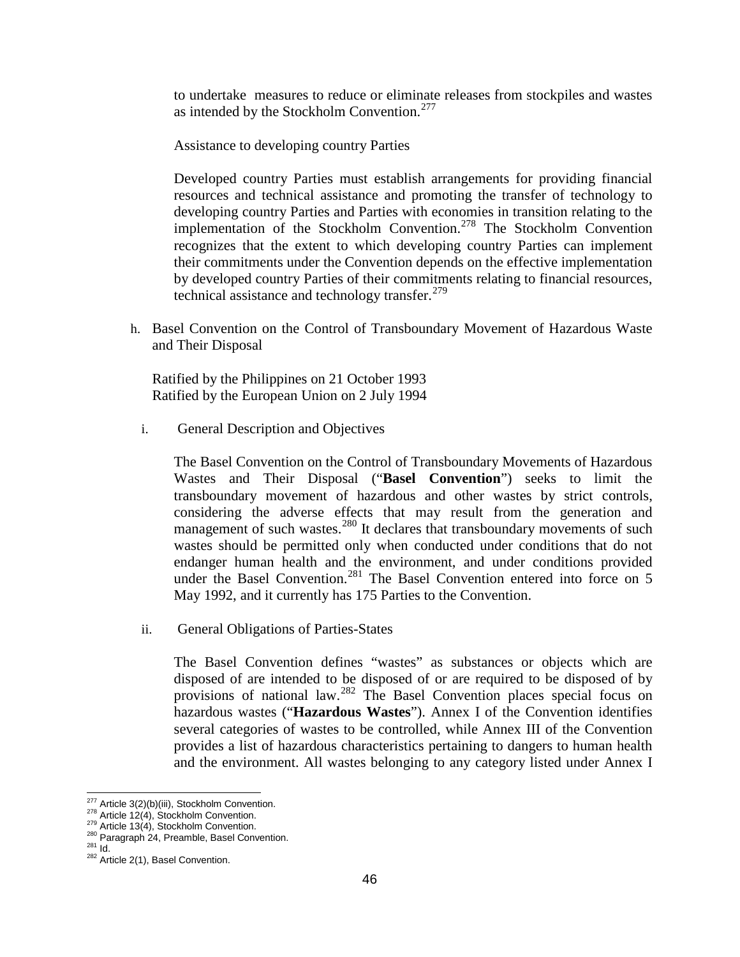to undertake measures to reduce or eliminate releases from stockpiles and wastes as intended by the Stockholm Convention.<sup>[277](#page-46-0)</sup>

Assistance to developing country Parties

Developed country Parties must establish arrangements for providing financial resources and technical assistance and promoting the transfer of technology to developing country Parties and Parties with economies in transition relating to the implementation of the Stockholm Convention.<sup>[278](#page-46-0)</sup> The Stockholm Convention recognizes that the extent to which developing country Parties can implement their commitments under the Convention depends on the effective implementation by developed country Parties of their commitments relating to financial resources, technical assistance and technology transfer. $279$ 

h. Basel Convention on the Control of Transboundary Movement of Hazardous Waste and Their Disposal

Ratified by the Philippines on 21 October 1993 Ratified by the European Union on 2 July 1994

i. General Description and Objectives

The Basel Convention on the Control of Transboundary Movements of Hazardous Wastes and Their Disposal ("**Basel Convention**") seeks to limit the transboundary movement of hazardous and other wastes by strict controls, considering the adverse effects that may result from the generation and management of such wastes.<sup>[280](#page-46-0)</sup> It declares that transboundary movements of such wastes should be permitted only when conducted under conditions that do not endanger human health and the environment, and under conditions provided under the Basel Convention.<sup>[281](#page-46-0)</sup> The Basel Convention entered into force on 5 May 1992, and it currently has 175 Parties to the Convention.

ii. General Obligations of Parties-States

The Basel Convention defines "wastes" as substances or objects which are disposed of are intended to be disposed of or are required to be disposed of by provisions of national law.<sup>[282](#page-46-0)</sup> The Basel Convention places special focus on hazardous wastes ("**Hazardous Wastes**"). Annex I of the Convention identifies several categories of wastes to be controlled, while Annex III of the Convention provides a list of hazardous characteristics pertaining to dangers to human health and the environment. All wastes belonging to any category listed under Annex I

<span id="page-46-0"></span><sup>&</sup>lt;sup>277</sup> Article 3(2)(b)(iii), Stockholm Convention.<br><sup>279</sup> Article 12(4), Stockholm Convention.<br><sup>279</sup> Article 13(4), Stockholm Convention.<br><sup>280</sup> Paragraph 24, Preamble, Basel Convention.<br><sup>281</sup> Id.<br><sup>282</sup> Article 2(1), Basel C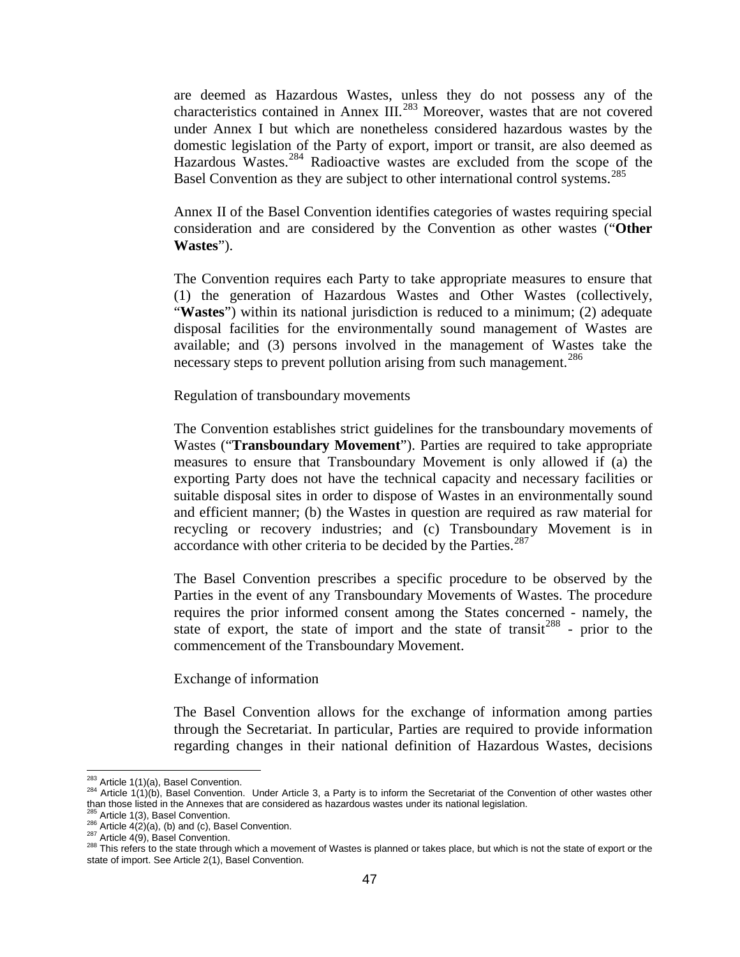are deemed as Hazardous Wastes, unless they do not possess any of the characteristics contained in Annex III.[283](#page-47-0) Moreover, wastes that are not covered under Annex I but which are nonetheless considered hazardous wastes by the domestic legislation of the Party of export, import or transit, are also deemed as Hazardous Wastes.<sup>[284](#page-47-0)</sup> Radioactive wastes are excluded from the scope of the Basel Convention as they are subject to other international control systems.<sup>[285](#page-47-0)</sup>

Annex II of the Basel Convention identifies categories of wastes requiring special consideration and are considered by the Convention as other wastes ("**Other Wastes**").

The Convention requires each Party to take appropriate measures to ensure that (1) the generation of Hazardous Wastes and Other Wastes (collectively, "**Wastes**") within its national jurisdiction is reduced to a minimum; (2) adequate disposal facilities for the environmentally sound management of Wastes are available; and (3) persons involved in the management of Wastes take the necessary steps to prevent pollution arising from such management.<sup>[286](#page-47-0)</sup>

Regulation of transboundary movements

The Convention establishes strict guidelines for the transboundary movements of Wastes ("**Transboundary Movement**"). Parties are required to take appropriate measures to ensure that Transboundary Movement is only allowed if (a) the exporting Party does not have the technical capacity and necessary facilities or suitable disposal sites in order to dispose of Wastes in an environmentally sound and efficient manner; (b) the Wastes in question are required as raw material for recycling or recovery industries; and (c) Transboundary Movement is in accordance with other criteria to be decided by the Parties.<sup>[287](#page-47-0)</sup>

The Basel Convention prescribes a specific procedure to be observed by the Parties in the event of any Transboundary Movements of Wastes. The procedure requires the prior informed consent among the States concerned - namely, the state of export, the state of import and the state of transit<sup>[288](#page-47-0)</sup> - prior to the commencement of the Transboundary Movement.

#### Exchange of information

The Basel Convention allows for the exchange of information among parties through the Secretariat. In particular, Parties are required to provide information regarding changes in their national definition of Hazardous Wastes, decisions

<span id="page-47-0"></span><sup>&</sup>lt;sup>283</sup> Article 1(1)(a), Basel Convention.<br><sup>284</sup> Article 1(1)(b), Basel Convention. Under Article 3, a Party is to inform the Secretariat of the Convention of other wastes other than those listed in the Annexes that are considered as hazardous wastes under its national legislation.<br>  $2^{25}$  Article 1(3), Basel Convention.

<sup>286</sup> Article 4(2)(a), (b) and (c), Basel Convention.<br>287 Article 4(9), Basel Convention.<br>287 Article 4(9), Basel Convention.<br>288 This refers to the state through which a movement of Wastes is planned or takes place, but whi state of import. See Article 2(1), Basel Convention.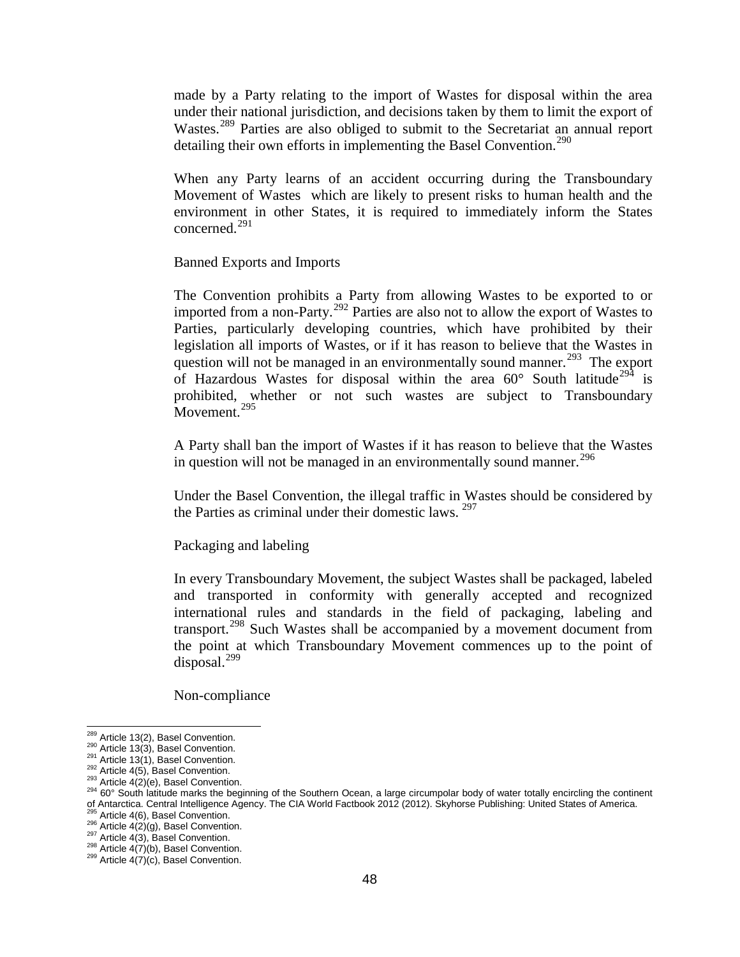made by a Party relating to the import of Wastes for disposal within the area under their national jurisdiction, and decisions taken by them to limit the export of Wastes.<sup>[289](#page-48-0)</sup> Parties are also obliged to submit to the Secretariat an annual report detailing their own efforts in implementing the Basel Convention.<sup>[290](#page-48-0)</sup>

When any Party learns of an accident occurring during the Transboundary Movement of Wastes which are likely to present risks to human health and the environment in other States, it is required to immediately inform the States concerned.[291](#page-48-0)

Banned Exports and Imports

The Convention prohibits a Party from allowing Wastes to be exported to or imported from a non-Party.[292](#page-48-0) Parties are also not to allow the export of Wastes to Parties, particularly developing countries, which have prohibited by their legislation all imports of Wastes, or if it has reason to believe that the Wastes in question will not be managed in an environmentally sound manner.<sup>293</sup> The export of Hazardous Wastes for disposal within the area  $60^{\circ}$  South latitude<sup>[294](#page-48-0)</sup> is prohibited, whether or not such wastes are subject to Transboundary Movement.<sup>[295](#page-48-0)</sup>

A Party shall ban the import of Wastes if it has reason to believe that the Wastes in question will not be managed in an environmentally sound manner.<sup>[296](#page-48-0)</sup>

Under the Basel Convention, the illegal traffic in Wastes should be considered by the Parties as criminal under their domestic laws. <sup>[297](#page-48-0)</sup>

Packaging and labeling

In every Transboundary Movement, the subject Wastes shall be packaged, labeled and transported in conformity with generally accepted and recognized international rules and standards in the field of packaging, labeling and transport.[298](#page-48-0) Such Wastes shall be accompanied by a movement document from the point at which Transboundary Movement commences up to the point of  $disposal.<sup>299</sup>$  $disposal.<sup>299</sup>$  $disposal.<sup>299</sup>$ 

Non-compliance

<span id="page-48-0"></span><sup>&</sup>lt;sup>289</sup> Article 13(2), Basel Convention.<br><sup>290</sup> Article 13(3), Basel Convention.<br><sup>291</sup> Article 13(1), Basel Convention.<br><sup>292</sup> Article 4(5), Basel Convention.<br><sup>292</sup> Article 4(2)(e), Basel Convention.<br><sup>294</sup> 60° South latitude m of Antarctica. Central Intelligence Agency. The CIA World Factbook 2012 (2012). Skyhorse Publishing: United States of America.<br><sup>296</sup> Article 4(6), Basel Convention.<br><sup>296</sup> Article 4(6), Basel Convention.<br><sup>296</sup> Article 4(2)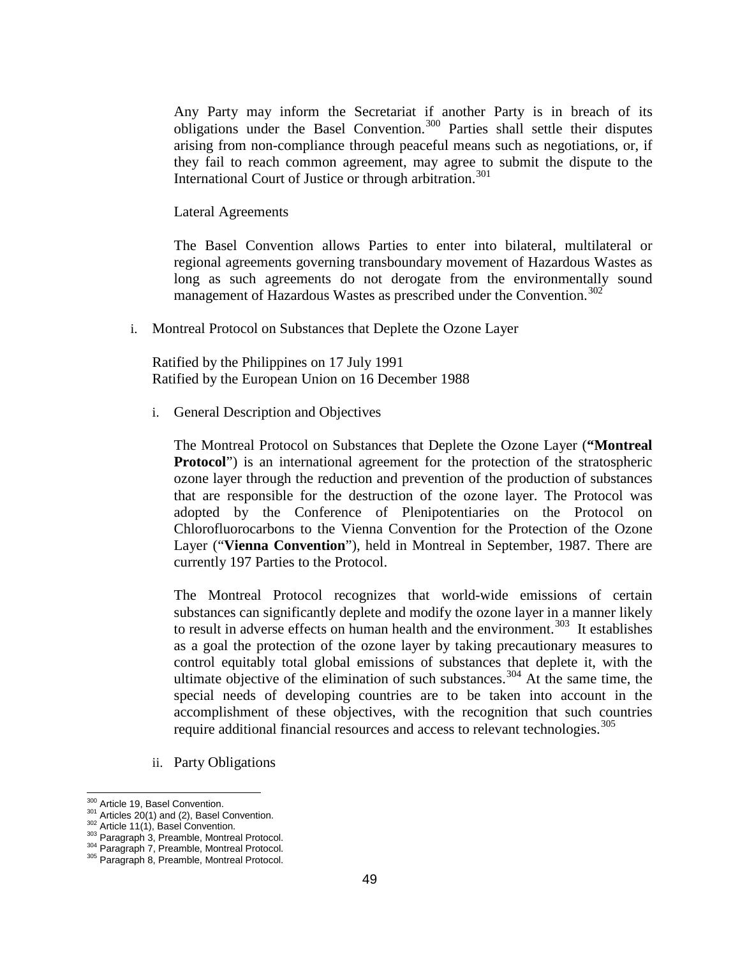Any Party may inform the Secretariat if another Party is in breach of its obligations under the Basel Convention.[300](#page-49-0) Parties shall settle their disputes arising from non-compliance through peaceful means such as negotiations, or, if they fail to reach common agreement, may agree to submit the dispute to the International Court of Justice or through arbitration.<sup>[301](#page-49-0)</sup>

Lateral Agreements

The Basel Convention allows Parties to enter into bilateral, multilateral or regional agreements governing transboundary movement of Hazardous Wastes as long as such agreements do not derogate from the environmentally sound management of Hazardous Wastes as prescribed under the Convention.<sup>[302](#page-49-0)</sup>

i. Montreal Protocol on Substances that Deplete the Ozone Layer

Ratified by the Philippines on 17 July 1991 Ratified by the European Union on 16 December 1988

i. General Description and Objectives

The Montreal Protocol on Substances that Deplete the Ozone Layer (**"Montreal Protocol**") is an international agreement for the protection of the stratospheric ozone layer through the reduction and prevention of the production of substances that are responsible for the destruction of the ozone layer. The Protocol was adopted by the Conference of Plenipotentiaries on the Protocol on Chlorofluorocarbons to the Vienna Convention for the Protection of the Ozone Layer ("**Vienna Convention**"), held in Montreal in September, 1987. There are currently 197 Parties to the Protocol.

The Montreal Protocol recognizes that world-wide emissions of certain substances can significantly deplete and modify the ozone layer in a manner likely to result in adverse effects on human health and the environment.<sup>303</sup> It establishes as a goal the protection of the ozone layer by taking precautionary measures to control equitably total global emissions of substances that deplete it, with the ultimate objective of the elimination of such substances.<sup>[304](#page-49-0)</sup> At the same time, the special needs of developing countries are to be taken into account in the accomplishment of these objectives, with the recognition that such countries require additional financial resources and access to relevant technologies.<sup>[305](#page-49-0)</sup>

ii. Party Obligations

<span id="page-49-0"></span><sup>&</sup>lt;sup>300</sup> Article 19, Basel Convention.<br><sup>301</sup> Articles 20(1) and (2), Basel Convention.<br><sup>302</sup> Article 11(1), Basel Convention.<br><sup>303</sup> Paragraph 3, Preamble, Montreal Protocol.<br><sup>304</sup> Paragraph 7, Preamble, Montreal Protocol.<br><sup>3</sup>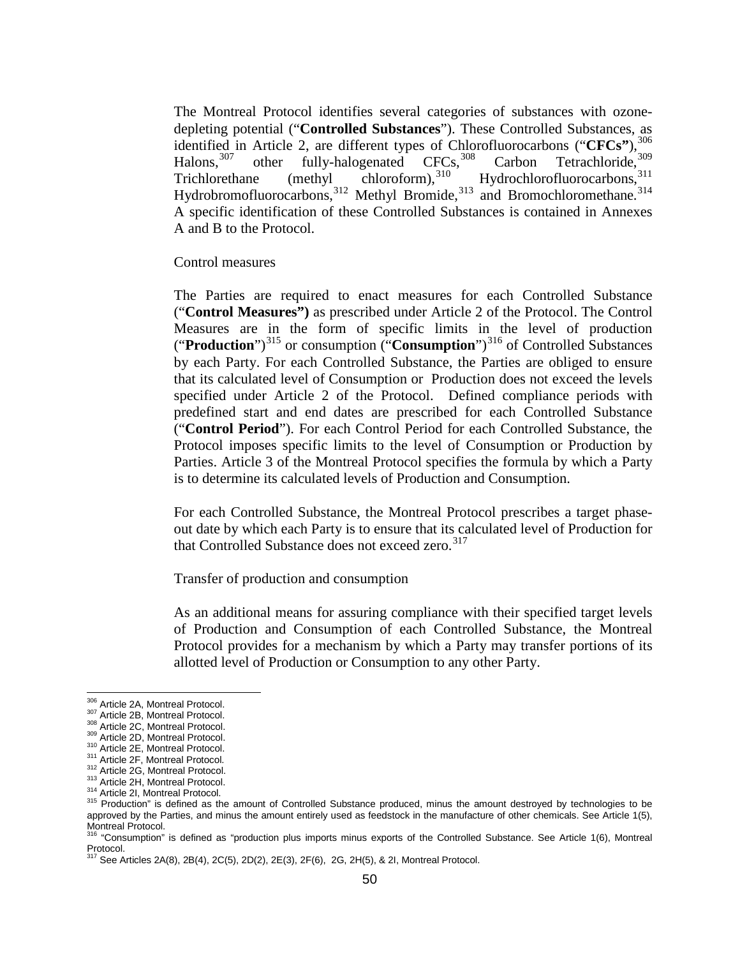The Montreal Protocol identifies several categories of substances with ozonedepleting potential ("**Controlled Substances**"). These Controlled Substances, as identified in Article 2, are different types of Chlorofluorocarbons ("**CFCs**"),<sup>[306](#page-50-0)</sup><br>Halons,<sup>307</sup> other fully-halogenated CFCs,<sup>308</sup> Carbon Tetrachloride.<sup>309</sup> Halons,<sup>[307](#page-50-0)</sup> other fully-halogenated CFCs,<sup>[308](#page-50-0)</sup> Carbon Tetrachloride,<sup>[309](#page-50-0)</sup> Trichlorethane (methyl chloroform),<sup>[310](#page-50-0)</sup> Hydrochlorofluorocarbons,<sup>[311](#page-50-0)</sup> Hydrobromofluorocarbons,  $312$  Methyl Bromide,  $313$  and Bromochloromethane.  $314$ A specific identification of these Controlled Substances is contained in Annexes A and B to the Protocol.

Control measures

The Parties are required to enact measures for each Controlled Substance ("**Control Measures")** as prescribed under Article 2 of the Protocol. The Control Measures are in the form of specific limits in the level of production ("**Production**")<sup>[315](#page-50-0)</sup> or consumption ("**Consumption**")<sup>[316](#page-50-0)</sup> of Controlled Substances by each Party. For each Controlled Substance, the Parties are obliged to ensure that its calculated level of Consumption or Production does not exceed the levels specified under Article 2 of the Protocol. Defined compliance periods with predefined start and end dates are prescribed for each Controlled Substance ("**Control Period**"). For each Control Period for each Controlled Substance, the Protocol imposes specific limits to the level of Consumption or Production by Parties. Article 3 of the Montreal Protocol specifies the formula by which a Party is to determine its calculated levels of Production and Consumption.

For each Controlled Substance, the Montreal Protocol prescribes a target phaseout date by which each Party is to ensure that its calculated level of Production for that Controlled Substance does not exceed zero.<sup>[317](#page-50-0)</sup>

Transfer of production and consumption

As an additional means for assuring compliance with their specified target levels of Production and Consumption of each Controlled Substance, the Montreal Protocol provides for a mechanism by which a Party may transfer portions of its allotted level of Production or Consumption to any other Party.

<span id="page-50-0"></span><sup>306</sup> Article 2A, Montreal Protocol.<br>
307 Article 2B, Montreal Protocol.<br>
308 Article 2C, Montreal Protocol.<br>
308 Article 2C, Montreal Protocol.<br>
311 Article 2F, Montreal Protocol.<br>
312 Article 2G, Montreal Protocol.<br>
314 Ar approved by the Parties, and minus the amount entirely used as feedstock in the manufacture of other chemicals. See Article 1(5), Montreal Protocol.

<sup>316</sup> "Consumption" is defined as "production plus imports minus exports of the Controlled Substance. See Article 1(6), Montreal Protocol.<br>317 Cee A

See Articles 2A(8), 2B(4), 2C(5), 2D(2), 2E(3), 2F(6), 2G, 2H(5), & 2I, Montreal Protocol.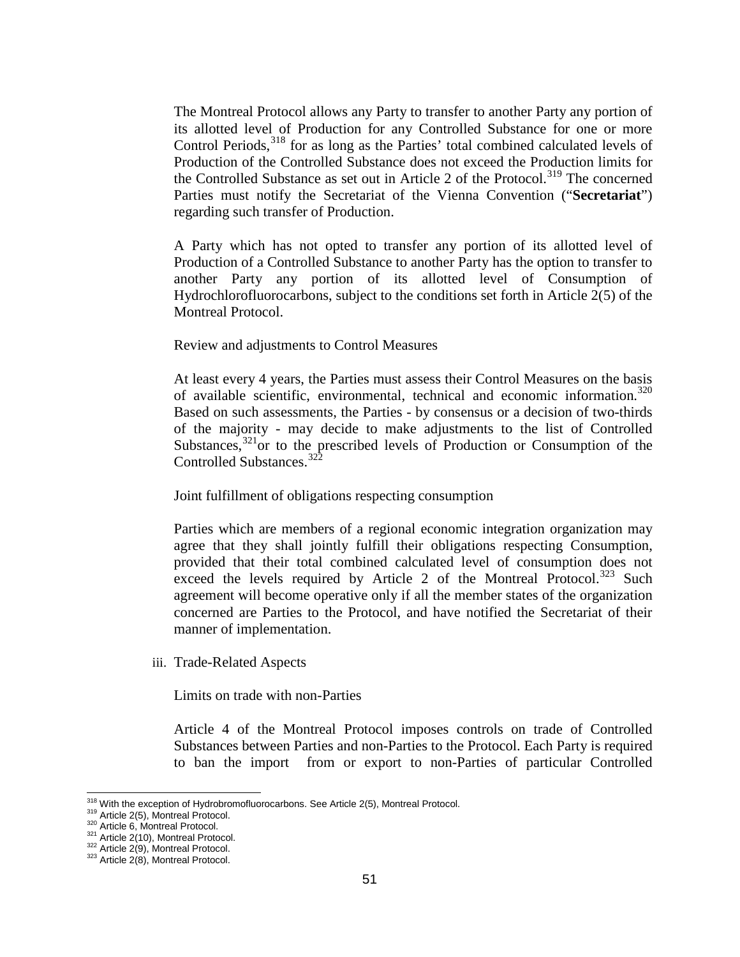The Montreal Protocol allows any Party to transfer to another Party any portion of its allotted level of Production for any Controlled Substance for one or more Control Periods,<sup>[318](#page-51-0)</sup> for as long as the Parties' total combined calculated levels of Production of the Controlled Substance does not exceed the Production limits for the Controlled Substance as set out in Article 2 of the Protocol.<sup>[319](#page-51-0)</sup> The concerned Parties must notify the Secretariat of the Vienna Convention ("**Secretariat**") regarding such transfer of Production.

A Party which has not opted to transfer any portion of its allotted level of Production of a Controlled Substance to another Party has the option to transfer to another Party any portion of its allotted level of Consumption of Hydrochlorofluorocarbons, subject to the conditions set forth in Article 2(5) of the Montreal Protocol.

### Review and adjustments to Control Measures

At least every 4 years, the Parties must assess their Control Measures on the basis of available scientific, environmental, technical and economic information.<sup>[320](#page-51-0)</sup> Based on such assessments, the Parties - by consensus or a decision of two-thirds of the majority - may decide to make adjustments to the list of Controlled Substances, $321$ <sup>or</sup> to the prescribed levels of Production or Consumption of the Controlled Substances.[322](#page-51-0)

Joint fulfillment of obligations respecting consumption

Parties which are members of a regional economic integration organization may agree that they shall jointly fulfill their obligations respecting Consumption, provided that their total combined calculated level of consumption does not exceed the levels required by Article 2 of the Montreal Protocol. $323$  Such agreement will become operative only if all the member states of the organization concerned are Parties to the Protocol, and have notified the Secretariat of their manner of implementation.

iii. Trade-Related Aspects

Limits on trade with non-Parties

Article 4 of the Montreal Protocol imposes controls on trade of Controlled Substances between Parties and non-Parties to the Protocol. Each Party is required to ban the import from or export to non-Parties of particular Controlled

<span id="page-51-0"></span><sup>&</sup>lt;sup>318</sup> With the exception of Hydrobromofluorocarbons. See Article 2(5), Montreal Protocol.<br><sup>319</sup> Article 2(5), Montreal Protocol.<br><sup>320</sup> Article 6, Montreal Protocol.<br><sup>321</sup> Article 2(10), Montreal Protocol.<br><sup>322</sup> Article 2(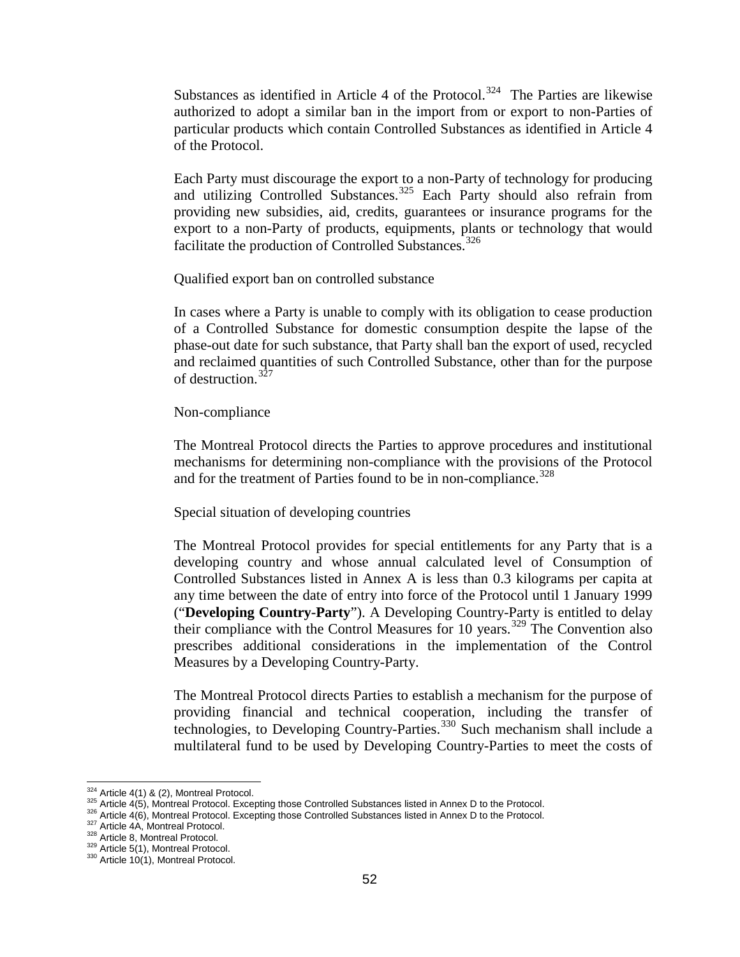Substances as identified in Article 4 of the Protocol.<sup>324</sup> The Parties are likewise authorized to adopt a similar ban in the import from or export to non-Parties of particular products which contain Controlled Substances as identified in Article 4 of the Protocol.

Each Party must discourage the export to a non-Party of technology for producing and utilizing Controlled Substances.<sup>[325](#page-52-0)</sup> Each Party should also refrain from providing new subsidies, aid, credits, guarantees or insurance programs for the export to a non-Party of products, equipments, plants or technology that would facilitate the production of Controlled Substances. $326$ 

Qualified export ban on controlled substance

In cases where a Party is unable to comply with its obligation to cease production of a Controlled Substance for domestic consumption despite the lapse of the phase-out date for such substance, that Party shall ban the export of used, recycled and reclaimed quantities of such Controlled Substance, other than for the purpose of destruction.[327](#page-52-0)

### Non-compliance

The Montreal Protocol directs the Parties to approve procedures and institutional mechanisms for determining non-compliance with the provisions of the Protocol and for the treatment of Parties found to be in non-compliance.<sup>[328](#page-52-0)</sup>

### Special situation of developing countries

The Montreal Protocol provides for special entitlements for any Party that is a developing country and whose annual calculated level of Consumption of Controlled Substances listed in Annex A is less than 0.3 kilograms per capita at any time between the date of entry into force of the Protocol until 1 January 1999 ("**Developing Country-Party**"). A Developing Country-Party is entitled to delay their compliance with the Control Measures for 10 years.[329](#page-52-0) The Convention also prescribes additional considerations in the implementation of the Control Measures by a Developing Country-Party.

The Montreal Protocol directs Parties to establish a mechanism for the purpose of providing financial and technical cooperation, including the transfer of technologies, to Developing Country-Parties.[330](#page-52-0) Such mechanism shall include a multilateral fund to be used by Developing Country-Parties to meet the costs of

<span id="page-52-0"></span><sup>&</sup>lt;sup>324</sup> Article 4(1) & (2), Montreal Protocol.<br><sup>325</sup> Article 4(5), Montreal Protocol. Excepting those Controlled Substances listed in Annex D to the Protocol.<br><sup>326</sup> Article 4(6), Montreal Protocol. Excepting those Controlle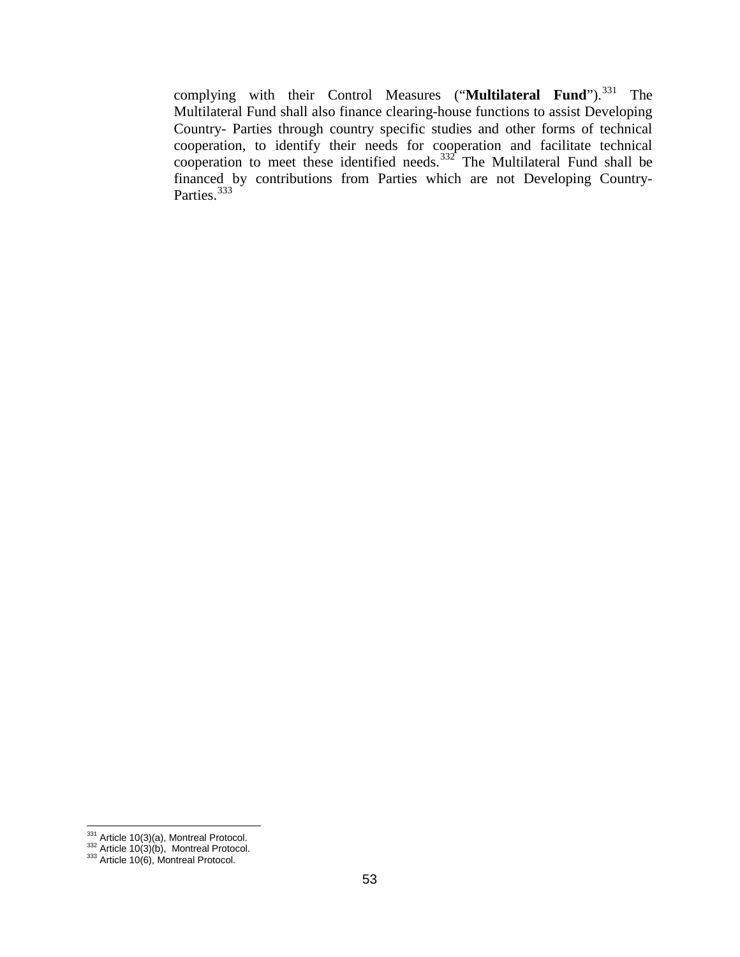complying with their Control Measures ("Multilateral Fund").<sup>[331](#page-53-0)</sup> The Multilateral Fund shall also finance clearing-house functions to assist Developing Country- Parties through country specific studies and other forms of technical cooperation, to identify their needs for cooperation and facilitate technical cooperation to meet these identified needs.<sup>[332](#page-53-0)</sup> The Multilateral Fund shall be financed by contributions from Parties which are not Developing Country-Parties.<sup>[333](#page-53-0)</sup>

<span id="page-53-0"></span> $331$  Article 10(3)(a), Montreal Protocol.<br> $332$  Article 10(3)(b), Montreal Protocol.<br> $333$  Article 10(6), Montreal Protocol.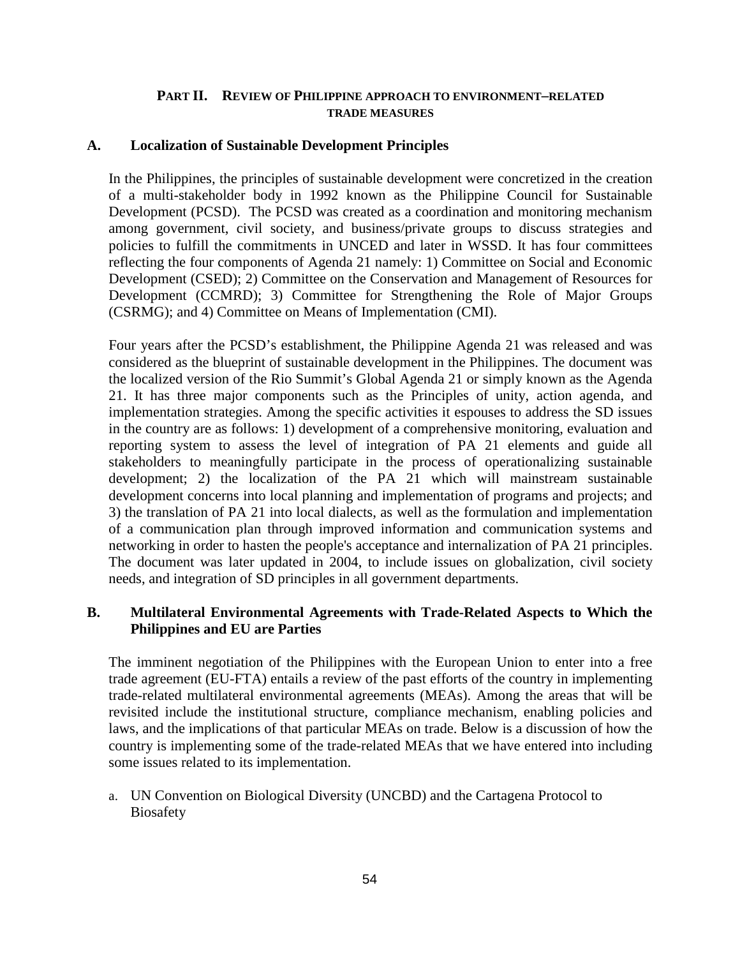# **PART II. REVIEW OF PHILIPPINE APPROACH TO ENVIRONMENT–RELATED TRADE MEASURES**

### **A. Localization of Sustainable Development Principles**

In the Philippines, the principles of sustainable development were concretized in the creation of a multi-stakeholder body in 1992 known as the Philippine Council for Sustainable Development (PCSD). The PCSD was created as a coordination and monitoring mechanism among government, civil society, and business/private groups to discuss strategies and policies to fulfill the commitments in UNCED and later in WSSD. It has four committees reflecting the four components of Agenda 21 namely: 1) Committee on Social and Economic Development (CSED); 2) Committee on the Conservation and Management of Resources for Development (CCMRD); 3) Committee for Strengthening the Role of Major Groups (CSRMG); and 4) Committee on Means of Implementation (CMI).

Four years after the PCSD's establishment, the Philippine Agenda 21 was released and was considered as the blueprint of sustainable development in the Philippines. The document was the localized version of the Rio Summit's Global Agenda 21 or simply known as the Agenda 21. It has three major components such as the Principles of unity, action agenda, and implementation strategies. Among the specific activities it espouses to address the SD issues in the country are as follows: 1) development of a comprehensive monitoring, evaluation and reporting system to assess the level of integration of PA 21 elements and guide all stakeholders to meaningfully participate in the process of operationalizing sustainable development; 2) the localization of the PA 21 which will mainstream sustainable development concerns into local planning and implementation of programs and projects; and 3) the translation of PA 21 into local dialects, as well as the formulation and implementation of a communication plan through improved information and communication systems and networking in order to hasten the people's acceptance and internalization of PA 21 principles. The document was later updated in 2004, to include issues on globalization, civil society needs, and integration of SD principles in all government departments.

# **B. Multilateral Environmental Agreements with Trade-Related Aspects to Which the Philippines and EU are Parties**

The imminent negotiation of the Philippines with the European Union to enter into a free trade agreement (EU-FTA) entails a review of the past efforts of the country in implementing trade-related multilateral environmental agreements (MEAs). Among the areas that will be revisited include the institutional structure, compliance mechanism, enabling policies and laws, and the implications of that particular MEAs on trade. Below is a discussion of how the country is implementing some of the trade-related MEAs that we have entered into including some issues related to its implementation.

a. UN Convention on Biological Diversity (UNCBD) and the Cartagena Protocol to Biosafety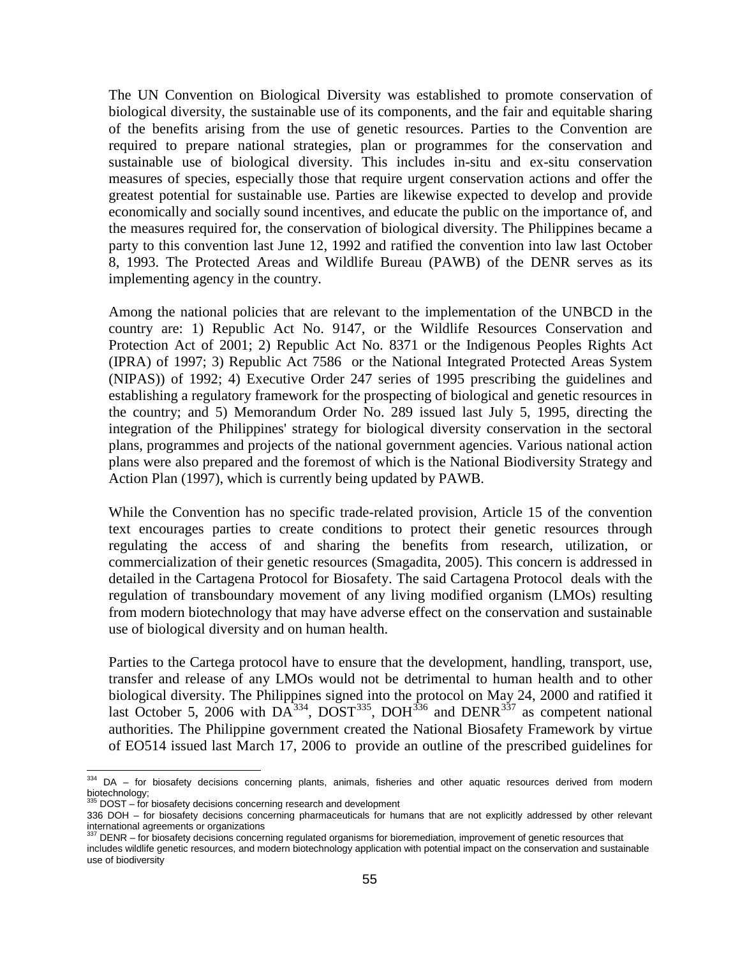The UN Convention on Biological Diversity was established to promote conservation of biological diversity, the sustainable use of its components, and the fair and equitable sharing of the benefits arising from the use of genetic resources. Parties to the Convention are required to prepare national strategies, plan or programmes for the conservation and sustainable use of biological diversity. This includes in-situ and ex-situ conservation measures of species, especially those that require urgent conservation actions and offer the greatest potential for sustainable use. Parties are likewise expected to develop and provide economically and socially sound incentives, and educate the public on the importance of, and the measures required for, the conservation of biological diversity. The Philippines became a party to this convention last June 12, 1992 and ratified the convention into law last October 8, 1993. The Protected Areas and Wildlife Bureau (PAWB) of the DENR serves as its implementing agency in the country.

Among the national policies that are relevant to the implementation of the UNBCD in the country are: 1) [Republic Act No. 9147, or the Wildlife Resources Conservation and](http://www.cbd.int/abs/measures/measure.shtml?id=8229)  [Protection Act](http://www.cbd.int/abs/measures/measure.shtml?id=8229) of 2001; 2) [Republic Act No. 8371 or the Indigenous Peoples Rights Act](http://www.cbd.int/abs/measures/measure.shtml?id=51184)  [\(IPRA\) of 1997;](http://www.cbd.int/abs/measures/measure.shtml?id=51184) 3) Republic Act 7586 or the National Integrated Protected Areas System (NIPAS)) of 1992; 4) [Executive Order 247 series of 1995 p](http://www.cbd.int/abs/measures/measure.shtml?id=7100)rescribing the guidelines and establishing a regulatory framework for the prospecting of biological and genetic resources in the country; and 5) Memorandum Order No. 289 issued last July 5, 1995, directing the integration of the Philippines' strategy for biological diversity conservation in the sectoral plans, programmes and projects of the national government agencies. Various national action plans were also prepared and the foremost of which is the [National Biodiversity Strategy and](http://www.chm.ph/index.php?option=com_content&view=article&id=87&Itemid=104)  [Action Plan \(1997\),](http://www.chm.ph/index.php?option=com_content&view=article&id=87&Itemid=104) which is currently being updated by PAWB.

While the Convention has no specific trade-related provision, Article 15 of the convention text encourages parties to create conditions to protect their genetic resources through regulating the access of and sharing the benefits from research, utilization, or commercialization of their genetic resources (Smagadita, 2005). This concern is addressed in detailed in the Cartagena Protocol for Biosafety. The said Cartagena Protocol deals with the regulation of transboundary movement of any living modified organism (LMOs) resulting from modern biotechnology that may have adverse effect on the conservation and sustainable use of biological diversity and on human health.

Parties to the Cartega protocol have to ensure that the development, handling, transport, use, transfer and release of any LMOs would not be detrimental to human health and to other biological diversity. The Philippines signed into the protocol on May 24, 2000 and ratified it last October 5, 2006 with  $DA^{334}$  $DA^{334}$  $DA^{334}$ , DOST<sup>[335](#page-55-0)</sup>, DOH<sup>[336](#page-55-0)</sup> and DENR<sup>[337](#page-55-0)</sup> as competent national authorities. The Philippine government created the National Biosafety Framework by virtue of EO514 issued last March 17, 2006 to provide an outline of the prescribed guidelines for

<span id="page-55-0"></span><sup>334</sup> DA – for biosafety decisions concerning plants, animals, fisheries and other aquatic resources derived from modern biotechnology;<br><sup>335</sup> DOST – for biosafety decisions concerning research and development

<sup>336</sup> DOH – for biosafety decisions concerning pharmaceuticals for humans that are not explicitly addressed by other relevant international agreements or organizations<br>
<sup>337</sup> DEND for his section of organizations

<sup>337</sup> DENR – for biosafety decisions concerning regulated organisms for bioremediation, improvement of genetic resources that includes wildlife genetic resources, and modern biotechnology application with potential impact on the conservation and sustainable use of biodiversity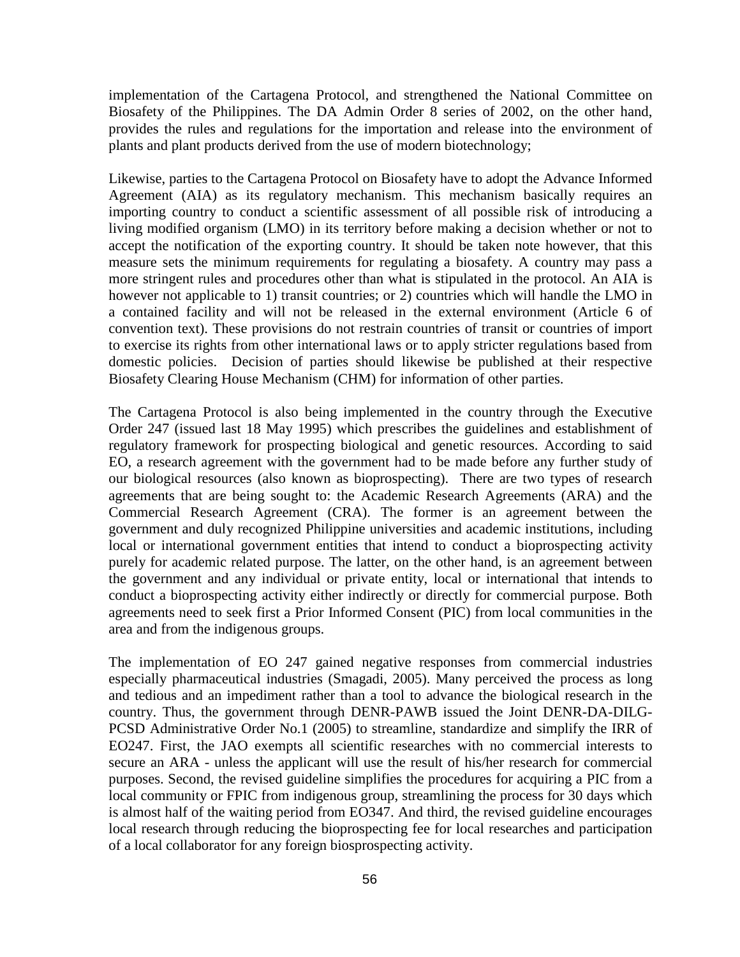implementation of the Cartagena Protocol, and strengthened the National Committee on Biosafety of the Philippines. The DA Admin Order 8 series of 2002, on the other hand, provides the rules and regulations for the importation and release into the environment of plants and plant products derived from the use of modern biotechnology;

Likewise, parties to the Cartagena Protocol on Biosafety have to adopt the Advance Informed Agreement (AIA) as its regulatory mechanism. This mechanism basically requires an importing country to conduct a scientific assessment of all possible risk of introducing a living modified organism (LMO) in its territory before making a decision whether or not to accept the notification of the exporting country. It should be taken note however, that this measure sets the minimum requirements for regulating a biosafety. A country may pass a more stringent rules and procedures other than what is stipulated in the protocol. An AIA is however not applicable to 1) transit countries; or 2) countries which will handle the LMO in a contained facility and will not be released in the external environment (Article 6 of convention text). These provisions do not restrain countries of transit or countries of import to exercise its rights from other international laws or to apply stricter regulations based from domestic policies. Decision of parties should likewise be published at their respective Biosafety Clearing House Mechanism (CHM) for information of other parties.

The Cartagena Protocol is also being implemented in the country through the Executive Order 247 (issued last 18 May 1995) which prescribes the guidelines and establishment of regulatory framework for prospecting biological and genetic resources. According to said EO, a research agreement with the government had to be made before any further study of our biological resources (also known as bioprospecting). There are two types of research agreements that are being sought to: the Academic Research Agreements (ARA) and the Commercial Research Agreement (CRA). The former is an agreement between the government and duly recognized Philippine universities and academic institutions, including local or international government entities that intend to conduct a bioprospecting activity purely for academic related purpose. The latter, on the other hand, is an agreement between the government and any individual or private entity, local or international that intends to conduct a bioprospecting activity either indirectly or directly for commercial purpose. Both agreements need to seek first a Prior Informed Consent (PIC) from local communities in the area and from the indigenous groups.

The implementation of EO 247 gained negative responses from commercial industries especially pharmaceutical industries (Smagadi, 2005). Many perceived the process as long and tedious and an impediment rather than a tool to advance the biological research in the country. Thus, the government through DENR-PAWB issued the Joint DENR-DA-DILG-PCSD Administrative Order No.1 (2005) to streamline, standardize and simplify the IRR of EO247. First, the JAO exempts all scientific researches with no commercial interests to secure an ARA - unless the applicant will use the result of his/her research for commercial purposes. Second, the revised guideline simplifies the procedures for acquiring a PIC from a local community or FPIC from indigenous group, streamlining the process for 30 days which is almost half of the waiting period from EO347. And third, the revised guideline encourages local research through reducing the bioprospecting fee for local researches and participation of a local collaborator for any foreign biosprospecting activity.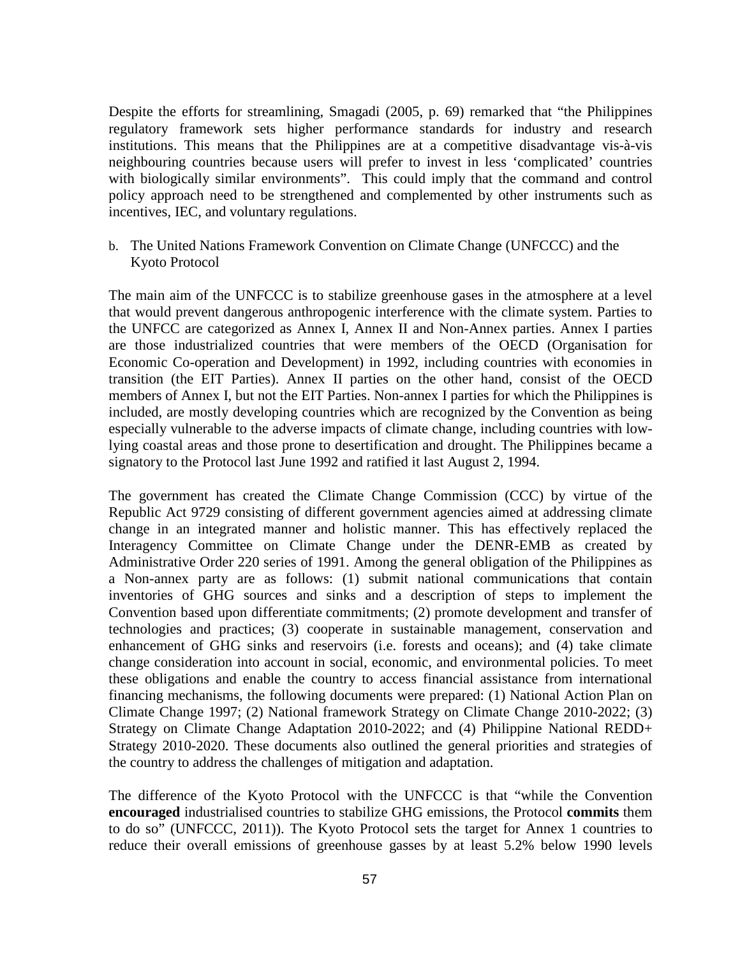Despite the efforts for streamlining, Smagadi (2005, p. 69) remarked that "the Philippines regulatory framework sets higher performance standards for industry and research institutions. This means that the Philippines are at a competitive disadvantage vis-à-vis neighbouring countries because users will prefer to invest in less 'complicated' countries with biologically similar environments". This could imply that the command and control policy approach need to be strengthened and complemented by other instruments such as incentives, IEC, and voluntary regulations.

b. The United Nations Framework Convention on Climate Change (UNFCCC) and the Kyoto Protocol

The main aim of the UNFCCC is to stabilize greenhouse gases in the atmosphere at a level that would prevent dangerous anthropogenic interference with the climate system. Parties to the UNFCC are categorized as Annex I, Annex II and Non-Annex parties. Annex I parties are those industrialized countries that were members of the OECD (Organisation for Economic Co-operation and Development) in 1992, including countries with economies in transition (the EIT Parties). Annex II parties on the other hand, consist of the OECD members of Annex I, but not the EIT Parties. Non-annex I parties for which the Philippines is included, are mostly developing countries which are recognized by the Convention as being especially vulnerable to the adverse impacts of climate change, including countries with lowlying coastal areas and those prone to desertification and drought. The Philippines became a signatory to the Protocol last June 1992 and ratified it last August 2, 1994.

The government has created the Climate Change Commission (CCC) by virtue of the Republic Act 9729 consisting of different government agencies aimed at addressing climate change in an integrated manner and holistic manner. This has effectively replaced the Interagency Committee on Climate Change under the DENR-EMB as created by Administrative Order 220 series of 1991. Among the general obligation of the Philippines as a Non-annex party are as follows: (1) submit national communications that contain inventories of GHG sources and sinks and a description of steps to implement the Convention based upon differentiate commitments; (2) promote development and transfer of technologies and practices; (3) cooperate in sustainable management, conservation and enhancement of GHG sinks and reservoirs (i.e. forests and oceans); and (4) take climate change consideration into account in social, economic, and environmental policies. To meet these obligations and enable the country to access financial assistance from international financing mechanisms, the following documents were prepared: (1) National Action Plan on Climate Change 1997; (2) National framework Strategy on Climate Change 2010-2022; (3) Strategy on Climate Change Adaptation 2010-2022; and (4) Philippine National REDD+ Strategy 2010-2020. These documents also outlined the general priorities and strategies of the country to address the challenges of mitigation and adaptation.

The difference of the Kyoto Protocol with the UNFCCC is that "while the Convention **encouraged** industrialised countries to stabilize GHG emissions, the Protocol **commits** them to do so" (UNFCCC, 2011)). The Kyoto Protocol sets the target for Annex 1 countries to reduce their overall emissions of greenhouse gasses by at least 5.2% below 1990 levels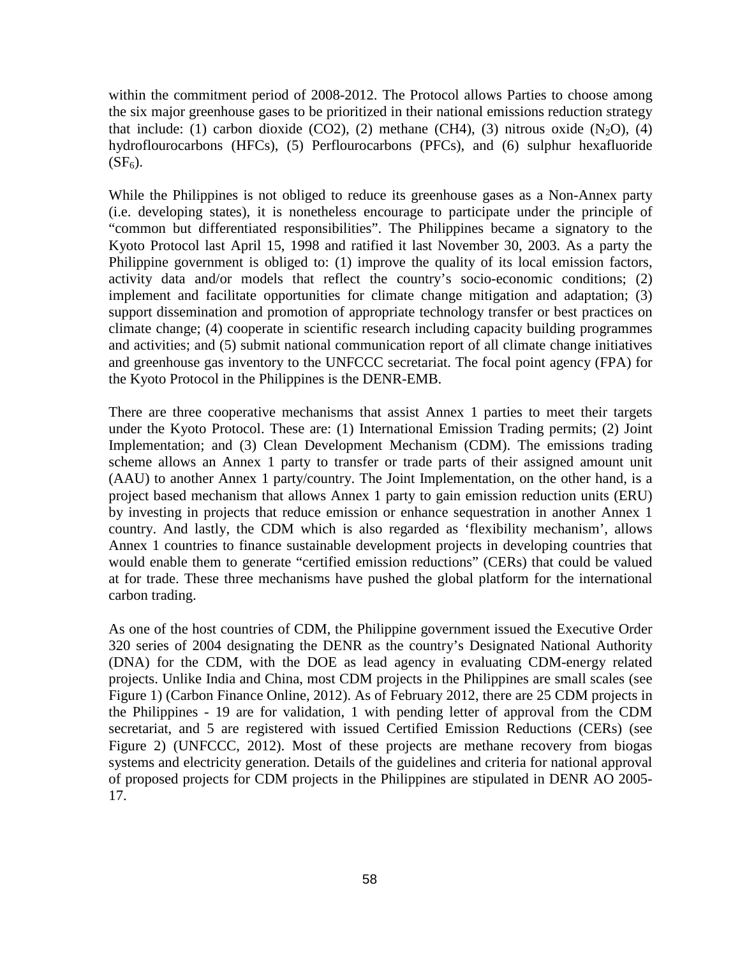within the commitment period of 2008-2012. The Protocol allows Parties to choose among the six major greenhouse gases to be prioritized in their national emissions reduction strategy that include: (1) carbon dioxide  $(CO2)$ , (2) methane  $(CH4)$ , (3) nitrous oxide  $(N<sub>2</sub>O)$ , (4) hydroflourocarbons (HFCs), (5) Perflourocarbons (PFCs), and (6) sulphur hexafluoride  $(SF_6)$ .

While the Philippines is not obliged to reduce its greenhouse gases as a Non-Annex party (i.e. developing states), it is nonetheless encourage to participate under the principle of "common but differentiated responsibilities". The Philippines became a signatory to the Kyoto Protocol last April 15, 1998 and ratified it last November 30, 2003. As a party the Philippine government is obliged to: (1) improve the quality of its local emission factors, activity data and/or models that reflect the country's socio-economic conditions; (2) implement and facilitate opportunities for climate change mitigation and adaptation; (3) support dissemination and promotion of appropriate technology transfer or best practices on climate change; (4) cooperate in scientific research including capacity building programmes and activities; and (5) submit national communication report of all climate change initiatives and greenhouse gas inventory to the UNFCCC secretariat. The focal point agency (FPA) for the Kyoto Protocol in the Philippines is the DENR-EMB.

There are three cooperative mechanisms that assist Annex 1 parties to meet their targets under the Kyoto Protocol. These are: (1) International Emission Trading permits; (2) Joint Implementation; and (3) Clean Development Mechanism (CDM). The emissions trading scheme allows an Annex 1 party to transfer or trade parts of their assigned amount unit (AAU) to another Annex 1 party/country. The Joint Implementation, on the other hand, is a project based mechanism that allows Annex 1 party to gain emission reduction units (ERU) by investing in projects that reduce emission or enhance sequestration in another Annex 1 country. And lastly, the CDM which is also regarded as 'flexibility mechanism', allows Annex 1 countries to finance sustainable development projects in developing countries that would enable them to generate "certified emission reductions" (CERs) that could be valued at for trade. These three mechanisms have pushed the global platform for the international carbon trading.

As one of the host countries of CDM, the Philippine government issued the Executive Order 320 series of 2004 designating the DENR as the country's Designated National Authority (DNA) for the CDM, with the DOE as lead agency in evaluating CDM-energy related projects. Unlike India and China, most CDM projects in the Philippines are small scales (see Figure 1) (Carbon Finance Online, 2012). As of February 2012, there are 25 CDM projects in the Philippines - 19 are for validation, 1 with pending letter of approval from the CDM secretariat, and 5 are registered with issued Certified Emission Reductions (CERs) (see Figure 2) (UNFCCC, 2012). Most of these projects are methane recovery from biogas systems and electricity generation. Details of the guidelines and criteria for national approval of proposed projects for CDM projects in the Philippines are stipulated in DENR AO 2005- 17.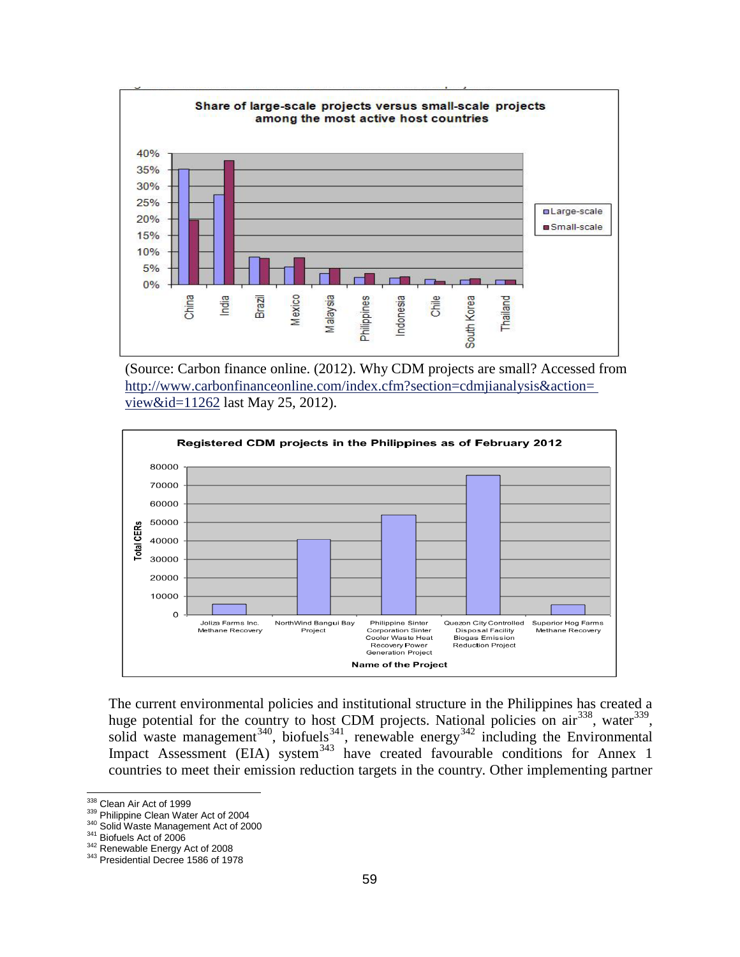

(Source: Carbon finance online. (2012). Why CDM projects are small? Accessed from [http://www.carbonfinanceonline.com/index.cfm?section=cdmjianalysis&action=](http://livepage.apple.com/)  [view&id=11262](http://livepage.apple.com/) last May 25, 2012).



The current environmental policies and institutional structure in the Philippines has created a huge potential for the country to host CDM projects. National policies on air<sup>338</sup>, water<sup>[339](#page-59-0)</sup>, solid waste management<sup>[340](#page-59-0)</sup>, biofuels<sup>[341](#page-59-0)</sup>, renewable energy<sup>[342](#page-59-0)</sup> including the Environmental Impact Assessment (EIA) system<sup>[343](#page-59-0)</sup> have created favourable conditions for Annex 1 countries to meet their emission reduction targets in the country. Other implementing partner

<span id="page-59-0"></span><sup>&</sup>lt;sup>338</sup> Clean Air Act of 1999<br><sup>339</sup> Philippine Clean Water Act of 2004<br><sup>340</sup> Solid Waste Management Act of 2000<br><sup>341</sup> Biofuels Act of 2006<br><sup>342</sup> Renewable Energy Act of 2008<br><sup>343</sup> Presidential Decree 1586 of 1978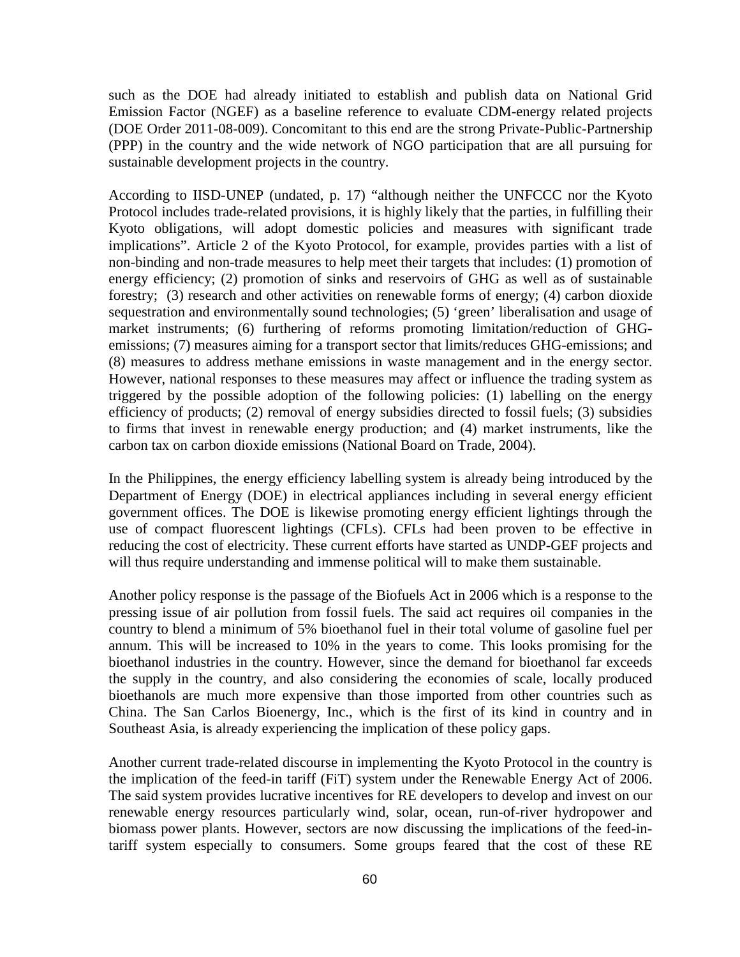such as the DOE had already initiated to establish and publish data on National Grid Emission Factor (NGEF) as a baseline reference to evaluate CDM-energy related projects (DOE Order 2011-08-009). Concomitant to this end are the strong Private-Public-Partnership (PPP) in the country and the wide network of NGO participation that are all pursuing for sustainable development projects in the country.

According to IISD-UNEP (undated, p. 17) "although neither the UNFCCC nor the Kyoto Protocol includes trade-related provisions, it is highly likely that the parties, in fulfilling their Kyoto obligations, will adopt domestic policies and measures with significant trade implications". Article 2 of the Kyoto Protocol, for example, provides parties with a list of non-binding and non-trade measures to help meet their targets that includes: (1) promotion of energy efficiency; (2) promotion of sinks and reservoirs of GHG as well as of sustainable forestry; (3) research and other activities on renewable forms of energy; (4) carbon dioxide sequestration and environmentally sound technologies; (5) 'green' liberalisation and usage of market instruments; (6) furthering of reforms promoting limitation/reduction of GHGemissions; (7) measures aiming for a transport sector that limits/reduces GHG-emissions; and (8) measures to address methane emissions in waste management and in the energy sector. However, national responses to these measures may affect or influence the trading system as triggered by the possible adoption of the following policies: (1) labelling on the energy efficiency of products; (2) removal of energy subsidies directed to fossil fuels; (3) subsidies to firms that invest in renewable energy production; and (4) market instruments, like the carbon tax on carbon dioxide emissions (National Board on Trade, 2004).

In the Philippines, the energy efficiency labelling system is already being introduced by the Department of Energy (DOE) in electrical appliances including in several energy efficient government offices. The DOE is likewise promoting energy efficient lightings through the use of compact fluorescent lightings (CFLs). CFLs had been proven to be effective in reducing the cost of electricity. These current efforts have started as UNDP-GEF projects and will thus require understanding and immense political will to make them sustainable.

Another policy response is the passage of the Biofuels Act in 2006 which is a response to the pressing issue of air pollution from fossil fuels. The said act requires oil companies in the country to blend a minimum of 5% bioethanol fuel in their total volume of gasoline fuel per annum. This will be increased to 10% in the years to come. This looks promising for the bioethanol industries in the country. However, since the demand for bioethanol far exceeds the supply in the country, and also considering the economies of scale, locally produced bioethanols are much more expensive than those imported from other countries such as China. The San Carlos Bioenergy, Inc., which is the first of its kind in country and in Southeast Asia, is already experiencing the implication of these policy gaps.

Another current trade-related discourse in implementing the Kyoto Protocol in the country is the implication of the feed-in tariff (FiT) system under the Renewable Energy Act of 2006. The said system provides lucrative incentives for RE developers to develop and invest on our renewable energy resources particularly wind, solar, ocean, run-of-river hydropower and biomass power plants. However, sectors are now discussing the implications of the feed-intariff system especially to consumers. Some groups feared that the cost of these RE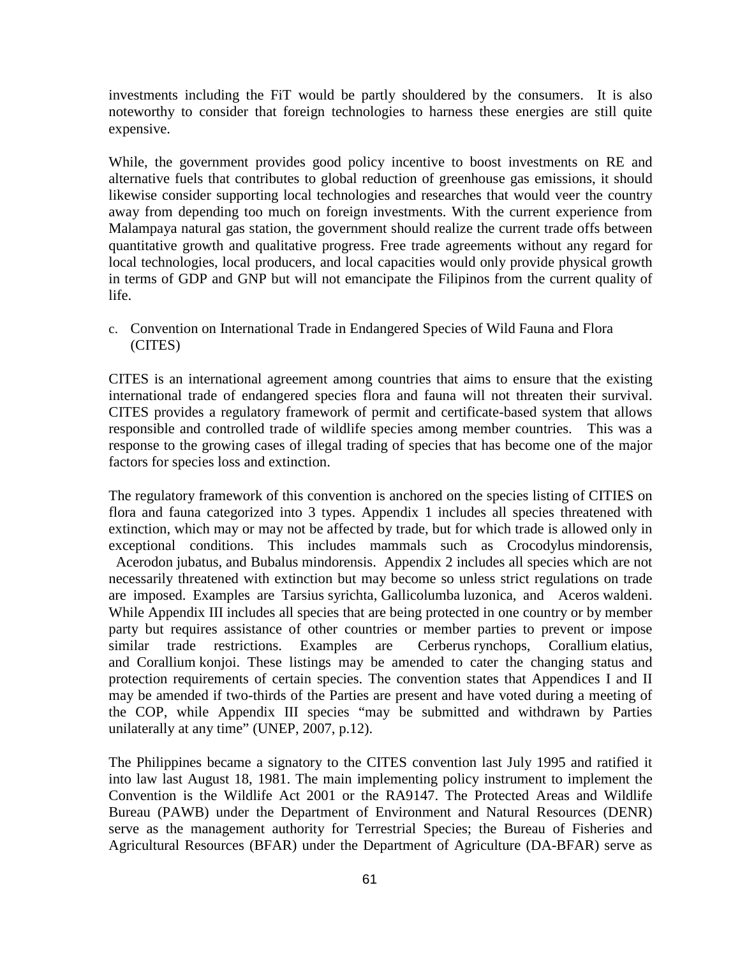investments including the FiT would be partly shouldered by the consumers. It is also noteworthy to consider that foreign technologies to harness these energies are still quite expensive.

While, the government provides good policy incentive to boost investments on RE and alternative fuels that contributes to global reduction of greenhouse gas emissions, it should likewise consider supporting local technologies and researches that would veer the country away from depending too much on foreign investments. With the current experience from Malampaya natural gas station, the government should realize the current trade offs between quantitative growth and qualitative progress. Free trade agreements without any regard for local technologies, local producers, and local capacities would only provide physical growth in terms of GDP and GNP but will not emancipate the Filipinos from the current quality of life.

c. Convention on International Trade in Endangered Species of Wild Fauna and Flora (CITES)

CITES is an international agreement among countries that aims to ensure that the existing international trade of endangered species flora and fauna will not threaten their survival. CITES provides a regulatory framework of permit and certificate-based system that allows responsible and controlled trade of wildlife species among member countries. This was a response to the growing cases of illegal trading of species that has become one of the major factors for species loss and extinction.

The regulatory framework of this convention is anchored on the species listing of CITIES on flora and fauna categorized into 3 types. Appendix 1 includes all species threatened with extinction, which may or may not be affected by trade, but for which trade is allowed only in exceptional conditions. This includes mammals such as Crocodylus [mindorensis,](http://www.unep-wcmc-apps.org/isdb/CITES/Taxonomy/tax-species-result.cfm?Genus=Crocodylus&Species=mindorensis&source=animals) [Acerodon](http://www.unep-wcmc-apps.org/isdb/CITES/Taxonomy/tax-species-result.cfm?Genus=Acerodon&Species=jubatus&source=animals) jubatus, and Bubalus [mindorensis.](http://www.unep-wcmc-apps.org/isdb/CITES/Taxonomy/tax-species-result.cfm?Genus=Bubalus&Species=mindorensis&source=animals) Appendix 2 includes all species which are not necessarily threatened with extinction but may become so unless strict regulations on trade are imposed. Examples are Tarsius [syrichta,](http://www.unep-wcmc-apps.org/isdb/CITES/Taxonomy/tax-species-result.cfm?Genus=Tarsius&Species=syrichta&source=animals) [Gallicolumba](http://www.unep-wcmc-apps.org/isdb/CITES/Taxonomy/tax-species-result.cfm?Genus=Gallicolumba&Species=luzonica&source=animals) luzonica, and Aceros [waldeni.](http://www.unep-wcmc-apps.org/isdb/CITES/Taxonomy/tax-species-result.cfm?Genus=Aceros&Species=waldeni&source=animals) While Appendix III includes all species that are being protected in one country or by member party but requires assistance of other countries or member parties to prevent or impose similar trade restrictions. Examples are Cerberus [rynchops,](http://www.unep-wcmc-apps.org/isdb/CITES/Taxonomy/tax-species-result.cfm?Genus=Cerberus&Species=rynchops&source=animals) [Corallium](http://www.unep-wcmc-apps.org/isdb/CITES/Taxonomy/tax-species-result.cfm?Genus=Corallium&Species=elatius&source=animals) elatius, and [Corallium](http://www.unep-wcmc-apps.org/isdb/CITES/Taxonomy/tax-species-result.cfm?Genus=Corallium&Species=konjoi&source=animals) konjoi. These listings may be amended to cater the changing status and protection requirements of certain species. The convention states that Appendices I and II may be amended if two-thirds of the Parties are present and have voted during a meeting of the COP, while Appendix III species "may be submitted and withdrawn by Parties unilaterally at any time" (UNEP, 2007, p.12).

The Philippines became a signatory to the CITES convention last July 1995 and ratified it into law last August 18, 1981. The main implementing policy instrument to implement the Convention is the Wildlife Act 2001 or the RA9147. The Protected Areas and Wildlife Bureau (PAWB) under the Department of Environment and Natural Resources (DENR) serve as the management authority for Terrestrial Species; the Bureau of Fisheries and Agricultural Resources (BFAR) under the Department of Agriculture (DA-BFAR) serve as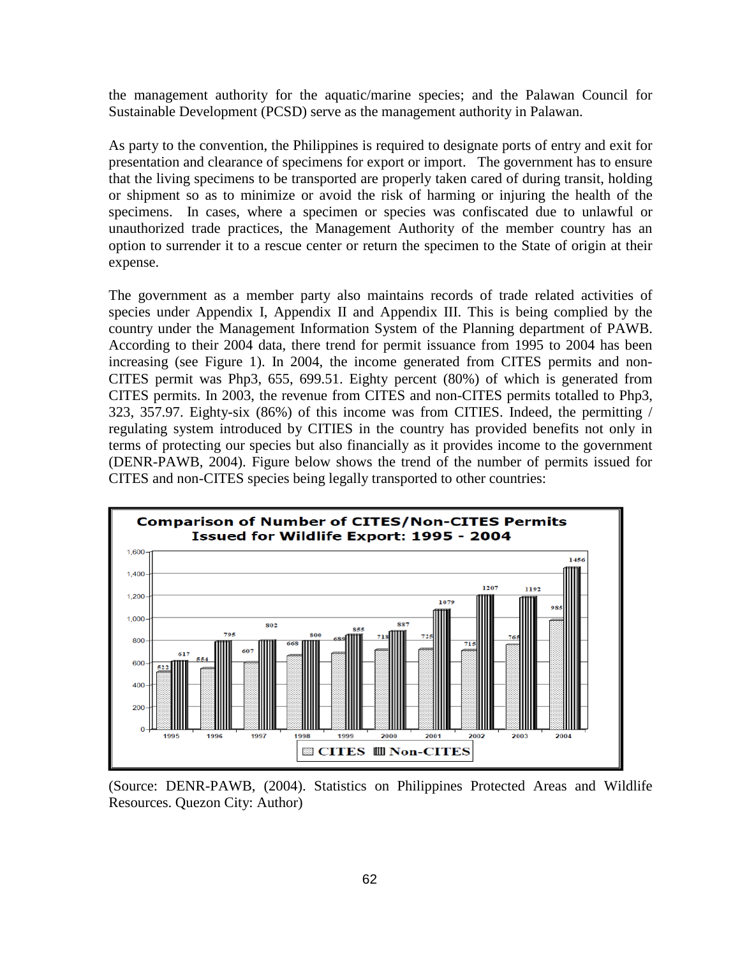the management authority for the aquatic/marine species; and the Palawan Council for Sustainable Development (PCSD) serve as the management authority in Palawan.

As party to the convention, the Philippines is required to designate ports of entry and exit for presentation and clearance of specimens for export or import. The government has to ensure that the living specimens to be transported are properly taken cared of during transit, holding or shipment so as to minimize or avoid the risk of harming or injuring the health of the specimens. In cases, where a specimen or species was confiscated due to unlawful or unauthorized trade practices, the Management Authority of the member country has an option to surrender it to a rescue center or return the specimen to the State of origin at their expense.

The government as a member party also maintains records of trade related activities of species under Appendix I, Appendix II and Appendix III. This is being complied by the country under the Management Information System of the Planning department of PAWB. According to their 2004 data, there trend for permit issuance from 1995 to 2004 has been increasing (see Figure 1). In 2004, the income generated from CITES permits and non-CITES permit was Php3, 655, 699.51. Eighty percent (80%) of which is generated from CITES permits. In 2003, the revenue from CITES and non-CITES permits totalled to Php3, 323, 357.97. Eighty-six (86%) of this income was from CITIES. Indeed, the permitting / regulating system introduced by CITIES in the country has provided benefits not only in terms of protecting our species but also financially as it provides income to the government (DENR-PAWB, 2004). Figure below shows the trend of the number of permits issued for CITES and non-CITES species being legally transported to other countries:



(Source: DENR-PAWB, (2004). Statistics on Philippines Protected Areas and Wildlife Resources. Quezon City: Author)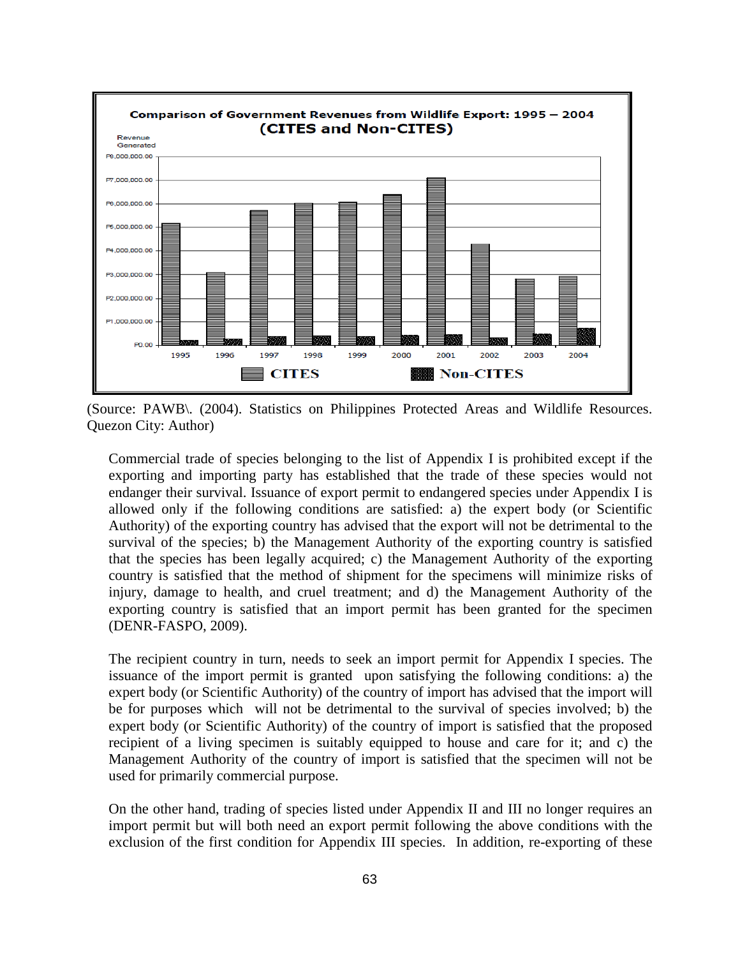

(Source: PAWB\. (2004). Statistics on Philippines Protected Areas and Wildlife Resources. Quezon City: Author)

Commercial trade of species belonging to the list of Appendix I is prohibited except if the exporting and importing party has established that the trade of these species would not endanger their survival. Issuance of export permit to endangered species under Appendix I is allowed only if the following conditions are satisfied: a) the expert body (or Scientific Authority) of the exporting country has advised that the export will not be detrimental to the survival of the species; b) the Management Authority of the exporting country is satisfied that the species has been legally acquired; c) the Management Authority of the exporting country is satisfied that the method of shipment for the specimens will minimize risks of injury, damage to health, and cruel treatment; and d) the Management Authority of the exporting country is satisfied that an import permit has been granted for the specimen (DENR-FASPO, 2009).

The recipient country in turn, needs to seek an import permit for Appendix I species. The issuance of the import permit is granted upon satisfying the following conditions: a) the expert body (or Scientific Authority) of the country of import has advised that the import will be for purposes which will not be detrimental to the survival of species involved; b) the expert body (or Scientific Authority) of the country of import is satisfied that the proposed recipient of a living specimen is suitably equipped to house and care for it; and c) the Management Authority of the country of import is satisfied that the specimen will not be used for primarily commercial purpose.

On the other hand, trading of species listed under Appendix II and III no longer requires an import permit but will both need an export permit following the above conditions with the exclusion of the first condition for Appendix III species. In addition, re-exporting of these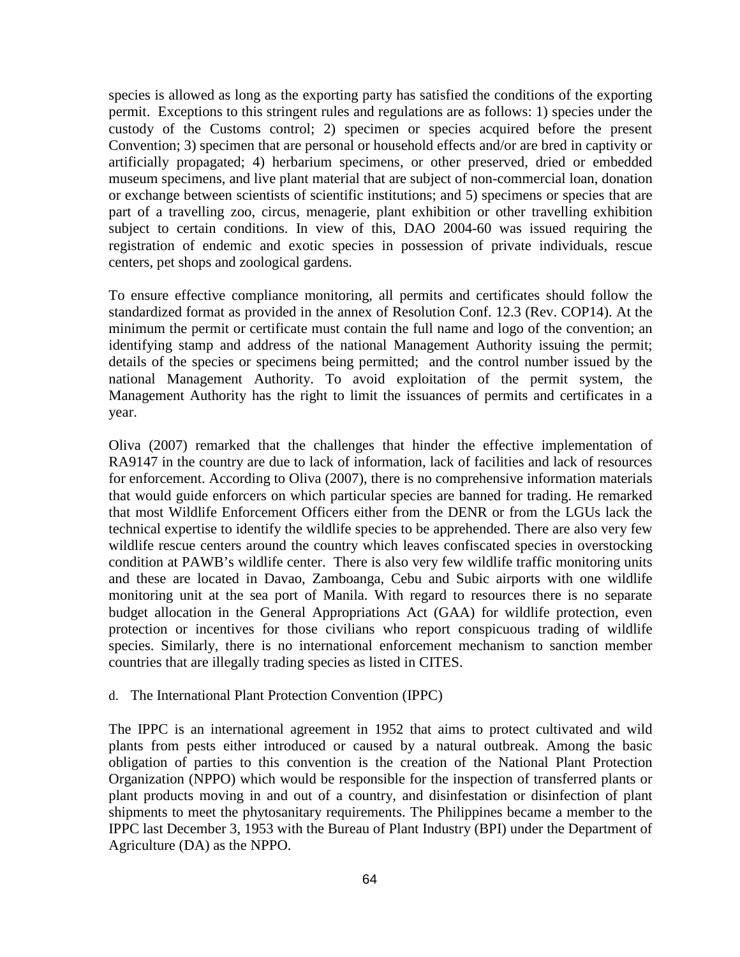species is allowed as long as the exporting party has satisfied the conditions of the exporting permit. Exceptions to this stringent rules and regulations are as follows: 1) species under the custody of the Customs control; 2) specimen or species acquired before the present Convention; 3) specimen that are personal or household effects and/or are bred in captivity or artificially propagated; 4) herbarium specimens, or other preserved, dried or embedded museum specimens, and live plant material that are subject of non-commercial loan, donation or exchange between scientists of scientific institutions; and 5) specimens or species that are part of a travelling zoo, circus, menagerie, plant exhibition or other travelling exhibition subject to certain conditions. In view of this, DAO 2004-60 was issued requiring the registration of endemic and exotic species in possession of private individuals, rescue centers, pet shops and zoological gardens.

To ensure effective compliance monitoring, all permits and certificates should follow the standardized format as provided in the annex of Resolution Conf. 12.3 (Rev. COP14). At the minimum the permit or certificate must contain the full name and logo of the convention; an identifying stamp and address of the national Management Authority issuing the permit; details of the species or specimens being permitted; and the control number issued by the national Management Authority. To avoid exploitation of the permit system, the Management Authority has the right to limit the issuances of permits and certificates in a year.

Oliva (2007) remarked that the challenges that hinder the effective implementation of RA9147 in the country are due to lack of information, lack of facilities and lack of resources for enforcement. According to Oliva (2007), there is no comprehensive information materials that would guide enforcers on which particular species are banned for trading. He remarked that most Wildlife Enforcement Officers either from the DENR or from the LGUs lack the technical expertise to identify the wildlife species to be apprehended. There are also very few wildlife rescue centers around the country which leaves confiscated species in overstocking condition at PAWB's wildlife center. There is also very few wildlife traffic monitoring units and these are located in Davao, Zamboanga, Cebu and Subic airports with one wildlife monitoring unit at the sea port of Manila. With regard to resources there is no separate budget allocation in the General Appropriations Act (GAA) for wildlife protection, even protection or incentives for those civilians who report conspicuous trading of wildlife species. Similarly, there is no international enforcement mechanism to sanction member countries that are illegally trading species as listed in CITES.

### d. The International Plant Protection Convention (IPPC)

The IPPC is an international agreement in 1952 that aims to protect cultivated and wild plants from pests either introduced or caused by a natural outbreak. Among the basic obligation of parties to this convention is the creation of the National Plant Protection Organization (NPPO) which would be responsible for the inspection of transferred plants or plant products moving in and out of a country, and disinfestation or disinfection of plant shipments to meet the phytosanitary requirements. The Philippines became a member to the IPPC last December 3, 1953 with the Bureau of Plant Industry (BPI) under the Department of Agriculture (DA) as the NPPO.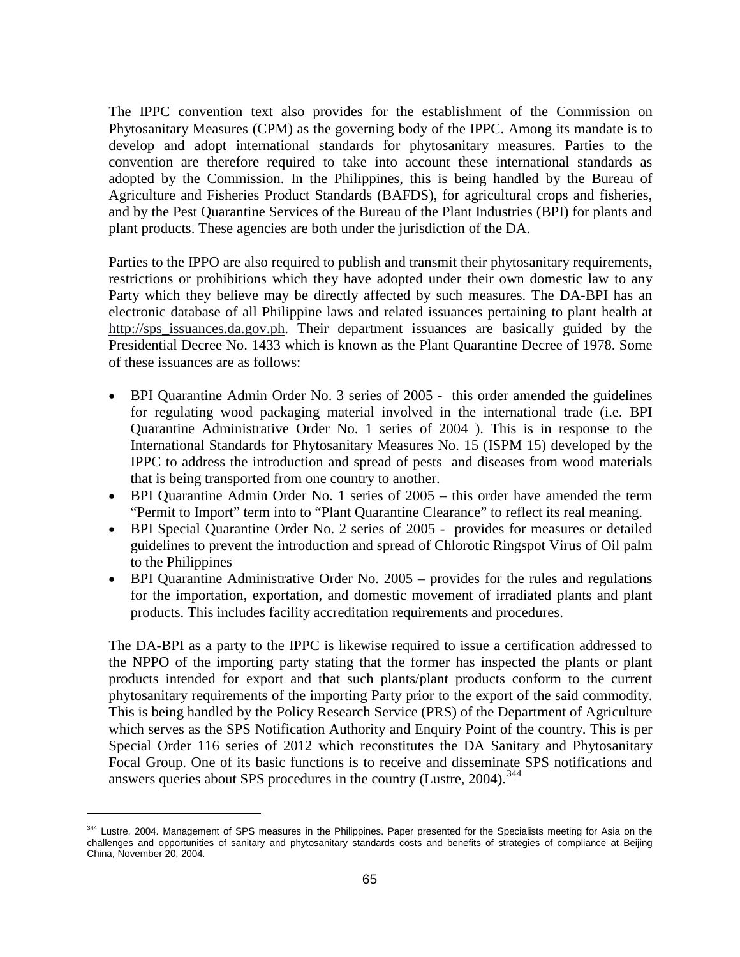The IPPC convention text also provides for the establishment of the Commission on Phytosanitary Measures (CPM) as the governing body of the IPPC. Among its mandate is to develop and adopt international standards for phytosanitary measures. Parties to the convention are therefore required to take into account these international standards as adopted by the Commission. In the Philippines, this is being handled by the Bureau of Agriculture and Fisheries Product Standards (BAFDS), for agricultural crops and fisheries, and by the Pest Quarantine Services of the Bureau of the Plant Industries (BPI) for plants and plant products. These agencies are both under the jurisdiction of the DA.

Parties to the IPPO are also required to publish and transmit their phytosanitary requirements, restrictions or prohibitions which they have adopted under their own domestic law to any Party which they believe may be directly affected by such measures. The DA-BPI has an electronic database of all Philippine laws and related issuances pertaining to plant health at http://sps issuances.da.gov.ph. Their department issuances are basically guided by the Presidential Decree No. 1433 which is known as the [Plant Quarantine Decree](https://www.ippc.int/index.php?id=1110879&tx_legislation_pi1%5bshowUid%5d=41913&frompage=182&type=legislation&subtype=&L=0#item) of 1978. Some of these issuances are as follows:

- BPI Quarantine Admin Order No. 3 series of 2005 this order amended the guidelines for regulating wood packaging material involved in the international trade (i.e. BPI Quarantine Administrative Order No. 1 series of 2004 ). This is in response to the International Standards for Phytosanitary Measures No. 15 (ISPM 15) developed by the IPPC to address the introduction and spread of pests and diseases from wood materials that is being transported from one country to another.
- BPI Quarantine Admin Order No. 1 series of 2005 this order have amended the term ["Permit to Import" term into to "Plant Quarantine Clearance"](https://www.ippc.int/index.php?id=1110879&tx_legislation_pi1%5bshowUid%5d=150859&frompage=182&type=legislation&subtype=&L=0#item) to reflect its real meaning.
- BPI Special Quarantine Order No. 2 series of 2005 provides for measures or detailed guidelines to prevent the introduction and spread of Chlorotic Ringspot Virus of Oil palm to the Philippines
- BPI Quarantine Administrative Order No. 2005 provides for the rules and regulations for the importation, exportation, and domestic movement of irradiated plants and plant products. This includes facility accreditation requirements and procedures.

The DA-BPI as a party to the IPPC is likewise required to issue a certification addressed to the NPPO of the importing party stating that the former has inspected the plants or plant products intended for export and that such plants/plant products conform to the current phytosanitary requirements of the importing Party prior to the export of the said commodity. This is being handled by the Policy Research Service (PRS) of the Department of Agriculture which serves as the SPS Notification Authority and Enquiry Point of the country. This is per Special Order 116 series of 2012 which reconstitutes the DA Sanitary and Phytosanitary Focal Group. One of its basic functions is to receive and disseminate SPS notifications and answers queries about SPS procedures in the country (Lustre, 2004).<sup>[344](#page-65-0)</sup>

<span id="page-65-0"></span><sup>&</sup>lt;sup>344</sup> Lustre, 2004. Management of SPS measures in the Philippines. Paper presented for the Specialists meeting for Asia on the challenges and opportunities of sanitary and phytosanitary standards costs and benefits of strategies of compliance at Beijing China, November 20, 2004.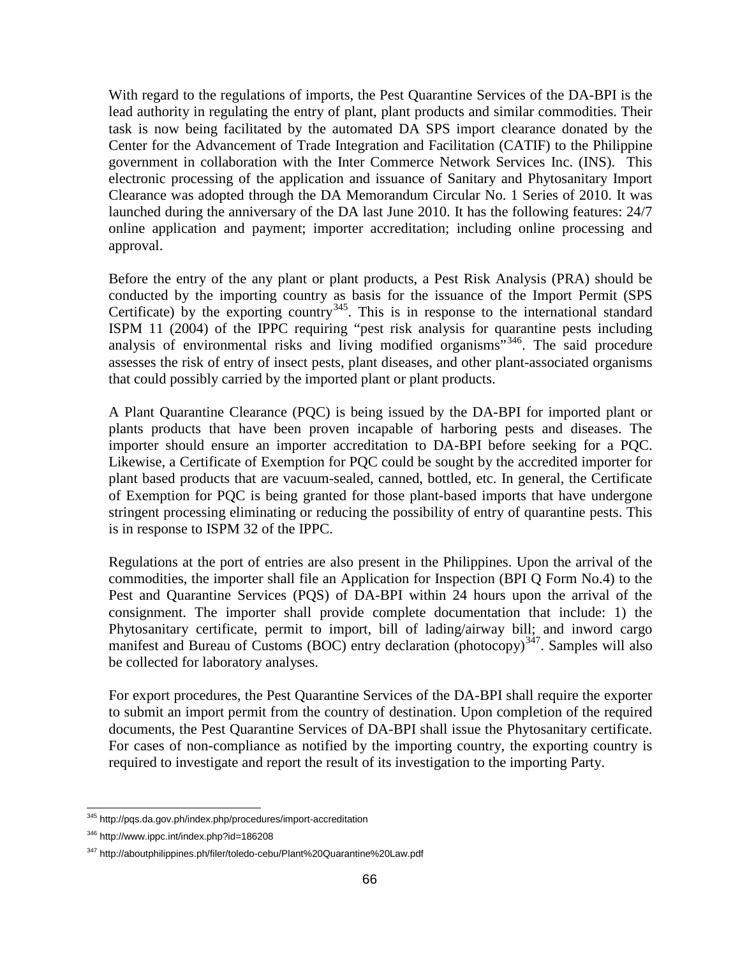With regard to the regulations of imports, the Pest Quarantine Services of the DA-BPI is the lead authority in regulating the entry of plant, plant products and similar commodities. Their task is now being facilitated by the automated DA SPS import clearance donated by the Center for the Advancement of Trade Integration and Facilitation (CATIF) to the Philippine government in collaboration with the Inter Commerce Network Services Inc. (INS). This electronic processing of the application and issuance of Sanitary and Phytosanitary Import Clearance was adopted through the DA Memorandum Circular No. 1 Series of 2010. It was launched during the anniversary of the DA last June 2010. It has the following features: 24/7 online application and payment; importer accreditation; including online processing and approval.

Before the entry of the any plant or plant products, a Pest Risk Analysis (PRA) should be conducted by the importing country as basis for the issuance of the Import Permit (SPS Certificate) by the exporting country<sup>[345](#page-66-0)</sup>. This is in response to the international standard ISPM 11 (2004) of the IPPC requiring "pest risk analysis for quarantine pests including analysis of environmental risks and living modified organisms"[346](#page-66-0). The said procedure assesses the risk of entry of insect pests, plant diseases, and other plant-associated organisms that could possibly carried by the imported plant or plant products.

A Plant Quarantine Clearance (PQC) is being issued by the DA-BPI for imported plant or plants products that have been proven incapable of harboring pests and diseases. The importer should ensure an importer accreditation to DA-BPI before seeking for a PQC. Likewise, a Certificate of Exemption for PQC could be sought by the accredited importer for plant based products that are vacuum-sealed, canned, bottled, etc. In general, the Certificate of Exemption for PQC is being granted for those plant-based imports that have undergone stringent processing eliminating or reducing the possibility of entry of quarantine pests. This is in response to ISPM 32 of the IPPC.

Regulations at the port of entries are also present in the Philippines. Upon the arrival of the commodities, the importer shall file an Application for Inspection (BPI Q Form No.4) to the Pest and Quarantine Services (PQS) of DA-BPI within 24 hours upon the arrival of the consignment. The importer shall provide complete documentation that include: 1) the Phytosanitary certificate, permit to import, bill of lading/airway bill; and inword cargo manifest and Bureau of Customs (BOC) entry declaration (photocopy)<sup>[347](#page-66-0)</sup>. Samples will also be collected for laboratory analyses.

For export procedures, the Pest Quarantine Services of the DA-BPI shall require the exporter to submit an import permit from the country of destination. Upon completion of the required documents, the Pest Quarantine Services of DA-BPI shall issue the Phytosanitary certificate. For cases of non-compliance as notified by the importing country, the exporting country is required to investigate and report the result of its investigation to the importing Party.

<span id="page-66-0"></span> <sup>345</sup> http://pqs.da.gov.ph/index.php/procedures/import-accreditation

<sup>346</sup> http://www.ippc.int/index.php?id=186208

<sup>347</sup> http://aboutphilippines.ph/filer/toledo-cebu/Plant%20Quarantine%20Law.pdf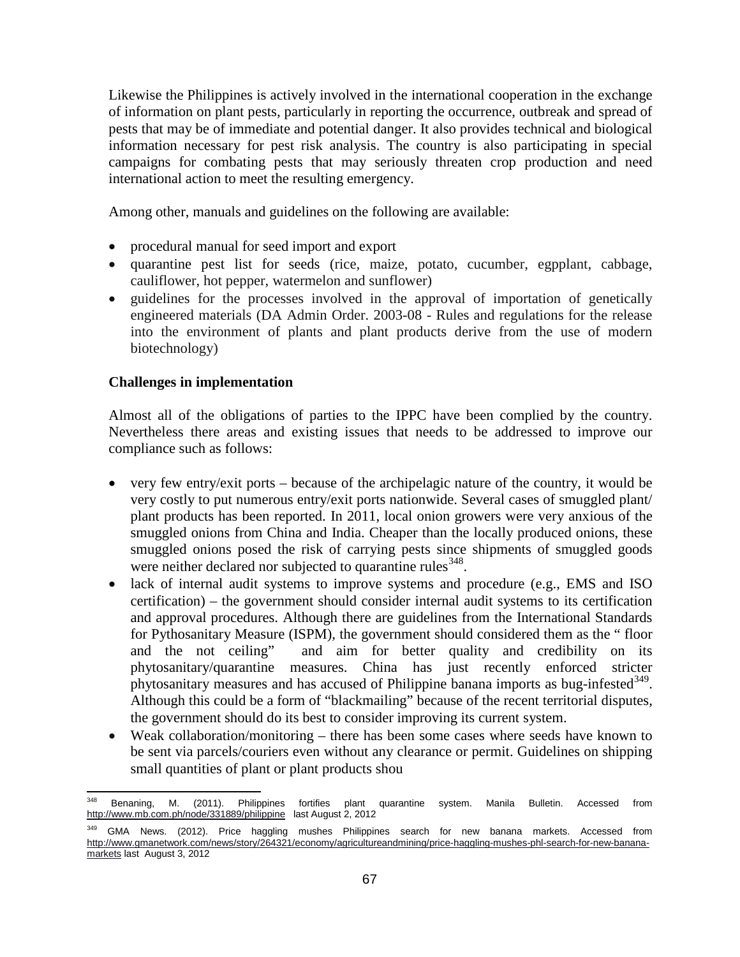Likewise the Philippines is actively involved in the international cooperation in the exchange of information on plant pests, particularly in reporting the occurrence, outbreak and spread of pests that may be of immediate and potential danger. It also provides technical and biological information necessary for pest risk analysis. The country is also participating in special campaigns for combating pests that may seriously threaten crop production and need international action to meet the resulting emergency.

Among other, manuals and guidelines on the following are available:

- procedural manual for seed import and export
- quarantine pest list for seeds (rice, maize, potato, cucumber, egpplant, cabbage, cauliflower, hot pepper, watermelon and sunflower)
- guidelines for the processes involved in the approval of importation of genetically engineered materials (DA Admin Order. 2003-08 - Rules and regulations for the release into the environment of plants and plant products derive from the use of modern biotechnology)

## **Challenges in implementation**

Almost all of the obligations of parties to the IPPC have been complied by the country. Nevertheless there areas and existing issues that needs to be addressed to improve our compliance such as follows:

- very few entry/exit ports because of the archipelagic nature of the country, it would be very costly to put numerous entry/exit ports nationwide. Several cases of smuggled plant/ plant products has been reported. In 2011, local onion growers were very anxious of the smuggled onions from China and India. Cheaper than the locally produced onions, these smuggled onions posed the risk of carrying pests since shipments of smuggled goods were neither declared nor subjected to quarantine rules<sup>348</sup>.
- lack of internal audit systems to improve systems and procedure (e.g., EMS and ISO certification) – the government should consider internal audit systems to its certification and approval procedures. Although there are guidelines from the International Standards for Pythosanitary Measure (ISPM), the government should considered them as the " floor and the not ceiling" and aim for better quality and credibility on its phytosanitary/quarantine measures. China has just recently enforced stricter phytosanitary measures and has accused of Philippine banana imports as bug-infested<sup>[349](#page-67-0)</sup>. Although this could be a form of "blackmailing" because of the recent territorial disputes, the government should do its best to consider improving its current system.
- Weak collaboration/monitoring there has been some cases where seeds have known to be sent via parcels/couriers even without any clearance or permit. Guidelines on shipping small quantities of plant or plant products shou

 <sup>348</sup> Benaning, M. (2011). Philippines fortifies plant quarantine system. Manila Bulletin. Accessed from <http://www.mb.com.ph/node/331889/philippine>last August 2, 2012

<span id="page-67-0"></span>GMA News. (2012). Price haggling mushes Philippines search for new banana markets. Accessed from [http://www.gmanetwork.com/news/story/264321/economy/agricultureandmining/price-haggling-mushes-phl-search-for-new-banana](http://www.gmanetwork.com/news/story/264321/economy/agricultureandmining/price-haggling-mushes-phl-search-for-new-banana-markets)[markets](http://www.gmanetwork.com/news/story/264321/economy/agricultureandmining/price-haggling-mushes-phl-search-for-new-banana-markets) last August 3, 2012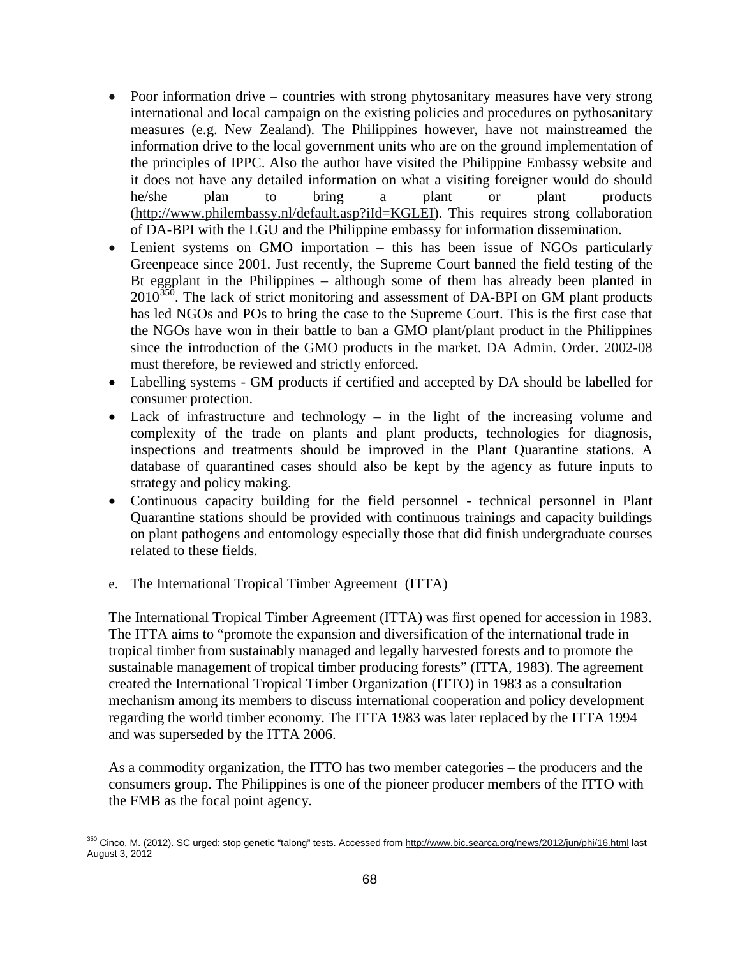- Poor information drive countries with strong phytosanitary measures have very strong international and local campaign on the existing policies and procedures on pythosanitary measures (e.g. New Zealand). The Philippines however, have not mainstreamed the information drive to the local government units who are on the ground implementation of the principles of IPPC. Also the author have visited the Philippine Embassy website and it does not have any detailed information on what a visiting foreigner would do should he/she plan to bring a plant or plant products [\(http://www.philembassy.nl/default.asp?iId=KGLEI\)](http://www.philembassy.nl/default.asp?iId=KGLEI). This requires strong collaboration of DA-BPI with the LGU and the Philippine embassy for information dissemination.
- Lenient systems on GMO importation this has been issue of NGOs particularly Greenpeace since 2001. Just recently, the Supreme Court banned the field testing of the Bt eggplant in the Philippines – although some of them has already been planted in  $2010^{350}$ . The lack of strict monitoring and assessment of DA-BPI on GM plant products has led NGOs and POs to bring the case to the Supreme Court. This is the first case that the NGOs have won in their battle to ban a GMO plant/plant product in the Philippines since the introduction of the GMO products in the market. DA Admin. Order. 2002-08 must therefore, be reviewed and strictly enforced.
- Labelling systems GM products if certified and accepted by DA should be labelled for consumer protection.
- Lack of infrastructure and technology in the light of the increasing volume and complexity of the trade on plants and plant products, technologies for diagnosis, inspections and treatments should be improved in the Plant Quarantine stations. A database of quarantined cases should also be kept by the agency as future inputs to strategy and policy making.
- Continuous capacity building for the field personnel technical personnel in Plant Quarantine stations should be provided with continuous trainings and capacity buildings on plant pathogens and entomology especially those that did finish undergraduate courses related to these fields.
- e. The International Tropical Timber Agreement (ITTA)

The International Tropical Timber Agreement (ITTA) was first opened for accession in 1983. The ITTA aims to "promote the expansion and diversification of the international trade in tropical timber from sustainably managed and legally harvested forests and to promote the sustainable management of tropical timber producing forests" (ITTA, 1983). The agreement created the International Tropical Timber Organization (ITTO) in 1983 as a consultation mechanism among its members to discuss international cooperation and policy development regarding the world timber economy. The ITTA 1983 was later replaced by the ITTA 1994 and was superseded by the [ITTA 2006.](http://en.wikipedia.org/wiki/International_Tropical_Timber_Agreement,_2006)

As a commodity organization, the ITTO has two member categories – the producers and the consumers group. The Philippines is one of the pioneer producer members of the ITTO with the FMB as the focal point agency.

<span id="page-68-0"></span><sup>350</sup> Cinco, M. (2012). SC urged: stop genetic "talong" tests. Accessed fro[m http://www.bic.searca.org/news/2012/jun/phi/16.html](http://www.bic.searca.org/news/2012/jun/phi/16.html) last August 3, 2012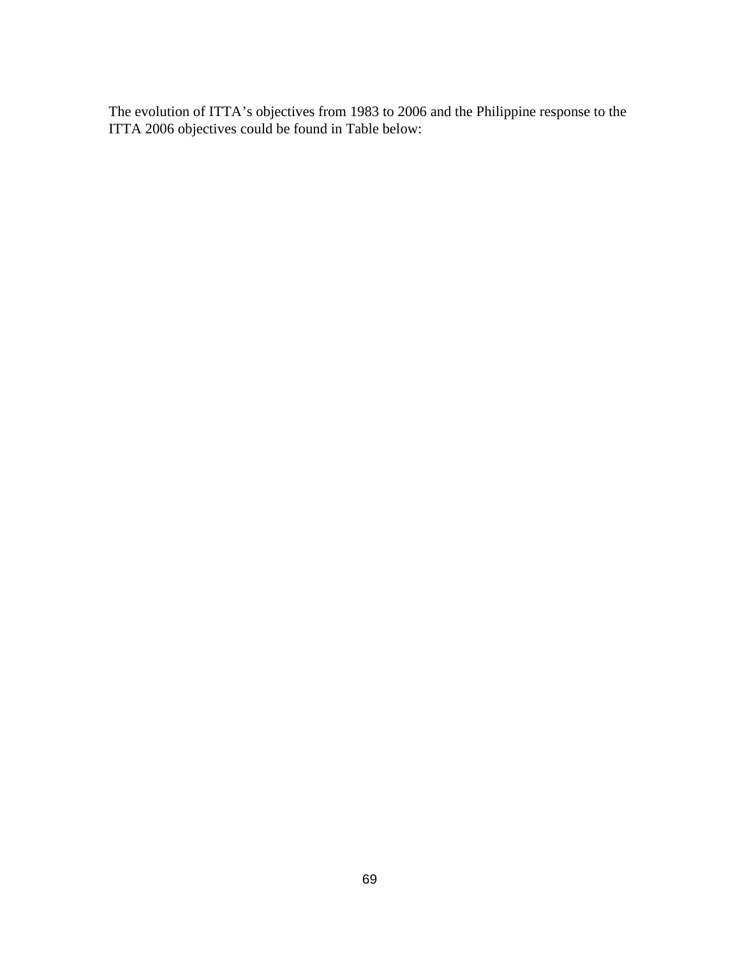The evolution of ITTA's objectives from 1983 to 2006 and the Philippine response to the ITTA 2006 objectives could be found in Table below: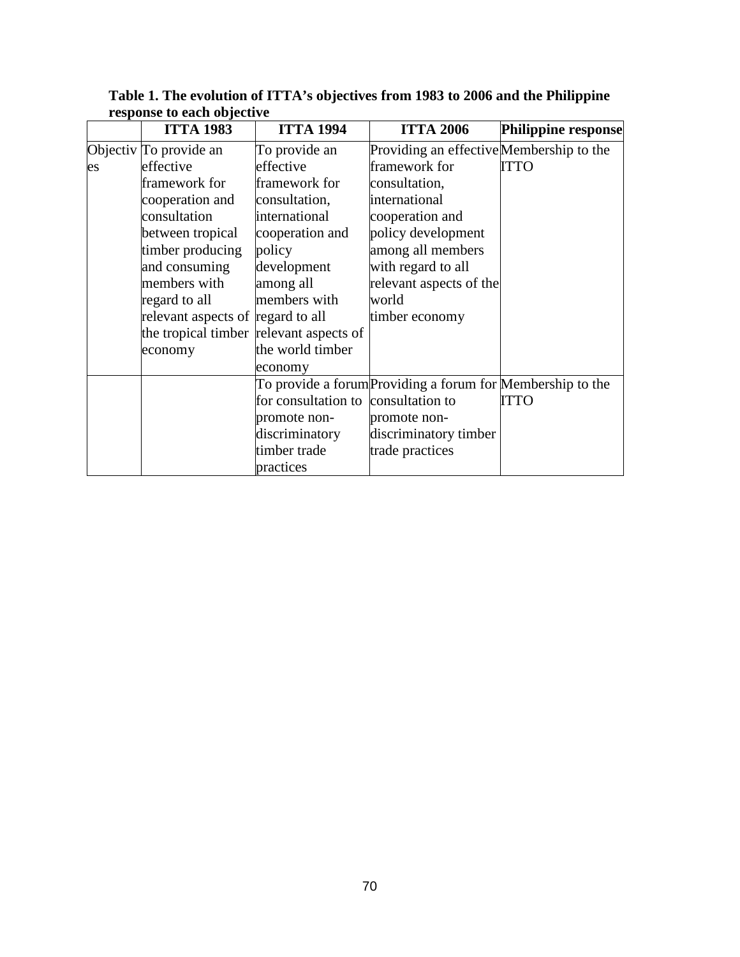|    | <b>ITTA 1983</b>                        | <b>ITTA 1994</b>                    | <b>ITTA 2006</b>                                           | Philippine response |
|----|-----------------------------------------|-------------------------------------|------------------------------------------------------------|---------------------|
|    | Objectiv To provide an                  | To provide an                       | Providing an effective Membership to the                   |                     |
| es | effective                               | effective                           | framework for                                              | <b>ITTO</b>         |
|    | framework for                           | framework for                       | consultation,                                              |                     |
|    | cooperation and                         | consultation,                       | international                                              |                     |
|    | consultation                            | international                       | cooperation and                                            |                     |
|    | between tropical                        | cooperation and                     | policy development                                         |                     |
|    | timber producing                        | policy                              | among all members                                          |                     |
|    | and consuming                           | development                         | with regard to all                                         |                     |
|    | members with                            | among all                           | relevant aspects of the                                    |                     |
|    | regard to all                           | members with                        | world                                                      |                     |
|    | relevant aspects of regard to all       |                                     | timber economy                                             |                     |
|    | the tropical timber relevant aspects of |                                     |                                                            |                     |
|    | economy                                 | the world timber                    |                                                            |                     |
|    |                                         | economy                             |                                                            |                     |
|    |                                         |                                     | To provide a forum Providing a forum for Membership to the |                     |
|    |                                         | for consultation to consultation to |                                                            | <b>ITTO</b>         |
|    |                                         | promote non-                        | promote non-                                               |                     |
|    |                                         | discriminatory                      | discriminatory timber                                      |                     |
|    |                                         | timber trade                        | trade practices                                            |                     |
|    |                                         | practices                           |                                                            |                     |

**Table 1. The evolution of ITTA's objectives from 1983 to 2006 and the Philippine response to each objective**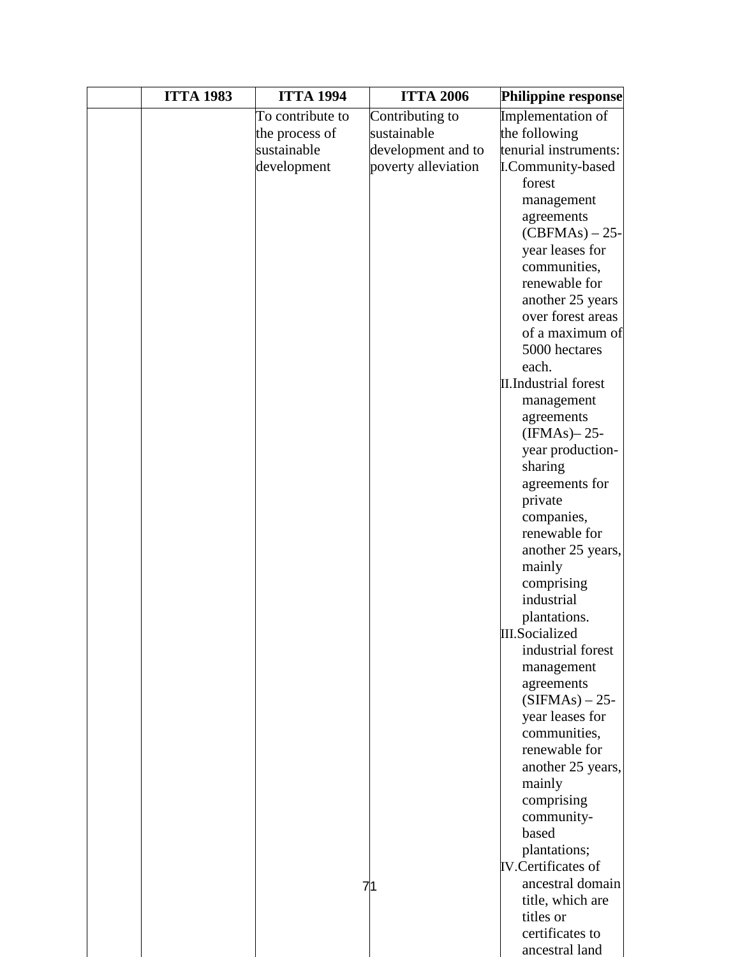| <b>ITTA 1983</b> | <b>ITTA 1994</b> | <b>ITTA 2006</b>    | Philippine response             |
|------------------|------------------|---------------------|---------------------------------|
|                  | To contribute to | Contributing to     | Implementation of               |
|                  | the process of   | sustainable         | the following                   |
|                  | sustainable      | development and to  | tenurial instruments:           |
|                  | development      | poverty alleviation | I.Community-based               |
|                  |                  |                     | forest                          |
|                  |                  |                     | management                      |
|                  |                  |                     | agreements<br>$(CBFMAs) - 25$ - |
|                  |                  |                     | year leases for                 |
|                  |                  |                     | communities,                    |
|                  |                  |                     | renewable for                   |
|                  |                  |                     | another 25 years                |
|                  |                  |                     | over forest areas               |
|                  |                  |                     | of a maximum of                 |
|                  |                  |                     | 5000 hectares                   |
|                  |                  |                     | each.                           |
|                  |                  |                     | <b>II.Industrial</b> forest     |
|                  |                  |                     | management                      |
|                  |                  |                     | agreements                      |
|                  |                  |                     | $(IFMAs)-25-$                   |
|                  |                  |                     | year production-                |
|                  |                  |                     | sharing                         |
|                  |                  |                     | agreements for                  |
|                  |                  |                     | private                         |
|                  |                  |                     | companies,                      |
|                  |                  |                     | renewable for                   |
|                  |                  |                     | another 25 years,               |
|                  |                  |                     | mainly                          |
|                  |                  |                     | comprising                      |
|                  |                  |                     | industrial                      |
|                  |                  |                     | plantations.                    |
|                  |                  |                     | <b>III.Socialized</b>           |
|                  |                  |                     | industrial forest               |
|                  |                  |                     | management                      |
|                  |                  |                     | agreements                      |
|                  |                  |                     | $(SIFMAS) - 25$ -               |
|                  |                  |                     | year leases for                 |
|                  |                  |                     | communities,                    |
|                  |                  |                     | renewable for                   |
|                  |                  |                     | another 25 years,               |
|                  |                  |                     | mainly                          |
|                  |                  |                     | comprising                      |
|                  |                  |                     | community-                      |
|                  |                  |                     | based                           |
|                  |                  |                     | plantations;                    |
|                  |                  |                     | <b>IV.Certificates of</b>       |
|                  |                  | 71                  | ancestral domain                |
|                  |                  |                     | title, which are                |
|                  |                  |                     | titles or                       |
|                  |                  |                     | certificates to                 |
|                  |                  |                     | ancestral land                  |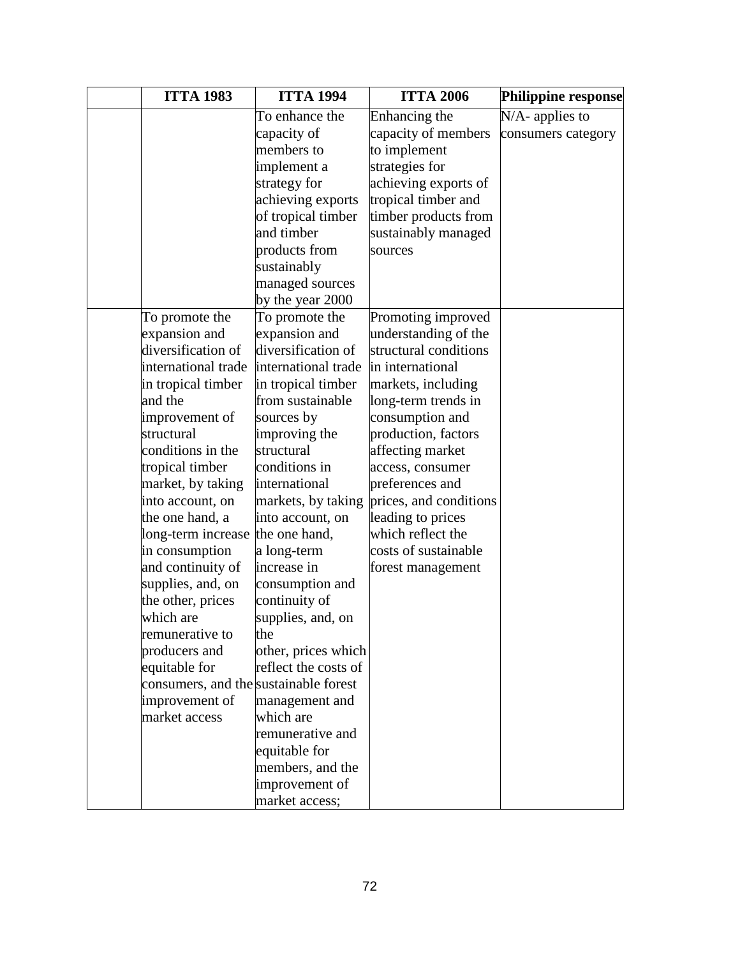| <b>ITTA 1983</b>                      | <b>ITTA 1994</b>     | <b>ITTA 2006</b>       | Philippine response |
|---------------------------------------|----------------------|------------------------|---------------------|
|                                       | To enhance the       | Enhancing the          | $N/A$ - applies to  |
|                                       | capacity of          | capacity of members    | consumers category  |
|                                       | members to           | to implement           |                     |
|                                       | implement a          | strategies for         |                     |
|                                       | strategy for         | achieving exports of   |                     |
|                                       | achieving exports    | tropical timber and    |                     |
|                                       | of tropical timber   | timber products from   |                     |
|                                       | and timber           | sustainably managed    |                     |
|                                       | products from        | sources                |                     |
|                                       | sustainably          |                        |                     |
|                                       | managed sources      |                        |                     |
|                                       | by the year 2000     |                        |                     |
| To promote the                        | To promote the       | Promoting improved     |                     |
| expansion and                         | expansion and        | understanding of the   |                     |
| diversification of                    | diversification of   | structural conditions  |                     |
| international trade                   | international trade  | in international       |                     |
| in tropical timber                    | in tropical timber   | markets, including     |                     |
| and the                               | from sustainable     | long-term trends in    |                     |
| improvement of                        | sources by           | consumption and        |                     |
| structural                            | improving the        | production, factors    |                     |
| conditions in the                     | structural           | affecting market       |                     |
| tropical timber                       | conditions in        | access, consumer       |                     |
| market, by taking                     | international        | preferences and        |                     |
| into account, on                      | markets, by taking   | prices, and conditions |                     |
| the one hand, a                       | into account, on     | leading to prices      |                     |
| long-term increase the one hand,      |                      | which reflect the      |                     |
| in consumption                        | a long-term          | costs of sustainable   |                     |
| and continuity of                     | increase in          | forest management      |                     |
| supplies, and, on                     | consumption and      |                        |                     |
| the other, prices                     | continuity of        |                        |                     |
| which are                             | supplies, and, on    |                        |                     |
| remunerative to                       | the                  |                        |                     |
| producers and                         | other, prices which  |                        |                     |
| equitable for                         | reflect the costs of |                        |                     |
| consumers, and the sustainable forest |                      |                        |                     |
| improvement of                        | management and       |                        |                     |
| market access                         | which are            |                        |                     |
|                                       | remunerative and     |                        |                     |
|                                       | equitable for        |                        |                     |
|                                       | members, and the     |                        |                     |
|                                       | improvement of       |                        |                     |
|                                       | market access;       |                        |                     |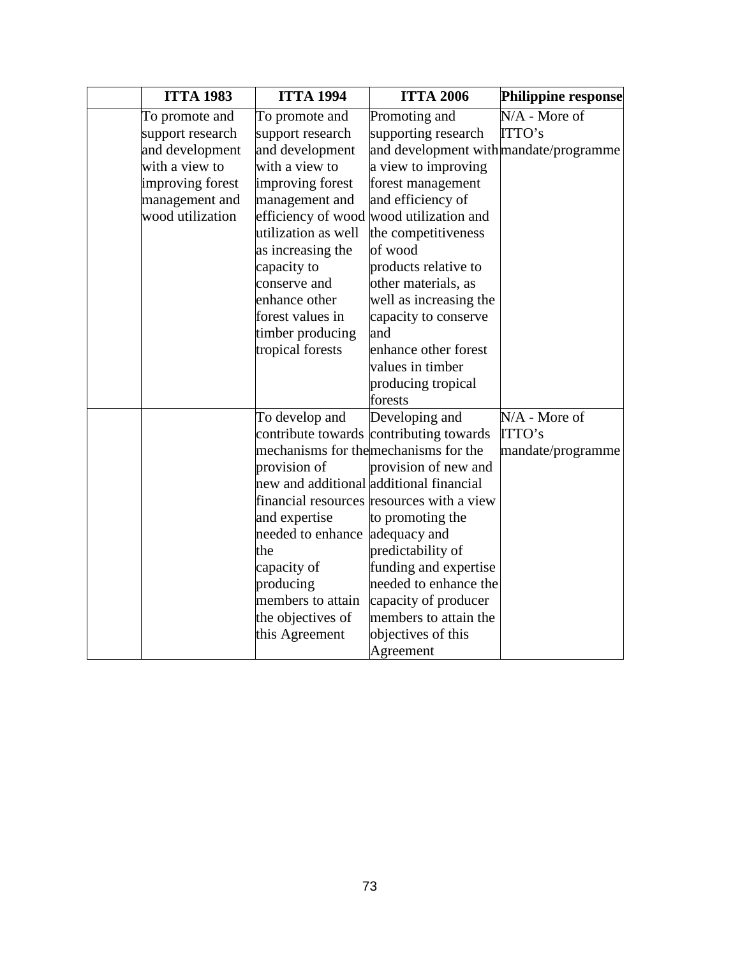| <b>ITTA 1983</b> | <b>ITTA 1994</b>    | <b>ITTA 2006</b>                          | <b>Philippine response</b> |
|------------------|---------------------|-------------------------------------------|----------------------------|
| To promote and   | To promote and      | Promoting and                             | $N/A$ - More of            |
| support research | support research    | supporting research                       | ITTO's                     |
| and development  | and development     | and development with mandate/programme    |                            |
| with a view to   | with a view to      | a view to improving                       |                            |
| improving forest | improving forest    | forest management                         |                            |
| management and   | management and      | and efficiency of                         |                            |
| wood utilization |                     | efficiency of wood wood utilization and   |                            |
|                  | utilization as well | the competitiveness                       |                            |
|                  | as increasing the   | of wood                                   |                            |
|                  | capacity to         | products relative to                      |                            |
|                  | conserve and        | other materials, as                       |                            |
|                  | enhance other       | well as increasing the                    |                            |
|                  | forest values in    | capacity to conserve                      |                            |
|                  | timber producing    | and                                       |                            |
|                  | tropical forests    | enhance other forest                      |                            |
|                  |                     | values in timber                          |                            |
|                  |                     | producing tropical                        |                            |
|                  |                     | forests                                   |                            |
|                  | To develop and      | Developing and                            | N/A - More of              |
|                  |                     | contribute towards contributing towards   | ITTO's                     |
|                  |                     | mechanisms for the mechanisms for the     | mandate/programme          |
|                  | provision of        | provision of new and                      |                            |
|                  |                     | new and additional additional financial   |                            |
|                  |                     | financial resources resources with a view |                            |
|                  | and expertise       | to promoting the                          |                            |
|                  | needed to enhance   | adequacy and                              |                            |
|                  | the                 | predictability of                         |                            |
|                  | capacity of         | funding and expertise                     |                            |
|                  | producing           | needed to enhance the                     |                            |
|                  | members to attain   | capacity of producer                      |                            |
|                  | the objectives of   | members to attain the                     |                            |
|                  | this Agreement      | objectives of this                        |                            |
|                  |                     | Agreement                                 |                            |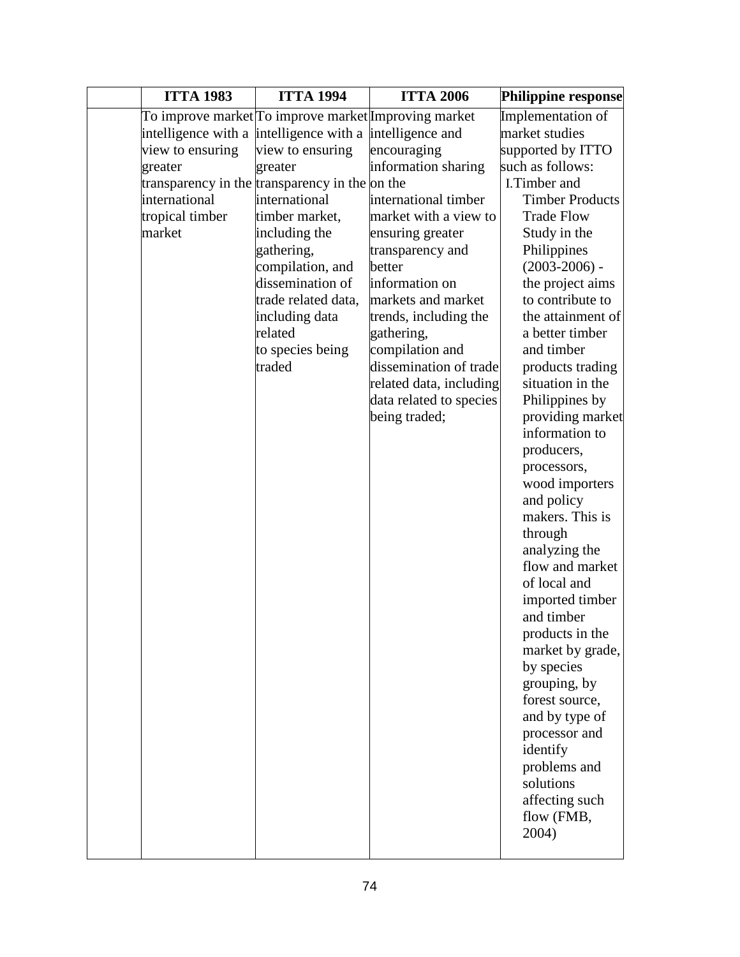| <b>ITTA 1983</b> | <b>ITTA 1994</b>                                         | <b>ITTA 2006</b>        | Philippine response    |
|------------------|----------------------------------------------------------|-------------------------|------------------------|
|                  | To improve market To improve market Improving market     |                         | Implementation of      |
|                  | intelligence with a intelligence with a intelligence and |                         | market studies         |
| view to ensuring | view to ensuring                                         | encouraging             | supported by ITTO      |
| greater          | greater                                                  | information sharing     | such as follows:       |
|                  | transparency in the transparency in the on the           |                         | I.Timber and           |
| international    | international                                            | international timber    | <b>Timber Products</b> |
| tropical timber  | timber market,                                           | market with a view to   | <b>Trade Flow</b>      |
| market           | including the                                            | ensuring greater        | Study in the           |
|                  | gathering,                                               | transparency and        | Philippines            |
|                  | compilation, and                                         | better                  | $(2003 - 2006) -$      |
|                  | dissemination of                                         | information on          | the project aims       |
|                  | trade related data,                                      | markets and market      | to contribute to       |
|                  | including data                                           | trends, including the   | the attainment of      |
|                  | related                                                  | gathering,              | a better timber        |
|                  | to species being                                         | compilation and         | and timber             |
|                  | traded                                                   | dissemination of trade  | products trading       |
|                  |                                                          | related data, including | situation in the       |
|                  |                                                          | data related to species | Philippines by         |
|                  |                                                          | being traded;           | providing market       |
|                  |                                                          |                         | information to         |
|                  |                                                          |                         | producers,             |
|                  |                                                          |                         | processors,            |
|                  |                                                          |                         | wood importers         |
|                  |                                                          |                         | and policy             |
|                  |                                                          |                         | makers. This is        |
|                  |                                                          |                         | through                |
|                  |                                                          |                         | analyzing the          |
|                  |                                                          |                         | flow and market        |
|                  |                                                          |                         | of local and           |
|                  |                                                          |                         | imported timber        |
|                  |                                                          |                         | and timber             |
|                  |                                                          |                         | products in the        |
|                  |                                                          |                         | market by grade,       |
|                  |                                                          |                         | by species             |
|                  |                                                          |                         | grouping, by           |
|                  |                                                          |                         | forest source,         |
|                  |                                                          |                         | and by type of         |
|                  |                                                          |                         | processor and          |
|                  |                                                          |                         | identify               |
|                  |                                                          |                         | problems and           |
|                  |                                                          |                         | solutions              |
|                  |                                                          |                         | affecting such         |
|                  |                                                          |                         | flow (FMB,             |
|                  |                                                          |                         | 2004)                  |
|                  |                                                          |                         |                        |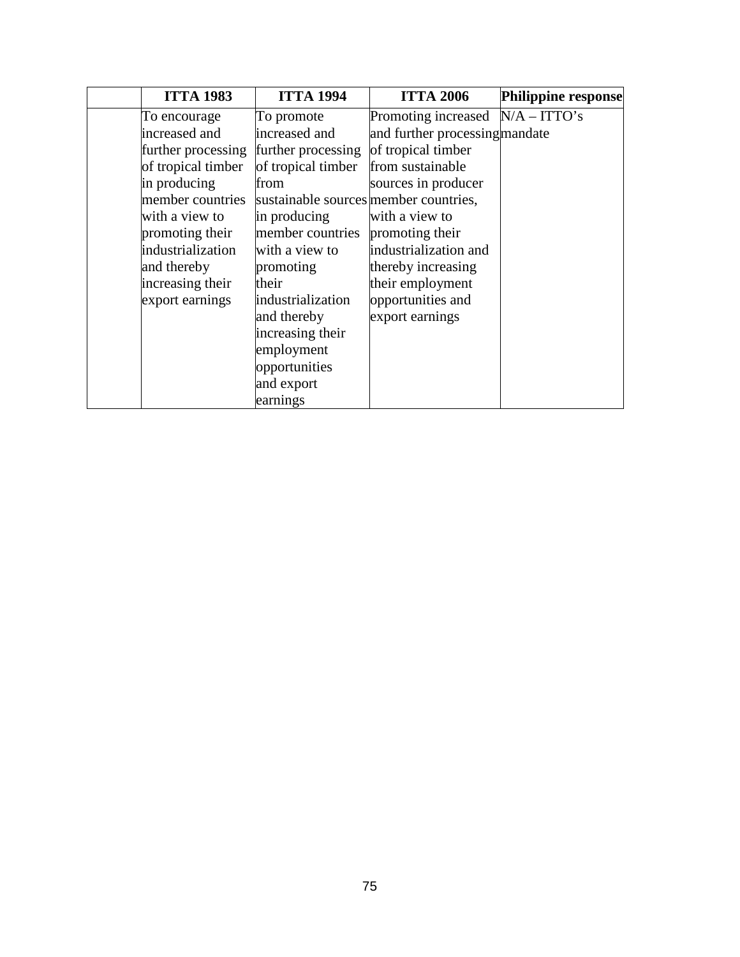| <b>ITTA 1983</b>   | <b>ITTA 1994</b>                      | <b>ITTA 2006</b>                   | Philippine response |
|--------------------|---------------------------------------|------------------------------------|---------------------|
| To encourage       | To promote                            | Promoting increased $N/A - ITTO's$ |                     |
| increased and      | increased and                         | and further processing mandate     |                     |
| further processing | further processing                    | of tropical timber                 |                     |
| of tropical timber | of tropical timber                    | from sustainable                   |                     |
| in producing       | from                                  | sources in producer                |                     |
| member countries   | sustainable sources member countries. |                                    |                     |
| with a view to     | in producing                          | with a view to                     |                     |
| promoting their    | member countries                      | promoting their                    |                     |
| industrialization  | with a view to                        | industrialization and              |                     |
| and thereby        | promoting                             | thereby increasing                 |                     |
| increasing their   | their                                 | their employment                   |                     |
| export earnings    | industrialization                     | opportunities and                  |                     |
|                    | and thereby                           | export earnings                    |                     |
|                    | increasing their                      |                                    |                     |
|                    | employment                            |                                    |                     |
|                    | opportunities                         |                                    |                     |
|                    | and export                            |                                    |                     |
|                    | earnings                              |                                    |                     |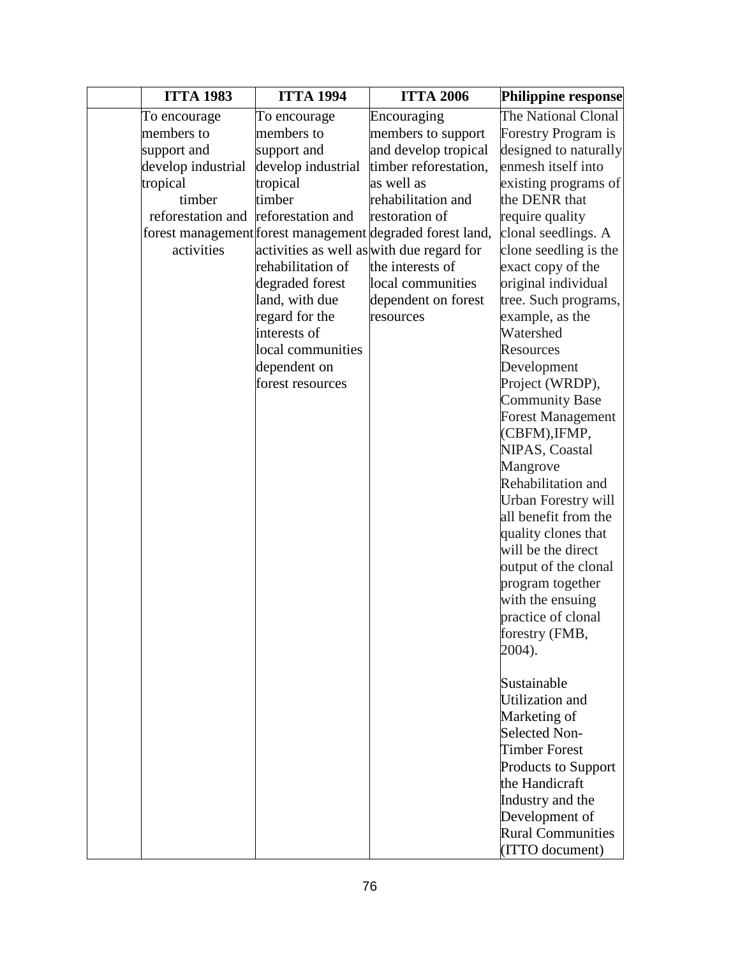| <b>ITTA 1983</b>                    | <b>ITTA 1994</b>   | <b>ITTA 2006</b>                                          | <b>Philippine response</b> |
|-------------------------------------|--------------------|-----------------------------------------------------------|----------------------------|
| To encourage                        | To encourage       | Encouraging                                               | The National Clonal        |
| members to                          | members to         | members to support                                        | Forestry Program is        |
| support and                         | support and        | and develop tropical                                      | designed to naturally      |
| develop industrial                  | develop industrial | timber reforestation,                                     | enmesh itself into         |
| tropical                            | tropical           | as well as                                                | existing programs of       |
| timber                              | timber             | rehabilitation and                                        | the DENR that              |
| reforestation and reforestation and |                    | restoration of                                            | require quality            |
|                                     |                    | forest management forest management degraded forest land, | clonal seedlings. A        |
| activities                          |                    | activities as well as with due regard for                 | clone seedling is the      |
|                                     | rehabilitation of  | the interests of                                          | exact copy of the          |
|                                     | degraded forest    | local communities                                         | original individual        |
|                                     | land, with due     | dependent on forest                                       | tree. Such programs,       |
|                                     | regard for the     | resources                                                 | example, as the            |
|                                     | interests of       |                                                           | Watershed                  |
|                                     | local communities  |                                                           | <b>Resources</b>           |
|                                     | dependent on       |                                                           | Development                |
|                                     | forest resources   |                                                           | Project (WRDP),            |
|                                     |                    |                                                           | <b>Community Base</b>      |
|                                     |                    |                                                           | <b>Forest Management</b>   |
|                                     |                    |                                                           | (CBFM), IFMP,              |
|                                     |                    |                                                           | NIPAS, Coastal             |
|                                     |                    |                                                           | Mangrove                   |
|                                     |                    |                                                           | Rehabilitation and         |
|                                     |                    |                                                           | <b>Urban Forestry will</b> |
|                                     |                    |                                                           | all benefit from the       |
|                                     |                    |                                                           | quality clones that        |
|                                     |                    |                                                           | will be the direct         |
|                                     |                    |                                                           | output of the clonal       |
|                                     |                    |                                                           | program together           |
|                                     |                    |                                                           | with the ensuing           |
|                                     |                    |                                                           | practice of clonal         |
|                                     |                    |                                                           | forestry (FMB,             |
|                                     |                    |                                                           | 2004).                     |
|                                     |                    |                                                           | Sustainable                |
|                                     |                    |                                                           | Utilization and            |
|                                     |                    |                                                           | Marketing of               |
|                                     |                    |                                                           | Selected Non-              |
|                                     |                    |                                                           | Timber Forest              |
|                                     |                    |                                                           | Products to Support        |
|                                     |                    |                                                           | the Handicraft             |
|                                     |                    |                                                           | Industry and the           |
|                                     |                    |                                                           | Development of             |
|                                     |                    |                                                           | <b>Rural Communities</b>   |
|                                     |                    |                                                           |                            |
|                                     |                    |                                                           | (ITTO document)            |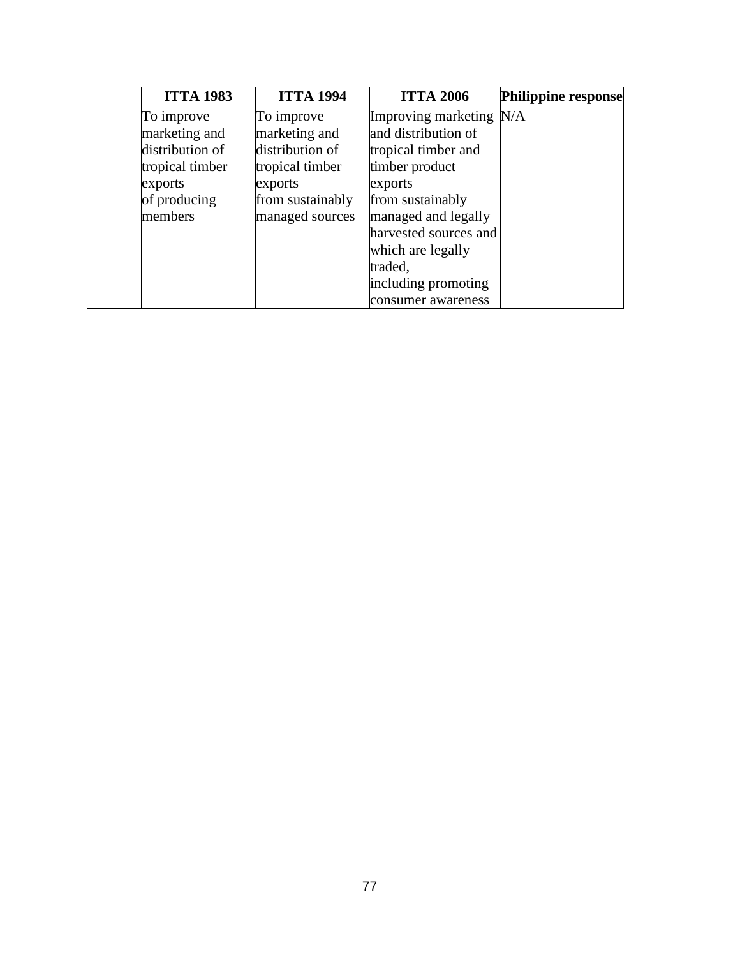| <b>ITTA 1983</b> | <b>ITTA 1994</b> | <b>ITTA 2006</b>        | Philippine response |
|------------------|------------------|-------------------------|---------------------|
| To improve       | To improve       | Improving marketing N/A |                     |
| marketing and    | marketing and    | and distribution of     |                     |
| distribution of  | distribution of  | tropical timber and     |                     |
| tropical timber  | tropical timber  | timber product          |                     |
| exports          | exports          | exports                 |                     |
| of producing     | from sustainably | from sustainably        |                     |
| members          | managed sources  | managed and legally     |                     |
|                  |                  | harvested sources and   |                     |
|                  |                  | which are legally       |                     |
|                  |                  | traded,                 |                     |
|                  |                  | including promoting     |                     |
|                  |                  | consumer awareness      |                     |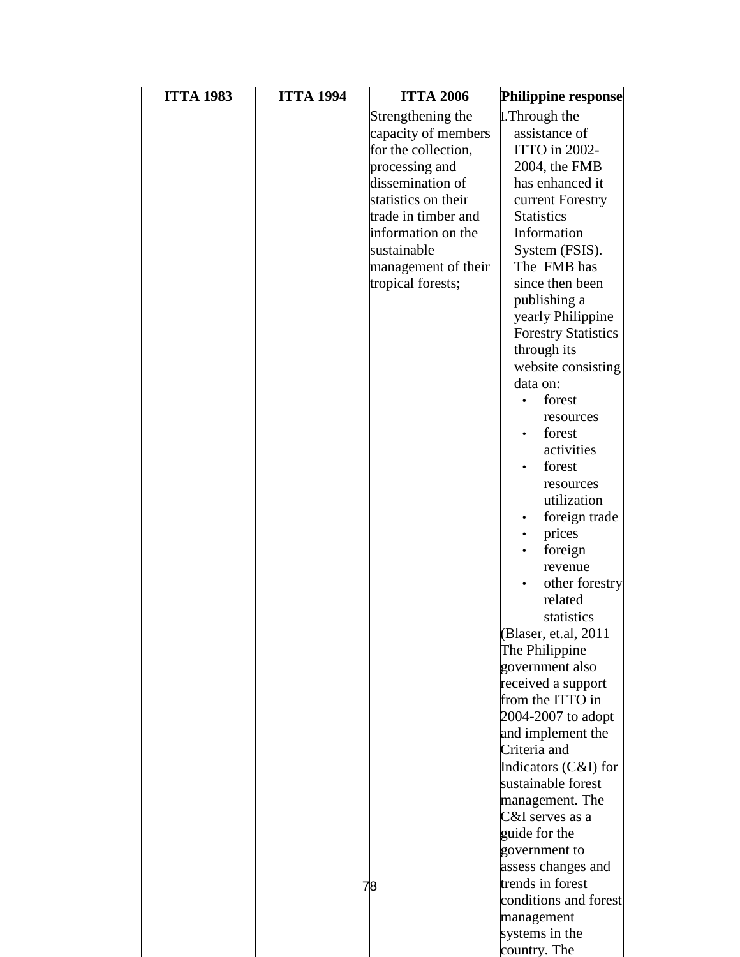| Strengthening the<br>I. Through the<br>assistance of<br>capacity of members<br>for the collection,<br>ITTO in 2002-<br>processing and<br>2004, the FMB<br>dissemination of<br>has enhanced it<br>statistics on their<br>current Forestry<br>trade in timber and<br><b>Statistics</b><br>information on the<br>Information<br>sustainable<br>System (FSIS).<br>The FMB has<br>management of their<br>tropical forests;<br>since then been<br>publishing a<br>yearly Philippine<br><b>Forestry Statistics</b><br>through its<br>website consisting<br>data on:<br>forest<br>$\bullet$<br>resources<br>forest<br>$\bullet$<br>activities<br>forest<br>resources<br>utilization<br>foreign trade<br>$\bullet$<br>prices<br>$\bullet$<br>foreign<br>٠<br>revenue<br>other forestry<br>related<br>statistics<br>(Blaser, et.al, 2011<br>The Philippine<br>government also<br>received a support<br>from the ITTO in<br>2004-2007 to adopt<br>and implement the<br>Criteria and<br>Indicators (C&I) for<br>sustainable forest<br>management. The<br>C&I serves as a<br>guide for the<br>government to<br>assess changes and<br>trends in forest<br>78<br>conditions and forest<br>management | <b>ITTA 1983</b> | <b>ITTA 1994</b> | <b>ITTA 2006</b> | <b>Philippine response</b> |
|---------------------------------------------------------------------------------------------------------------------------------------------------------------------------------------------------------------------------------------------------------------------------------------------------------------------------------------------------------------------------------------------------------------------------------------------------------------------------------------------------------------------------------------------------------------------------------------------------------------------------------------------------------------------------------------------------------------------------------------------------------------------------------------------------------------------------------------------------------------------------------------------------------------------------------------------------------------------------------------------------------------------------------------------------------------------------------------------------------------------------------------------------------------------------------------|------------------|------------------|------------------|----------------------------|
|                                                                                                                                                                                                                                                                                                                                                                                                                                                                                                                                                                                                                                                                                                                                                                                                                                                                                                                                                                                                                                                                                                                                                                                       |                  |                  |                  |                            |
|                                                                                                                                                                                                                                                                                                                                                                                                                                                                                                                                                                                                                                                                                                                                                                                                                                                                                                                                                                                                                                                                                                                                                                                       |                  |                  |                  |                            |
|                                                                                                                                                                                                                                                                                                                                                                                                                                                                                                                                                                                                                                                                                                                                                                                                                                                                                                                                                                                                                                                                                                                                                                                       |                  |                  |                  |                            |
|                                                                                                                                                                                                                                                                                                                                                                                                                                                                                                                                                                                                                                                                                                                                                                                                                                                                                                                                                                                                                                                                                                                                                                                       |                  |                  |                  |                            |
|                                                                                                                                                                                                                                                                                                                                                                                                                                                                                                                                                                                                                                                                                                                                                                                                                                                                                                                                                                                                                                                                                                                                                                                       |                  |                  |                  |                            |
|                                                                                                                                                                                                                                                                                                                                                                                                                                                                                                                                                                                                                                                                                                                                                                                                                                                                                                                                                                                                                                                                                                                                                                                       |                  |                  |                  |                            |
|                                                                                                                                                                                                                                                                                                                                                                                                                                                                                                                                                                                                                                                                                                                                                                                                                                                                                                                                                                                                                                                                                                                                                                                       |                  |                  |                  |                            |
|                                                                                                                                                                                                                                                                                                                                                                                                                                                                                                                                                                                                                                                                                                                                                                                                                                                                                                                                                                                                                                                                                                                                                                                       |                  |                  |                  |                            |
|                                                                                                                                                                                                                                                                                                                                                                                                                                                                                                                                                                                                                                                                                                                                                                                                                                                                                                                                                                                                                                                                                                                                                                                       |                  |                  |                  |                            |
|                                                                                                                                                                                                                                                                                                                                                                                                                                                                                                                                                                                                                                                                                                                                                                                                                                                                                                                                                                                                                                                                                                                                                                                       |                  |                  |                  |                            |
|                                                                                                                                                                                                                                                                                                                                                                                                                                                                                                                                                                                                                                                                                                                                                                                                                                                                                                                                                                                                                                                                                                                                                                                       |                  |                  |                  |                            |
|                                                                                                                                                                                                                                                                                                                                                                                                                                                                                                                                                                                                                                                                                                                                                                                                                                                                                                                                                                                                                                                                                                                                                                                       |                  |                  |                  |                            |
|                                                                                                                                                                                                                                                                                                                                                                                                                                                                                                                                                                                                                                                                                                                                                                                                                                                                                                                                                                                                                                                                                                                                                                                       |                  |                  |                  |                            |
|                                                                                                                                                                                                                                                                                                                                                                                                                                                                                                                                                                                                                                                                                                                                                                                                                                                                                                                                                                                                                                                                                                                                                                                       |                  |                  |                  |                            |
|                                                                                                                                                                                                                                                                                                                                                                                                                                                                                                                                                                                                                                                                                                                                                                                                                                                                                                                                                                                                                                                                                                                                                                                       |                  |                  |                  |                            |
|                                                                                                                                                                                                                                                                                                                                                                                                                                                                                                                                                                                                                                                                                                                                                                                                                                                                                                                                                                                                                                                                                                                                                                                       |                  |                  |                  |                            |
|                                                                                                                                                                                                                                                                                                                                                                                                                                                                                                                                                                                                                                                                                                                                                                                                                                                                                                                                                                                                                                                                                                                                                                                       |                  |                  |                  |                            |
|                                                                                                                                                                                                                                                                                                                                                                                                                                                                                                                                                                                                                                                                                                                                                                                                                                                                                                                                                                                                                                                                                                                                                                                       |                  |                  |                  |                            |
|                                                                                                                                                                                                                                                                                                                                                                                                                                                                                                                                                                                                                                                                                                                                                                                                                                                                                                                                                                                                                                                                                                                                                                                       |                  |                  |                  |                            |
|                                                                                                                                                                                                                                                                                                                                                                                                                                                                                                                                                                                                                                                                                                                                                                                                                                                                                                                                                                                                                                                                                                                                                                                       |                  |                  |                  |                            |
|                                                                                                                                                                                                                                                                                                                                                                                                                                                                                                                                                                                                                                                                                                                                                                                                                                                                                                                                                                                                                                                                                                                                                                                       |                  |                  |                  |                            |
|                                                                                                                                                                                                                                                                                                                                                                                                                                                                                                                                                                                                                                                                                                                                                                                                                                                                                                                                                                                                                                                                                                                                                                                       |                  |                  |                  |                            |
|                                                                                                                                                                                                                                                                                                                                                                                                                                                                                                                                                                                                                                                                                                                                                                                                                                                                                                                                                                                                                                                                                                                                                                                       |                  |                  |                  |                            |
|                                                                                                                                                                                                                                                                                                                                                                                                                                                                                                                                                                                                                                                                                                                                                                                                                                                                                                                                                                                                                                                                                                                                                                                       |                  |                  |                  |                            |
|                                                                                                                                                                                                                                                                                                                                                                                                                                                                                                                                                                                                                                                                                                                                                                                                                                                                                                                                                                                                                                                                                                                                                                                       |                  |                  |                  |                            |
|                                                                                                                                                                                                                                                                                                                                                                                                                                                                                                                                                                                                                                                                                                                                                                                                                                                                                                                                                                                                                                                                                                                                                                                       |                  |                  |                  |                            |
|                                                                                                                                                                                                                                                                                                                                                                                                                                                                                                                                                                                                                                                                                                                                                                                                                                                                                                                                                                                                                                                                                                                                                                                       |                  |                  |                  |                            |
|                                                                                                                                                                                                                                                                                                                                                                                                                                                                                                                                                                                                                                                                                                                                                                                                                                                                                                                                                                                                                                                                                                                                                                                       |                  |                  |                  |                            |
|                                                                                                                                                                                                                                                                                                                                                                                                                                                                                                                                                                                                                                                                                                                                                                                                                                                                                                                                                                                                                                                                                                                                                                                       |                  |                  |                  |                            |
|                                                                                                                                                                                                                                                                                                                                                                                                                                                                                                                                                                                                                                                                                                                                                                                                                                                                                                                                                                                                                                                                                                                                                                                       |                  |                  |                  |                            |
|                                                                                                                                                                                                                                                                                                                                                                                                                                                                                                                                                                                                                                                                                                                                                                                                                                                                                                                                                                                                                                                                                                                                                                                       |                  |                  |                  |                            |
|                                                                                                                                                                                                                                                                                                                                                                                                                                                                                                                                                                                                                                                                                                                                                                                                                                                                                                                                                                                                                                                                                                                                                                                       |                  |                  |                  |                            |
|                                                                                                                                                                                                                                                                                                                                                                                                                                                                                                                                                                                                                                                                                                                                                                                                                                                                                                                                                                                                                                                                                                                                                                                       |                  |                  |                  |                            |
|                                                                                                                                                                                                                                                                                                                                                                                                                                                                                                                                                                                                                                                                                                                                                                                                                                                                                                                                                                                                                                                                                                                                                                                       |                  |                  |                  |                            |
|                                                                                                                                                                                                                                                                                                                                                                                                                                                                                                                                                                                                                                                                                                                                                                                                                                                                                                                                                                                                                                                                                                                                                                                       |                  |                  |                  |                            |
|                                                                                                                                                                                                                                                                                                                                                                                                                                                                                                                                                                                                                                                                                                                                                                                                                                                                                                                                                                                                                                                                                                                                                                                       |                  |                  |                  |                            |
|                                                                                                                                                                                                                                                                                                                                                                                                                                                                                                                                                                                                                                                                                                                                                                                                                                                                                                                                                                                                                                                                                                                                                                                       |                  |                  |                  |                            |
|                                                                                                                                                                                                                                                                                                                                                                                                                                                                                                                                                                                                                                                                                                                                                                                                                                                                                                                                                                                                                                                                                                                                                                                       |                  |                  |                  |                            |
|                                                                                                                                                                                                                                                                                                                                                                                                                                                                                                                                                                                                                                                                                                                                                                                                                                                                                                                                                                                                                                                                                                                                                                                       |                  |                  |                  |                            |
|                                                                                                                                                                                                                                                                                                                                                                                                                                                                                                                                                                                                                                                                                                                                                                                                                                                                                                                                                                                                                                                                                                                                                                                       |                  |                  |                  |                            |
|                                                                                                                                                                                                                                                                                                                                                                                                                                                                                                                                                                                                                                                                                                                                                                                                                                                                                                                                                                                                                                                                                                                                                                                       |                  |                  |                  |                            |
|                                                                                                                                                                                                                                                                                                                                                                                                                                                                                                                                                                                                                                                                                                                                                                                                                                                                                                                                                                                                                                                                                                                                                                                       |                  |                  |                  |                            |
|                                                                                                                                                                                                                                                                                                                                                                                                                                                                                                                                                                                                                                                                                                                                                                                                                                                                                                                                                                                                                                                                                                                                                                                       |                  |                  |                  |                            |
|                                                                                                                                                                                                                                                                                                                                                                                                                                                                                                                                                                                                                                                                                                                                                                                                                                                                                                                                                                                                                                                                                                                                                                                       |                  |                  |                  |                            |
|                                                                                                                                                                                                                                                                                                                                                                                                                                                                                                                                                                                                                                                                                                                                                                                                                                                                                                                                                                                                                                                                                                                                                                                       |                  |                  |                  |                            |
|                                                                                                                                                                                                                                                                                                                                                                                                                                                                                                                                                                                                                                                                                                                                                                                                                                                                                                                                                                                                                                                                                                                                                                                       |                  |                  |                  |                            |
|                                                                                                                                                                                                                                                                                                                                                                                                                                                                                                                                                                                                                                                                                                                                                                                                                                                                                                                                                                                                                                                                                                                                                                                       |                  |                  |                  |                            |
|                                                                                                                                                                                                                                                                                                                                                                                                                                                                                                                                                                                                                                                                                                                                                                                                                                                                                                                                                                                                                                                                                                                                                                                       |                  |                  |                  |                            |
|                                                                                                                                                                                                                                                                                                                                                                                                                                                                                                                                                                                                                                                                                                                                                                                                                                                                                                                                                                                                                                                                                                                                                                                       |                  |                  |                  | systems in the             |
| country. The                                                                                                                                                                                                                                                                                                                                                                                                                                                                                                                                                                                                                                                                                                                                                                                                                                                                                                                                                                                                                                                                                                                                                                          |                  |                  |                  |                            |

country. The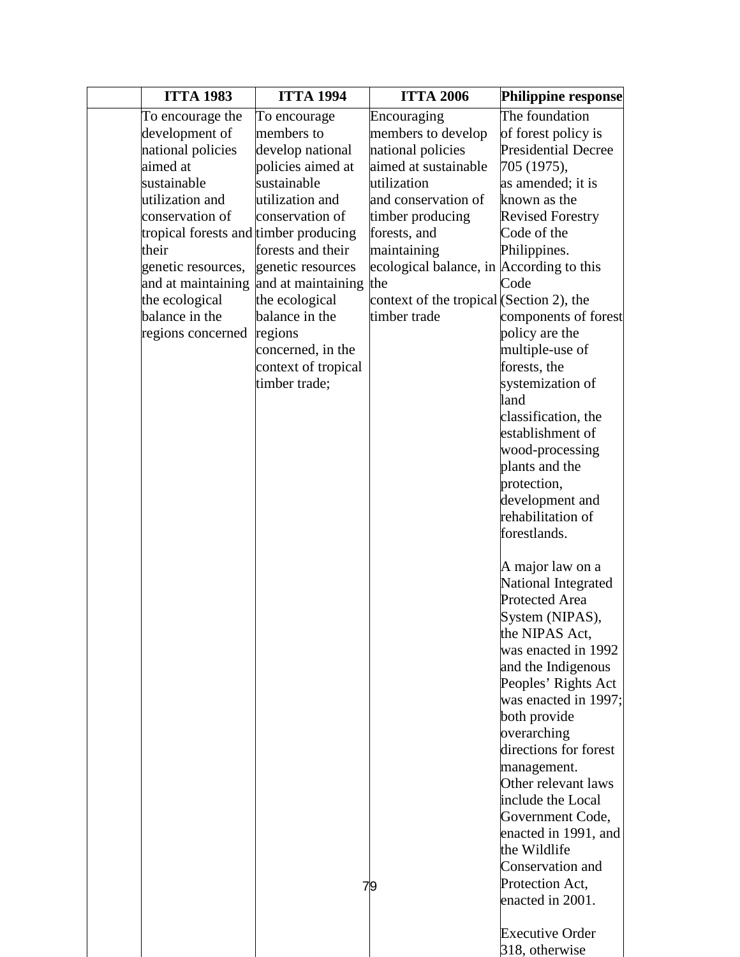| <b>ITTA 1983</b>   | <b>ITTA 1994</b>                      | <b>ITTA 2006</b>                         | Philippine response        |
|--------------------|---------------------------------------|------------------------------------------|----------------------------|
| To encourage the   | To encourage                          | Encouraging                              | The foundation             |
| development of     | members to                            | members to develop                       | of forest policy is        |
| national policies  | develop national                      | national policies                        | <b>Presidential Decree</b> |
| aimed at           | policies aimed at                     | aimed at sustainable                     | 705 (1975),                |
| sustainable        | sustainable                           | utilization                              | as amended; it is          |
| utilization and    | utilization and                       | and conservation of                      | known as the               |
| conservation of    | conservation of                       | timber producing                         | <b>Revised Forestry</b>    |
|                    | tropical forests and timber producing | forests, and                             | Code of the                |
| their              | forests and their                     | maintaining                              | Philippines.               |
| genetic resources, | genetic resources                     | ecological balance, in According to this |                            |
| and at maintaining | and at maintaining                    | the                                      | Code                       |
| the ecological     | the ecological                        | context of the tropical (Section 2), the |                            |
| balance in the     | balance in the                        | timber trade                             | components of forest       |
| regions concerned  | regions                               |                                          | policy are the             |
|                    | concerned, in the                     |                                          | multiple-use of            |
|                    | context of tropical                   |                                          | forests, the               |
|                    | timber trade;                         |                                          | systemization of           |
|                    |                                       |                                          | land                       |
|                    |                                       |                                          | classification, the        |
|                    |                                       |                                          | establishment of           |
|                    |                                       |                                          | wood-processing            |
|                    |                                       |                                          | plants and the             |
|                    |                                       |                                          | protection,                |
|                    |                                       |                                          | development and            |
|                    |                                       |                                          | rehabilitation of          |
|                    |                                       |                                          | forestlands.               |
|                    |                                       |                                          | A major law on a           |
|                    |                                       |                                          | National Integrated        |
|                    |                                       |                                          | <b>Protected Area</b>      |
|                    |                                       |                                          | System (NIPAS),            |
|                    |                                       |                                          | the NIPAS Act,             |
|                    |                                       |                                          | was enacted in 1992        |
|                    |                                       |                                          | and the Indigenous         |
|                    |                                       |                                          | Peoples' Rights Act        |
|                    |                                       |                                          | was enacted in 1997;       |
|                    |                                       |                                          | both provide               |
|                    |                                       |                                          | overarching                |
|                    |                                       |                                          | directions for forest      |
|                    |                                       |                                          | management.                |
|                    |                                       |                                          | Other relevant laws        |
|                    |                                       |                                          | include the Local          |
|                    |                                       |                                          | Government Code,           |
|                    |                                       |                                          | enacted in 1991, and       |
|                    |                                       |                                          | the Wildlife               |
|                    |                                       |                                          | Conservation and           |
|                    |                                       | 79                                       | Protection Act,            |
|                    |                                       |                                          | enacted in 2001.           |
|                    |                                       |                                          | <b>Executive Order</b>     |
|                    |                                       |                                          | 318, otherwise             |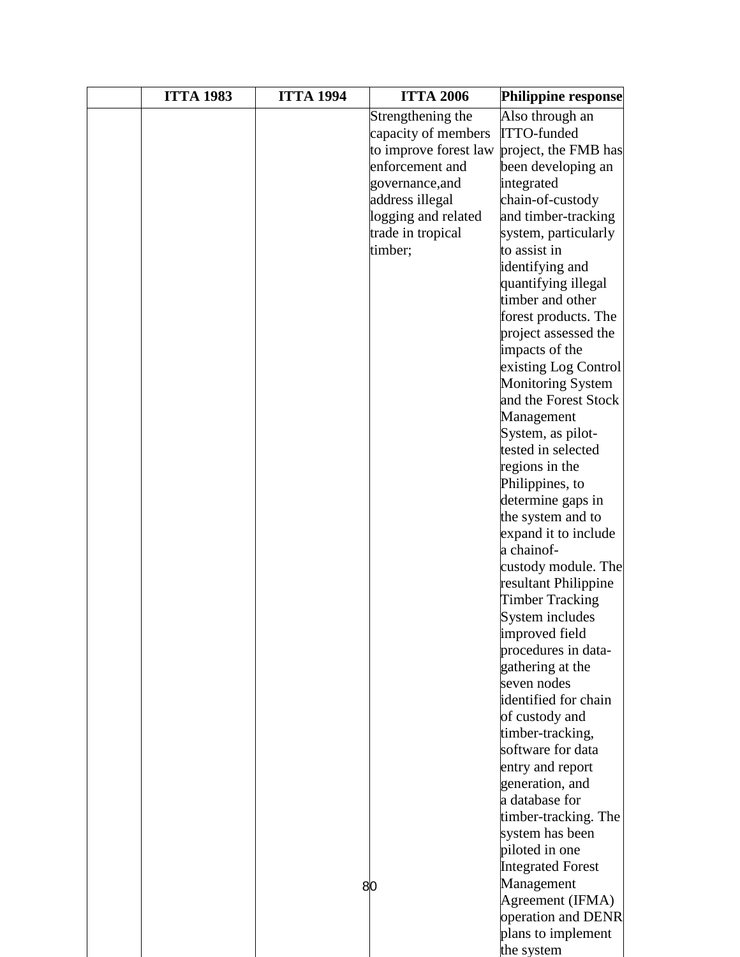| <b>ITTA 1983</b> | <b>ITTA 1994</b> | <b>ITTA 2006</b>      | <b>Philippine response</b> |
|------------------|------------------|-----------------------|----------------------------|
|                  |                  | Strengthening the     | Also through an            |
|                  |                  | capacity of members   | <b>ITTO-funded</b>         |
|                  |                  | to improve forest law | project, the FMB has       |
|                  |                  | enforcement and       | been developing an         |
|                  |                  | governance, and       | integrated                 |
|                  |                  | address illegal       | chain-of-custody           |
|                  |                  | logging and related   | and timber-tracking        |
|                  |                  | trade in tropical     | system, particularly       |
|                  |                  | timber;               | to assist in               |
|                  |                  |                       | identifying and            |
|                  |                  |                       | quantifying illegal        |
|                  |                  |                       | timber and other           |
|                  |                  |                       | forest products. The       |
|                  |                  |                       | project assessed the       |
|                  |                  |                       | impacts of the             |
|                  |                  |                       | existing Log Control       |
|                  |                  |                       | <b>Monitoring System</b>   |
|                  |                  |                       | and the Forest Stock       |
|                  |                  |                       | Management                 |
|                  |                  |                       | System, as pilot-          |
|                  |                  |                       | tested in selected         |
|                  |                  |                       | regions in the             |
|                  |                  |                       | Philippines, to            |
|                  |                  |                       | determine gaps in          |
|                  |                  |                       | the system and to          |
|                  |                  |                       | expand it to include       |
|                  |                  |                       | a chainof-                 |
|                  |                  |                       | custody module. The        |
|                  |                  |                       | resultant Philippine       |
|                  |                  |                       | <b>Timber Tracking</b>     |
|                  |                  |                       | System includes            |
|                  |                  |                       | improved field             |
|                  |                  |                       | procedures in data-        |
|                  |                  |                       | gathering at the           |
|                  |                  |                       | seven nodes                |
|                  |                  |                       | identified for chain       |
|                  |                  |                       | of custody and             |
|                  |                  |                       | timber-tracking,           |
|                  |                  |                       | software for data          |
|                  |                  |                       | entry and report           |
|                  |                  |                       | generation, and            |
|                  |                  |                       | a database for             |
|                  |                  |                       | timber-tracking. The       |
|                  |                  |                       | system has been            |
|                  |                  |                       | piloted in one             |
|                  |                  |                       | <b>Integrated Forest</b>   |
|                  |                  | 80                    | Management                 |
|                  |                  |                       | Agreement (IFMA)           |
|                  |                  |                       | operation and DENR         |
|                  |                  |                       | plans to implement         |
|                  |                  |                       | the system                 |

the system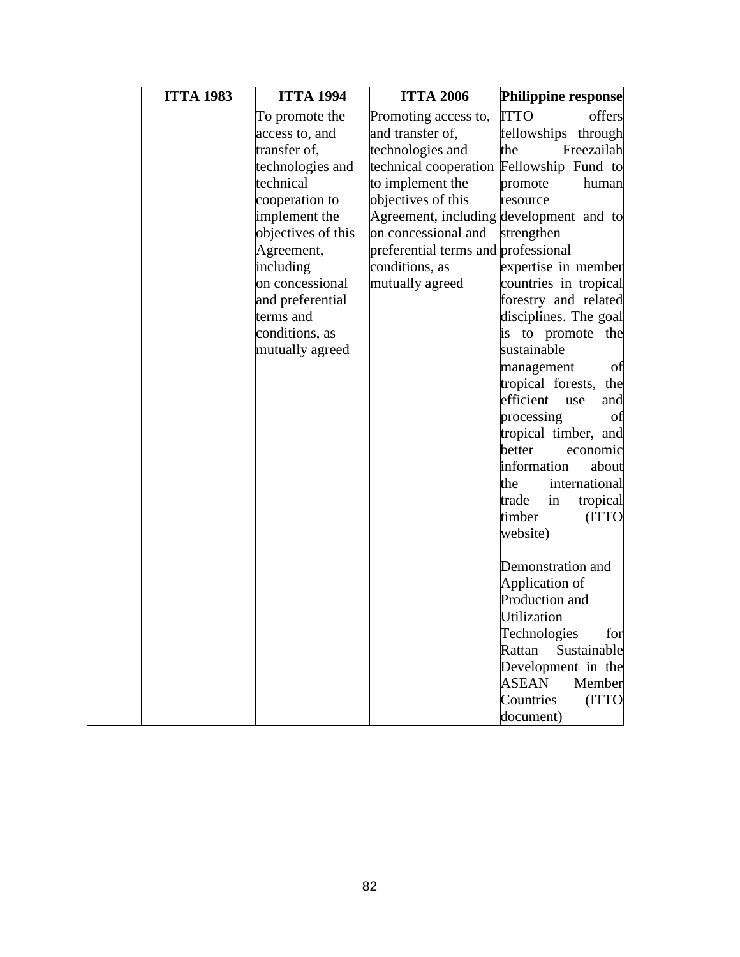| <b>ITTA 1983</b> | <b>ITTA 1994</b>   | <b>ITTA 2006</b>                         | Philippine response      |
|------------------|--------------------|------------------------------------------|--------------------------|
|                  | To promote the     | Promoting access to,                     | <b>ITTO</b><br>offers    |
|                  | access to, and     | and transfer of,                         | fellowships through      |
|                  | transfer of,       | technologies and                         | Freezailah<br>the        |
|                  | technologies and   | technical cooperation Fellowship Fund to |                          |
|                  | technical          | to implement the                         | promote<br>human         |
|                  | cooperation to     | objectives of this                       | resource                 |
|                  | implement the      | Agreement, including development and to  |                          |
|                  | objectives of this | on concessional and                      | strengthen               |
|                  | Agreement,         | preferential terms and professional      |                          |
|                  | including          | conditions, as                           | expertise in member      |
|                  | on concessional    | mutually agreed                          | countries in tropical    |
|                  | and preferential   |                                          | forestry and related     |
|                  | terms and          |                                          | disciplines. The goal    |
|                  | conditions, as     |                                          | is to promote the        |
|                  | mutually agreed    |                                          | sustainable              |
|                  |                    |                                          | management<br>of         |
|                  |                    |                                          | tropical forests,<br>the |
|                  |                    |                                          | efficient<br>use<br>and  |
|                  |                    |                                          | processing<br>ΟÌ         |
|                  |                    |                                          | tropical timber, and     |
|                  |                    |                                          | better<br>economic       |
|                  |                    |                                          | information<br>about     |
|                  |                    |                                          | international<br>the     |
|                  |                    |                                          | in<br>trade<br>tropical  |
|                  |                    |                                          | timber<br>(ITTO          |
|                  |                    |                                          | website)                 |
|                  |                    |                                          | Demonstration and        |
|                  |                    |                                          | Application of           |
|                  |                    |                                          | Production and           |
|                  |                    |                                          | <b>Utilization</b>       |
|                  |                    |                                          | Technologies<br>for      |
|                  |                    |                                          | Rattan<br>Sustainable    |
|                  |                    |                                          | Development in the       |
|                  |                    |                                          | <b>ASEAN</b><br>Member   |
|                  |                    |                                          | Countries<br>(ITTO       |
|                  |                    |                                          | document)                |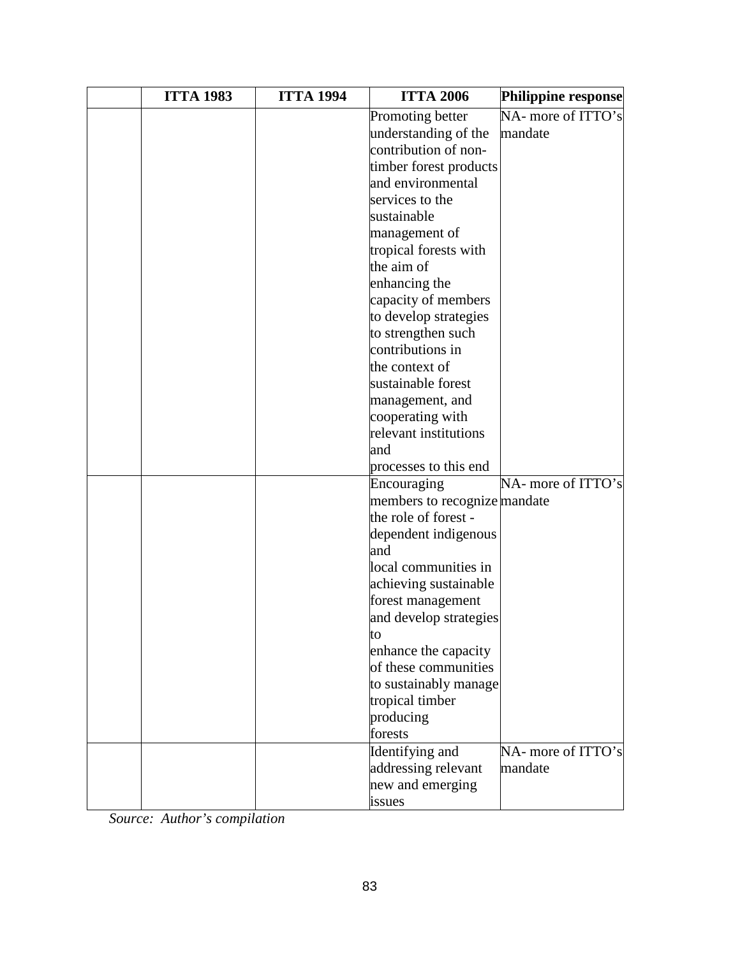| <b>ITTA 1983</b> | <b>ITTA 1994</b> | <b>ITTA 2006</b>             | Philippine response  |
|------------------|------------------|------------------------------|----------------------|
|                  |                  | Promoting better             | NA- more of ITTO's   |
|                  |                  | understanding of the         | mandate              |
|                  |                  | contribution of non-         |                      |
|                  |                  | timber forest products       |                      |
|                  |                  | and environmental            |                      |
|                  |                  | services to the              |                      |
|                  |                  | sustainable                  |                      |
|                  |                  | management of                |                      |
|                  |                  | tropical forests with        |                      |
|                  |                  | the aim of                   |                      |
|                  |                  | enhancing the                |                      |
|                  |                  | capacity of members          |                      |
|                  |                  | to develop strategies        |                      |
|                  |                  | to strengthen such           |                      |
|                  |                  | contributions in             |                      |
|                  |                  | the context of               |                      |
|                  |                  | sustainable forest           |                      |
|                  |                  | management, and              |                      |
|                  |                  | cooperating with             |                      |
|                  |                  | relevant institutions        |                      |
|                  |                  | and                          |                      |
|                  |                  | processes to this end        |                      |
|                  |                  | Encouraging                  | NA- more of ITTO's   |
|                  |                  | members to recognize mandate |                      |
|                  |                  | the role of forest -         |                      |
|                  |                  | dependent indigenous         |                      |
|                  |                  | and                          |                      |
|                  |                  | local communities in         |                      |
|                  |                  | achieving sustainable        |                      |
|                  |                  | forest management            |                      |
|                  |                  | and develop strategies       |                      |
|                  |                  | to                           |                      |
|                  |                  | enhance the capacity         |                      |
|                  |                  | of these communities         |                      |
|                  |                  | to sustainably manage        |                      |
|                  |                  | tropical timber              |                      |
|                  |                  | producing                    |                      |
|                  |                  | forests                      |                      |
|                  |                  | Identifying and              | NA- more of $ITTO's$ |
|                  |                  | addressing relevant          | mandate              |
|                  |                  | new and emerging             |                      |
|                  |                  | issues                       |                      |

*Source: Author's compilation*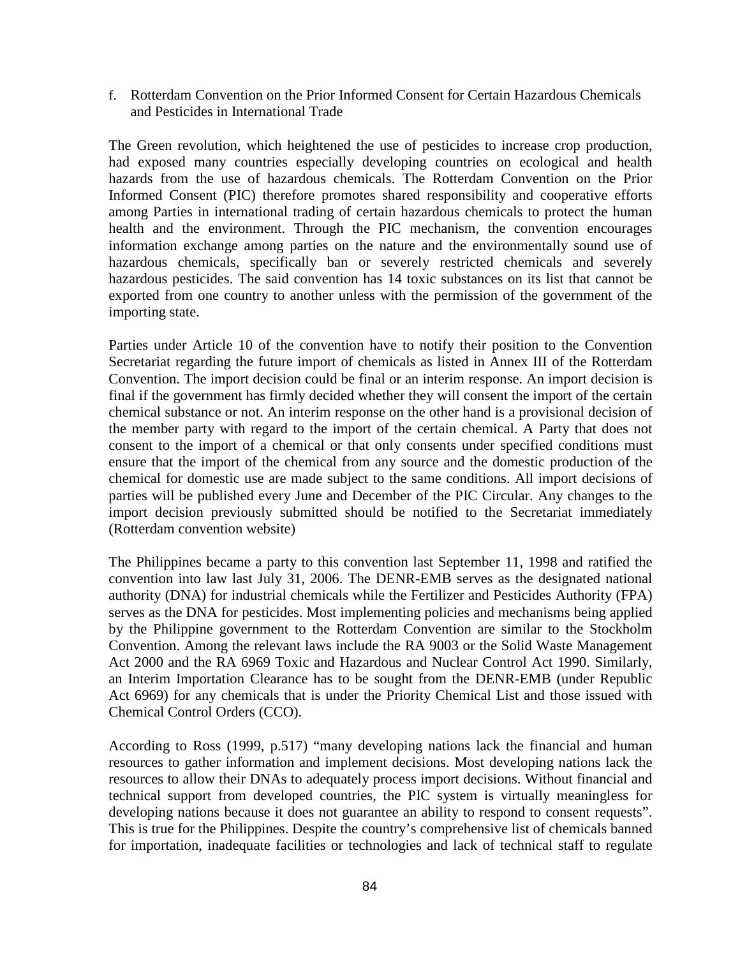f. Rotterdam Convention on the Prior Informed Consent for Certain Hazardous Chemicals and Pesticides in International Trade

The Green revolution, which heightened the use of pesticides to increase crop production, had exposed many countries especially developing countries on ecological and health hazards from the use of hazardous chemicals. The Rotterdam Convention on the Prior Informed Consent (PIC) therefore promotes shared responsibility and cooperative efforts among Parties in international trading of certain hazardous chemicals to protect the human health and the environment. Through the PIC mechanism, the convention encourages information exchange among parties on the nature and the environmentally sound use of hazardous chemicals, specifically ban or severely restricted chemicals and severely hazardous pesticides. The said convention has 14 toxic substances on its list that cannot be exported from one country to another unless with the permission of the government of the importing state.

Parties under Article 10 of the convention have to notify their position to the Convention Secretariat regarding the future import of chemicals as listed in Annex III of the Rotterdam Convention. The import decision could be final or an interim response. An import decision is final if the government has firmly decided whether they will consent the import of the certain chemical substance or not. An interim response on the other hand is a provisional decision of the member party with regard to the import of the certain chemical. A Party that does not consent to the import of a chemical or that only consents under specified conditions must ensure that the import of the chemical from any source and the domestic production of the chemical for domestic use are made subject to the same conditions. All import decisions of parties will be published every June and December of the PIC Circular. Any changes to the import decision previously submitted should be notified to the Secretariat immediately (Rotterdam convention website)

The Philippines became a party to this convention last September 11, 1998 and ratified the convention into law last July 31, 2006. The DENR-EMB serves as the designated national authority (DNA) for industrial chemicals while the Fertilizer and Pesticides Authority (FPA) serves as the DNA for pesticides. Most implementing policies and mechanisms being applied by the Philippine government to the Rotterdam Convention are similar to the Stockholm Convention. Among the relevant laws include the RA 9003 or the Solid Waste Management Act 2000 and the RA 6969 Toxic and Hazardous and Nuclear Control Act 1990. Similarly, an Interim Importation Clearance has to be sought from the DENR-EMB (under Republic Act 6969) for any chemicals that is under the Priority Chemical List and those issued with Chemical Control Orders (CCO).

According to Ross (1999, p.517) "many developing nations lack the financial and human resources to gather information and implement decisions. Most developing nations lack the resources to allow their DNAs to adequately process import decisions. Without financial and technical support from developed countries, the PIC system is virtually meaningless for developing nations because it does not guarantee an ability to respond to consent requests". This is true for the Philippines. Despite the country's comprehensive list of chemicals banned for importation, inadequate facilities or technologies and lack of technical staff to regulate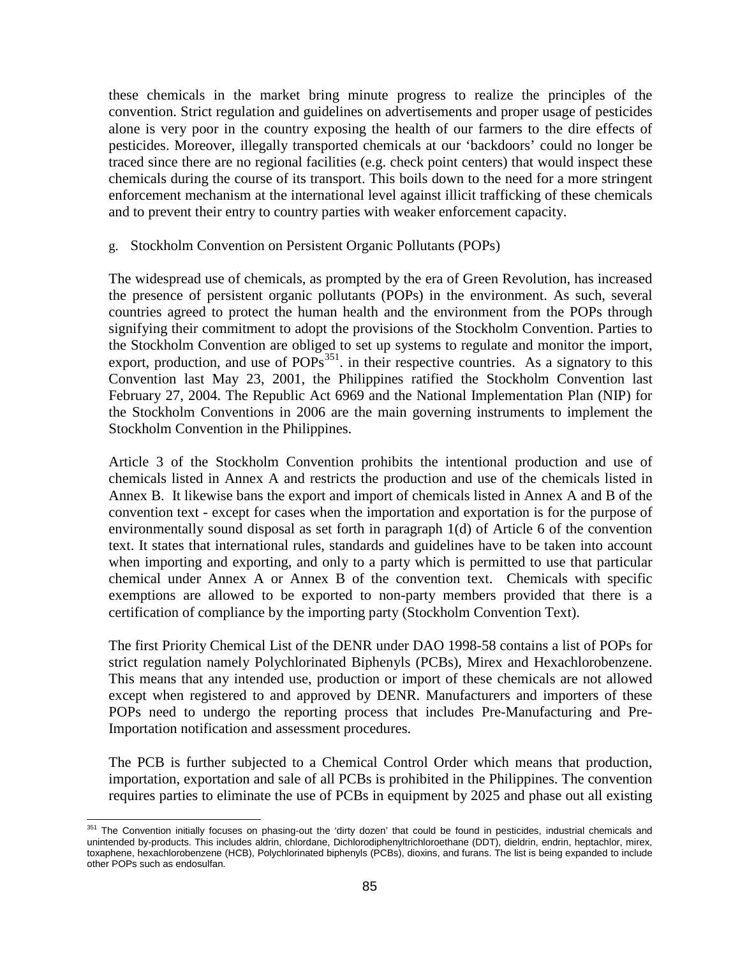these chemicals in the market bring minute progress to realize the principles of the convention. Strict regulation and guidelines on advertisements and proper usage of pesticides alone is very poor in the country exposing the health of our farmers to the dire effects of pesticides. Moreover, illegally transported chemicals at our 'backdoors' could no longer be traced since there are no regional facilities (e.g. check point centers) that would inspect these chemicals during the course of its transport. This boils down to the need for a more stringent enforcement mechanism at the international level against illicit trafficking of these chemicals and to prevent their entry to country parties with weaker enforcement capacity.

g. Stockholm Convention on Persistent Organic Pollutants (POPs)

The widespread use of chemicals, as prompted by the era of Green Revolution, has increased the presence of persistent organic pollutants (POPs) in the environment. As such, several countries agreed to protect the human health and the environment from the POPs through signifying their commitment to adopt the provisions of the Stockholm Convention. Parties to the Stockholm Convention are obliged to set up systems to regulate and monitor the import, export, production, and use of  $POPs<sup>351</sup>$  $POPs<sup>351</sup>$  $POPs<sup>351</sup>$ . in their respective countries. As a signatory to this Convention last May 23, 2001, the Philippines ratified the Stockholm Convention last February 27, 2004. The Republic Act 6969 and the National Implementation Plan (NIP) for the Stockholm Conventions in 2006 are the main governing instruments to implement the Stockholm Convention in the Philippines.

Article 3 of the Stockholm Convention prohibits the intentional production and use of chemicals listed in Annex A and restricts the production and use of the chemicals listed in Annex B. It likewise bans the export and import of chemicals listed in Annex A and B of the convention text - except for cases when the importation and exportation is for the purpose of environmentally sound disposal as set forth in paragraph 1(d) of Article 6 of the convention text. It states that international rules, standards and guidelines have to be taken into account when importing and exporting, and only to a party which is permitted to use that particular chemical under Annex A or Annex B of the convention text. Chemicals with specific exemptions are allowed to be exported to non-party members provided that there is a certification of compliance by the importing party (Stockholm Convention Text).

The first Priority Chemical List of the DENR under DAO 1998-58 contains a list of POPs for strict regulation namely Polychlorinated Biphenyls (PCBs), Mirex and Hexachlorobenzene. This means that any intended use, production or import of these chemicals are not allowed except when registered to and approved by DENR. Manufacturers and importers of these POPs need to undergo the reporting process that includes Pre-Manufacturing and Pre-Importation notification and assessment procedures.

The PCB is further subjected to a Chemical Control Order which means that production, importation, exportation and sale of all PCBs is prohibited in the Philippines. The convention requires parties to eliminate the use of PCBs in equipment by 2025 and phase out all existing

<span id="page-85-0"></span><sup>351</sup> The Convention initially focuses on phasing-out the 'dirty dozen' that could be found in pesticides, industrial chemicals and unintended by-products. This includes aldrin, chlordane, Dichlorodiphenyltrichloroethane (DDT), dieldrin, endrin, heptachlor, mirex, toxaphene, hexachlorobenzene (HCB), Polychlorinated biphenyls (PCBs), dioxins, and furans. The list is being expanded to include other POPs such as endosulfan.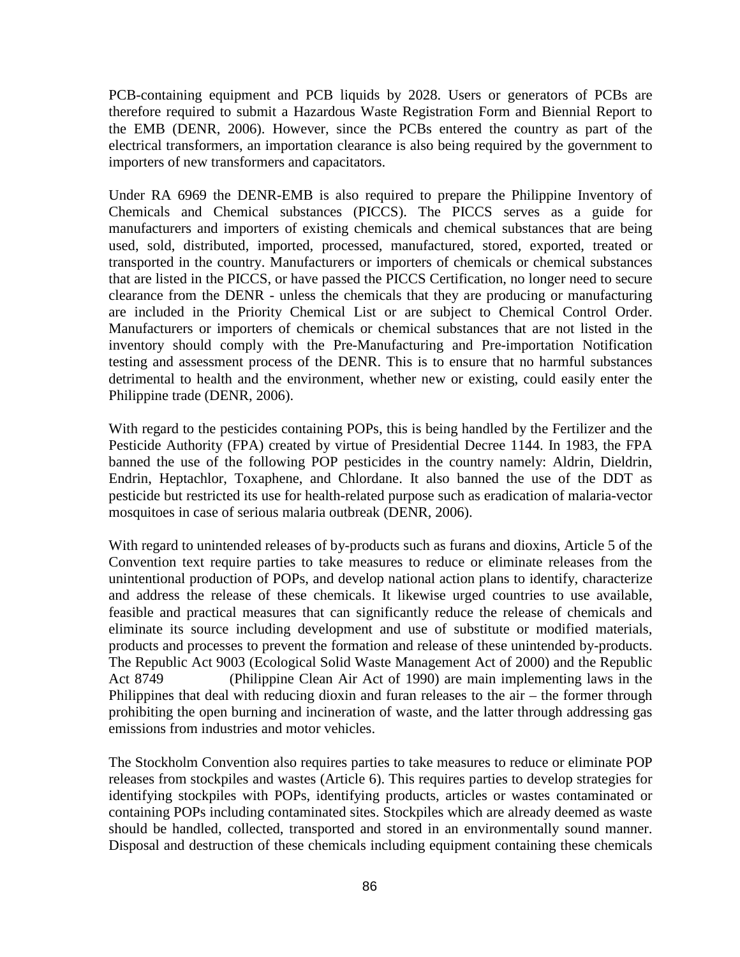PCB-containing equipment and PCB liquids by 2028. Users or generators of PCBs are therefore required to submit a Hazardous Waste Registration Form and Biennial Report to the EMB (DENR, 2006). However, since the PCBs entered the country as part of the electrical transformers, an importation clearance is also being required by the government to importers of new transformers and capacitators.

Under RA 6969 the DENR-EMB is also required to prepare the Philippine Inventory of Chemicals and Chemical substances (PICCS). The PICCS serves as a guide for manufacturers and importers of existing chemicals and chemical substances that are being used, sold, distributed, imported, processed, manufactured, stored, exported, treated or transported in the country. Manufacturers or importers of chemicals or chemical substances that are listed in the PICCS, or have passed the PICCS Certification, no longer need to secure clearance from the DENR - unless the chemicals that they are producing or manufacturing are included in the Priority Chemical List or are subject to Chemical Control Order. Manufacturers or importers of chemicals or chemical substances that are not listed in the inventory should comply with the Pre-Manufacturing and Pre-importation Notification testing and assessment process of the DENR. This is to ensure that no harmful substances detrimental to health and the environment, whether new or existing, could easily enter the Philippine trade (DENR, 2006).

With regard to the pesticides containing POPs, this is being handled by the Fertilizer and the Pesticide Authority (FPA) created by virtue of Presidential Decree 1144. In 1983, the FPA banned the use of the following POP pesticides in the country namely: Aldrin, Dieldrin, Endrin, Heptachlor, Toxaphene, and Chlordane. It also banned the use of the DDT as pesticide but restricted its use for health-related purpose such as eradication of malaria-vector mosquitoes in case of serious malaria outbreak (DENR, 2006).

With regard to unintended releases of by-products such as furans and dioxins, Article 5 of the Convention text require parties to take measures to reduce or eliminate releases from the unintentional production of POPs, and develop national action plans to identify, characterize and address the release of these chemicals. It likewise urged countries to use available, feasible and practical measures that can significantly reduce the release of chemicals and eliminate its source including development and use of substitute or modified materials, products and processes to prevent the formation and release of these unintended by-products. The Republic Act 9003 (Ecological Solid Waste Management Act of 2000) and the Republic Act 8749 (Philippine Clean Air Act of 1990) are main implementing laws in the Philippines that deal with reducing dioxin and furan releases to the air – the former through prohibiting the open burning and incineration of waste, and the latter through addressing gas emissions from industries and motor vehicles.

The Stockholm Convention also requires parties to take measures to reduce or eliminate POP releases from stockpiles and wastes (Article 6). This requires parties to develop strategies for identifying stockpiles with POPs, identifying products, articles or wastes contaminated or containing POPs including contaminated sites. Stockpiles which are already deemed as waste should be handled, collected, transported and stored in an environmentally sound manner. Disposal and destruction of these chemicals including equipment containing these chemicals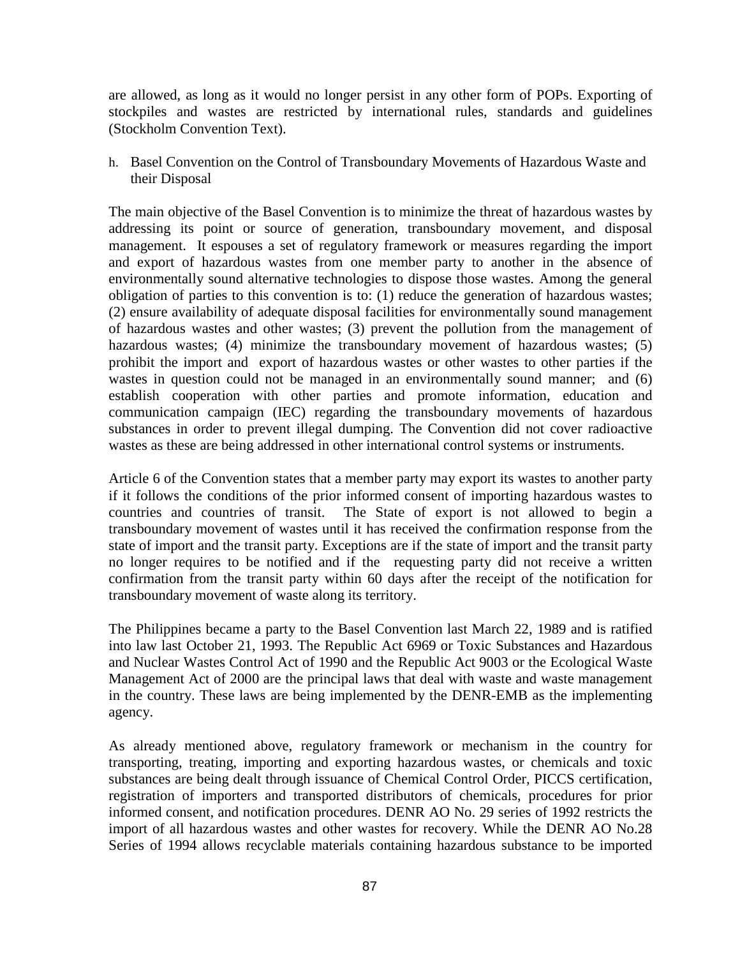are allowed, as long as it would no longer persist in any other form of POPs. Exporting of stockpiles and wastes are restricted by international rules, standards and guidelines (Stockholm Convention Text).

h. Basel Convention on the Control of Transboundary Movements of Hazardous Waste and their Disposal

The main objective of the Basel Convention is to minimize the threat of hazardous wastes by addressing its point or source of generation, transboundary movement, and disposal management. It espouses a set of regulatory framework or measures regarding the import and export of hazardous wastes from one member party to another in the absence of environmentally sound alternative technologies to dispose those wastes. Among the general obligation of parties to this convention is to: (1) reduce the generation of hazardous wastes; (2) ensure availability of adequate disposal facilities for environmentally sound management of hazardous wastes and other wastes; (3) prevent the pollution from the management of hazardous wastes; (4) minimize the transboundary movement of hazardous wastes; (5) prohibit the import and export of hazardous wastes or other wastes to other parties if the wastes in question could not be managed in an environmentally sound manner; and (6) establish cooperation with other parties and promote information, education and communication campaign (IEC) regarding the transboundary movements of hazardous substances in order to prevent illegal dumping. The Convention did not cover radioactive wastes as these are being addressed in other international control systems or instruments.

Article 6 of the Convention states that a member party may export its wastes to another party if it follows the conditions of the prior informed consent of importing hazardous wastes to countries and countries of transit. The State of export is not allowed to begin a transboundary movement of wastes until it has received the confirmation response from the state of import and the transit party. Exceptions are if the state of import and the transit party no longer requires to be notified and if the requesting party did not receive a written confirmation from the transit party within 60 days after the receipt of the notification for transboundary movement of waste along its territory.

The Philippines became a party to the Basel Convention last March 22, 1989 and is ratified into law last October 21, 1993. The Republic Act 6969 or Toxic Substances and Hazardous and Nuclear Wastes Control Act of 1990 and the Republic Act 9003 or the Ecological Waste Management Act of 2000 are the principal laws that deal with waste and waste management in the country. These laws are being implemented by the DENR-EMB as the implementing agency.

As already mentioned above, regulatory framework or mechanism in the country for transporting, treating, importing and exporting hazardous wastes, or chemicals and toxic substances are being dealt through issuance of Chemical Control Order, PICCS certification, registration of importers and transported distributors of chemicals, procedures for prior informed consent, and notification procedures. DENR AO No. 29 series of 1992 restricts the import of all hazardous wastes and other wastes for recovery. While the DENR [AO No.28](http://www.env.go.jp/en/recycle/asian_net/Country_Information/Imp_ctrl_on_2ndhand/Philippines/dao94-28.pdf)  [Series of 1994](http://www.env.go.jp/en/recycle/asian_net/Country_Information/Imp_ctrl_on_2ndhand/Philippines/dao94-28.pdf) allows recyclable materials containing hazardous substance to be imported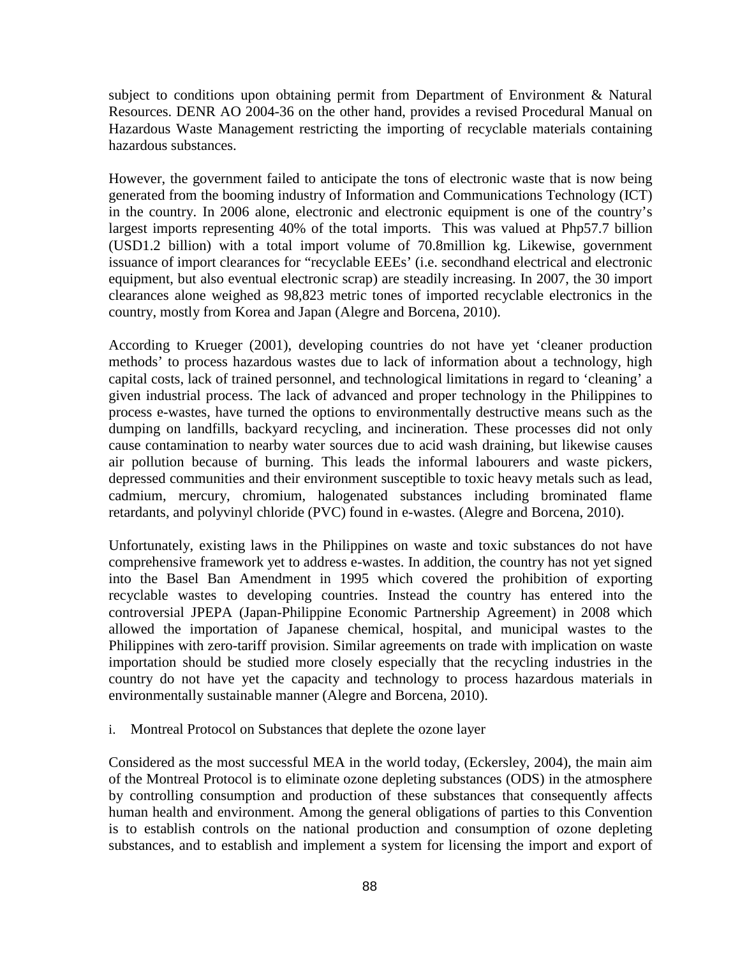subject to conditions upon obtaining permit from Department of Environment & Natural Resources. DENR AO 2004-36 on the other hand, provides a revised Procedural Manual on Hazardous Waste Management restricting the importing of recyclable materials containing hazardous substances.

However, the government failed to anticipate the tons of electronic waste that is now being generated from the booming industry of Information and Communications Technology (ICT) in the country. In 2006 alone, electronic and electronic equipment is one of the country's largest imports representing 40% of the total imports. This was valued at Php57.7 billion (USD1.2 billion) with a total import volume of 70.8million kg. Likewise, government issuance of import clearances for "recyclable EEEs' (i.e. secondhand electrical and electronic equipment, but also eventual electronic scrap) are steadily increasing. In 2007, the 30 import clearances alone weighed as 98,823 metric tones of imported recyclable electronics in the country, mostly from Korea and Japan (Alegre and Borcena, 2010).

According to Krueger (2001), developing countries do not have yet 'cleaner production methods' to process hazardous wastes due to lack of information about a technology, high capital costs, lack of trained personnel, and technological limitations in regard to 'cleaning' a given industrial process. The lack of advanced and proper technology in the Philippines to process e-wastes, have turned the options to environmentally destructive means such as the dumping on landfills, backyard recycling, and incineration. These processes did not only cause contamination to nearby water sources due to acid wash draining, but likewise causes air pollution because of burning. This leads the informal labourers and waste pickers, depressed communities and their environment susceptible to toxic heavy metals such as lead, cadmium, mercury, chromium, halogenated substances including brominated flame retardants, and polyvinyl chloride (PVC) found in e-wastes. (Alegre and Borcena, 2010).

Unfortunately, existing laws in the Philippines on waste and toxic substances do not have comprehensive framework yet to address e-wastes. In addition, the country has not yet signed into the Basel Ban Amendment in 1995 which covered the prohibition of exporting recyclable wastes to developing countries. Instead the country has entered into the controversial JPEPA (Japan-Philippine Economic Partnership Agreement) in 2008 which allowed the importation of Japanese chemical, hospital, and municipal wastes to the Philippines with zero-tariff provision. Similar agreements on trade with implication on waste importation should be studied more closely especially that the recycling industries in the country do not have yet the capacity and technology to process hazardous materials in environmentally sustainable manner (Alegre and Borcena, 2010).

i. Montreal Protocol on Substances that deplete the ozone layer

Considered as the most successful MEA in the world today, (Eckersley, 2004), the main aim of the Montreal Protocol is to eliminate ozone depleting substances (ODS) in the atmosphere by controlling consumption and production of these substances that consequently affects human health and environment. Among the general obligations of parties to this Convention is to establish controls on the national production and consumption of ozone depleting substances, and to establish and implement a system for licensing the import and export of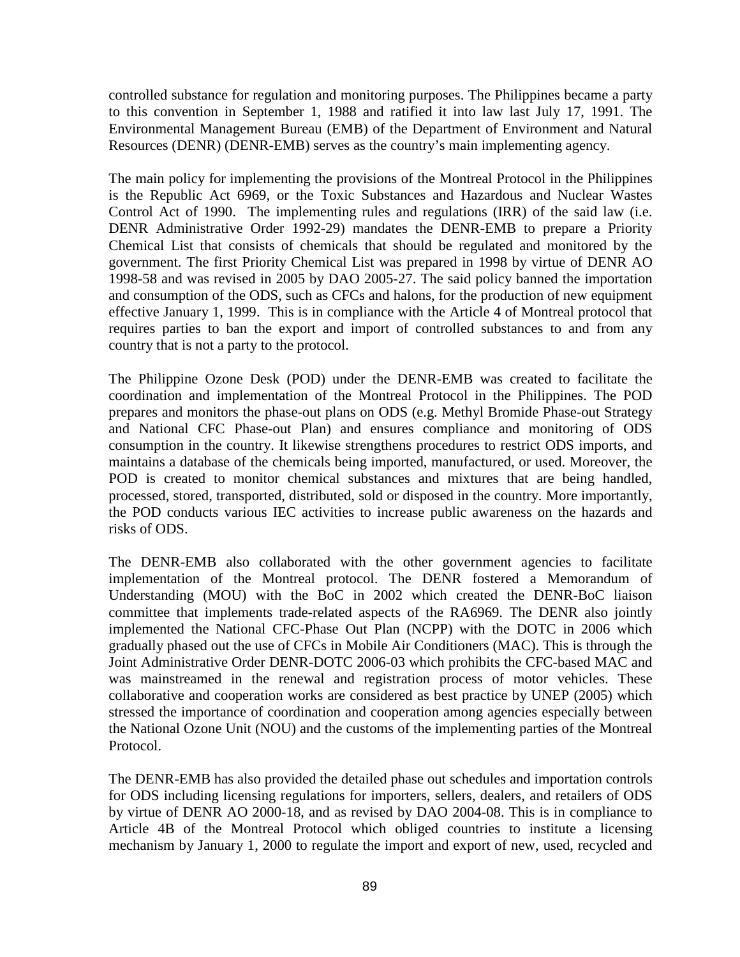controlled substance for regulation and monitoring purposes. The Philippines became a party to this convention in September 1, 1988 and ratified it into law last July 17, 1991. The Environmental Management Bureau (EMB) of the Department of Environment and Natural Resources (DENR) (DENR-EMB) serves as the country's main implementing agency.

The main policy for implementing the provisions of the Montreal Protocol in the Philippines is the Republic Act 6969, or the Toxic Substances and Hazardous and Nuclear Wastes Control Act of 1990. The implementing rules and regulations (IRR) of the said law (i.e. DENR Administrative Order 1992-29) mandates the DENR-EMB to prepare a Priority Chemical List that consists of chemicals that should be regulated and monitored by the government. The first Priority Chemical List was prepared in 1998 by virtue of DENR AO 1998-58 and was revised in 2005 by DAO 2005-27. The said policy banned the importation and consumption of the ODS, such as CFCs and halons, for the production of new equipment effective January 1, 1999. This is in compliance with the Article 4 of Montreal protocol that requires parties to ban the export and import of controlled substances to and from any country that is not a party to the protocol.

The Philippine Ozone Desk (POD) under the DENR-EMB was created to facilitate the coordination and implementation of the Montreal Protocol in the Philippines. The POD prepares and monitors the phase-out plans on ODS (e.g. Methyl Bromide Phase-out Strategy and National CFC Phase-out Plan) and ensures compliance and monitoring of ODS consumption in the country. It likewise strengthens procedures to restrict ODS imports, and maintains a database of the chemicals being imported, manufactured, or used. Moreover, the POD is created to monitor chemical substances and mixtures that are being handled, processed, stored, transported, distributed, sold or disposed in the country. More importantly, the POD conducts various IEC activities to increase public awareness on the hazards and risks of ODS.

The DENR-EMB also collaborated with the other government agencies to facilitate implementation of the Montreal protocol. The DENR fostered a Memorandum of Understanding (MOU) with the BoC in 2002 which created the DENR-BoC liaison committee that implements trade-related aspects of the RA6969. The DENR also jointly implemented the National CFC-Phase Out Plan (NCPP) with the DOTC in 2006 which gradually phased out the use of CFCs in Mobile Air Conditioners (MAC). This is through the Joint Administrative Order DENR-DOTC 2006-03 which prohibits the CFC-based MAC and was mainstreamed in the renewal and registration process of motor vehicles. These collaborative and cooperation works are considered as best practice by UNEP (2005) which stressed the importance of coordination and cooperation among agencies especially between the National Ozone Unit (NOU) and the customs of the implementing parties of the Montreal Protocol.

The DENR-EMB has also provided the detailed phase out schedules and importation controls for ODS including licensing regulations for importers, sellers, dealers, and retailers of ODS by virtue of DENR AO 2000-18, and as revised by DAO 2004-08. This is in compliance to Article 4B of the Montreal Protocol which obliged countries to institute a licensing mechanism by January 1, 2000 to regulate the import and export of new, used, recycled and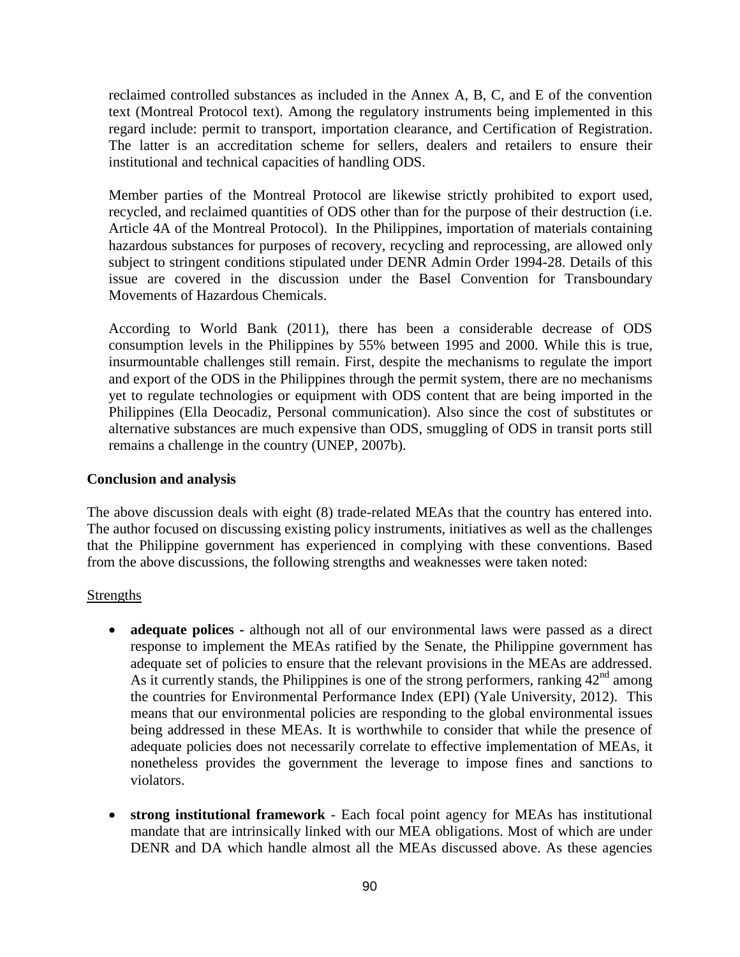reclaimed controlled substances as included in the Annex A, B, C, and E of the convention text (Montreal Protocol text). Among the regulatory instruments being implemented in this regard include: permit to transport, importation clearance, and Certification of Registration. The latter is an accreditation scheme for sellers, dealers and retailers to ensure their institutional and technical capacities of handling ODS.

Member parties of the Montreal Protocol are likewise strictly prohibited to export used, recycled, and reclaimed quantities of ODS other than for the purpose of their destruction (i.e. Article 4A of the Montreal Protocol). In the Philippines, importation of materials containing hazardous substances for purposes of recovery, recycling and reprocessing, are allowed only subject to stringent conditions stipulated under DENR Admin Order 1994-28. Details of this issue are covered in the discussion under the Basel Convention for Transboundary Movements of Hazardous Chemicals.

According to World Bank (2011), there has been a considerable decrease of ODS consumption levels in the Philippines by 55% between 1995 and 2000. While this is true, insurmountable challenges still remain. First, despite the mechanisms to regulate the import and export of the ODS in the Philippines through the permit system, there are no mechanisms yet to regulate technologies or equipment with ODS content that are being imported in the Philippines (Ella Deocadiz, Personal communication). Also since the cost of substitutes or alternative substances are much expensive than ODS, smuggling of ODS in transit ports still remains a challenge in the country (UNEP, 2007b).

## **Conclusion and analysis**

The above discussion deals with eight (8) trade-related MEAs that the country has entered into. The author focused on discussing existing policy instruments, initiatives as well as the challenges that the Philippine government has experienced in complying with these conventions. Based from the above discussions, the following strengths and weaknesses were taken noted:

# **Strengths**

- **adequate polices -** although not all of our environmental laws were passed as a direct response to implement the MEAs ratified by the Senate, the Philippine government has adequate set of policies to ensure that the relevant provisions in the MEAs are addressed. As it currently stands, the Philippines is one of the strong performers, ranking  $42<sup>nd</sup>$  among the countries for Environmental Performance Index (EPI) (Yale University, 2012). This means that our environmental policies are responding to the global environmental issues being addressed in these MEAs. It is worthwhile to consider that while the presence of adequate policies does not necessarily correlate to effective implementation of MEAs, it nonetheless provides the government the leverage to impose fines and sanctions to violators.
- **strong institutional framework**  Each focal point agency for MEAs has institutional mandate that are intrinsically linked with our MEA obligations. Most of which are under DENR and DA which handle almost all the MEAs discussed above. As these agencies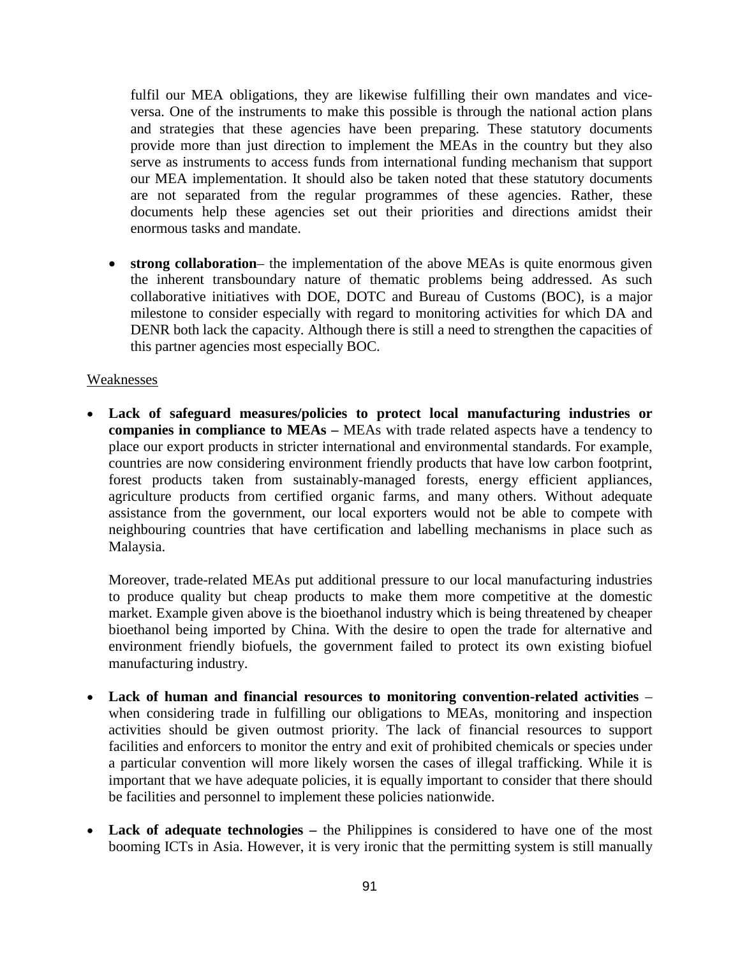fulfil our MEA obligations, they are likewise fulfilling their own mandates and viceversa. One of the instruments to make this possible is through the national action plans and strategies that these agencies have been preparing. These statutory documents provide more than just direction to implement the MEAs in the country but they also serve as instruments to access funds from international funding mechanism that support our MEA implementation. It should also be taken noted that these statutory documents are not separated from the regular programmes of these agencies. Rather, these documents help these agencies set out their priorities and directions amidst their enormous tasks and mandate.

• **strong collaboration**— the implementation of the above MEAs is quite enormous given the inherent transboundary nature of thematic problems being addressed. As such collaborative initiatives with DOE, DOTC and Bureau of Customs (BOC), is a major milestone to consider especially with regard to monitoring activities for which DA and DENR both lack the capacity. Although there is still a need to strengthen the capacities of this partner agencies most especially BOC.

## Weaknesses

• **Lack of safeguard measures/policies to protect local manufacturing industries or companies in compliance to MEAs –** MEAs with trade related aspects have a tendency to place our export products in stricter international and environmental standards. For example, countries are now considering environment friendly products that have low carbon footprint, forest products taken from sustainably-managed forests, energy efficient appliances, agriculture products from certified organic farms, and many others. Without adequate assistance from the government, our local exporters would not be able to compete with neighbouring countries that have certification and labelling mechanisms in place such as Malaysia.

Moreover, trade-related MEAs put additional pressure to our local manufacturing industries to produce quality but cheap products to make them more competitive at the domestic market. Example given above is the bioethanol industry which is being threatened by cheaper bioethanol being imported by China. With the desire to open the trade for alternative and environment friendly biofuels, the government failed to protect its own existing biofuel manufacturing industry.

- **Lack of human and financial resources to monitoring convention-related activities**  when considering trade in fulfilling our obligations to MEAs, monitoring and inspection activities should be given outmost priority. The lack of financial resources to support facilities and enforcers to monitor the entry and exit of prohibited chemicals or species under a particular convention will more likely worsen the cases of illegal trafficking. While it is important that we have adequate policies, it is equally important to consider that there should be facilities and personnel to implement these policies nationwide.
- Lack of adequate technologies the Philippines is considered to have one of the most booming ICTs in Asia. However, it is very ironic that the permitting system is still manually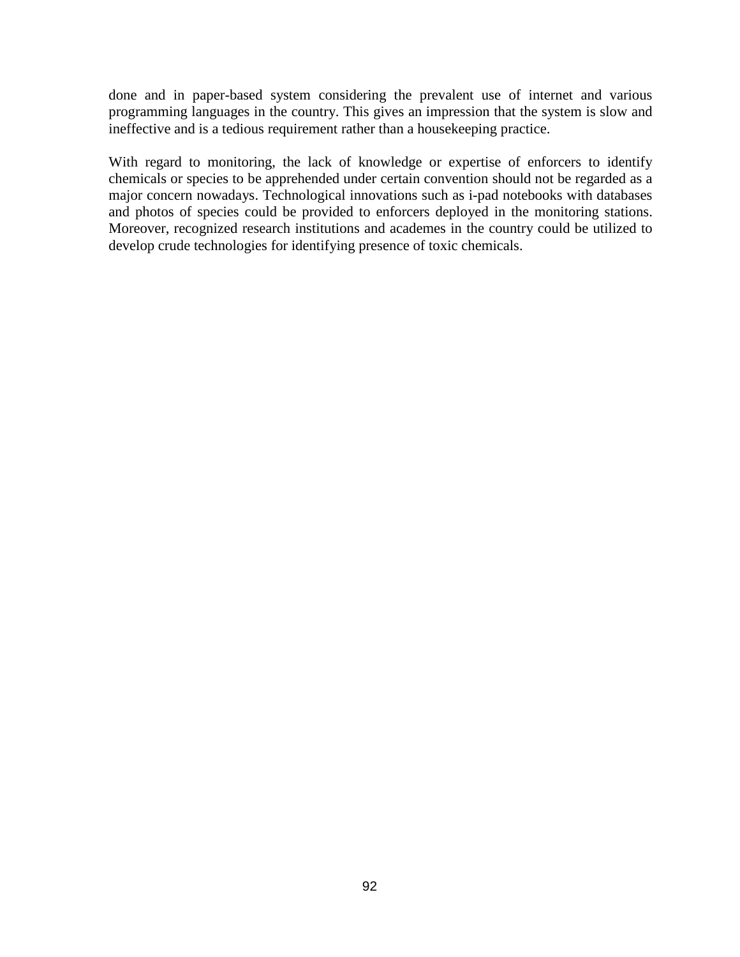done and in paper-based system considering the prevalent use of internet and various programming languages in the country. This gives an impression that the system is slow and ineffective and is a tedious requirement rather than a housekeeping practice.

With regard to monitoring, the lack of knowledge or expertise of enforcers to identify chemicals or species to be apprehended under certain convention should not be regarded as a major concern nowadays. Technological innovations such as i-pad notebooks with databases and photos of species could be provided to enforcers deployed in the monitoring stations. Moreover, recognized research institutions and academes in the country could be utilized to develop crude technologies for identifying presence of toxic chemicals.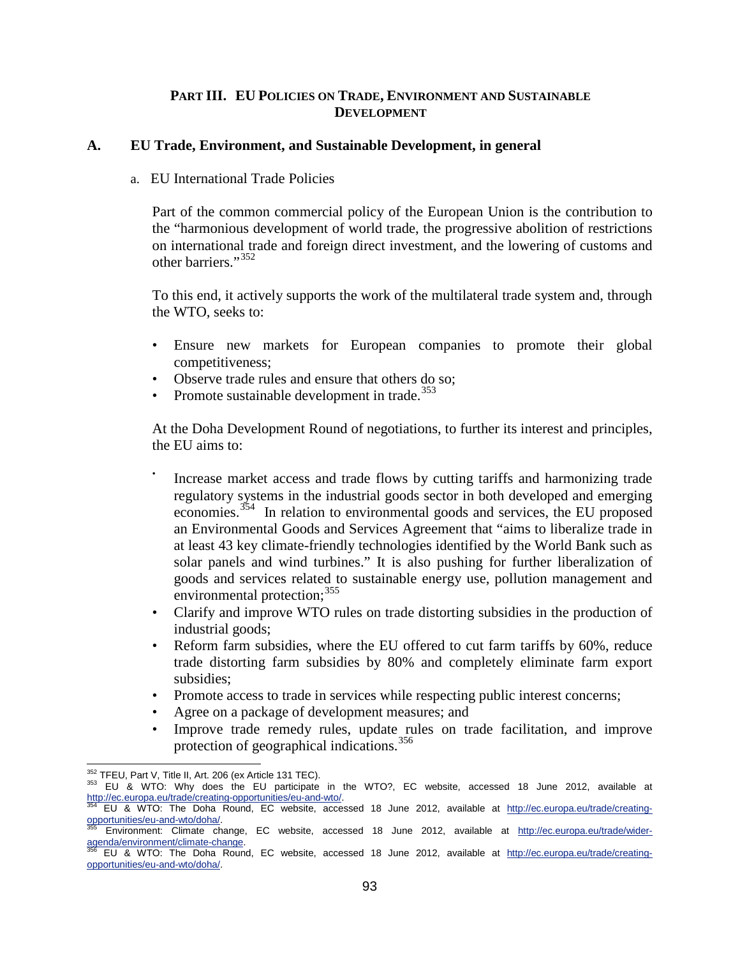## **PART III. EU POLICIES ON TRADE, ENVIRONMENT AND SUSTAINABLE DEVELOPMENT**

#### **A. EU Trade, Environment, and Sustainable Development, in general**

#### a. EU International Trade Policies

Part of the common commercial policy of the European Union is the contribution to the "harmonious development of world trade, the progressive abolition of restrictions on international trade and foreign direct investment, and the lowering of customs and other barriers."[352](#page-93-0)

To this end, it actively supports the work of the multilateral trade system and, through the WTO, seeks to:

- Ensure new markets for European companies to promote their global competitiveness;
- Observe trade rules and ensure that others do so;
- Promote sustainable development in trade.<sup>[353](#page-93-0)</sup>

At the Doha Development Round of negotiations, to further its interest and principles, the EU aims to:

- Increase market access and trade flows by cutting tariffs and harmonizing trade regulatory systems in the industrial goods sector in both developed and emerging economies.<sup>[354](#page-93-0)</sup> In relation to environmental goods and services, the EU proposed an Environmental Goods and Services Agreement that "aims to liberalize trade in at least 43 key climate-friendly technologies identified by the World Bank such as solar panels and wind turbines." It is also pushing for further liberalization of goods and services related to sustainable energy use, pollution management and environmental protection;<sup>[355](#page-93-0)</sup>
- Clarify and improve WTO rules on trade distorting subsidies in the production of industrial goods;
- Reform farm subsidies, where the EU offered to cut farm tariffs by 60%, reduce trade distorting farm subsidies by 80% and completely eliminate farm export subsidies;
- Promote access to trade in services while respecting public interest concerns;
- Agree on a package of development measures; and
- Improve trade remedy rules, update rules on trade facilitation, and improve protection of geographical indications.<sup>[356](#page-93-0)</sup>

<span id="page-93-0"></span><sup>&</sup>lt;sup>352</sup> TFEU, Part V, Title II, Art. 206 (ex Article 131 TEC).<br><sup>353</sup> EU & WTO: Why does the EU participate in the WTO?, EC website, accessed 18 June 2012, available at http://ec.europa.eu/trade/creating-opportunities/eu-and

[<sup>354</sup>](http://ec.europa.eu/trade/creating-opportunities/eu-and-wto/) EU & WTO: The Doha Round, EC website, accessed 18 June 2012, available at http://ec.europa.eu/trade/creating-<br>opportunities/eu-and-wto/doha/.

<sup>&</sup>lt;sup>355</sup> Environment: Climate change, EC website, accessed 18 June 2012, available at http://ec.europa.eu/trade/wider-<br>agenda/environment/climate-change.<br><sup>356</sup> EU & WTC: The Datis Datis President in Computing 2012, available EU & WTO: The Doha Round, EC website, accessed 18 June 2012, available at [http://ec.europa.eu/trade/creating-](http://ec.europa.eu/trade/creating-opportunities/eu-and-wto/doha/)

[opportunities/eu-and-wto/doha/.](http://ec.europa.eu/trade/creating-opportunities/eu-and-wto/doha/)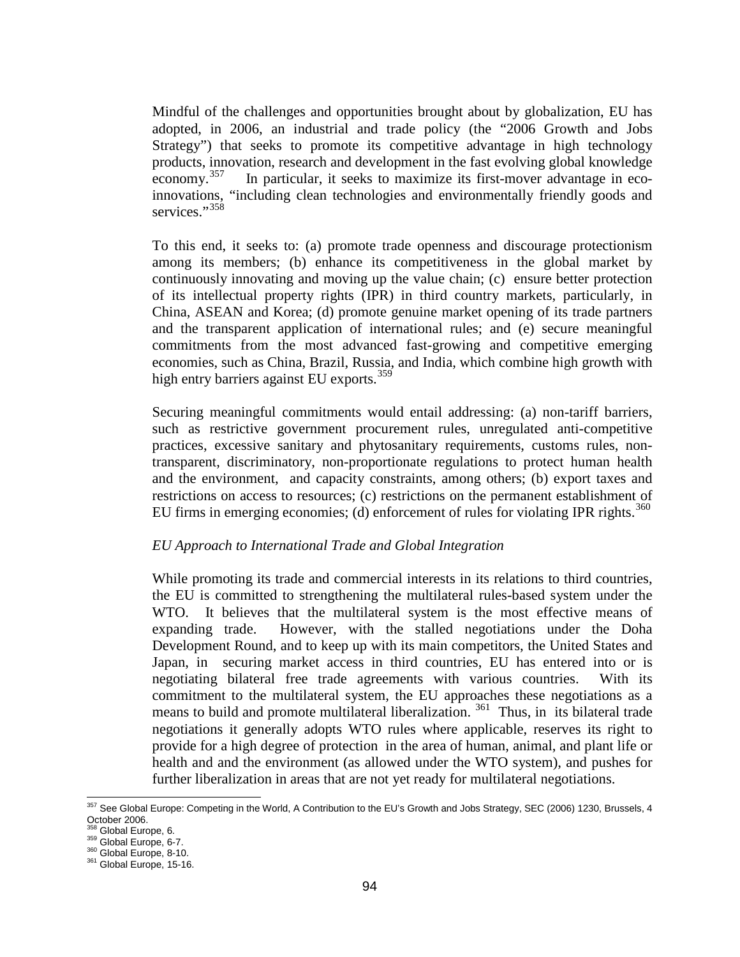Mindful of the challenges and opportunities brought about by globalization, EU has adopted, in 2006, an industrial and trade policy (the "2006 Growth and Jobs Strategy") that seeks to promote its competitive advantage in high technology products, innovation, research and development in the fast evolving global knowledge economy.<sup>357</sup> In particular, it seeks to maximize its first-mover advantage in ecoinnovations, "including clean technologies and environmentally friendly goods and services."<sup>[358](#page-94-0)</sup>

To this end, it seeks to: (a) promote trade openness and discourage protectionism among its members; (b) enhance its competitiveness in the global market by continuously innovating and moving up the value chain; (c) ensure better protection of its intellectual property rights (IPR) in third country markets, particularly, in China, ASEAN and Korea; (d) promote genuine market opening of its trade partners and the transparent application of international rules; and (e) secure meaningful commitments from the most advanced fast-growing and competitive emerging economies, such as China, Brazil, Russia, and India, which combine high growth with high entry barriers against EU exports.<sup>[359](#page-94-0)</sup>

Securing meaningful commitments would entail addressing: (a) non-tariff barriers, such as restrictive government procurement rules, unregulated anti-competitive practices, excessive sanitary and phytosanitary requirements, customs rules, nontransparent, discriminatory, non-proportionate regulations to protect human health and the environment, and capacity constraints, among others; (b) export taxes and restrictions on access to resources; (c) restrictions on the permanent establishment of EU firms in emerging economies; (d) enforcement of rules for violating IPR rights. $360$ 

#### *EU Approach to International Trade and Global Integration*

While promoting its trade and commercial interests in its relations to third countries, the EU is committed to strengthening the multilateral rules-based system under the WTO. It believes that the multilateral system is the most effective means of expanding trade. However, with the stalled negotiations under the Doha Development Round, and to keep up with its main competitors, the United States and Japan, in securing market access in third countries, EU has entered into or is negotiating bilateral free trade agreements with various countries. With its commitment to the multilateral system, the EU approaches these negotiations as a means to build and promote multilateral liberalization.<sup>361</sup> Thus, in its bilateral trade negotiations it generally adopts WTO rules where applicable, reserves its right to provide for a high degree of protection in the area of human, animal, and plant life or health and and the environment (as allowed under the WTO system), and pushes for further liberalization in areas that are not yet ready for multilateral negotiations.

<span id="page-94-0"></span><sup>&</sup>lt;sup>357</sup> See Global Europe: Competing in the World, A Contribution to the EU's Growth and Jobs Strategy, SEC (2006) 1230, Brussels, 4 October 2006.<br><sup>358</sup> Global Europe, 6.

 $359$  Global Europe, 6-7.<br> $360$  Global Europe, 8-10.<br> $361$  Global Europe, 15-16.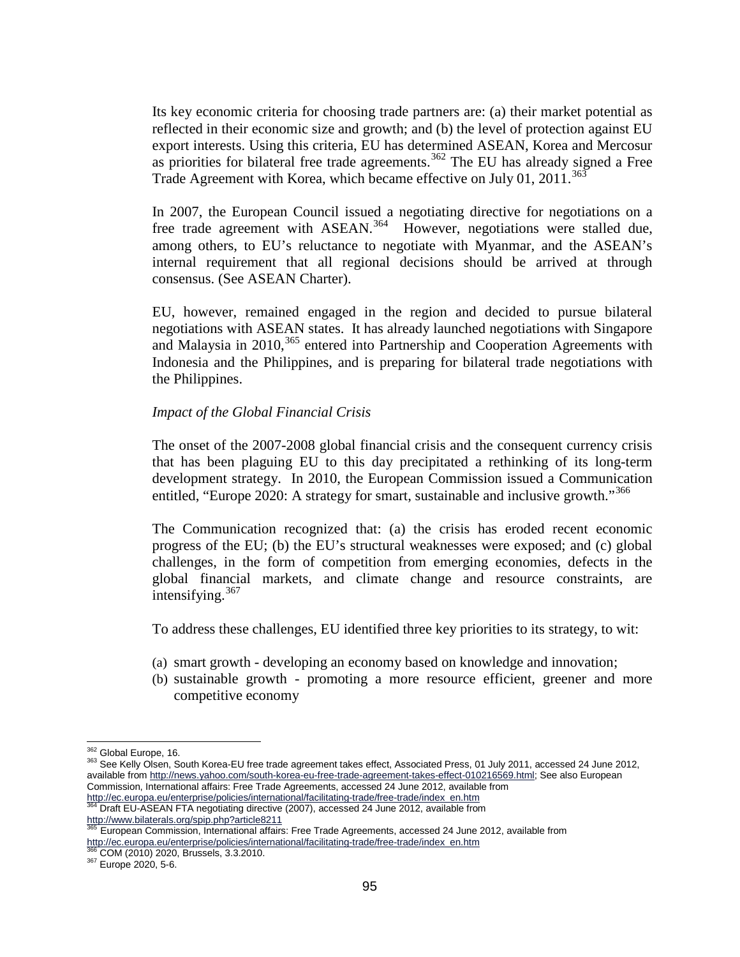Its key economic criteria for choosing trade partners are: (a) their market potential as reflected in their economic size and growth; and (b) the level of protection against EU export interests. Using this criteria, EU has determined ASEAN, Korea and Mercosur as priorities for bilateral free trade agreements.<sup>[362](#page-95-0)</sup> The EU has already signed a Free Trade Agreement with Korea, which became effective on July 01,  $2011$ <sup>363</sup>

In 2007, the European Council issued a negotiating directive for negotiations on a free trade agreement with ASEAN.<sup>[364](#page-95-0)</sup> However, negotiations were stalled due, among others, to EU's reluctance to negotiate with Myanmar, and the ASEAN's internal requirement that all regional decisions should be arrived at through consensus. (See ASEAN Charter).

EU, however, remained engaged in the region and decided to pursue bilateral negotiations with ASEAN states. It has already launched negotiations with Singapore and Malaysia in 2010,<sup>[365](#page-95-0)</sup> entered into Partnership and Cooperation Agreements with Indonesia and the Philippines, and is preparing for bilateral trade negotiations with the Philippines.

#### *Impact of the Global Financial Crisis*

The onset of the 2007-2008 global financial crisis and the consequent currency crisis that has been plaguing EU to this day precipitated a rethinking of its long-term development strategy. In 2010, the European Commission issued a Communication entitled, "Europe 2020: A strategy for smart, sustainable and inclusive growth."<sup>366</sup>

The Communication recognized that: (a) the crisis has eroded recent economic progress of the EU; (b) the EU's structural weaknesses were exposed; and (c) global challenges, in the form of competition from emerging economies, defects in the global financial markets, and climate change and resource constraints, are intensifying. $367$ 

To address these challenges, EU identified three key priorities to its strategy, to wit:

- (a) smart growth developing an economy based on knowledge and innovation;
- (b) sustainable growth promoting a more resource efficient, greener and more competitive economy

<span id="page-95-0"></span><sup>&</sup>lt;sup>362</sup> Global Europe, 16.<br><sup>363</sup> See Kelly Olsen, South Korea-EU free trade agreement takes effect, Associated Press, 01 July 2011, accessed 24 June 2012, available from [http://news.yahoo.com/south-korea-eu-free-trade-agreement-takes-effect-010216569.html;](http://news.yahoo.com/south-korea-eu-free-trade-agreement-takes-effect-010216569.html) See also European Commission, International affairs: Free Trade Agreements, accessed 24 June 2012, available from

[http://ec.europa.eu/enterprise/policies/international/facilitating-trade/free-trade/index\\_en.htm](http://ec.europa.eu/enterprise/policies/international/facilitating-trade/free-trade/index_en.htm) 364 Draft EU-ASEAN FTA negotiating directive (2007), accessed 24 June 2012, available from <http://www.bilaterals.org/spip.php?article8211>

European Commission, International affairs: Free Trade Agreements, accessed 24 June 2012, available from [http://ec.europa.eu/enterprise/policies/international/facilitating-trade/free-trade/index\\_en.htm](http://ec.europa.eu/enterprise/policies/international/facilitating-trade/free-trade/index_en.htm) 366 COM (2010) 2020, Brussels, 3.3.2010.<br>367 Europe 2020, 5-6.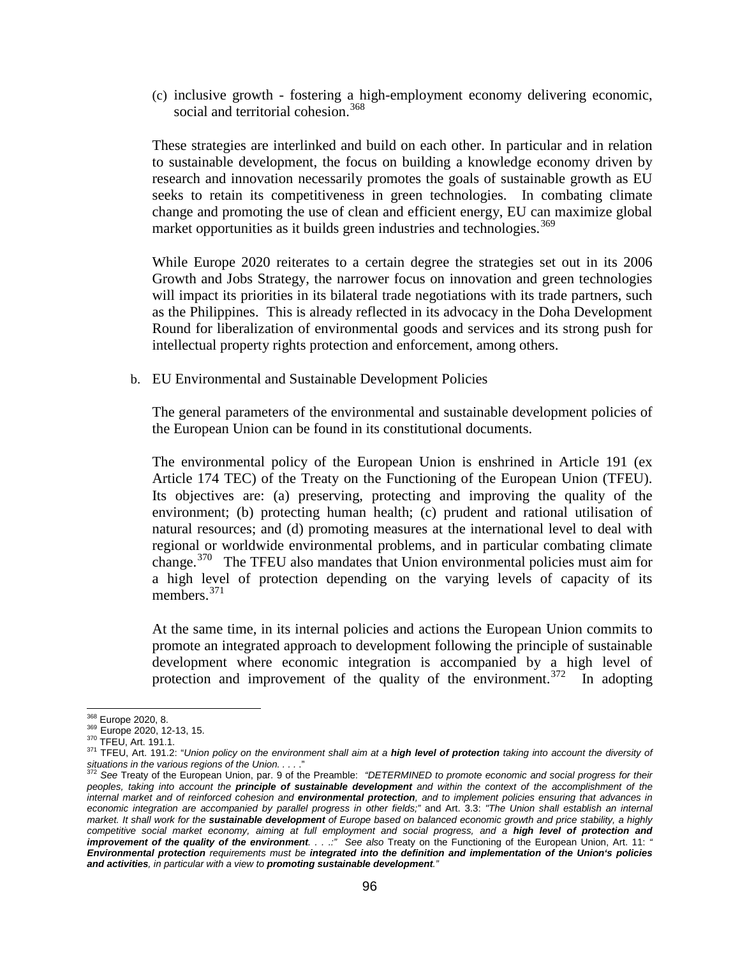(c) inclusive growth - fostering a high-employment economy delivering economic, social and territorial cohesion.<sup>[368](#page-96-0)</sup>

These strategies are interlinked and build on each other. In particular and in relation to sustainable development, the focus on building a knowledge economy driven by research and innovation necessarily promotes the goals of sustainable growth as EU seeks to retain its competitiveness in green technologies. In combating climate change and promoting the use of clean and efficient energy, EU can maximize global market opportunities as it builds green industries and technologies.<sup>369</sup>

While Europe 2020 reiterates to a certain degree the strategies set out in its 2006 Growth and Jobs Strategy, the narrower focus on innovation and green technologies will impact its priorities in its bilateral trade negotiations with its trade partners, such as the Philippines. This is already reflected in its advocacy in the Doha Development Round for liberalization of environmental goods and services and its strong push for intellectual property rights protection and enforcement, among others.

b. EU Environmental and Sustainable Development Policies

The general parameters of the environmental and sustainable development policies of the European Union can be found in its constitutional documents.

The environmental policy of the European Union is enshrined in Article 191 (ex Article 174 TEC) of the Treaty on the Functioning of the European Union (TFEU). Its objectives are: (a) preserving, protecting and improving the quality of the environment; (b) protecting human health; (c) prudent and rational utilisation of natural resources; and (d) promoting measures at the international level to deal with regional or worldwide environmental problems, and in particular combating climate change.[370](#page-96-0) The TFEU also mandates that Union environmental policies must aim for a high level of protection depending on the varying levels of capacity of its members.<sup>[371](#page-96-0)</sup>

At the same time, in its internal policies and actions the European Union commits to promote an integrated approach to development following the principle of sustainable development where economic integration is accompanied by a high level of protection and improvement of the quality of the environment.<sup>[372](#page-96-0)</sup> In adopting

<span id="page-96-0"></span><sup>&</sup>lt;sup>368</sup> Europe 2020, 8.<br><sup>369</sup> Europe 2020, 12-13, 15.<br><sup>370</sup> TFEU, Art. 191.1.<br><sup>371</sup> TFEU, Art. 191.2: "*Union policy on the environment shall aim at a high level of protection taking into account the diversity of situations in the various regions of the Union. . . .* ." <sup>372</sup> *See* Treaty of the European Union, par. 9 of the Preamble: *"DETERMINED to promote economic and social progress for their* 

*peoples, taking into account the principle of sustainable development and within the context of the accomplishment of the internal market and of reinforced cohesion and environmental protection, and to implement policies ensuring that advances in economic integration are accompanied by parallel progress in other fields;"* and Art. 3.3: *"The Union shall establish an internal market. It shall work for the sustainable development of Europe based on balanced economic growth and price stability, a highly competitive social market economy, aiming at full employment and social progress, and a high level of protection and improvement of the quality of the environment. . . .:" See also* Treaty on the Functioning of the European Union, Art. 11: *" Environmental protection requirements must be integrated into the definition and implementation of the Union's policies and activities, in particular with a view to promoting sustainable development."*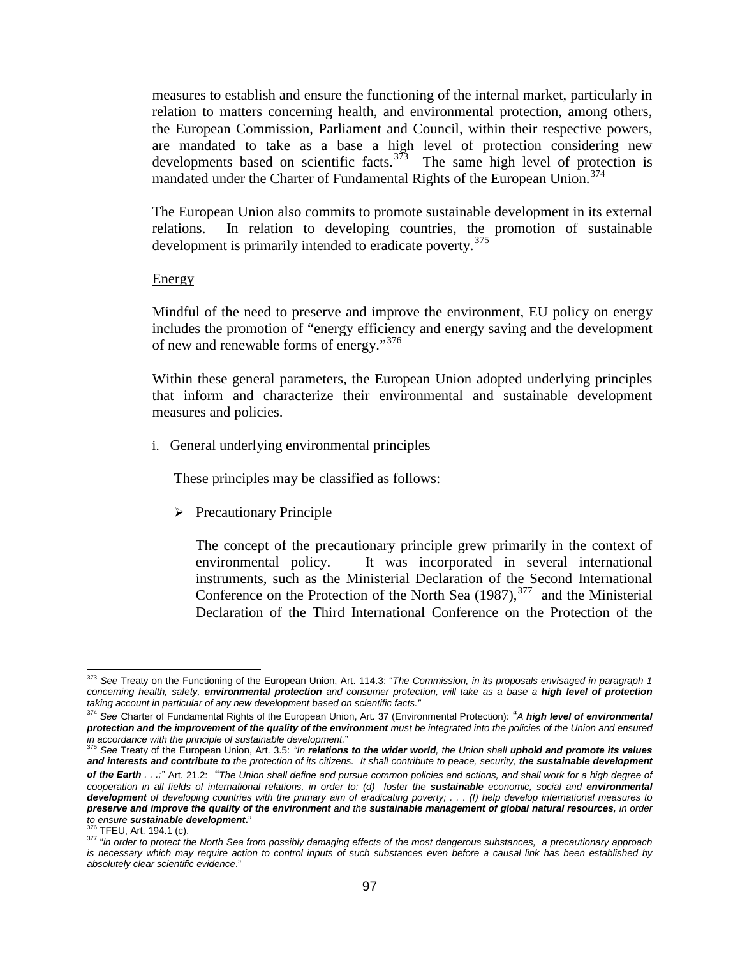measures to establish and ensure the functioning of the internal market, particularly in relation to matters concerning health, and environmental protection, among others, the European Commission, Parliament and Council, within their respective powers, are mandated to take as a base a high level of protection considering new developments based on scientific facts.<sup>[373](#page-97-0)</sup> The same high level of protection is mandated under the Charter of Fundamental Rights of the European Union.<sup>[374](#page-97-0)</sup>

The European Union also commits to promote sustainable development in its external relations. In relation to developing countries, the promotion of sustainable development is primarily intended to eradicate poverty.<sup>[375](#page-97-0)</sup>

#### **Energy**

Mindful of the need to preserve and improve the environment, EU policy on energy includes the promotion of "energy efficiency and energy saving and the development of new and renewable forms of energy."<sup>[376](#page-97-0)</sup>

Within these general parameters, the European Union adopted underlying principles that inform and characterize their environmental and sustainable development measures and policies.

i. General underlying environmental principles

These principles may be classified as follows:

 $\triangleright$  Precautionary Principle

The concept of the precautionary principle grew primarily in the context of environmental policy. It was incorporated in several international instruments, such as the Ministerial Declaration of the Second International Conference on the Protection of the North Sea  $(1987)$ ,  $377$  and the Ministerial Declaration of the Third International Conference on the Protection of the

<span id="page-97-0"></span> <sup>373</sup> *See* Treaty on the Functioning of the European Union, Art. 114.3: "*The Commission, in its proposals envisaged in paragraph 1 concerning health, safety, environmental protection and consumer protection, will take as a base a high level of protection*

<sup>374</sup> See Charter of Fundamental Rights of the European Union, Art. 37 (Environmental Protection): "A high level of environmental *protection and the improvement of the quality of the environment must be integrated into the policies of the Union and ensured*  in accordance with the principle of sustainable development."<br><sup>375</sup> See Treaty of the European Union, Art. 3.5: "In relations to the wider world, the Union shall uphold and promote its values

*and interests and contribute to the protection of its citizens. It shall contribute to peace, security, the sustainable development* 

*of the Earth . . .;"* Art. 21.2: "*The Union shall define and pursue common policies and actions, and shall work for a high degree of cooperation in all fields of international relations, in order to: (d) foster the sustainable economic, social and environmental development of developing countries with the primary aim of eradicating poverty; . . . (f) help develop international measures to preserve and improve the quality of the environment and the sustainable management of global natural resources, in order to ensure sustainable development."<br><sup>376</sup> TEELL Art 194.1 (c)* 

<sup>&</sup>lt;sup>376</sup> TFEU, Art. 194.1 (c).<br><sup>377</sup> "in order to protect the North Sea from possibly damaging effects of the most dangerous substances, a precautionary approach *is necessary which may require action to control inputs of such substances even before a causal link has been established by absolutely clear scientific evidence*."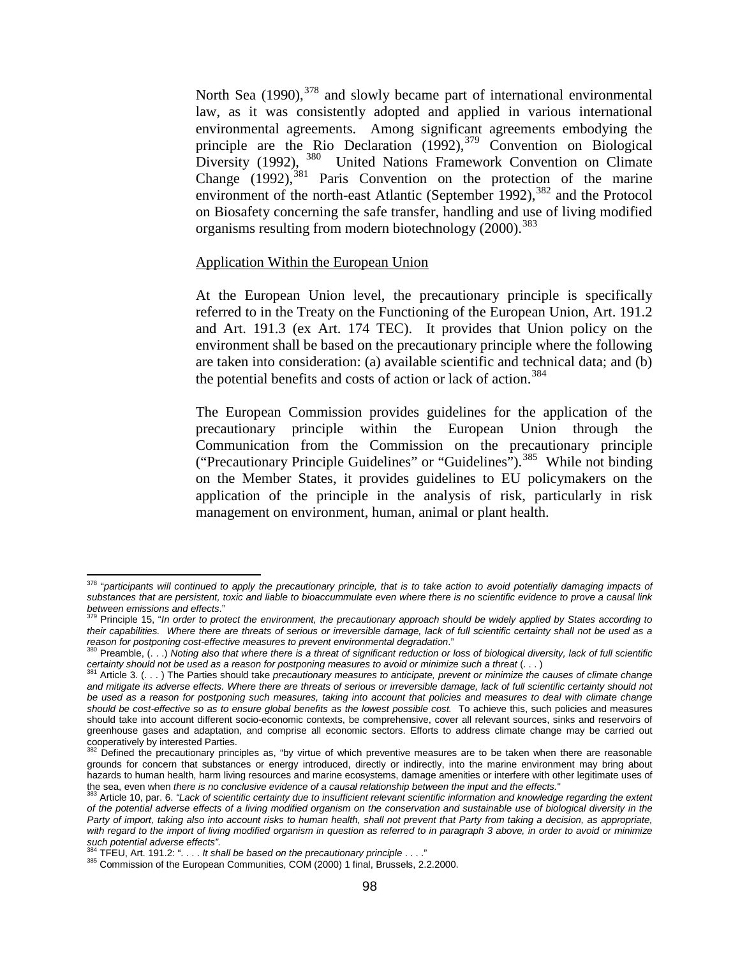North Sea  $(1990)$ ,  $378$  and slowly became part of international environmental law, as it was consistently adopted and applied in various international environmental agreements. Among significant agreements embodying the principle are the Rio Declaration  $(1992)$ ,  $379$  Convention on Biological Diversity (1992), <sup>380</sup> United Nations Framework Convention on Climate Change  $(1992)$ ,  $381$  Paris Convention on the protection of the marine environment of the north-east Atlantic (September 1992),  $382$  and the Protocol on Biosafety concerning the safe transfer, handling and use of living modified organisms resulting from modern biotechnology  $(2000)^{383}$  $(2000)^{383}$  $(2000)^{383}$ 

#### Application Within the European Union

At the European Union level, the precautionary principle is specifically referred to in the Treaty on the Functioning of the European Union, Art. 191.2 and Art. 191.3 (ex Art. 174 TEC). It provides that Union policy on the environment shall be based on the precautionary principle where the following are taken into consideration: (a) available scientific and technical data; and (b) the potential benefits and costs of action or lack of action.<sup>[384](#page-98-0)</sup>

The European Commission provides guidelines for the application of the precautionary principle within the European Union through the Communication from the Commission on the precautionary principle ("Precautionary Principle Guidelines" or "Guidelines").[385](#page-98-0) While not binding on the Member States, it provides guidelines to EU policymakers on the application of the principle in the analysis of risk, particularly in risk management on environment, human, animal or plant health.

<span id="page-98-0"></span><sup>&</sup>lt;sup>378</sup> "participants will continued to apply the precautionary principle, that is to take action to avoid potentially damaging impacts of *substances that are persistent, toxic and liable to bioaccummulate even where there is no scientific evidence to prove a causal link*  between emissions and effects."<br><sup>379</sup> Principle 15, "*In order to protect the environment, the precautionary approach should be widely applied by States according to* 

*their capabilities. Where there are threats of serious or irreversible damage, lack of full scientific certainty shall not be used as a*  reason for postponing cost-effective measures to prevent environmental degradation."<br>380 Preamble, (...) Noting also that where there is a threat of significant reduction or loss of biological diversity, lack of full scien

certainty should not be used as a reason for postponing measures to avoid or minimize such a threat (...)<br><sup>381</sup> Article 3. (...) The Parties should take precautionary measures to anticipate, prevent or minimize the causes

*and mitigate its adverse effects. Where there are threats of serious or irreversible damage, lack of full scientific certainty should not be used as a reason for postponing such measures, taking into account that policies and measures to deal with climate change should be cost-effective so as to ensure global benefits as the lowest possible cost.* To achieve this, such policies and measures should take into account different socio-economic contexts, be comprehensive, cover all relevant sources, sinks and reservoirs of greenhouse gases and adaptation, and comprise all economic sectors. Efforts to address climate change may be carried out cooperatively by interested Parties.

Defined the precautionary principles as, "by virtue of which preventive measures are to be taken when there are reasonable grounds for concern that substances or energy introduced, directly or indirectly, into the marine environment may bring about hazards to human health, harm living resources and marine ecosystems, damage amenities or interfere with other legitimate uses of the sea, even when there is no conclusive evidence of a causal relationship between the input and the effects."<br><sup>383</sup> Article 10, par. 6. "Lack of scientific certainty due to insufficient relevant scientific information an

*of the potential adverse effects of a living modified organism on the conservation and sustainable use of biological diversity in the Party of import, taking also into account risks to human health, shall not prevent that Party from taking a decision, as appropriate, with regard to the import of living modified organism in question as referred to in paragraph 3 above, in order to avoid or minimize*  such potential adverse effects".<br>
384 TFEU, Art. 191.2: ".... It shall be based on the precautionary principle...."<br>
385 Commission of the European Communities, COM (2000) 1 final, Brussels, 2.2.2000.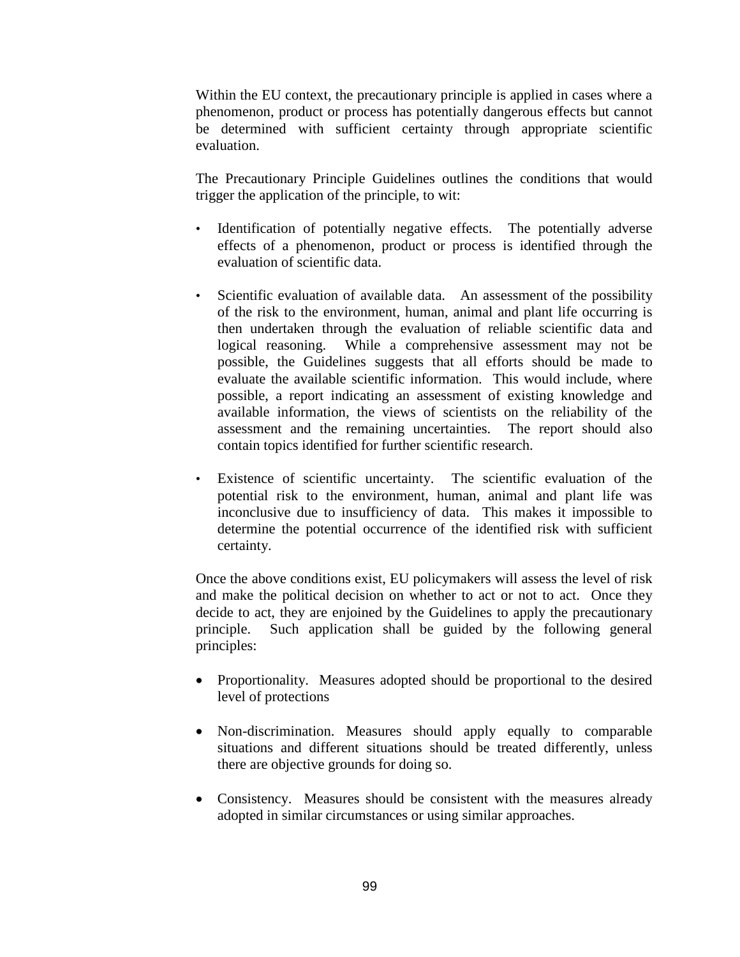Within the EU context, the precautionary principle is applied in cases where a phenomenon, product or process has potentially dangerous effects but cannot be determined with sufficient certainty through appropriate scientific evaluation.

The Precautionary Principle Guidelines outlines the conditions that would trigger the application of the principle, to wit:

- Identification of potentially negative effects. The potentially adverse effects of a phenomenon, product or process is identified through the evaluation of scientific data.
- Scientific evaluation of available data. An assessment of the possibility of the risk to the environment, human, animal and plant life occurring is then undertaken through the evaluation of reliable scientific data and logical reasoning. While a comprehensive assessment may not be possible, the Guidelines suggests that all efforts should be made to evaluate the available scientific information. This would include, where possible, a report indicating an assessment of existing knowledge and available information, the views of scientists on the reliability of the assessment and the remaining uncertainties. The report should also contain topics identified for further scientific research.
- Existence of scientific uncertainty. The scientific evaluation of the potential risk to the environment, human, animal and plant life was inconclusive due to insufficiency of data. This makes it impossible to determine the potential occurrence of the identified risk with sufficient certainty.

Once the above conditions exist, EU policymakers will assess the level of risk and make the political decision on whether to act or not to act. Once they decide to act, they are enjoined by the Guidelines to apply the precautionary principle. Such application shall be guided by the following general principles:

- Proportionality. Measures adopted should be proportional to the desired level of protections
- Non-discrimination. Measures should apply equally to comparable situations and different situations should be treated differently, unless there are objective grounds for doing so.
- Consistency. Measures should be consistent with the measures already adopted in similar circumstances or using similar approaches.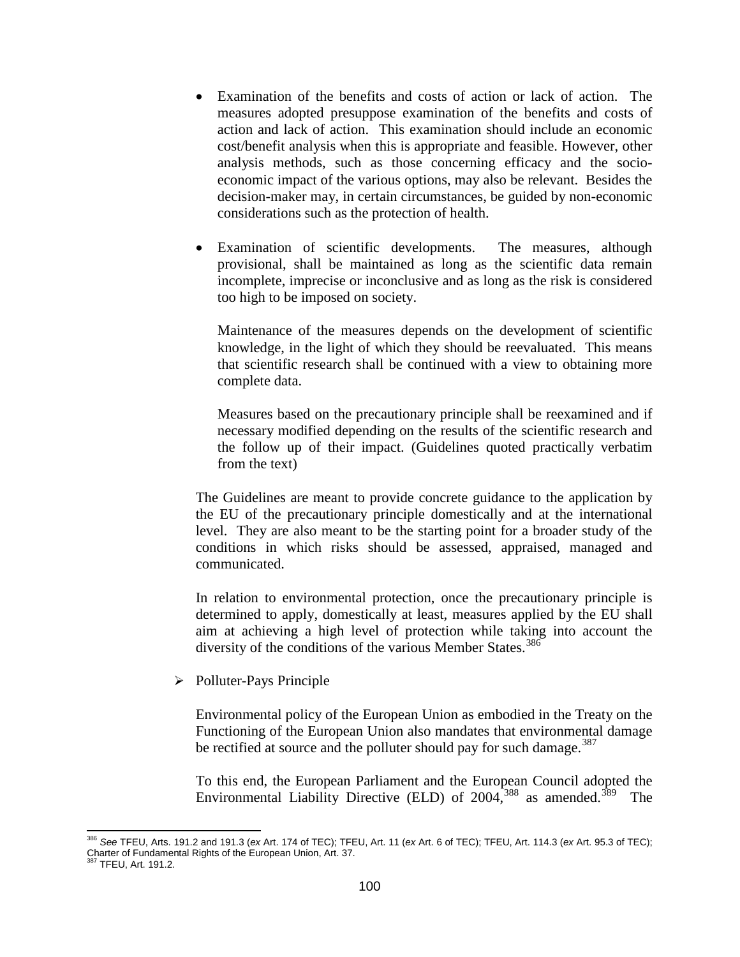- Examination of the benefits and costs of action or lack of action. The measures adopted presuppose examination of the benefits and costs of action and lack of action. This examination should include an economic cost/benefit analysis when this is appropriate and feasible. However, other analysis methods, such as those concerning efficacy and the socioeconomic impact of the various options, may also be relevant. Besides the decision-maker may, in certain circumstances, be guided by non-economic considerations such as the protection of health.
- Examination of scientific developments. The measures, although provisional, shall be maintained as long as the scientific data remain incomplete, imprecise or inconclusive and as long as the risk is considered too high to be imposed on society.

Maintenance of the measures depends on the development of scientific knowledge, in the light of which they should be reevaluated. This means that scientific research shall be continued with a view to obtaining more complete data.

Measures based on the precautionary principle shall be reexamined and if necessary modified depending on the results of the scientific research and the follow up of their impact. (Guidelines quoted practically verbatim from the text)

The Guidelines are meant to provide concrete guidance to the application by the EU of the precautionary principle domestically and at the international level. They are also meant to be the starting point for a broader study of the conditions in which risks should be assessed, appraised, managed and communicated.

In relation to environmental protection, once the precautionary principle is determined to apply, domestically at least, measures applied by the EU shall aim at achieving a high level of protection while taking into account the diversity of the conditions of the various Member States.<sup>[386](#page-100-0)</sup>

<span id="page-100-1"></span> $\triangleright$  Polluter-Pays Principle

Environmental policy of the European Union as embodied in the Treaty on the Functioning of the European Union also mandates that environmental damage be rectified at source and the polluter should pay for such damage.<sup>[387](#page-100-0)</sup>

To this end, the European Parliament and the European Council adopted the Environmental Liability Directive (ELD) of  $2004,388$  $2004,388$  as amended.<sup>[389](#page-100-1)</sup> The

<span id="page-100-0"></span> <sup>386</sup> *See* TFEU, Arts. 191.2 and 191.3 (*ex* Art. 174 of TEC); TFEU, Art. 11 (*ex* Art. 6 of TEC); TFEU, Art. 114.3 (*ex* Art. 95.3 of TEC); Charter of Fundamental Rights of the European Union, Art. 37.

TFEU, Art. 191.2.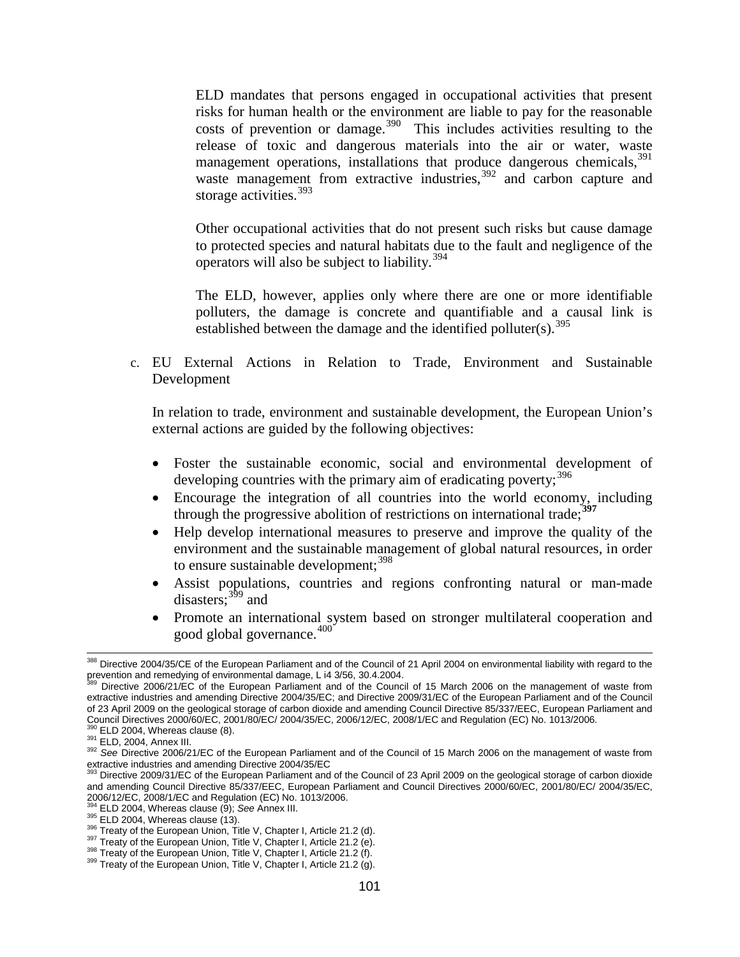ELD mandates that persons engaged in occupational activities that present risks for human health or the environment are liable to pay for the reasonable costs of prevention or damage.<sup>390</sup> This includes activities resulting to the release of toxic and dangerous materials into the air or water, waste management operations, installations that produce dangerous chemicals,<sup>[391](#page-101-0)</sup> waste management from extractive industries,<sup>[392](#page-101-0)</sup> and carbon capture and storage activities.<sup>[393](#page-101-0)</sup>

Other occupational activities that do not present such risks but cause damage to protected species and natural habitats due to the fault and negligence of the operators will also be subject to liability.[394](#page-101-0)

The ELD, however, applies only where there are one or more identifiable polluters, the damage is concrete and quantifiable and a causal link is established between the damage and the identified polluter(s).  $395$ 

c. EU External Actions in Relation to Trade, Environment and Sustainable Development

In relation to trade, environment and sustainable development, the European Union's external actions are guided by the following objectives:

- Foster the sustainable economic, social and environmental development of developing countries with the primary aim of eradicating poverty;  $396$
- Encourage the integration of all countries into the world economy, including through the progressive abolition of restrictions on international trade;**[397](#page-101-0)**
- Help develop international measures to preserve and improve the quality of the environment and the sustainable management of global natural resources, in order to ensure sustainable development; $398$
- Assist populations, countries and regions confronting natural or man-made disasters: $359$  and
- Promote an international system based on stronger multilateral cooperation and good global governance.<sup>[400](#page-101-1)</sup>

<span id="page-101-0"></span><sup>388</sup> Directive 2004/35/CE of the European Parliament and of the Council of 21 April 2004 on environmental liability with regard to the prevention and remedying of environmental damage, L i4 3/56, 30.4.2004.

Directive 2006/21/EC of the European Parliament and of the Council of 15 March 2006 on the management of waste from extractive industries and amending Directive 2004/35/EC; and Directive 2009/31/EC of the European Parliament and of the Council of 23 April 2009 on the geological storage of carbon dioxide and amending Council Directive 85/337/EEC, European Parliament and<br>Council Directives 2000/60/EC, 2001/80/EC/ 2004/35/EC, 2006/12/EC, 2008/1/EC and Regulation (E

<sup>&</sup>lt;sup>390</sup> ELD 2004, Whereas clause (8).<br><sup>391</sup> ELD, 2004, Annex III.<br><sup>392</sup> See Directive 2006/21/EC of the European Parliament and of the Council of 15 March 2006 on the management of waste from extractive industries and amending Directive 2004/35/EC<br>393 Directive 2009/31/EC of the European Parliament and of the Council of 23 April 2009 on the geological storage of carbon dioxide<br>393 Directive 2009/31/EC of the Eu

and amending Council Directive 85/337/EEC, European Parliament and Council Directives 2000/60/EC, 2001/80/EC/ 2004/35/EC, 2006/12/EC, 2008/1/EC and Regulation (EC) No. 1013/2006.<br><sup>394</sup> ELD 2004, Whereas clause (9); See Annex III.

<span id="page-101-1"></span><sup>395</sup> ELD 2004, Whereas clause (13).<br>
396 ELD 2004, Whereas clause (13).<br>  $^{396}$  Treaty of the European Union, Title V, Chapter I, Article 21.2 (d).<br>  $^{397}$  Treaty of the European Union, Title V, Chapter I, Article 21.2 (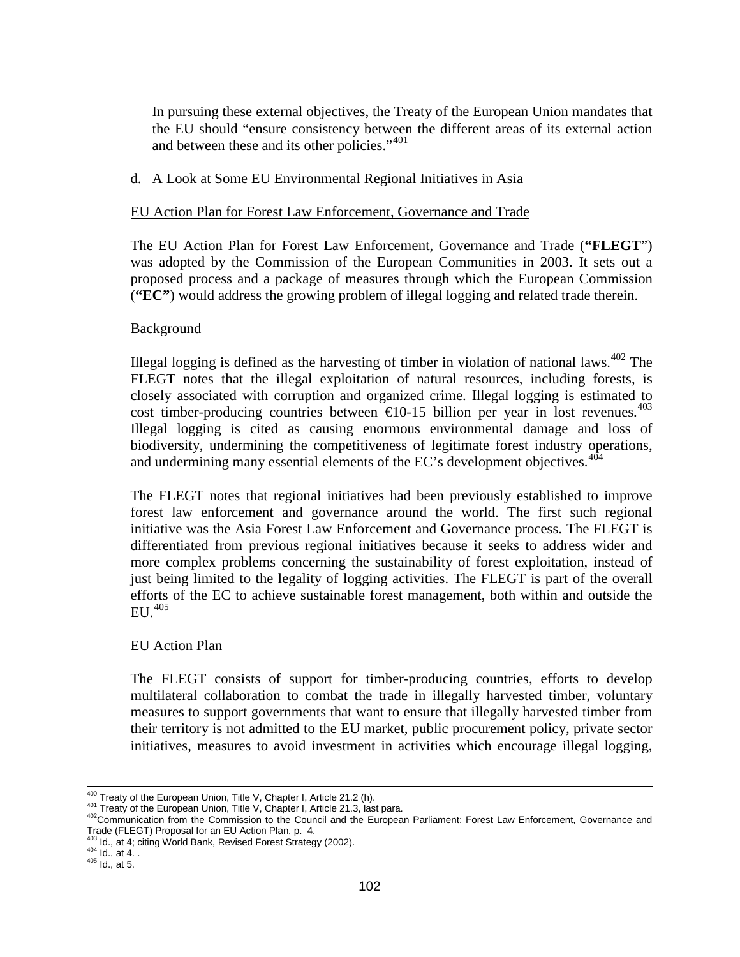In pursuing these external objectives, the Treaty of the European Union mandates that the EU should "ensure consistency between the different areas of its external action and between these and its other policies."<sup>[401](#page-102-0)</sup>

## d. A Look at Some EU Environmental Regional Initiatives in Asia

#### EU Action Plan for Forest Law Enforcement, Governance and Trade

The EU Action Plan for Forest Law Enforcement, Governance and Trade (**"FLEGT**") was adopted by the Commission of the European Communities in 2003. It sets out a proposed process and a package of measures through which the European Commission (**"EC"**) would address the growing problem of illegal logging and related trade therein.

### Background

Illegal logging is defined as the harvesting of timber in violation of national laws.<sup> $402$ </sup> The FLEGT notes that the illegal exploitation of natural resources, including forests, is closely associated with corruption and organized crime. Illegal logging is estimated to cost timber-producing countries between  $\epsilon 10$ -15 billion per year in lost revenues.<sup>[403](#page-102-0)</sup> Illegal logging is cited as causing enormous environmental damage and loss of biodiversity, undermining the competitiveness of legitimate forest industry operations, and undermining many essential elements of the EC's development objectives.<sup>[404](#page-102-0)</sup>

The FLEGT notes that regional initiatives had been previously established to improve forest law enforcement and governance around the world. The first such regional initiative was the Asia Forest Law Enforcement and Governance process. The FLEGT is differentiated from previous regional initiatives because it seeks to address wider and more complex problems concerning the sustainability of forest exploitation, instead of just being limited to the legality of logging activities. The FLEGT is part of the overall efforts of the EC to achieve sustainable forest management, both within and outside the EU.<sup>[405](#page-102-0)</sup>

#### EU Action Plan

The FLEGT consists of support for timber-producing countries, efforts to develop multilateral collaboration to combat the trade in illegally harvested timber, voluntary measures to support governments that want to ensure that illegally harvested timber from their territory is not admitted to the EU market, public procurement policy, private sector initiatives, measures to avoid investment in activities which encourage illegal logging,

<span id="page-102-0"></span><sup>&</sup>lt;sup>400</sup> Treaty of the European Union, Title V, Chapter I, Article 21.2 (h).<br><sup>401</sup> Treaty of the European Union, Title V, Chapter I, Article 21.3, last para.<br><sup>402</sup>Communication from the Commission to the Council and the Europ Trade (FLEGT) Proposal for an EU Action Plan, p. 4.

<sup>&</sup>lt;sup>403</sup> Id., at 4; citing World Bank, Revised Forest Strategy (2002).<br><sup>404</sup> Id., at 4. .<br><sup>405</sup> Id., at 5.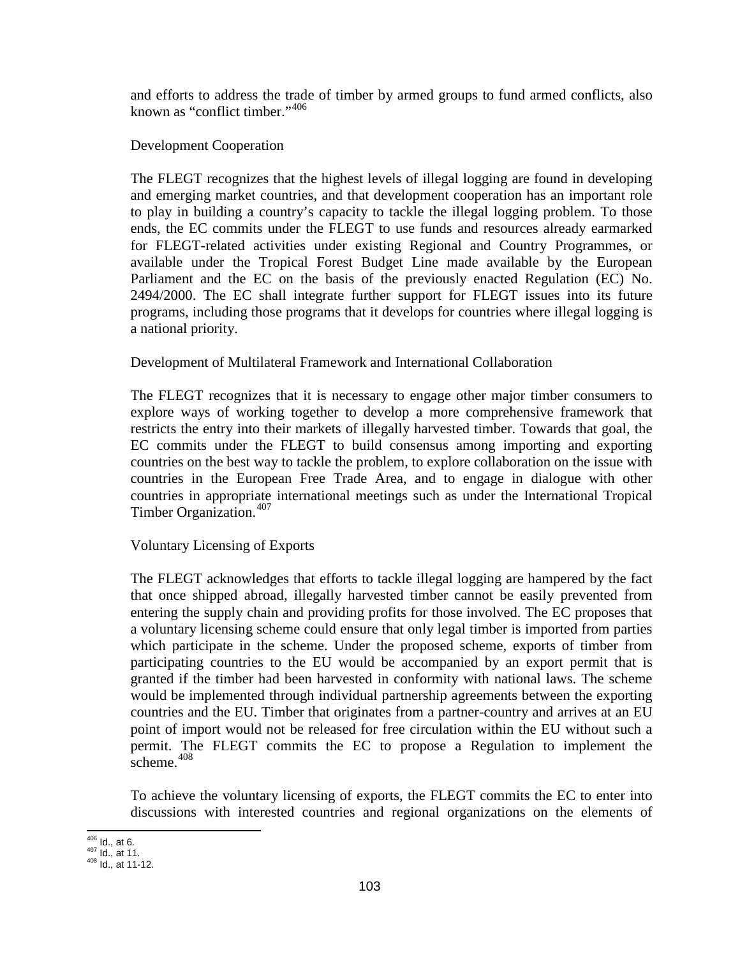and efforts to address the trade of timber by armed groups to fund armed conflicts, also known as "conflict timber."[406](#page-103-0)

Development Cooperation

The FLEGT recognizes that the highest levels of illegal logging are found in developing and emerging market countries, and that development cooperation has an important role to play in building a country's capacity to tackle the illegal logging problem. To those ends, the EC commits under the FLEGT to use funds and resources already earmarked for FLEGT-related activities under existing Regional and Country Programmes, or available under the Tropical Forest Budget Line made available by the European Parliament and the EC on the basis of the previously enacted Regulation (EC) No. 2494/2000. The EC shall integrate further support for FLEGT issues into its future programs, including those programs that it develops for countries where illegal logging is a national priority.

Development of Multilateral Framework and International Collaboration

The FLEGT recognizes that it is necessary to engage other major timber consumers to explore ways of working together to develop a more comprehensive framework that restricts the entry into their markets of illegally harvested timber. Towards that goal, the EC commits under the FLEGT to build consensus among importing and exporting countries on the best way to tackle the problem, to explore collaboration on the issue with countries in the European Free Trade Area, and to engage in dialogue with other countries in appropriate international meetings such as under the International Tropical Timber Organization.<sup>[407](#page-103-0)</sup>

Voluntary Licensing of Exports

The FLEGT acknowledges that efforts to tackle illegal logging are hampered by the fact that once shipped abroad, illegally harvested timber cannot be easily prevented from entering the supply chain and providing profits for those involved. The EC proposes that a voluntary licensing scheme could ensure that only legal timber is imported from parties which participate in the scheme. Under the proposed scheme, exports of timber from participating countries to the EU would be accompanied by an export permit that is granted if the timber had been harvested in conformity with national laws. The scheme would be implemented through individual partnership agreements between the exporting countries and the EU. Timber that originates from a partner-country and arrives at an EU point of import would not be released for free circulation within the EU without such a permit. The FLEGT commits the EC to propose a Regulation to implement the scheme.<sup>[408](#page-103-0)</sup>

To achieve the voluntary licensing of exports, the FLEGT commits the EC to enter into discussions with interested countries and regional organizations on the elements of

<span id="page-103-0"></span> $^{406}$  Id., at 6.<br> $^{407}$  Id., at 11.<br> $^{408}$  Id., at 11-12.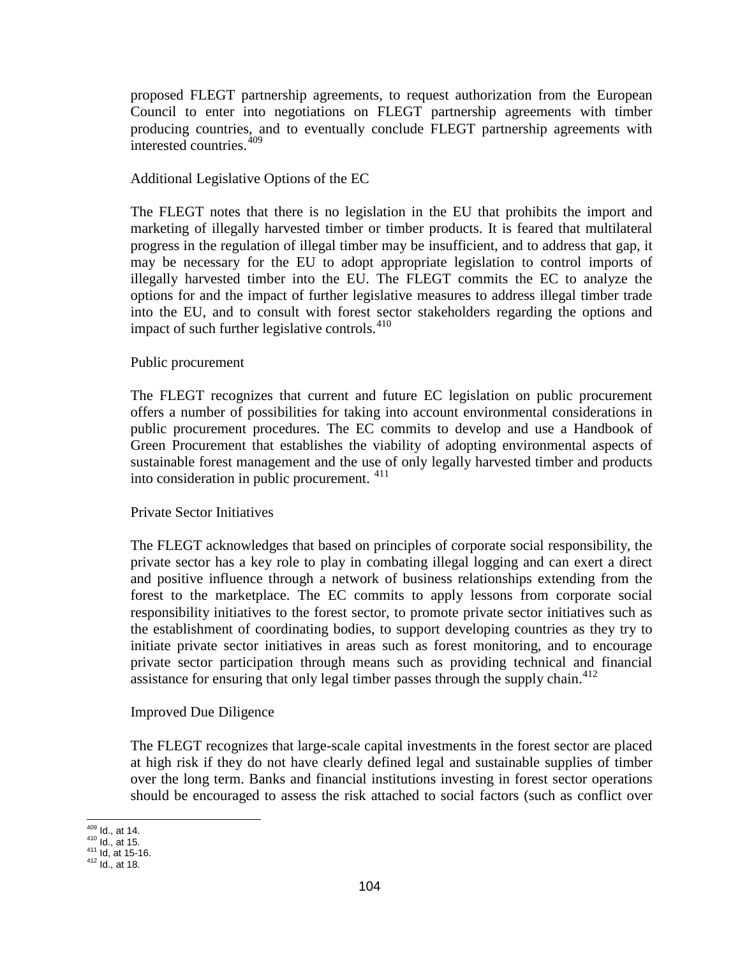proposed FLEGT partnership agreements, to request authorization from the European Council to enter into negotiations on FLEGT partnership agreements with timber producing countries, and to eventually conclude FLEGT partnership agreements with interested countries.<sup>[409](#page-104-0)</sup>

## Additional Legislative Options of the EC

The FLEGT notes that there is no legislation in the EU that prohibits the import and marketing of illegally harvested timber or timber products. It is feared that multilateral progress in the regulation of illegal timber may be insufficient, and to address that gap, it may be necessary for the EU to adopt appropriate legislation to control imports of illegally harvested timber into the EU. The FLEGT commits the EC to analyze the options for and the impact of further legislative measures to address illegal timber trade into the EU, and to consult with forest sector stakeholders regarding the options and impact of such further legislative controls.<sup>[410](#page-104-0)</sup>

### Public procurement

The FLEGT recognizes that current and future EC legislation on public procurement offers a number of possibilities for taking into account environmental considerations in public procurement procedures. The EC commits to develop and use a Handbook of Green Procurement that establishes the viability of adopting environmental aspects of sustainable forest management and the use of only legally harvested timber and products into consideration in public procurement. [411](#page-104-0)

## Private Sector Initiatives

The FLEGT acknowledges that based on principles of corporate social responsibility, the private sector has a key role to play in combating illegal logging and can exert a direct and positive influence through a network of business relationships extending from the forest to the marketplace. The EC commits to apply lessons from corporate social responsibility initiatives to the forest sector, to promote private sector initiatives such as the establishment of coordinating bodies, to support developing countries as they try to initiate private sector initiatives in areas such as forest monitoring, and to encourage private sector participation through means such as providing technical and financial assistance for ensuring that only legal timber passes through the supply chain.<sup>[412](#page-104-0)</sup>

## Improved Due Diligence

The FLEGT recognizes that large-scale capital investments in the forest sector are placed at high risk if they do not have clearly defined legal and sustainable supplies of timber over the long term. Banks and financial institutions investing in forest sector operations should be encouraged to assess the risk attached to social factors (such as conflict over

<span id="page-104-0"></span><sup>409</sup> Id., at 14.<br>
<sup>410</sup> Id., at 15.<br>
<sup>411</sup> Id, at 15-16.<br>
<sup>412</sup> Id., at 18.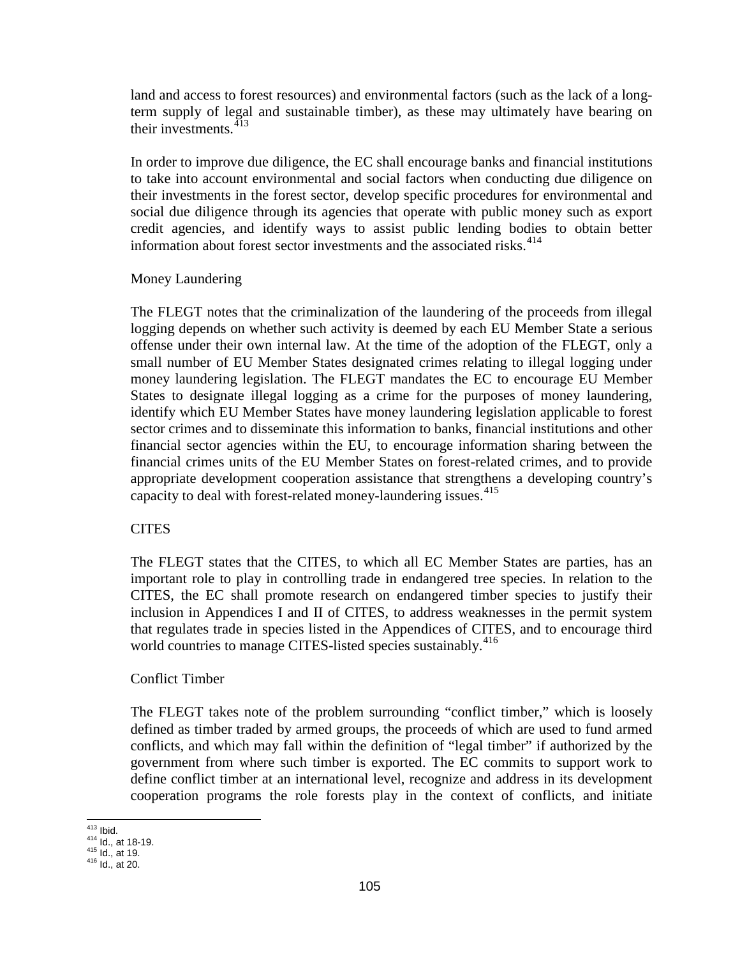land and access to forest resources) and environmental factors (such as the lack of a longterm supply of legal and sustainable timber), as these may ultimately have bearing on their investments. $413$ 

In order to improve due diligence, the EC shall encourage banks and financial institutions to take into account environmental and social factors when conducting due diligence on their investments in the forest sector, develop specific procedures for environmental and social due diligence through its agencies that operate with public money such as export credit agencies, and identify ways to assist public lending bodies to obtain better information about forest sector investments and the associated risks.<sup>[414](#page-105-0)</sup>

## Money Laundering

The FLEGT notes that the criminalization of the laundering of the proceeds from illegal logging depends on whether such activity is deemed by each EU Member State a serious offense under their own internal law. At the time of the adoption of the FLEGT, only a small number of EU Member States designated crimes relating to illegal logging under money laundering legislation. The FLEGT mandates the EC to encourage EU Member States to designate illegal logging as a crime for the purposes of money laundering, identify which EU Member States have money laundering legislation applicable to forest sector crimes and to disseminate this information to banks, financial institutions and other financial sector agencies within the EU, to encourage information sharing between the financial crimes units of the EU Member States on forest-related crimes, and to provide appropriate development cooperation assistance that strengthens a developing country's capacity to deal with forest-related money-laundering issues.<sup>[415](#page-105-0)</sup>

## CITES

The FLEGT states that the CITES, to which all EC Member States are parties, has an important role to play in controlling trade in endangered tree species. In relation to the CITES, the EC shall promote research on endangered timber species to justify their inclusion in Appendices I and II of CITES, to address weaknesses in the permit system that regulates trade in species listed in the Appendices of CITES, and to encourage third world countries to manage CITES-listed species sustainably.<sup>[416](#page-105-0)</sup>

## Conflict Timber

The FLEGT takes note of the problem surrounding "conflict timber," which is loosely defined as timber traded by armed groups, the proceeds of which are used to fund armed conflicts, and which may fall within the definition of "legal timber" if authorized by the government from where such timber is exported. The EC commits to support work to define conflict timber at an international level, recognize and address in its development cooperation programs the role forests play in the context of conflicts, and initiate

<span id="page-105-0"></span><sup>413</sup> Ibid.<br>
<sup>414</sup> Id., at 18-19.<br>
<sup>415</sup> Id., at 19.<br>
<sup>416</sup> Id., at 20.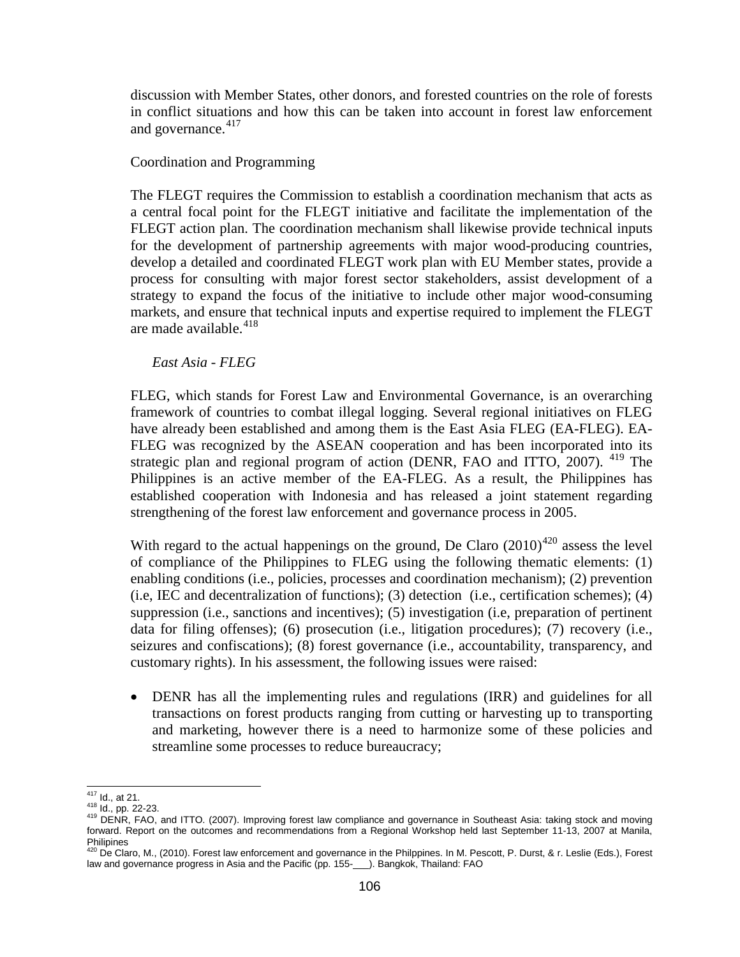discussion with Member States, other donors, and forested countries on the role of forests in conflict situations and how this can be taken into account in forest law enforcement and governance.<sup>[417](#page-106-0)</sup>

#### Coordination and Programming

The FLEGT requires the Commission to establish a coordination mechanism that acts as a central focal point for the FLEGT initiative and facilitate the implementation of the FLEGT action plan. The coordination mechanism shall likewise provide technical inputs for the development of partnership agreements with major wood-producing countries, develop a detailed and coordinated FLEGT work plan with EU Member states, provide a process for consulting with major forest sector stakeholders, assist development of a strategy to expand the focus of the initiative to include other major wood-consuming markets, and ensure that technical inputs and expertise required to implement the FLEGT are made available.<sup>[418](#page-106-0)</sup>

#### *East Asia - FLEG*

FLEG, which stands for Forest Law and Environmental Governance, is an overarching framework of countries to combat illegal logging. Several regional initiatives on FLEG have already been established and among them is the East Asia FLEG (EA-FLEG). EA-FLEG was recognized by the ASEAN cooperation and has been incorporated into its strategic plan and regional program of action (DENR, FAO and ITTO, 2007). <sup>[419](#page-106-0)</sup> The Philippines is an active member of the EA-FLEG. As a result, the Philippines has established cooperation with Indonesia and has released a joint statement regarding strengthening of the forest law enforcement and governance process in 2005.

With regard to the actual happenings on the ground, De Claro  $(2010)^{420}$  $(2010)^{420}$  $(2010)^{420}$  assess the level of compliance of the Philippines to FLEG using the following thematic elements: (1) enabling conditions (i.e., policies, processes and coordination mechanism); (2) prevention (i.e, IEC and decentralization of functions); (3) detection (i.e., certification schemes); (4) suppression (i.e., sanctions and incentives); (5) investigation (i.e, preparation of pertinent data for filing offenses); (6) prosecution (i.e., litigation procedures); (7) recovery (i.e., seizures and confiscations); (8) forest governance (i.e., accountability, transparency, and customary rights). In his assessment, the following issues were raised:

• DENR has all the implementing rules and regulations (IRR) and guidelines for all transactions on forest products ranging from cutting or harvesting up to transporting and marketing, however there is a need to harmonize some of these policies and streamline some processes to reduce bureaucracy;

<span id="page-106-0"></span><sup>&</sup>lt;sup>417</sup> Id., at 21.<br><sup>418</sup> Id., pp. 22-23.<br><sup>419</sup> DENR, FAO, and ITTO. (2007). Improving forest law compliance and governance in Southeast Asia: taking stock and moving forward. Report on the outcomes and recommendations from a Regional Workshop held last September 11-13, 2007 at Manila,

Philipines<br><sup>420</sup> De Claro, M., (2010). Forest law enforcement and governance in the Philppines. In M. Pescott, P. Durst, & r. Leslie (Eds.), Forest law and governance progress in Asia and the Pacific (pp. 155-\_\_\_). Bangkok, Thailand: FAO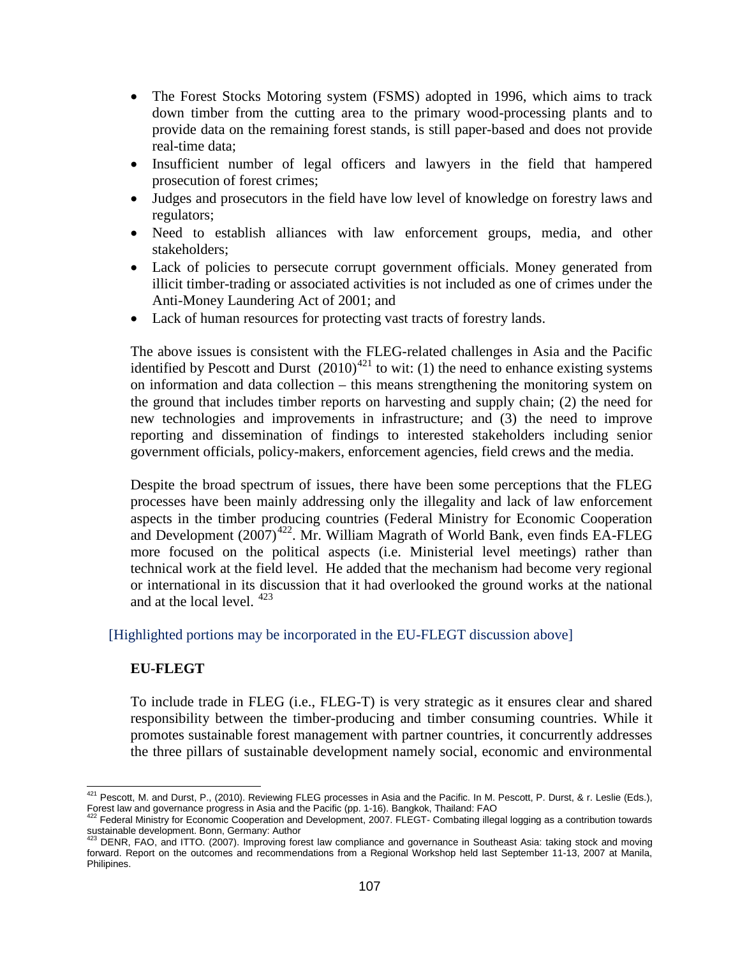- The Forest Stocks Motoring system (FSMS) adopted in 1996, which aims to track down timber from the cutting area to the primary wood-processing plants and to provide data on the remaining forest stands, is still paper-based and does not provide real-time data;
- Insufficient number of legal officers and lawyers in the field that hampered prosecution of forest crimes;
- Judges and prosecutors in the field have low level of knowledge on forestry laws and regulators;
- Need to establish alliances with law enforcement groups, media, and other stakeholders;
- Lack of policies to persecute corrupt government officials. Money generated from illicit timber-trading or associated activities is not included as one of crimes under the Anti-Money Laundering Act of 2001; and
- Lack of human resources for protecting vast tracts of forestry lands.

The above issues is consistent with the FLEG-related challenges in Asia and the Pacific identified by Pescott and Durst  $(2010)^{421}$  $(2010)^{421}$  $(2010)^{421}$  to wit: (1) the need to enhance existing systems on information and data collection – this means strengthening the monitoring system on the ground that includes timber reports on harvesting and supply chain; (2) the need for new technologies and improvements in infrastructure; and (3) the need to improve reporting and dissemination of findings to interested stakeholders including senior government officials, policy-makers, enforcement agencies, field crews and the media.

Despite the broad spectrum of issues, there have been some perceptions that the FLEG processes have been mainly addressing only the illegality and lack of law enforcement aspects in the timber producing countries (Federal Ministry for Economic Cooperation and Development  $(2007)^{422}$ . Mr. William Magrath of World Bank, even finds EA-FLEG more focused on the political aspects (i.e. Ministerial level meetings) rather than technical work at the field level. He added that the mechanism had become very regional or international in its discussion that it had overlooked the ground works at the national and at the local level. [423](#page-107-0)

[Highlighted portions may be incorporated in the EU-FLEGT discussion above]

# **EU-FLEGT**

To include trade in FLEG (i.e., FLEG-T) is very strategic as it ensures clear and shared responsibility between the timber-producing and timber consuming countries. While it promotes sustainable forest management with partner countries, it concurrently addresses the three pillars of sustainable development namely social, economic and environmental

<span id="page-107-0"></span><sup>421</sup> Pescott, M. and Durst, P., (2010). Reviewing FLEG processes in Asia and the Pacific. In M. Pescott, P. Durst, & r. Leslie (Eds.), Forest law and governance progress in Asia and the Pacific (pp. 1-16). Bangkok, Thailand: FAO<br>422 Federal Ministry for Economic Cooperation and Development, 2007. FLEGT- Combating illegal logging as a contribution towards

sustainable development. Bonn, Germany: Author<br><sup>423</sup> DENR, FAO, and ITTO. (2007). Improving forest law compliance and governance in Southeast Asia: taking stock and moving forward. Report on the outcomes and recommendations from a Regional Workshop held last September 11-13, 2007 at Manila, Philipines.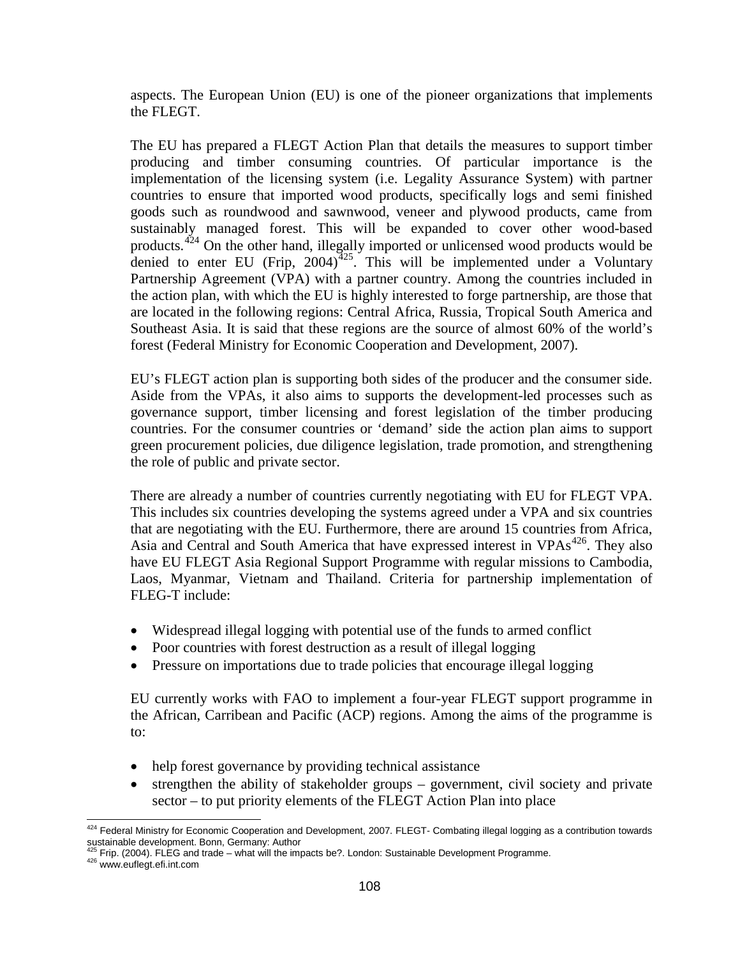aspects. The European Union (EU) is one of the pioneer organizations that implements the FLEGT.

The EU has prepared a FLEGT Action Plan that details the measures to support timber producing and timber consuming countries. Of particular importance is the implementation of the licensing system (i.e. Legality Assurance System) with partner countries to ensure that imported wood products, specifically logs and semi finished goods such as roundwood and sawnwood, veneer and plywood products, came from sustainably managed forest. This will be expanded to cover other wood-based products.<sup>[424](#page-108-0)</sup> On the other hand, illegally imported or unlicensed wood products would be denied to enter EU (Frip,  $2004$ )<sup>[425](#page-108-0)</sup>. This will be implemented under a Voluntary Partnership Agreement (VPA) with a partner country. Among the countries included in the action plan, with which the EU is highly interested to forge partnership, are those that are located in the following regions: Central Africa, Russia, Tropical South America and Southeast Asia. It is said that these regions are the source of almost 60% of the world's forest (Federal Ministry for Economic Cooperation and Development, 2007).

EU's FLEGT action plan is supporting both sides of the producer and the consumer side. Aside from the VPAs, it also aims to supports the development-led processes such as governance support, timber licensing and forest legislation of the timber producing countries. For the consumer countries or 'demand' side the action plan aims to support green procurement policies, due diligence legislation, trade promotion, and strengthening the role of public and private sector.

There are already a number of countries currently negotiating with EU for FLEGT VPA. This includes six countries developing the systems agreed under a VPA and six countries that are negotiating with the EU. Furthermore, there are around 15 countries from Africa, Asia and Central and South America that have expressed interest in  $VPAs<sup>426</sup>$ . They also have EU FLEGT Asia Regional Support Programme with regular missions to Cambodia, Laos, Myanmar, Vietnam and Thailand. Criteria for partnership implementation of FLEG-T include:

- Widespread illegal logging with potential use of the funds to armed conflict
- Poor countries with forest destruction as a result of illegal logging
- Pressure on importations due to trade policies that encourage illegal logging

EU currently works with FAO to implement a four-year FLEGT support programme in the African, Carribean and Pacific (ACP) regions. Among the aims of the programme is to:

- help forest governance by providing technical assistance
- strengthen the ability of stakeholder groups government, civil society and private sector – to put priority elements of the FLEGT Action Plan into place

<span id="page-108-0"></span><sup>424</sup> Federal Ministry for Economic Cooperation and Development, 2007. FLEGT- Combating illegal logging as a contribution towards

sustainable development. Bonn, Germany: Author<br><sup>425</sup> Frip. (2004). FLEG and trade – what will the impacts be?. London: Sustainable Development Programme.<br><sup>426</sup> www.euflegt.efi.int.com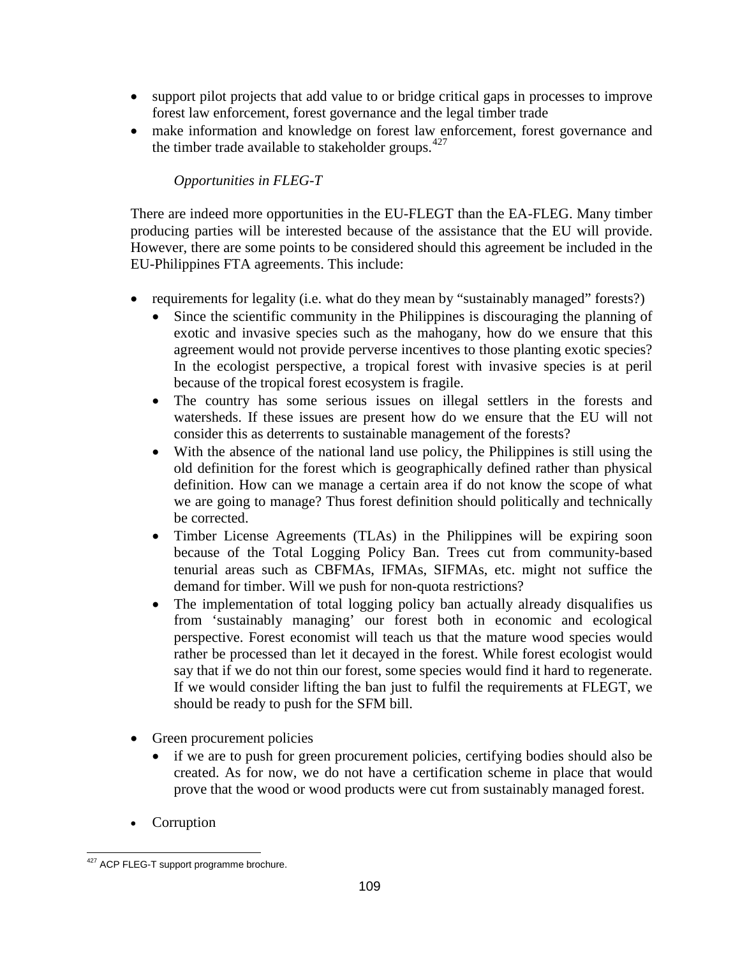- support pilot projects that add value to or bridge critical gaps in processes to improve forest law enforcement, forest governance and the legal timber trade
- make information and knowledge on forest law enforcement, forest governance and the timber trade available to stakeholder groups.<sup>[427](#page-109-0)</sup>

# *Opportunities in FLEG-T*

There are indeed more opportunities in the EU-FLEGT than the EA-FLEG. Many timber producing parties will be interested because of the assistance that the EU will provide. However, there are some points to be considered should this agreement be included in the EU-Philippines FTA agreements. This include:

- requirements for legality (i.e. what do they mean by "sustainably managed" forests?)
	- Since the scientific community in the Philippines is discouraging the planning of exotic and invasive species such as the mahogany, how do we ensure that this agreement would not provide perverse incentives to those planting exotic species? In the ecologist perspective, a tropical forest with invasive species is at peril because of the tropical forest ecosystem is fragile.
	- The country has some serious issues on illegal settlers in the forests and watersheds. If these issues are present how do we ensure that the EU will not consider this as deterrents to sustainable management of the forests?
	- With the absence of the national land use policy, the Philippines is still using the old definition for the forest which is geographically defined rather than physical definition. How can we manage a certain area if do not know the scope of what we are going to manage? Thus forest definition should politically and technically be corrected.
	- Timber License Agreements (TLAs) in the Philippines will be expiring soon because of the Total Logging Policy Ban. Trees cut from community-based tenurial areas such as CBFMAs, IFMAs, SIFMAs, etc. might not suffice the demand for timber. Will we push for non-quota restrictions?
	- The implementation of total logging policy ban actually already disqualifies us from 'sustainably managing' our forest both in economic and ecological perspective. Forest economist will teach us that the mature wood species would rather be processed than let it decayed in the forest. While forest ecologist would say that if we do not thin our forest, some species would find it hard to regenerate. If we would consider lifting the ban just to fulfil the requirements at FLEGT, we should be ready to push for the SFM bill.
- Green procurement policies
	- if we are to push for green procurement policies, certifying bodies should also be created. As for now, we do not have a certification scheme in place that would prove that the wood or wood products were cut from sustainably managed forest.
- Corruption

<span id="page-109-0"></span><sup>427</sup> ACP FLEG-T support programme brochure.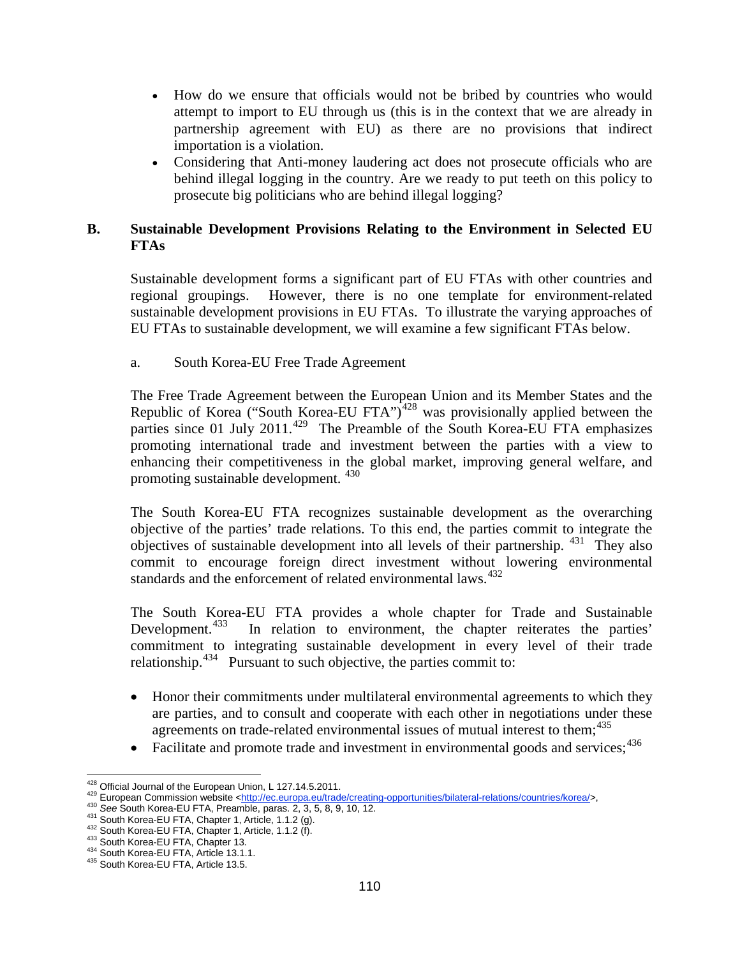- How do we ensure that officials would not be bribed by countries who would attempt to import to EU through us (this is in the context that we are already in partnership agreement with EU) as there are no provisions that indirect importation is a violation.
- Considering that Anti-money laudering act does not prosecute officials who are behind illegal logging in the country. Are we ready to put teeth on this policy to prosecute big politicians who are behind illegal logging?

## **B. Sustainable Development Provisions Relating to the Environment in Selected EU FTAs**

Sustainable development forms a significant part of EU FTAs with other countries and regional groupings. However, there is no one template for environment-related sustainable development provisions in EU FTAs. To illustrate the varying approaches of EU FTAs to sustainable development, we will examine a few significant FTAs below.

## a. South Korea-EU Free Trade Agreement

The Free Trade Agreement between the European Union and its Member States and the Republic of Korea ("South Korea-EU FTA")<sup>[428](#page-110-0)</sup> was provisionally applied between the parties since 01 July 2011.<sup>429</sup> The Preamble of the South Korea-EU FTA emphasizes promoting international trade and investment between the parties with a view to enhancing their competitiveness in the global market, improving general welfare, and promoting sustainable development. [430](#page-110-0)

The South Korea-EU FTA recognizes sustainable development as the overarching objective of the parties' trade relations. To this end, the parties commit to integrate the objectives of sustainable development into all levels of their partnership. [431](#page-110-0) They also commit to encourage foreign direct investment without lowering environmental standards and the enforcement of related environmental laws.<sup>[432](#page-110-0)</sup>

<span id="page-110-1"></span>The South Korea-EU FTA provides a whole chapter for Trade and Sustainable Development.<sup>433</sup> In relation to environment, the chapter reiterates the parties' In relation to environment, the chapter reiterates the parties' commitment to integrating sustainable development in every level of their trade relationship.<sup>[434](#page-110-0)</sup> Pursuant to such objective, the parties commit to:

- Honor their commitments under multilateral environmental agreements to which they are parties, and to consult and cooperate with each other in negotiations under these agreements on trade-related environmental issues of mutual interest to them;<sup>[435](#page-110-0)</sup>
- Facilitate and promote trade and investment in environmental goods and services:  $436$

<span id="page-110-0"></span><sup>&</sup>lt;sup>428</sup> Official Journal of the European Union, L 127.14.5.2011.<br><sup>428</sup> European Commission website [<http://ec.europa.eu/trade/creating-opportunities/bilateral-relations/countries/korea/>](http://ec.europa.eu/trade/creating-opportunities/bilateral-relations/countries/korea/),<br><sup>430</sup> See South Korea-EU FTA, Pream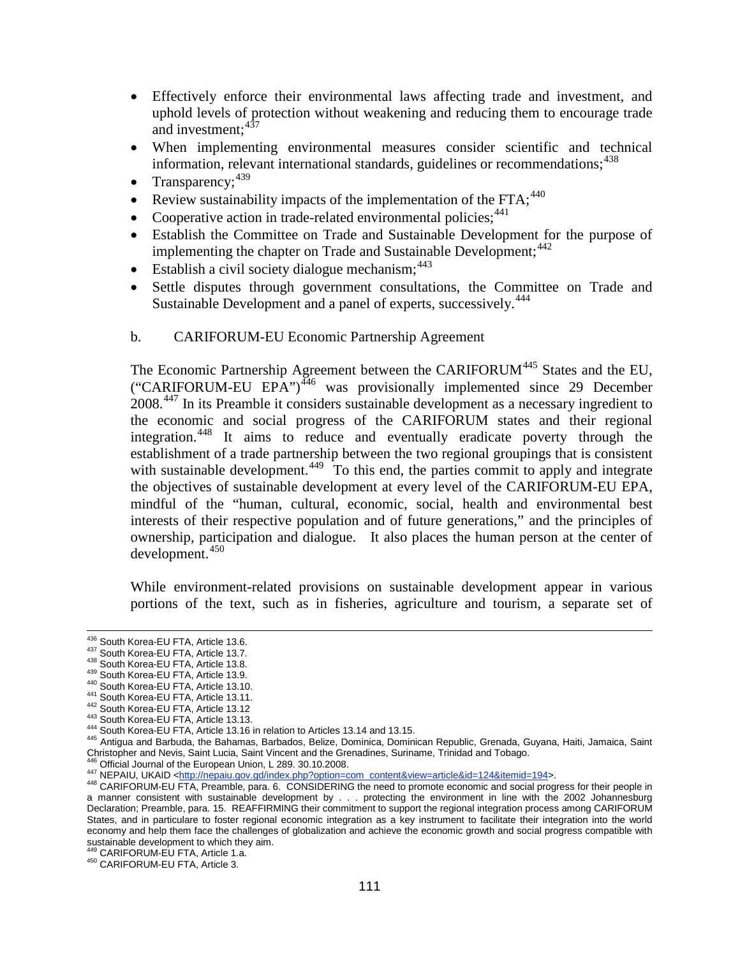- Effectively enforce their environmental laws affecting trade and investment, and uphold levels of protection without weakening and reducing them to encourage trade and investment:  $437$
- When implementing environmental measures consider scientific and technical information, relevant international standards, guidelines or recommendations;<sup>[438](#page-111-0)</sup>
- Transparency;  $439$
- Review sustainability impacts of the implementation of the  $FTA:^{440}$  $FTA:^{440}$  $FTA:^{440}$
- Cooperative action in trade-related environmental policies;  $441$
- Establish the Committee on Trade and Sustainable Development for the purpose of implementing the chapter on Trade and Sustainable Development; $442$
- Establish a civil society dialogue mechanism;  $443$
- Settle disputes through government consultations, the Committee on Trade and Sustainable Development and a panel of experts, successively.<sup>[444](#page-111-0)</sup>
- b. CARIFORUM-EU Economic Partnership Agreement

The Economic Partnership Agreement between the CARIFORUM<sup>[445](#page-111-0)</sup> States and the EU, ("CARIFORUM-EU EPA")<sup>[446](#page-111-0)</sup> was provisionally implemented since 29 December 2008.<sup>[447](#page-111-0)</sup> In its Preamble it considers sustainable development as a necessary ingredient to the economic and social progress of the CARIFORUM states and their regional integration.[448](#page-111-0) It aims to reduce and eventually eradicate poverty through the establishment of a trade partnership between the two regional groupings that is consistent with sustainable development.<sup>[449](#page-111-0)</sup> To this end, the parties commit to apply and integrate the objectives of sustainable development at every level of the CARIFORUM-EU EPA, mindful of the "human, cultural, economic, social, health and environmental best interests of their respective population and of future generations," and the principles of ownership, participation and dialogue. It also places the human person at the center of development.<sup>[450](#page-111-0)</sup>

While environment-related provisions on sustainable development appear in various portions of the text, such as in fisheries, agriculture and tourism, a separate set of

<span id="page-111-0"></span><sup>&</sup>lt;sup>436</sup> South Korea-EU FTA, Article 13.6.<br><sup>437</sup> South Korea-EU FTA, Article 13.7.<br><sup>438</sup> South Korea-EU FTA, Article 13.8.<br><sup>449</sup> South Korea-EU FTA, Article 13.10.<br><sup>444</sup> South Korea-EU FTA, Article 13.10.<br><sup>444</sup> South Korea-EU Christopher and Nevis, Saint Lucia, Saint Vincent and the Grenadines, Suriname, Trinidad and Tobago.<br>
446 Official Journal of the European Union, L 289. 30.10.2008.<br>
447 NEPAIU, UKAID <http://nepaiu.gov.gd/index.php?option

a manner consistent with sustainable development by . . . protecting the environment in line with the 2002 Johannesburg Declaration; Preamble, para. 15. REAFFIRMING their commitment to support the regional integration process among CARIFORUM States, and in particulare to foster regional economic integration as a key instrument to facilitate their integration into the world economy and help them face the challenges of globalization and achieve the economic growth and social progress compatible with sustainable development to which they aim.<br><sup>449</sup> CARIFORUM-EU FTA, Article 1.a.

<sup>450</sup> CARIFORUM-EU FTA, Article 3.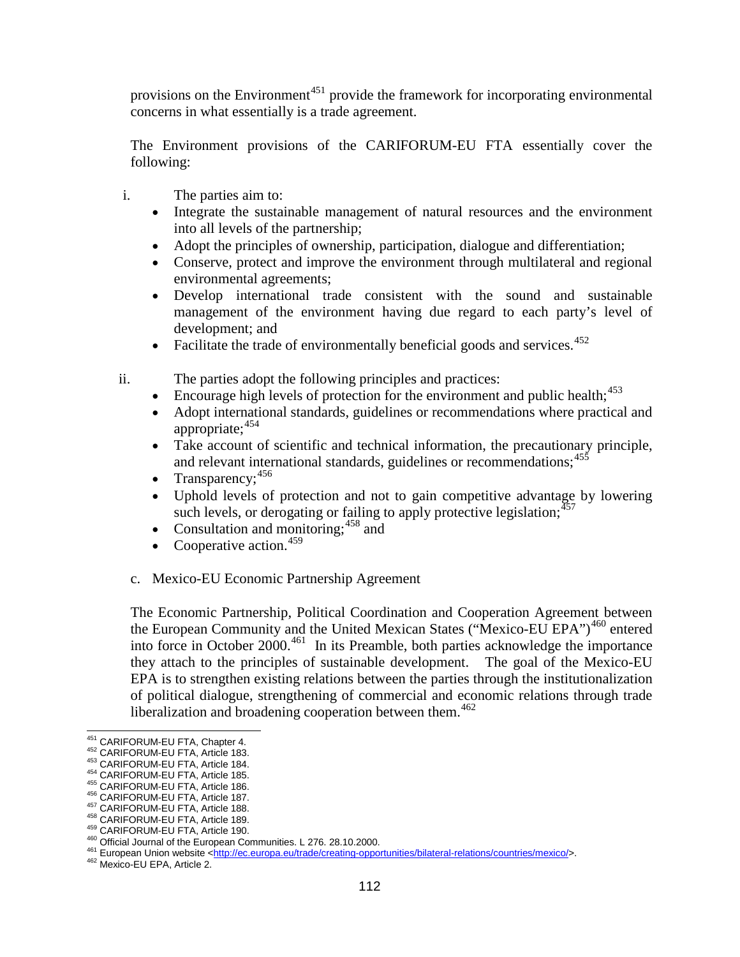provisions on the Environment<sup>[451](#page-112-0)</sup> provide the framework for incorporating environmental concerns in what essentially is a trade agreement.

The Environment provisions of the CARIFORUM-EU FTA essentially cover the following:

- i. The parties aim to:
	- Integrate the sustainable management of natural resources and the environment into all levels of the partnership;
	- Adopt the principles of ownership, participation, dialogue and differentiation;
	- Conserve, protect and improve the environment through multilateral and regional environmental agreements;
	- Develop international trade consistent with the sound and sustainable management of the environment having due regard to each party's level of development; and
	- Facilitate the trade of environmentally beneficial goods and services.  $452$

ii. The parties adopt the following principles and practices:

- Encourage high levels of protection for the environment and public health;  $453$
- Adopt international standards, guidelines or recommendations where practical and appropriate: $454$
- Take account of scientific and technical information, the precautionary principle, and relevant international standards, guidelines or recommendations;<sup>[455](#page-112-0)</sup>
- Transparency:  $456$
- Uphold levels of protection and not to gain competitive advantage by lowering such levels, or derogating or failing to apply protective legislation;  $457$
- Consultation and monitoring;  $458$  and
- Cooperative action.<sup>[459](#page-112-0)</sup>
- c. Mexico-EU Economic Partnership Agreement

The Economic Partnership, Political Coordination and Cooperation Agreement between the European Community and the United Mexican States ("Mexico-EU EPA")<sup>[460](#page-112-0)</sup> entered into force in October 2000.<sup>[461](#page-112-0)</sup> In its Preamble, both parties acknowledge the importance they attach to the principles of sustainable development. The goal of the Mexico-EU EPA is to strengthen existing relations between the parties through the institutionalization of political dialogue, strengthening of commercial and economic relations through trade liberalization and broadening cooperation between them.<sup>[462](#page-112-0)</sup>

<span id="page-112-0"></span>

<sup>&</sup>lt;sup>451</sup> CARIFORUM-EU FTA, Chapter 4.<br><sup>452</sup> CARIFORUM-EU FTA, Article 183.<br><sup>453</sup> CARIFORUM-EU FTA, Article 184.<br><sup>453</sup> CARIFORUM-EU FTA, Article 185.<br><sup>456</sup> CARIFORUM-EU FTA, Article 187.<br><sup>456</sup> CARIFORUM-EU FTA, Article 187.<br><sup>4</sup>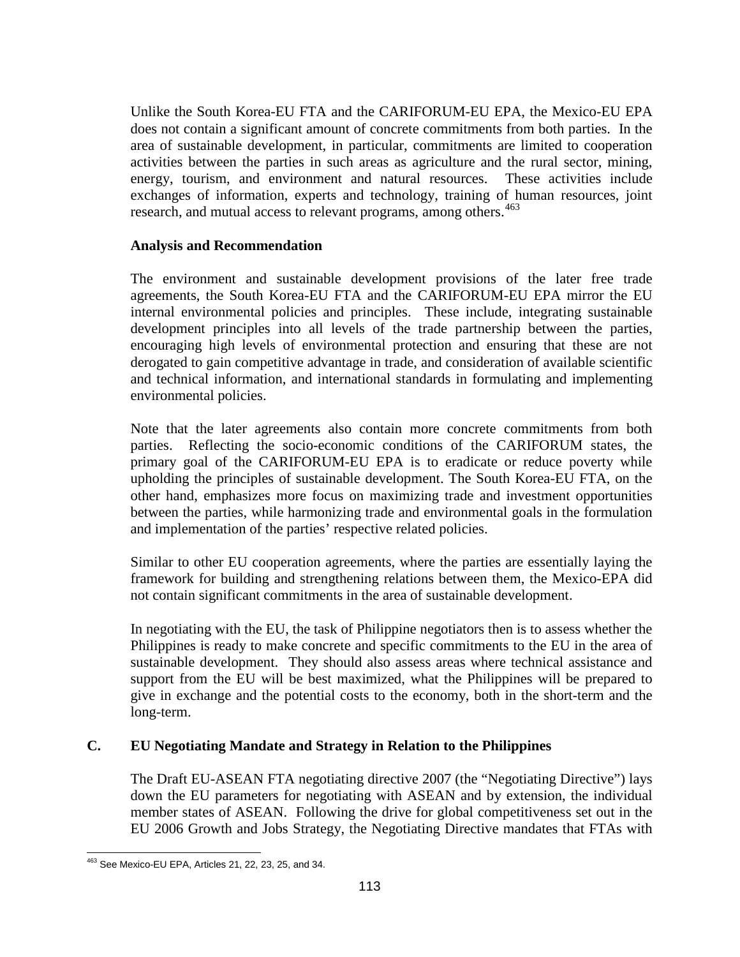Unlike the South Korea-EU FTA and the CARIFORUM-EU EPA, the Mexico-EU EPA does not contain a significant amount of concrete commitments from both parties. In the area of sustainable development, in particular, commitments are limited to cooperation activities between the parties in such areas as agriculture and the rural sector, mining, energy, tourism, and environment and natural resources. These activities include exchanges of information, experts and technology, training of human resources, joint research, and mutual access to relevant programs, among others.<sup>[463](#page-113-0)</sup>

### **Analysis and Recommendation**

The environment and sustainable development provisions of the later free trade agreements, the South Korea-EU FTA and the CARIFORUM-EU EPA mirror the EU internal environmental policies and principles. These include, integrating sustainable development principles into all levels of the trade partnership between the parties, encouraging high levels of environmental protection and ensuring that these are not derogated to gain competitive advantage in trade, and consideration of available scientific and technical information, and international standards in formulating and implementing environmental policies.

Note that the later agreements also contain more concrete commitments from both parties. Reflecting the socio-economic conditions of the CARIFORUM states, the primary goal of the CARIFORUM-EU EPA is to eradicate or reduce poverty while upholding the principles of sustainable development. The South Korea-EU FTA, on the other hand, emphasizes more focus on maximizing trade and investment opportunities between the parties, while harmonizing trade and environmental goals in the formulation and implementation of the parties' respective related policies.

Similar to other EU cooperation agreements, where the parties are essentially laying the framework for building and strengthening relations between them, the Mexico-EPA did not contain significant commitments in the area of sustainable development.

In negotiating with the EU, the task of Philippine negotiators then is to assess whether the Philippines is ready to make concrete and specific commitments to the EU in the area of sustainable development. They should also assess areas where technical assistance and support from the EU will be best maximized, what the Philippines will be prepared to give in exchange and the potential costs to the economy, both in the short-term and the long-term.

## **C. EU Negotiating Mandate and Strategy in Relation to the Philippines**

The Draft EU-ASEAN FTA negotiating directive 2007 (the "Negotiating Directive") lays down the EU parameters for negotiating with ASEAN and by extension, the individual member states of ASEAN. Following the drive for global competitiveness set out in the EU 2006 Growth and Jobs Strategy, the Negotiating Directive mandates that FTAs with

<span id="page-113-0"></span> <sup>463</sup> See Mexico-EU EPA, Articles 21, 22, 23, 25, and 34.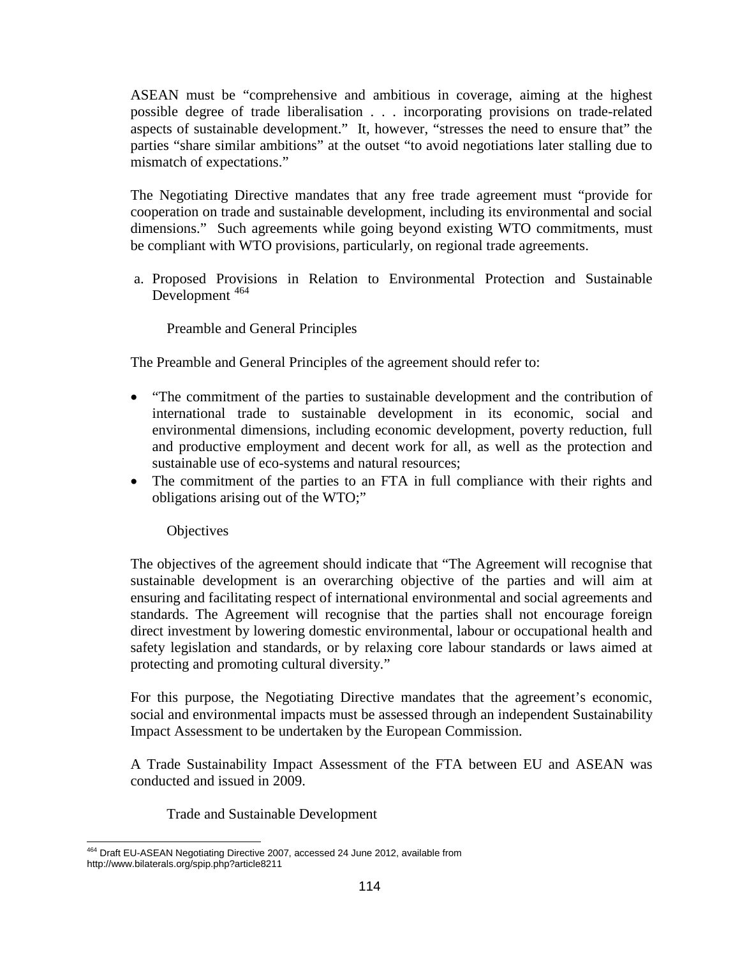ASEAN must be "comprehensive and ambitious in coverage, aiming at the highest possible degree of trade liberalisation . . . incorporating provisions on trade-related aspects of sustainable development." It, however, "stresses the need to ensure that" the parties "share similar ambitions" at the outset "to avoid negotiations later stalling due to mismatch of expectations."

The Negotiating Directive mandates that any free trade agreement must "provide for cooperation on trade and sustainable development, including its environmental and social dimensions." Such agreements while going beyond existing WTO commitments, must be compliant with WTO provisions, particularly, on regional trade agreements.

a. Proposed Provisions in Relation to Environmental Protection and Sustainable Development <sup>[464](#page-114-0)</sup>

Preamble and General Principles

The Preamble and General Principles of the agreement should refer to:

- "The commitment of the parties to sustainable development and the contribution of international trade to sustainable development in its economic, social and environmental dimensions, including economic development, poverty reduction, full and productive employment and decent work for all, as well as the protection and sustainable use of eco-systems and natural resources;
- The commitment of the parties to an FTA in full compliance with their rights and obligations arising out of the WTO;"

**Objectives** 

The objectives of the agreement should indicate that "The Agreement will recognise that sustainable development is an overarching objective of the parties and will aim at ensuring and facilitating respect of international environmental and social agreements and standards. The Agreement will recognise that the parties shall not encourage foreign direct investment by lowering domestic environmental, labour or occupational health and safety legislation and standards, or by relaxing core labour standards or laws aimed at protecting and promoting cultural diversity."

For this purpose, the Negotiating Directive mandates that the agreement's economic, social and environmental impacts must be assessed through an independent Sustainability Impact Assessment to be undertaken by the European Commission.

A Trade Sustainability Impact Assessment of the FTA between EU and ASEAN was conducted and issued in 2009.

Trade and Sustainable Development

<span id="page-114-0"></span> <sup>464</sup> Draft EU-ASEAN Negotiating Directive 2007, accessed 24 June 2012, available from http://www.bilaterals.org/spip.php?article8211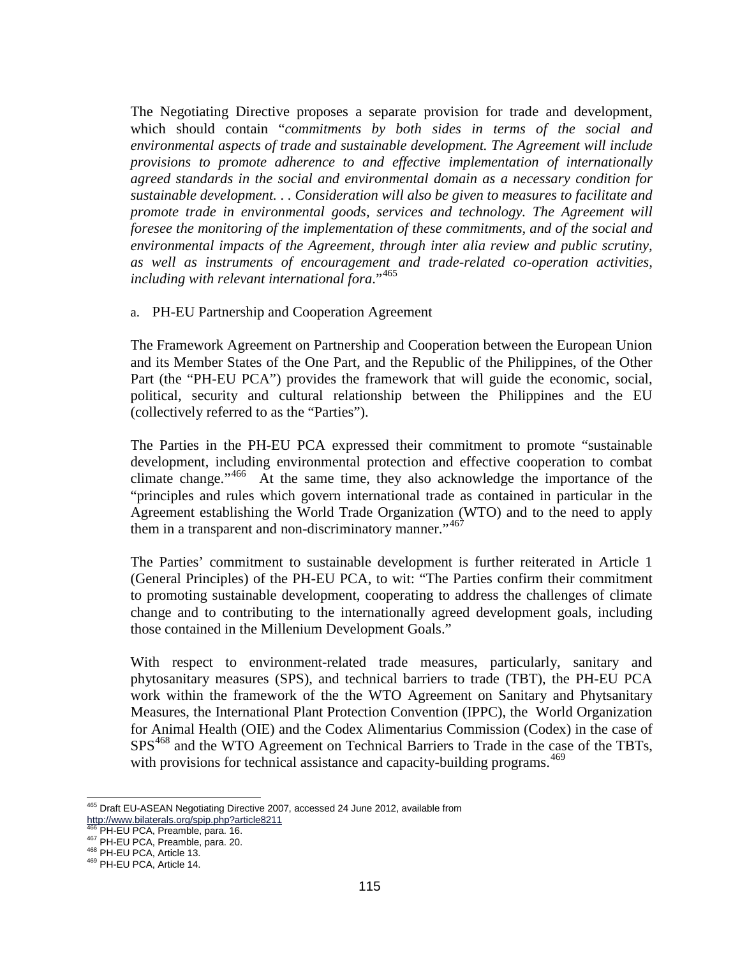The Negotiating Directive proposes a separate provision for trade and development, which should contain "*commitments by both sides in terms of the social and environmental aspects of trade and sustainable development. The Agreement will include provisions to promote adherence to and effective implementation of internationally agreed standards in the social and environmental domain as a necessary condition for sustainable development. . . Consideration will also be given to measures to facilitate and promote trade in environmental goods, services and technology. The Agreement will foresee the monitoring of the implementation of these commitments, and of the social and environmental impacts of the Agreement, through inter alia review and public scrutiny, as well as instruments of encouragement and trade-related co-operation activities, including with relevant international fora*."[465](#page-115-0)

#### a. PH-EU Partnership and Cooperation Agreement

The Framework Agreement on Partnership and Cooperation between the European Union and its Member States of the One Part, and the Republic of the Philippines, of the Other Part (the "PH-EU PCA") provides the framework that will guide the economic, social, political, security and cultural relationship between the Philippines and the EU (collectively referred to as the "Parties").

The Parties in the PH-EU PCA expressed their commitment to promote "sustainable development, including environmental protection and effective cooperation to combat climate change."[466](#page-115-0) At the same time, they also acknowledge the importance of the "principles and rules which govern international trade as contained in particular in the Agreement establishing the World Trade Organization (WTO) and to the need to apply them in a transparent and non-discriminatory manner."<sup>[467](#page-115-0)</sup>

The Parties' commitment to sustainable development is further reiterated in Article 1 (General Principles) of the PH-EU PCA, to wit: "The Parties confirm their commitment to promoting sustainable development, cooperating to address the challenges of climate change and to contributing to the internationally agreed development goals, including those contained in the Millenium Development Goals."

With respect to environment-related trade measures, particularly, sanitary and phytosanitary measures (SPS), and technical barriers to trade (TBT), the PH-EU PCA work within the framework of the the WTO Agreement on Sanitary and Phytsanitary Measures, the International Plant Protection Convention (IPPC), the World Organization for Animal Health (OIE) and the Codex Alimentarius Commission (Codex) in the case of SPS<sup>[468](#page-115-0)</sup> and the WTO Agreement on Technical Barriers to Trade in the case of the TBTs, with provisions for technical assistance and capacity-building programs.<sup>[469](#page-115-0)</sup>

<span id="page-115-0"></span><sup>&</sup>lt;sup>465</sup> Draft EU-ASEAN Negotiating Directive 2007, accessed 24 June 2012, available from http://www.bilaterals.org/spip.php?article8211

<sup>&</sup>lt;sup>466</sup> PH-EU PCA, Preamble, para. 16. 4<sup>67</sup> PH-EU PCA, Preamble, para. 20. 468 PH-EU PCA, Article 13. 469 PH-EU PCA, Article 14.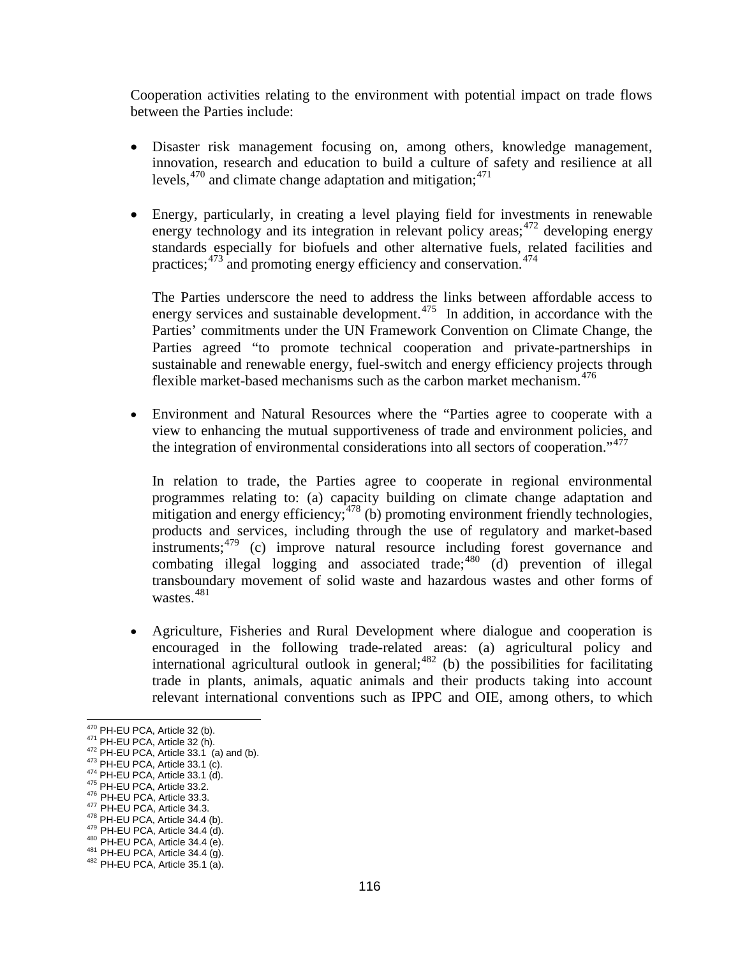Cooperation activities relating to the environment with potential impact on trade flows between the Parties include:

- Disaster risk management focusing on, among others, knowledge management, innovation, research and education to build a culture of safety and resilience at all levels,<sup> $470$ </sup> and climate change adaptation and mitigation; $471$
- Energy, particularly, in creating a level playing field for investments in renewable energy technology and its integration in relevant policy areas;<sup>[472](#page-116-0)</sup> developing energy standards especially for biofuels and other alternative fuels, related facilities and practices;  $473$  and promoting energy efficiency and conservation.  $474$

The Parties underscore the need to address the links between affordable access to energy services and sustainable development. $475$  In addition, in accordance with the Parties' commitments under the UN Framework Convention on Climate Change, the Parties agreed "to promote technical cooperation and private-partnerships in sustainable and renewable energy, fuel-switch and energy efficiency projects through flexible market-based mechanisms such as the carbon market mechanism.<sup>[476](#page-116-0)</sup>

• Environment and Natural Resources where the "Parties agree to cooperate with a view to enhancing the mutual supportiveness of trade and environment policies, and the integration of environmental considerations into all sectors of cooperation."<sup>[477](#page-116-0)</sup>

In relation to trade, the Parties agree to cooperate in regional environmental programmes relating to: (a) capacity building on climate change adaptation and mitigation and energy efficiency; $478$  (b) promoting environment friendly technologies, products and services, including through the use of regulatory and market-based instruments;  $479$  (c) improve natural resource including forest governance and combating illegal logging and associated trade;  $480$  (d) prevention of illegal transboundary movement of solid waste and hazardous wastes and other forms of wastes.<sup>[481](#page-116-0)</sup>

• Agriculture, Fisheries and Rural Development where dialogue and cooperation is encouraged in the following trade-related areas: (a) agricultural policy and international agricultural outlook in general; $482$  (b) the possibilities for facilitating trade in plants, animals, aquatic animals and their products taking into account relevant international conventions such as IPPC and OIE, among others, to which

- 
- 
- 
- 
- 
- 

<span id="page-116-0"></span>

<sup>&</sup>lt;sup>470</sup> PH-EU PCA, Article 32 (b).<br><sup>471</sup> PH-EU PCA, Article 32 (h).<br><sup>472</sup> PH-EU PCA, Article 33.1 (a) and (b).<br><sup>473</sup> PH-EU PCA, Article 33.1 (c).<br><sup>474</sup> PH-EU PCA, Article 33.1 (d).<br><sup>474</sup> PH-EU PCA, Article 33.2.<br><sup>476</sup> PH-EU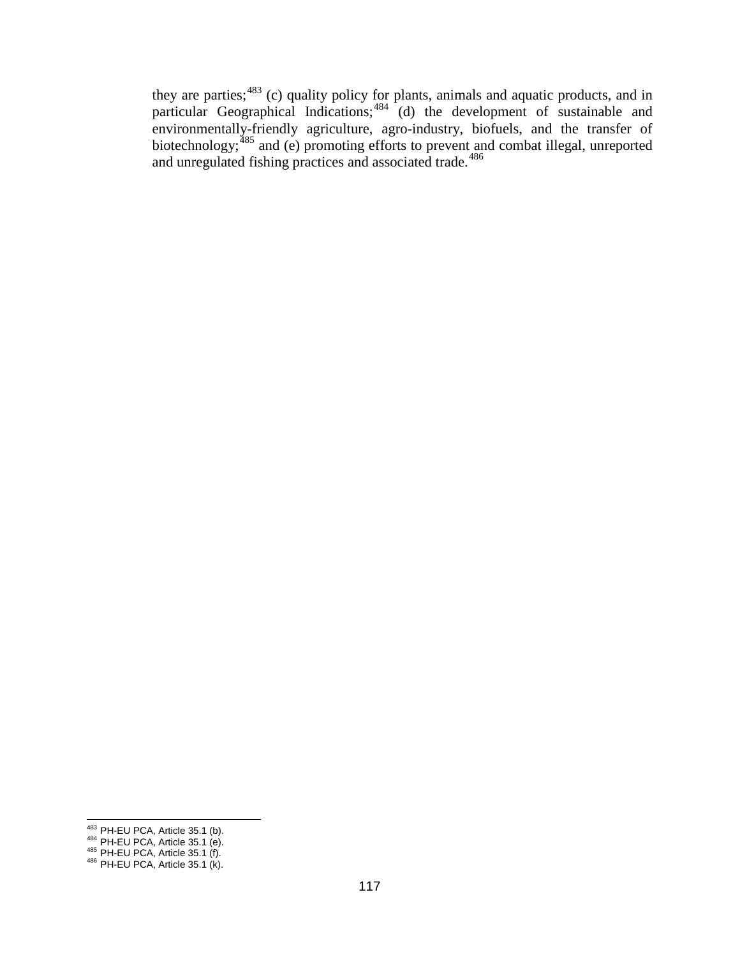they are parties;<sup>[483](#page-117-0)</sup> (c) quality policy for plants, animals and aquatic products, and in particular Geographical Indications;<sup>[484](#page-117-0)</sup> (d) the development of sustainable and environmentally-friendly agriculture, agro-industry, biofuels, and the transfer of biotechnology;<sup>[485](#page-117-0)</sup> and (e) promoting efforts to prevent and combat illegal, unreported and unregulated fishing practices and associated trade.<sup>[486](#page-117-0)</sup>

<span id="page-117-0"></span> $483$  PH-EU PCA, Article 35.1 (b).<br>  $484$  PH-EU PCA, Article 35.1 (e).<br>  $485$  PH-EU PCA, Article 35.1 (f).<br>  $486$  PH-EU PCA, Article 35.1 (k).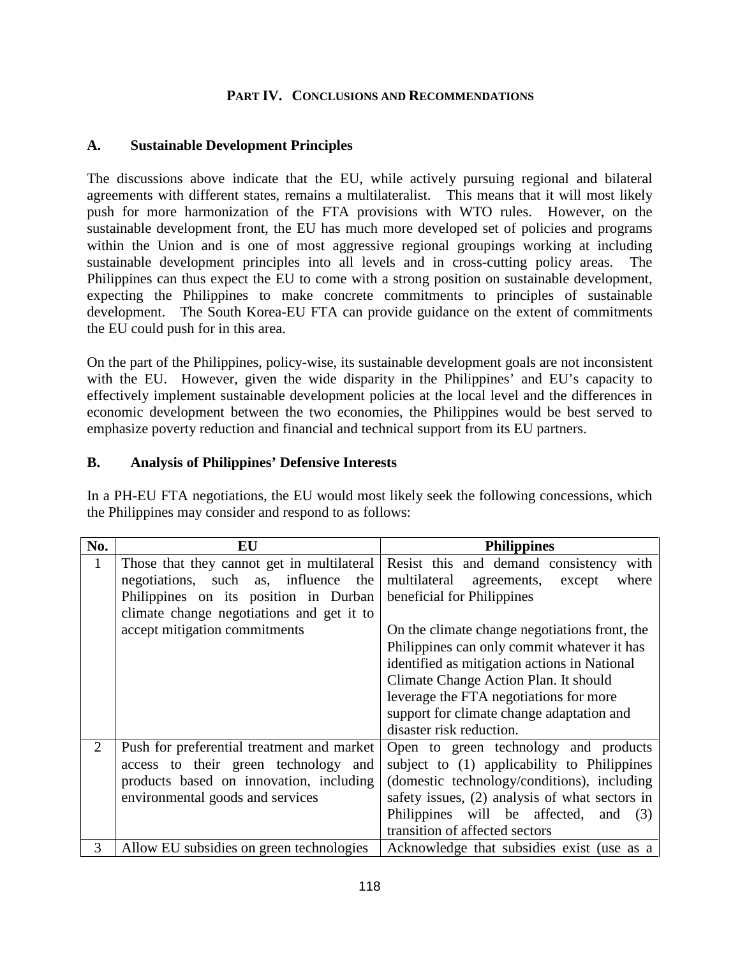### **PART IV. CONCLUSIONS AND RECOMMENDATIONS**

### **A. Sustainable Development Principles**

The discussions above indicate that the EU, while actively pursuing regional and bilateral agreements with different states, remains a multilateralist. This means that it will most likely push for more harmonization of the FTA provisions with WTO rules. However, on the sustainable development front, the EU has much more developed set of policies and programs within the Union and is one of most aggressive regional groupings working at including sustainable development principles into all levels and in cross-cutting policy areas. The Philippines can thus expect the EU to come with a strong position on sustainable development, expecting the Philippines to make concrete commitments to principles of sustainable development. The South Korea-EU FTA can provide guidance on the extent of commitments the EU could push for in this area.

On the part of the Philippines, policy-wise, its sustainable development goals are not inconsistent with the EU. However, given the wide disparity in the Philippines' and EU's capacity to effectively implement sustainable development policies at the local level and the differences in economic development between the two economies, the Philippines would be best served to emphasize poverty reduction and financial and technical support from its EU partners.

## **B. Analysis of Philippines' Defensive Interests**

| No.            | EU                                         | <b>Philippines</b>                             |
|----------------|--------------------------------------------|------------------------------------------------|
| $\mathbf{1}$   | Those that they cannot get in multilateral | Resist this and demand consistency with        |
|                | negotiations, such as, influence<br>the    | multilateral<br>agreements,<br>where<br>except |
|                | Philippines on its position in Durban      | beneficial for Philippines                     |
|                | climate change negotiations and get it to  |                                                |
|                | accept mitigation commitments              | On the climate change negotiations front, the  |
|                |                                            | Philippines can only commit whatever it has    |
|                |                                            | identified as mitigation actions in National   |
|                |                                            | Climate Change Action Plan. It should          |
|                |                                            | leverage the FTA negotiations for more         |
|                |                                            | support for climate change adaptation and      |
|                |                                            | disaster risk reduction.                       |
| $\overline{2}$ | Push for preferential treatment and market | Open to green technology and products          |
|                | access to their green technology and       | subject to (1) applicability to Philippines    |
|                | products based on innovation, including    | (domestic technology/conditions), including    |
|                | environmental goods and services           | safety issues, (2) analysis of what sectors in |
|                |                                            | Philippines will be affected, and<br>(3)       |
|                |                                            | transition of affected sectors                 |
| 3              | Allow EU subsidies on green technologies   | Acknowledge that subsidies exist (use as a     |

In a PH-EU FTA negotiations, the EU would most likely seek the following concessions, which the Philippines may consider and respond to as follows: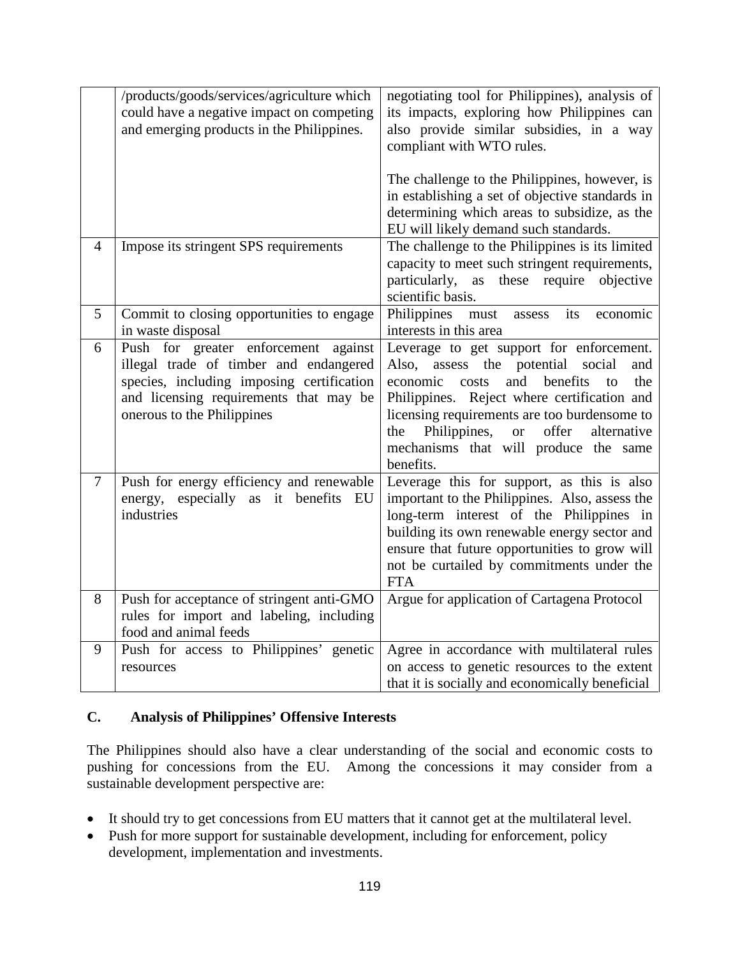|                 | /products/goods/services/agriculture which<br>could have a negative impact on competing<br>and emerging products in the Philippines.                                                                | negotiating tool for Philippines), analysis of<br>its impacts, exploring how Philippines can<br>also provide similar subsidies, in a way<br>compliant with WTO rules.<br>The challenge to the Philippines, however, is<br>in establishing a set of objective standards in                                                                                         |
|-----------------|-----------------------------------------------------------------------------------------------------------------------------------------------------------------------------------------------------|-------------------------------------------------------------------------------------------------------------------------------------------------------------------------------------------------------------------------------------------------------------------------------------------------------------------------------------------------------------------|
|                 |                                                                                                                                                                                                     | determining which areas to subsidize, as the<br>EU will likely demand such standards.                                                                                                                                                                                                                                                                             |
| $\overline{4}$  | Impose its stringent SPS requirements                                                                                                                                                               | The challenge to the Philippines is its limited<br>capacity to meet such stringent requirements,<br>as these require<br>particularly,<br>objective<br>scientific basis.                                                                                                                                                                                           |
| $5\overline{)}$ | Commit to closing opportunities to engage<br>in waste disposal                                                                                                                                      | Philippines<br>its<br>must<br>assess<br>economic<br>interests in this area                                                                                                                                                                                                                                                                                        |
| 6               | Push for greater enforcement against<br>illegal trade of timber and endangered<br>species, including imposing certification<br>and licensing requirements that may be<br>onerous to the Philippines | Leverage to get support for enforcement.<br>assess the potential social<br>Also,<br>and<br>benefits<br>economic<br>and<br>the<br>costs<br>to<br>Philippines. Reject where certification and<br>licensing requirements are too burdensome to<br>Philippines,<br>offer<br>alternative<br>the<br><sub>or</sub><br>mechanisms that will produce the same<br>benefits. |
| $\overline{7}$  | Push for energy efficiency and renewable<br>energy, especially as it benefits EU<br>industries                                                                                                      | Leverage this for support, as this is also<br>important to the Philippines. Also, assess the<br>long-term interest of the Philippines in<br>building its own renewable energy sector and<br>ensure that future opportunities to grow will<br>not be curtailed by commitments under the<br><b>FTA</b>                                                              |
| 8               | Push for acceptance of stringent anti-GMO<br>rules for import and labeling, including<br>food and animal feeds                                                                                      | Argue for application of Cartagena Protocol                                                                                                                                                                                                                                                                                                                       |
| 9               | Push for access to Philippines' genetic<br>resources                                                                                                                                                | Agree in accordance with multilateral rules<br>on access to genetic resources to the extent<br>that it is socially and economically beneficial                                                                                                                                                                                                                    |

## **C. Analysis of Philippines' Offensive Interests**

The Philippines should also have a clear understanding of the social and economic costs to pushing for concessions from the EU. Among the concessions it may consider from a sustainable development perspective are:

- It should try to get concessions from EU matters that it cannot get at the multilateral level.
- Push for more support for sustainable development, including for enforcement, policy development, implementation and investments.